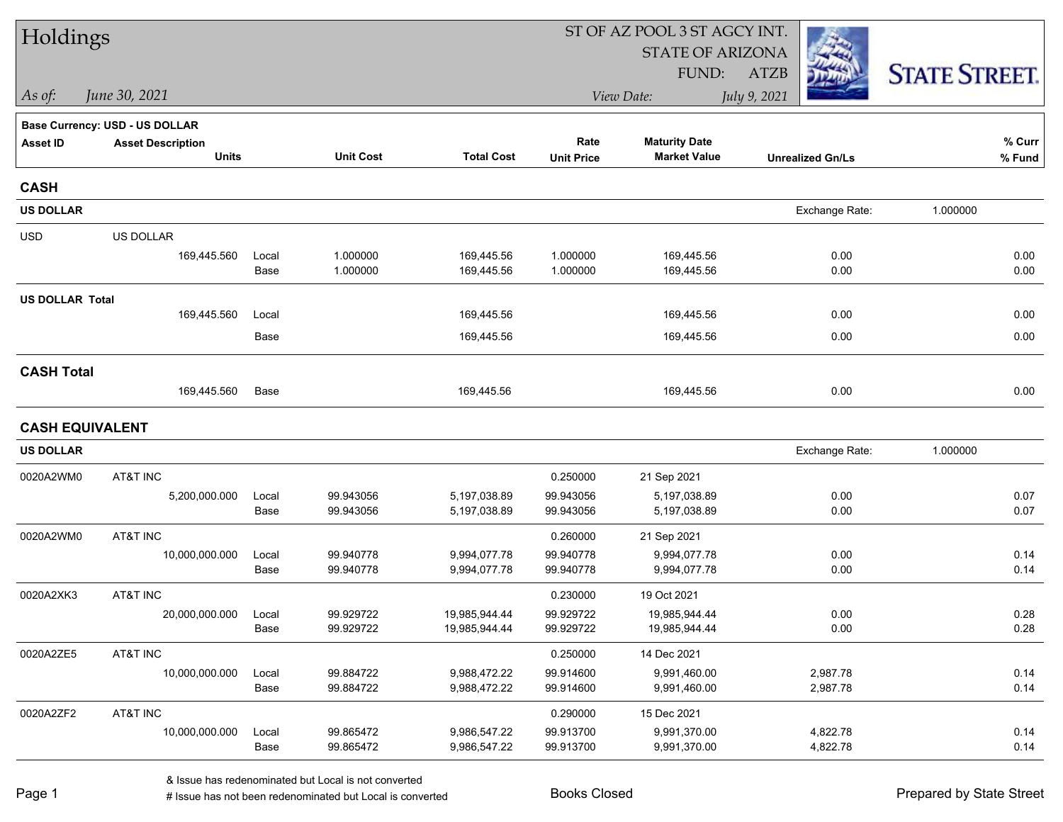| Holdings               |                                |               |                        |                              |                        | ST OF AZ POOL 3 ST AGCY INT. |                         |                      |  |
|------------------------|--------------------------------|---------------|------------------------|------------------------------|------------------------|------------------------------|-------------------------|----------------------|--|
|                        |                                |               |                        |                              |                        | <b>STATE OF ARIZONA</b>      |                         |                      |  |
|                        |                                |               |                        |                              |                        | FUND:                        | <b>ATZB</b>             | <b>STATE STREET.</b> |  |
| As of:                 | June 30, 2021                  |               |                        |                              |                        | View Date:                   | July 9, 2021            |                      |  |
|                        | Base Currency: USD - US DOLLAR |               |                        |                              |                        |                              |                         |                      |  |
| <b>Asset ID</b>        | <b>Asset Description</b>       |               |                        |                              | Rate                   | <b>Maturity Date</b>         |                         | % Curr               |  |
|                        | <b>Units</b>                   |               | <b>Unit Cost</b>       | <b>Total Cost</b>            | <b>Unit Price</b>      | <b>Market Value</b>          | <b>Unrealized Gn/Ls</b> | % Fund               |  |
| <b>CASH</b>            |                                |               |                        |                              |                        |                              |                         |                      |  |
| <b>US DOLLAR</b>       |                                |               |                        |                              |                        |                              | Exchange Rate:          | 1.000000             |  |
| <b>USD</b>             | US DOLLAR                      |               |                        |                              |                        |                              |                         |                      |  |
|                        | 169,445.560                    | Local         | 1.000000               | 169,445.56                   | 1.000000               | 169,445.56                   | 0.00                    | 0.00                 |  |
|                        |                                | Base          | 1.000000               | 169,445.56                   | 1.000000               | 169,445.56                   | 0.00                    | 0.00                 |  |
| <b>US DOLLAR Total</b> |                                |               |                        |                              |                        |                              |                         |                      |  |
|                        | 169,445.560                    | Local         |                        | 169,445.56                   |                        | 169,445.56                   | 0.00                    | 0.00                 |  |
|                        |                                | Base          |                        | 169,445.56                   |                        | 169,445.56                   | 0.00                    | 0.00                 |  |
| <b>CASH Total</b>      |                                |               |                        |                              |                        |                              |                         |                      |  |
|                        | 169,445.560                    | Base          |                        | 169,445.56                   |                        | 169,445.56                   | 0.00                    | 0.00                 |  |
| <b>CASH EQUIVALENT</b> |                                |               |                        |                              |                        |                              |                         |                      |  |
| <b>US DOLLAR</b>       |                                |               |                        |                              |                        |                              | Exchange Rate:          | 1.000000             |  |
| 0020A2WM0              | AT&T INC                       |               |                        |                              | 0.250000               | 21 Sep 2021                  |                         |                      |  |
|                        | 5,200,000.000                  | Local         | 99.943056              | 5,197,038.89                 | 99.943056              | 5,197,038.89                 | 0.00                    | 0.07                 |  |
|                        |                                | Base          | 99.943056              | 5,197,038.89                 | 99.943056              | 5,197,038.89                 | 0.00                    | 0.07                 |  |
| 0020A2WM0              | AT&T INC                       |               |                        |                              | 0.260000               | 21 Sep 2021                  |                         |                      |  |
|                        | 10,000,000.000                 | Local         | 99.940778              | 9,994,077.78                 | 99.940778              | 9,994,077.78                 | 0.00                    | 0.14                 |  |
|                        |                                | Base          | 99.940778              | 9,994,077.78                 | 99.940778              | 9,994,077.78                 | 0.00                    | 0.14                 |  |
| 0020A2XK3              | AT&T INC                       |               |                        |                              | 0.230000               | 19 Oct 2021                  |                         |                      |  |
|                        | 20,000,000.000                 | Local         | 99.929722              | 19,985,944.44                | 99.929722              | 19,985,944.44                | 0.00                    | 0.28                 |  |
|                        |                                | Base          | 99.929722              | 19,985,944.44                | 99.929722              | 19,985,944.44                | 0.00                    | 0.28                 |  |
| 0020A2ZE5              | AT&T INC                       |               |                        |                              | 0.250000               | 14 Dec 2021                  |                         |                      |  |
|                        | 10,000,000.000                 | Local<br>Base | 99.884722<br>99.884722 | 9,988,472.22<br>9,988,472.22 | 99.914600<br>99.914600 | 9,991,460.00<br>9,991,460.00 | 2,987.78<br>2,987.78    | 0.14<br>0.14         |  |
|                        |                                |               |                        |                              |                        |                              |                         |                      |  |
| 0020A2ZF2              | AT&T INC                       |               |                        |                              | 0.290000               | 15 Dec 2021                  |                         |                      |  |
|                        | 10,000,000.000                 | Local<br>Base | 99.865472<br>99.865472 | 9,986,547.22<br>9,986,547.22 | 99.913700<br>99.913700 | 9,991,370.00<br>9,991,370.00 | 4,822.78<br>4,822.78    | 0.14<br>0.14         |  |
|                        |                                |               |                        |                              |                        |                              |                         |                      |  |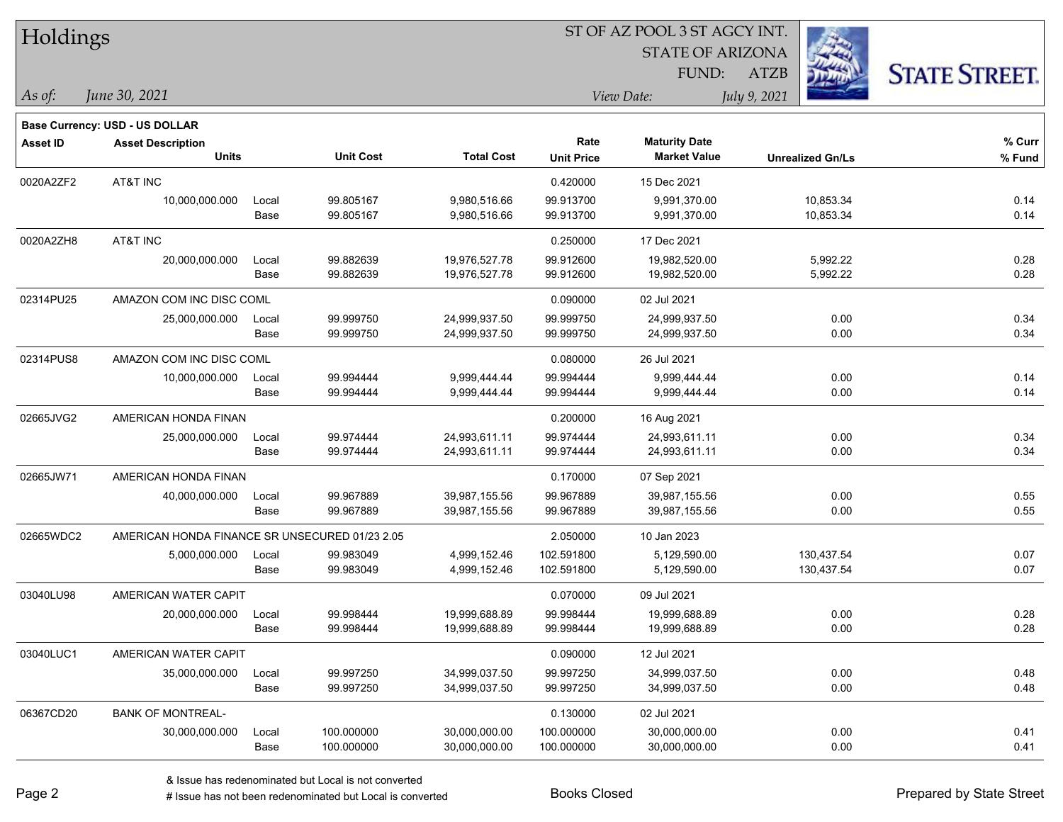| Holdings        |                                                |               |                        |                              |                           |                                             |                         |                      |
|-----------------|------------------------------------------------|---------------|------------------------|------------------------------|---------------------------|---------------------------------------------|-------------------------|----------------------|
|                 |                                                |               |                        | <b>STATE OF ARIZONA</b>      |                           |                                             |                         |                      |
|                 |                                                |               |                        |                              |                           | FUND:                                       | ATZB                    | <b>STATE STREET.</b> |
| As of:          | June 30, 2021                                  |               |                        |                              |                           | View Date:                                  | July 9, 2021            |                      |
|                 | Base Currency: USD - US DOLLAR                 |               |                        |                              |                           |                                             |                         |                      |
| <b>Asset ID</b> | <b>Asset Description</b><br><b>Units</b>       |               | <b>Unit Cost</b>       | <b>Total Cost</b>            | Rate<br><b>Unit Price</b> | <b>Maturity Date</b><br><b>Market Value</b> | <b>Unrealized Gn/Ls</b> | % Curr<br>% Fund     |
|                 |                                                |               |                        |                              |                           |                                             |                         |                      |
| 0020A2ZF2       | AT&T INC                                       |               |                        |                              | 0.420000                  | 15 Dec 2021                                 |                         |                      |
|                 | 10,000,000.000                                 | Local<br>Base | 99.805167<br>99.805167 | 9,980,516.66<br>9,980,516.66 | 99.913700<br>99.913700    | 9,991,370.00<br>9,991,370.00                | 10,853.34<br>10,853.34  | 0.14<br>0.14         |
| 0020A2ZH8       | AT&T INC                                       |               |                        |                              | 0.250000                  | 17 Dec 2021                                 |                         |                      |
|                 | 20,000,000.000                                 | Local         | 99.882639              | 19,976,527.78                | 99.912600                 | 19,982,520.00                               | 5,992.22                | 0.28                 |
|                 |                                                | Base          | 99.882639              | 19,976,527.78                | 99.912600                 | 19,982,520.00                               | 5,992.22                | 0.28                 |
| 02314PU25       | AMAZON COM INC DISC COML                       |               |                        |                              | 0.090000                  | 02 Jul 2021                                 |                         |                      |
|                 | 25,000,000.000                                 | Local         | 99.999750              | 24,999,937.50                | 99.999750                 | 24,999,937.50                               | 0.00                    | 0.34                 |
|                 |                                                | Base          | 99.999750              | 24,999,937.50                | 99.999750                 | 24,999,937.50                               | 0.00                    | 0.34                 |
| 02314PUS8       | AMAZON COM INC DISC COML                       |               |                        |                              | 0.080000                  | 26 Jul 2021                                 |                         |                      |
|                 | 10,000,000.000                                 | Local         | 99.994444              | 9,999,444.44                 | 99.994444                 | 9,999,444.44                                | 0.00                    | 0.14                 |
|                 |                                                | Base          | 99.994444              | 9,999,444.44                 | 99.994444                 | 9,999,444.44                                | 0.00                    | 0.14                 |
| 02665JVG2       | AMERICAN HONDA FINAN                           |               |                        |                              | 0.200000                  | 16 Aug 2021                                 |                         |                      |
|                 | 25,000,000.000                                 | Local         | 99.974444              | 24,993,611.11                | 99.974444                 | 24,993,611.11                               | 0.00                    | 0.34                 |
|                 |                                                | Base          | 99.974444              | 24,993,611.11                | 99.974444                 | 24,993,611.11                               | 0.00                    | 0.34                 |
| 02665JW71       | AMERICAN HONDA FINAN                           |               |                        |                              | 0.170000                  | 07 Sep 2021                                 |                         |                      |
|                 | 40,000,000.000                                 | Local         | 99.967889              | 39,987,155.56                | 99.967889                 | 39,987,155.56                               | 0.00                    | 0.55                 |
|                 |                                                | Base          | 99.967889              | 39,987,155.56                | 99.967889                 | 39,987,155.56                               | 0.00                    | 0.55                 |
| 02665WDC2       | AMERICAN HONDA FINANCE SR UNSECURED 01/23 2.05 |               |                        |                              | 2.050000                  | 10 Jan 2023                                 |                         |                      |
|                 | 5,000,000.000                                  | Local         | 99.983049              | 4,999,152.46                 | 102.591800                | 5,129,590.00                                | 130,437.54              | 0.07                 |
|                 |                                                | Base          | 99.983049              | 4,999,152.46                 | 102.591800                | 5,129,590.00                                | 130,437.54              | 0.07                 |
| 03040LU98       | AMERICAN WATER CAPIT                           |               |                        |                              | 0.070000                  | 09 Jul 2021                                 |                         |                      |
|                 | 20,000,000.000                                 | Local         | 99.998444              | 19,999,688.89                | 99.998444                 | 19,999,688.89                               | 0.00                    | 0.28                 |
|                 |                                                | Base          | 99.998444              | 19,999,688.89                | 99.998444                 | 19,999,688.89                               | 0.00                    | 0.28                 |
| 03040LUC1       | AMERICAN WATER CAPIT                           |               |                        |                              | 0.090000                  | 12 Jul 2021                                 |                         |                      |
|                 | 35,000,000.000                                 | Local         | 99.997250              | 34,999,037.50                | 99.997250                 | 34,999,037.50                               | 0.00                    | 0.48                 |
|                 |                                                | Base          | 99.997250              | 34,999,037.50                | 99.997250                 | 34,999,037.50                               | 0.00                    | 0.48                 |
| 06367CD20       | <b>BANK OF MONTREAL-</b>                       |               |                        |                              | 0.130000                  | 02 Jul 2021                                 |                         |                      |
|                 | 30,000,000.000                                 | Local         | 100.000000             | 30,000,000.00                | 100.000000                | 30,000,000.00                               | 0.00                    | 0.41                 |
|                 |                                                | Base          | 100.000000             | 30,000,000.00                | 100.000000                | 30,000,000.00                               | 0.00                    | 0.41                 |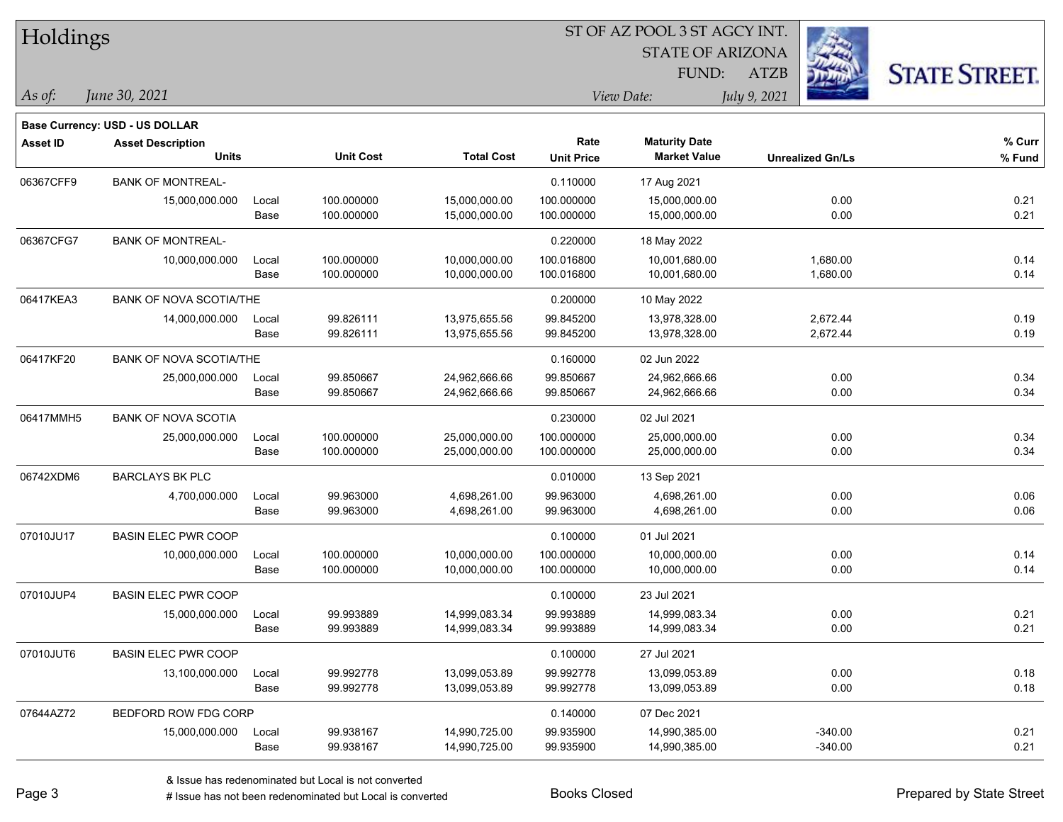| Holdings        |                                |       |                  |                   |                   |                         |                         |                      |
|-----------------|--------------------------------|-------|------------------|-------------------|-------------------|-------------------------|-------------------------|----------------------|
|                 |                                |       |                  |                   |                   | <b>STATE OF ARIZONA</b> |                         |                      |
|                 |                                |       |                  |                   |                   | FUND:                   | <b>ATZB</b>             | <b>STATE STREET.</b> |
| As of:          | June 30, 2021                  |       |                  |                   |                   | View Date:              | July 9, 2021            |                      |
|                 | Base Currency: USD - US DOLLAR |       |                  |                   |                   |                         |                         |                      |
| <b>Asset ID</b> | <b>Asset Description</b>       |       |                  |                   | Rate              | <b>Maturity Date</b>    |                         | % Curr               |
|                 | <b>Units</b>                   |       | <b>Unit Cost</b> | <b>Total Cost</b> | <b>Unit Price</b> | <b>Market Value</b>     | <b>Unrealized Gn/Ls</b> | % Fund               |
| 06367CFF9       | <b>BANK OF MONTREAL-</b>       |       |                  |                   | 0.110000          | 17 Aug 2021             |                         |                      |
|                 | 15,000,000.000                 | Local | 100.000000       | 15,000,000.00     | 100.000000        | 15,000,000.00           | 0.00                    | 0.21                 |
|                 |                                | Base  | 100.000000       | 15,000,000.00     | 100.000000        | 15,000,000.00           | 0.00                    | 0.21                 |
| 06367CFG7       | <b>BANK OF MONTREAL-</b>       |       |                  |                   | 0.220000          | 18 May 2022             |                         |                      |
|                 | 10,000,000.000                 | Local | 100.000000       | 10,000,000.00     | 100.016800        | 10,001,680.00           | 1,680.00                | 0.14                 |
|                 |                                | Base  | 100.000000       | 10,000,000.00     | 100.016800        | 10,001,680.00           | 1,680.00                | 0.14                 |
| 06417KEA3       | <b>BANK OF NOVA SCOTIA/THE</b> |       |                  |                   | 0.200000          | 10 May 2022             |                         |                      |
|                 | 14,000,000.000                 | Local | 99.826111        | 13,975,655.56     | 99.845200         | 13,978,328.00           | 2,672.44                | 0.19                 |
|                 |                                | Base  | 99.826111        | 13,975,655.56     | 99.845200         | 13,978,328.00           | 2,672.44                | 0.19                 |
| 06417KF20       | <b>BANK OF NOVA SCOTIA/THE</b> |       |                  |                   | 0.160000          | 02 Jun 2022             |                         |                      |
|                 | 25,000,000.000                 | Local | 99.850667        | 24,962,666.66     | 99.850667         | 24,962,666.66           | 0.00                    | 0.34                 |
|                 |                                | Base  | 99.850667        | 24,962,666.66     | 99.850667         | 24,962,666.66           | 0.00                    | 0.34                 |
| 06417MMH5       | <b>BANK OF NOVA SCOTIA</b>     |       |                  |                   | 0.230000          | 02 Jul 2021             |                         |                      |
|                 | 25,000,000.000                 | Local | 100.000000       | 25,000,000.00     | 100.000000        | 25,000,000.00           | 0.00                    | 0.34                 |
|                 |                                | Base  | 100.000000       | 25,000,000.00     | 100.000000        | 25,000,000.00           | 0.00                    | 0.34                 |
| 06742XDM6       | <b>BARCLAYS BK PLC</b>         |       |                  |                   | 0.010000          | 13 Sep 2021             |                         |                      |
|                 | 4,700,000.000                  | Local | 99.963000        | 4,698,261.00      | 99.963000         | 4,698,261.00            | 0.00                    | 0.06                 |
|                 |                                | Base  | 99.963000        | 4,698,261.00      | 99.963000         | 4,698,261.00            | 0.00                    | 0.06                 |
| 07010JU17       | <b>BASIN ELEC PWR COOP</b>     |       |                  |                   | 0.100000          | 01 Jul 2021             |                         |                      |
|                 | 10,000,000.000                 | Local | 100.000000       | 10,000,000.00     | 100.000000        | 10,000,000.00           | 0.00                    | 0.14                 |
|                 |                                | Base  | 100.000000       | 10,000,000.00     | 100.000000        | 10,000,000.00           | 0.00                    | 0.14                 |
| 07010JUP4       | <b>BASIN ELEC PWR COOP</b>     |       |                  |                   | 0.100000          | 23 Jul 2021             |                         |                      |
|                 | 15,000,000.000                 | Local | 99.993889        | 14,999,083.34     | 99.993889         | 14,999,083.34           | 0.00                    | 0.21                 |
|                 |                                | Base  | 99.993889        | 14,999,083.34     | 99.993889         | 14,999,083.34           | 0.00                    | 0.21                 |
| 07010JUT6       | <b>BASIN ELEC PWR COOP</b>     |       |                  |                   | 0.100000          | 27 Jul 2021             |                         |                      |
|                 | 13,100,000.000                 | Local | 99.992778        | 13,099,053.89     | 99.992778         | 13,099,053.89           | 0.00                    | 0.18                 |
|                 |                                | Base  | 99.992778        | 13,099,053.89     | 99.992778         | 13,099,053.89           | 0.00                    | 0.18                 |
| 07644AZ72       | BEDFORD ROW FDG CORP           |       |                  |                   | 0.140000          | 07 Dec 2021             |                         |                      |
|                 | 15,000,000.000                 | Local | 99.938167        | 14,990,725.00     | 99.935900         | 14,990,385.00           | $-340.00$               | 0.21                 |
|                 |                                | Base  | 99.938167        | 14,990,725.00     | 99.935900         | 14,990,385.00           | $-340.00$               | 0.21                 |

 $\overline{\phantom{0}}$ 

 $\overline{\phantom{a}}$ 

 $\overline{\phantom{0}}$ 

 $\overline{\phantom{0}}$ 

 $\overline{\phantom{0}}$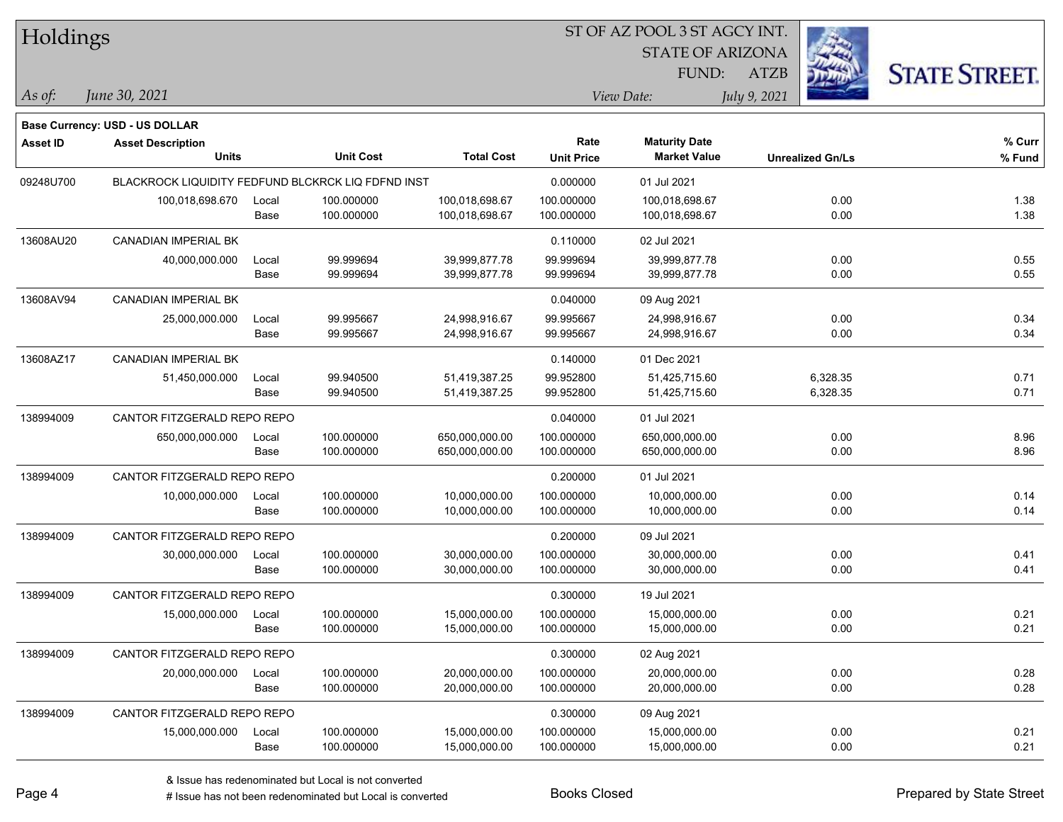| Holdings |
|----------|
|----------|

### ST OF AZ POOL 3 ST AGCY INT.

**Maturity Date**

STATE OF ARIZONA FUND:



**% Curr**

*June 30, 2021 As of: View Date: July 9, 2021*

**Base Currency: USD - US DOLLAR**

ATZB

|           | <b>Units</b>                                       |       | <b>Unit Cost</b> | <b>Total Cost</b> | <b>Unit Price</b> | <b>Market Value</b> | <b>Unrealized Gn/Ls</b> | % Fund |
|-----------|----------------------------------------------------|-------|------------------|-------------------|-------------------|---------------------|-------------------------|--------|
| 09248U700 | BLACKROCK LIQUIDITY FEDFUND BLCKRCK LIQ FDFND INST |       |                  | 0.000000          | 01 Jul 2021       |                     |                         |        |
|           | 100,018,698.670                                    | Local | 100.000000       | 100,018,698.67    | 100.000000        | 100,018,698.67      | 0.00                    | 1.38   |
|           |                                                    | Base  | 100.000000       | 100,018,698.67    | 100.000000        | 100,018,698.67      | 0.00                    | 1.38   |
| 13608AU20 | CANADIAN IMPERIAL BK                               |       |                  |                   | 0.110000          | 02 Jul 2021         |                         |        |
|           | 40,000,000.000                                     | Local | 99.999694        | 39,999,877.78     | 99.999694         | 39,999,877.78       | 0.00                    | 0.55   |
|           |                                                    | Base  | 99.999694        | 39,999,877.78     | 99.999694         | 39,999,877.78       | 0.00                    | 0.55   |
| 13608AV94 | CANADIAN IMPERIAL BK                               |       |                  |                   | 0.040000          | 09 Aug 2021         |                         |        |
|           | 25,000,000.000                                     | Local | 99.995667        | 24,998,916.67     | 99.995667         | 24,998,916.67       | 0.00                    | 0.34   |
|           |                                                    | Base  | 99.995667        | 24,998,916.67     | 99.995667         | 24,998,916.67       | 0.00                    | 0.34   |
| 13608AZ17 | <b>CANADIAN IMPERIAL BK</b>                        |       |                  |                   | 0.140000          | 01 Dec 2021         |                         |        |
|           | 51,450,000.000                                     | Local | 99.940500        | 51,419,387.25     | 99.952800         | 51,425,715.60       | 6,328.35                | 0.71   |
|           |                                                    | Base  | 99.940500        | 51,419,387.25     | 99.952800         | 51,425,715.60       | 6,328.35                | 0.71   |
| 138994009 | CANTOR FITZGERALD REPO REPO                        |       |                  |                   | 0.040000          | 01 Jul 2021         |                         |        |
|           | 650,000,000.000                                    | Local | 100.000000       | 650,000,000.00    | 100.000000        | 650,000,000.00      | 0.00                    | 8.96   |
|           |                                                    | Base  | 100.000000       | 650,000,000.00    | 100.000000        | 650,000,000.00      | 0.00                    | 8.96   |
| 138994009 | CANTOR FITZGERALD REPO REPO                        |       |                  |                   | 0.200000          | 01 Jul 2021         |                         |        |
|           | 10,000,000.000                                     | Local | 100.000000       | 10,000,000.00     | 100.000000        | 10,000,000.00       | 0.00                    | 0.14   |
|           |                                                    | Base  | 100.000000       | 10,000,000.00     | 100.000000        | 10,000,000.00       | 0.00                    | 0.14   |
| 138994009 | CANTOR FITZGERALD REPO REPO                        |       |                  |                   | 0.200000          | 09 Jul 2021         |                         |        |
|           | 30,000,000.000                                     | Local | 100.000000       | 30,000,000.00     | 100.000000        | 30,000,000.00       | 0.00                    | 0.41   |
|           |                                                    | Base  | 100.000000       | 30,000,000.00     | 100.000000        | 30,000,000.00       | 0.00                    | 0.41   |
| 138994009 | CANTOR FITZGERALD REPO REPO                        |       |                  |                   | 0.300000          | 19 Jul 2021         |                         |        |
|           | 15,000,000.000                                     | Local | 100.000000       | 15,000,000.00     | 100.000000        | 15,000,000.00       | 0.00                    | 0.21   |
|           |                                                    | Base  | 100.000000       | 15,000,000.00     | 100.000000        | 15,000,000.00       | 0.00                    | 0.21   |
| 138994009 | CANTOR FITZGERALD REPO REPO                        |       |                  |                   | 0.300000          | 02 Aug 2021         |                         |        |
|           | 20,000,000.000                                     | Local | 100.000000       | 20,000,000.00     | 100.000000        | 20,000,000.00       | 0.00                    | 0.28   |
|           |                                                    | Base  | 100.000000       | 20,000,000.00     | 100.000000        | 20,000,000.00       | 0.00                    | 0.28   |
| 138994009 | CANTOR FITZGERALD REPO REPO                        |       |                  |                   | 0.300000          | 09 Aug 2021         |                         |        |
|           | 15,000,000.000                                     | Local | 100.000000       | 15,000,000.00     | 100.000000        | 15,000,000.00       | 0.00                    | 0.21   |
|           |                                                    | Base  | 100.000000       | 15,000,000.00     | 100.000000        | 15,000,000.00       | 0.00                    | 0.21   |
|           |                                                    |       |                  |                   |                   |                     |                         |        |

**Asset ID Asset Description Rate**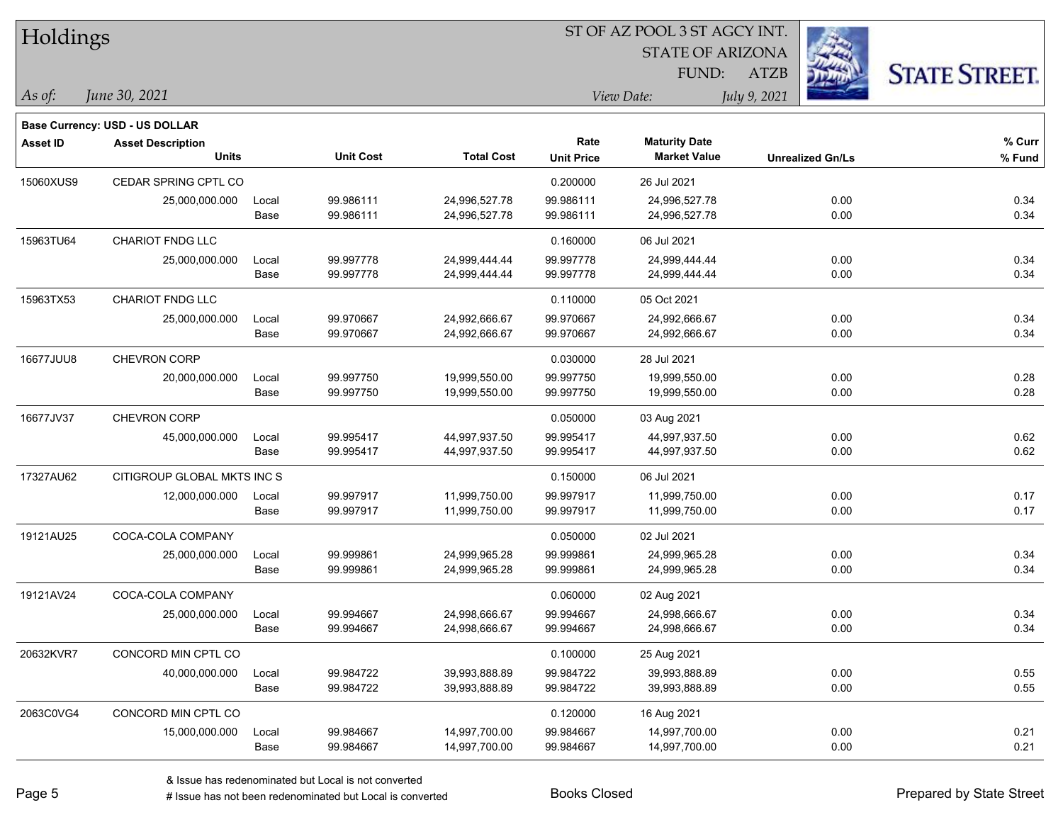| Holdings        |                                          |               |                        |                   | 51 OF AZ POOL 351 AGCY INT.<br>$\mathcal{L}_{\mathcal{B}}$<br><b>STATE OF ARIZONA</b> |                                             |                         |                      |  |  |  |
|-----------------|------------------------------------------|---------------|------------------------|-------------------|---------------------------------------------------------------------------------------|---------------------------------------------|-------------------------|----------------------|--|--|--|
|                 |                                          |               |                        |                   |                                                                                       |                                             |                         |                      |  |  |  |
|                 |                                          |               |                        |                   |                                                                                       | <b>FUND:</b>                                | <b>ATZB</b>             | <b>STATE STREET.</b> |  |  |  |
| $ $ As of:      | June 30, 2021                            |               |                        |                   |                                                                                       | View Date:                                  | July 9, 2021            |                      |  |  |  |
|                 | <b>Base Currency: USD - US DOLLAR</b>    |               |                        |                   |                                                                                       |                                             |                         |                      |  |  |  |
| <b>Asset ID</b> | <b>Asset Description</b><br><b>Units</b> |               | <b>Unit Cost</b>       | <b>Total Cost</b> | Rate<br><b>Unit Price</b>                                                             | <b>Maturity Date</b><br><b>Market Value</b> | <b>Unrealized Gn/Ls</b> | % Curr<br>% Fund     |  |  |  |
|                 |                                          |               |                        |                   |                                                                                       |                                             |                         |                      |  |  |  |
| 15060XUS9       | CEDAR SPRING CPTL CO                     |               |                        |                   | 0.200000                                                                              | 26 Jul 2021                                 |                         |                      |  |  |  |
|                 | 25,000,000.000                           | Local<br>Base | 99.986111<br>99.986111 | 24,996,527.78     | 99.986111                                                                             | 24,996,527.78                               | 0.00<br>0.00            | 0.34<br>0.34         |  |  |  |
|                 |                                          |               |                        | 24,996,527.78     | 99.986111                                                                             | 24,996,527.78                               |                         |                      |  |  |  |
| 15963TU64       | <b>CHARIOT FNDG LLC</b>                  |               |                        |                   | 0.160000                                                                              | 06 Jul 2021                                 |                         |                      |  |  |  |
|                 | 25,000,000.000                           | Local         | 99.997778              | 24,999,444.44     | 99.997778                                                                             | 24,999,444.44                               | 0.00                    | 0.34                 |  |  |  |
|                 |                                          | Base          | 99.997778              | 24,999,444.44     | 99.997778                                                                             | 24,999,444.44                               | 0.00                    | 0.34                 |  |  |  |
| 15963TX53       | <b>CHARIOT FNDG LLC</b>                  |               |                        |                   | 0.110000                                                                              | 05 Oct 2021                                 |                         |                      |  |  |  |
|                 | 25,000,000.000                           | Local         | 99.970667              | 24,992,666.67     | 99.970667                                                                             | 24,992,666.67                               | 0.00                    | 0.34                 |  |  |  |
|                 |                                          | Base          | 99.970667              | 24,992,666.67     | 99.970667                                                                             | 24,992,666.67                               | 0.00                    | 0.34                 |  |  |  |
| 16677JUU8       | <b>CHEVRON CORP</b>                      |               |                        |                   | 0.030000                                                                              | 28 Jul 2021                                 |                         |                      |  |  |  |
|                 | 20,000,000.000                           | Local         | 99.997750              | 19,999,550.00     | 99.997750                                                                             | 19,999,550.00                               | 0.00                    | 0.28                 |  |  |  |
|                 |                                          | Base          | 99.997750              | 19,999,550.00     | 99.997750                                                                             | 19,999,550.00                               | 0.00                    | 0.28                 |  |  |  |
| 16677JV37       | <b>CHEVRON CORP</b>                      |               |                        |                   | 0.050000                                                                              | 03 Aug 2021                                 |                         |                      |  |  |  |
|                 | 45,000,000.000                           | Local         | 99.995417              | 44,997,937.50     | 99.995417                                                                             | 44,997,937.50                               | 0.00                    | 0.62                 |  |  |  |
|                 |                                          | Base          | 99.995417              | 44,997,937.50     | 99.995417                                                                             | 44,997,937.50                               | 0.00                    | 0.62                 |  |  |  |
| 17327AU62       | CITIGROUP GLOBAL MKTS INC S              |               |                        |                   | 0.150000                                                                              | 06 Jul 2021                                 |                         |                      |  |  |  |
|                 | 12,000,000.000                           | Local         | 99.997917              | 11,999,750.00     | 99.997917                                                                             | 11,999,750.00                               | 0.00                    | 0.17                 |  |  |  |
|                 |                                          | Base          | 99.997917              | 11,999,750.00     | 99.997917                                                                             | 11,999,750.00                               | 0.00                    | 0.17                 |  |  |  |
| 19121AU25       | COCA-COLA COMPANY                        |               |                        |                   | 0.050000                                                                              | 02 Jul 2021                                 |                         |                      |  |  |  |
|                 | 25,000,000.000                           | Local         | 99.999861              | 24,999,965.28     | 99.999861                                                                             | 24,999,965.28                               | 0.00                    | 0.34                 |  |  |  |
|                 |                                          | Base          | 99.999861              | 24,999,965.28     | 99.999861                                                                             | 24,999,965.28                               | 0.00                    | 0.34                 |  |  |  |
| 19121AV24       | COCA-COLA COMPANY                        |               |                        |                   | 0.060000                                                                              | 02 Aug 2021                                 |                         |                      |  |  |  |
|                 | 25,000,000.000                           | Local         | 99.994667              | 24,998,666.67     | 99.994667                                                                             | 24,998,666.67                               | 0.00                    | 0.34                 |  |  |  |
|                 |                                          | Base          | 99.994667              | 24,998,666.67     | 99.994667                                                                             | 24,998,666.67                               | 0.00                    | 0.34                 |  |  |  |
| 20632KVR7       | CONCORD MIN CPTL CO                      |               |                        |                   | 0.100000                                                                              | 25 Aug 2021                                 |                         |                      |  |  |  |
|                 | 40,000,000.000                           | Local         | 99.984722              | 39,993,888.89     | 99.984722                                                                             | 39,993,888.89                               | 0.00                    | $0.55\,$             |  |  |  |
|                 |                                          | Base          | 99.984722              | 39,993,888.89     | 99.984722                                                                             | 39,993,888.89                               | 0.00                    | 0.55                 |  |  |  |
| 2063C0VG4       | CONCORD MIN CPTL CO                      |               |                        |                   | 0.120000                                                                              | 16 Aug 2021                                 |                         |                      |  |  |  |
|                 | 15,000,000.000                           | Local         | 99.984667              | 14,997,700.00     | 99.984667                                                                             | 14,997,700.00                               | 0.00                    | 0.21                 |  |  |  |
|                 |                                          | Base          | 99.984667              | 14,997,700.00     | 99.984667                                                                             | 14,997,700.00                               | 0.00                    | 0.21                 |  |  |  |

ST OF A Z POOL 2 ST ACCV INT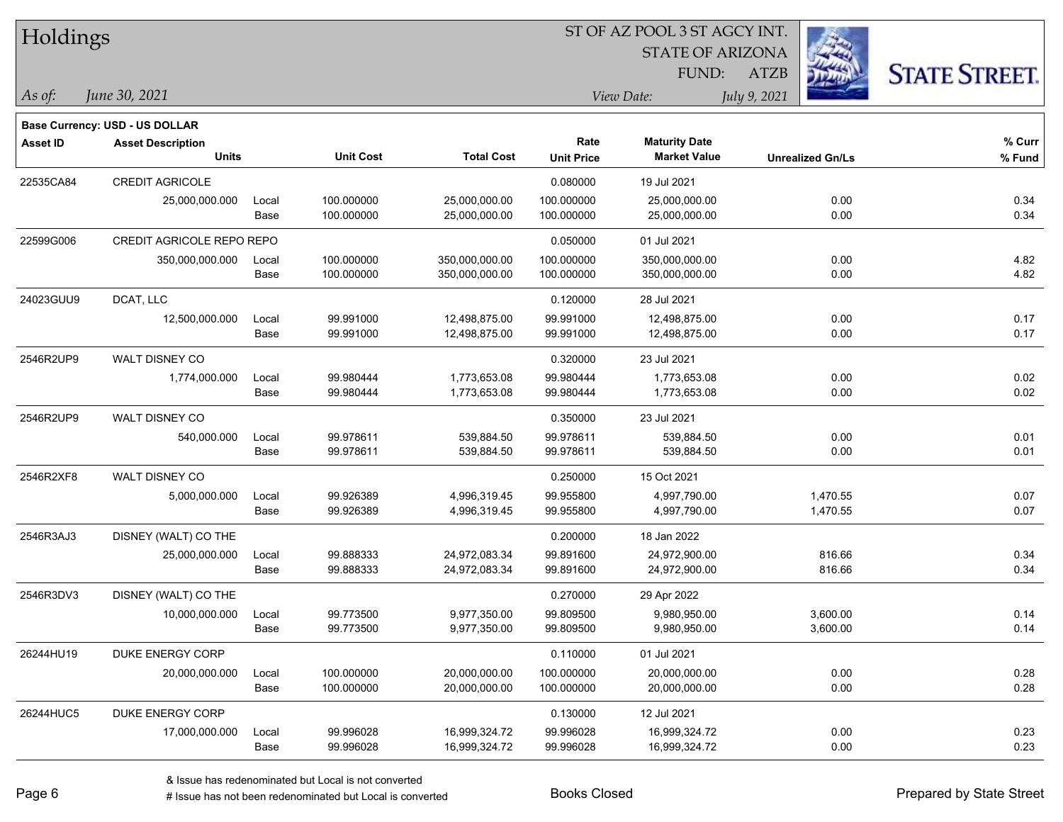| Holdings        |                                       |       |                  |                   |                   |                         | ST OF AZ POOL 3 ST AGCY INT. |                      |  |  |  |  |  |  |  |  |
|-----------------|---------------------------------------|-------|------------------|-------------------|-------------------|-------------------------|------------------------------|----------------------|--|--|--|--|--|--|--|--|
|                 |                                       |       |                  |                   |                   | <b>STATE OF ARIZONA</b> |                              |                      |  |  |  |  |  |  |  |  |
|                 |                                       |       |                  |                   |                   | FUND:                   | <b>ATZB</b>                  | <b>STATE STREET.</b> |  |  |  |  |  |  |  |  |
| $\vert$ As of:  | June 30, 2021                         |       |                  |                   |                   | View Date:              | July 9, 2021                 |                      |  |  |  |  |  |  |  |  |
|                 | <b>Base Currency: USD - US DOLLAR</b> |       |                  |                   |                   |                         |                              |                      |  |  |  |  |  |  |  |  |
| <b>Asset ID</b> | <b>Asset Description</b>              |       |                  |                   | Rate              | <b>Maturity Date</b>    |                              | % Curr               |  |  |  |  |  |  |  |  |
|                 | <b>Units</b>                          |       | <b>Unit Cost</b> | <b>Total Cost</b> | <b>Unit Price</b> | <b>Market Value</b>     | <b>Unrealized Gn/Ls</b>      | % Fund               |  |  |  |  |  |  |  |  |
| 22535CA84       | <b>CREDIT AGRICOLE</b>                |       |                  |                   | 0.080000          | 19 Jul 2021             |                              |                      |  |  |  |  |  |  |  |  |
|                 | 25,000,000.000                        | Local | 100.000000       | 25,000,000.00     | 100.000000        | 25,000,000.00           | 0.00                         | 0.34                 |  |  |  |  |  |  |  |  |
|                 |                                       | Base  | 100.000000       | 25,000,000.00     | 100.000000        | 25,000,000.00           | 0.00                         | 0.34                 |  |  |  |  |  |  |  |  |
| 22599G006       | CREDIT AGRICOLE REPO REPO             |       |                  |                   | 0.050000          | 01 Jul 2021             |                              |                      |  |  |  |  |  |  |  |  |
|                 | 350,000,000.000                       | Local | 100.000000       | 350,000,000.00    | 100.000000        | 350,000,000.00          | 0.00                         | 4.82                 |  |  |  |  |  |  |  |  |
|                 |                                       | Base  | 100.000000       | 350,000,000.00    | 100.000000        | 350,000,000.00          | 0.00                         | 4.82                 |  |  |  |  |  |  |  |  |
| 24023GUU9       | DCAT, LLC                             |       |                  |                   | 0.120000          | 28 Jul 2021             |                              |                      |  |  |  |  |  |  |  |  |
|                 | 12,500,000.000                        | Local | 99.991000        | 12,498,875.00     | 99.991000         | 12,498,875.00           | 0.00                         | 0.17                 |  |  |  |  |  |  |  |  |
|                 |                                       | Base  | 99.991000        | 12,498,875.00     | 99.991000         | 12,498,875.00           | 0.00                         | 0.17                 |  |  |  |  |  |  |  |  |
| 2546R2UP9       | WALT DISNEY CO                        |       |                  |                   | 0.320000          | 23 Jul 2021             |                              |                      |  |  |  |  |  |  |  |  |
|                 | 1,774,000.000                         | Local | 99.980444        | 1,773,653.08      | 99.980444         | 1,773,653.08            | 0.00                         | 0.02                 |  |  |  |  |  |  |  |  |
|                 |                                       | Base  | 99.980444        | 1,773,653.08      | 99.980444         | 1,773,653.08            | 0.00                         | 0.02                 |  |  |  |  |  |  |  |  |
| 2546R2UP9       | WALT DISNEY CO                        |       |                  |                   | 0.350000          | 23 Jul 2021             |                              |                      |  |  |  |  |  |  |  |  |
|                 | 540,000.000                           | Local | 99.978611        | 539,884.50        | 99.978611         | 539,884.50              | 0.00                         | 0.01                 |  |  |  |  |  |  |  |  |
|                 |                                       | Base  | 99.978611        | 539,884.50        | 99.978611         | 539,884.50              | 0.00                         | 0.01                 |  |  |  |  |  |  |  |  |
| 2546R2XF8       | WALT DISNEY CO                        |       |                  |                   | 0.250000          | 15 Oct 2021             |                              |                      |  |  |  |  |  |  |  |  |
|                 | 5,000,000.000                         | Local | 99.926389        | 4,996,319.45      | 99.955800         | 4,997,790.00            | 1,470.55                     | 0.07                 |  |  |  |  |  |  |  |  |
|                 |                                       | Base  | 99.926389        | 4,996,319.45      | 99.955800         | 4,997,790.00            | 1,470.55                     | 0.07                 |  |  |  |  |  |  |  |  |
| 2546R3AJ3       | DISNEY (WALT) CO THE                  |       |                  |                   | 0.200000          | 18 Jan 2022             |                              |                      |  |  |  |  |  |  |  |  |
|                 | 25,000,000.000                        | Local | 99.888333        | 24,972,083.34     | 99.891600         | 24,972,900.00           | 816.66                       | 0.34                 |  |  |  |  |  |  |  |  |
|                 |                                       | Base  | 99.888333        | 24,972,083.34     | 99.891600         | 24,972,900.00           | 816.66                       | 0.34                 |  |  |  |  |  |  |  |  |
| 2546R3DV3       | DISNEY (WALT) CO THE                  |       |                  |                   | 0.270000          | 29 Apr 2022             |                              |                      |  |  |  |  |  |  |  |  |
|                 | 10,000,000.000                        | Local | 99.773500        | 9,977,350.00      | 99.809500         | 9,980,950.00            | 3,600.00                     | 0.14                 |  |  |  |  |  |  |  |  |
|                 |                                       | Base  | 99.773500        | 9,977,350.00      | 99.809500         | 9,980,950.00            | 3,600.00                     | 0.14                 |  |  |  |  |  |  |  |  |
| 26244HU19       | DUKE ENERGY CORP                      |       |                  |                   | 0.110000          | 01 Jul 2021             |                              |                      |  |  |  |  |  |  |  |  |
|                 | 20,000,000.000                        | Local | 100.000000       | 20,000,000.00     | 100.000000        | 20,000,000.00           | 0.00                         | 0.28                 |  |  |  |  |  |  |  |  |
|                 |                                       | Base  | 100.000000       | 20,000,000.00     | 100.000000        | 20,000,000.00           | 0.00                         | 0.28                 |  |  |  |  |  |  |  |  |
| 26244HUC5       | DUKE ENERGY CORP                      |       |                  |                   | 0.130000          | 12 Jul 2021             |                              |                      |  |  |  |  |  |  |  |  |
|                 | 17,000,000.000                        | Local | 99.996028        | 16,999,324.72     | 99.996028         | 16,999,324.72           | 0.00                         | 0.23                 |  |  |  |  |  |  |  |  |
|                 |                                       | Base  | 99.996028        | 16,999,324.72     | 99.996028         | 16,999,324.72           | 0.00                         | 0.23                 |  |  |  |  |  |  |  |  |

ST OF AZ POOL 3 ST AGCY INT.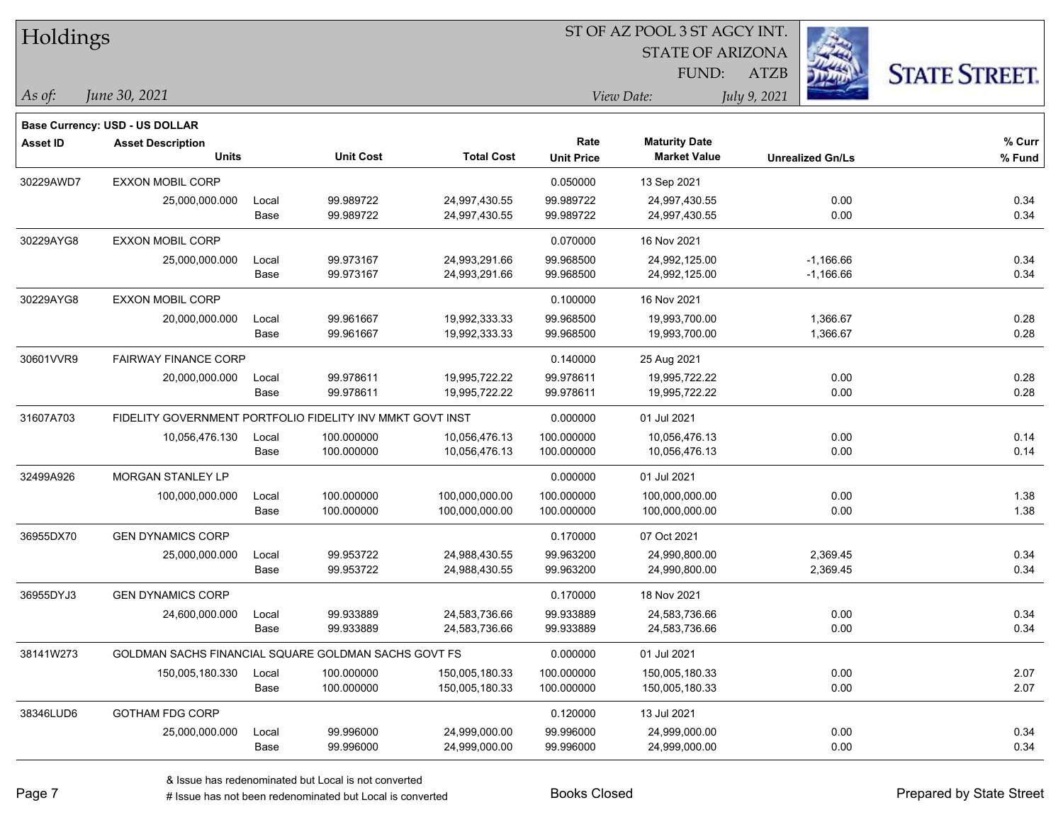| Holdings        |                                                           |       |                  |                   | ST OF AZ POOL 3 ST AGCY INT. |                         |                         |                      |  |  |  |
|-----------------|-----------------------------------------------------------|-------|------------------|-------------------|------------------------------|-------------------------|-------------------------|----------------------|--|--|--|
|                 |                                                           |       |                  |                   |                              | <b>STATE OF ARIZONA</b> |                         |                      |  |  |  |
|                 |                                                           |       |                  |                   |                              | FUND:                   | <b>ATZB</b>             | <b>STATE STREET.</b> |  |  |  |
| As of:          | June 30, 2021                                             |       |                  |                   |                              | View Date:              | July 9, 2021            |                      |  |  |  |
|                 | <b>Base Currency: USD - US DOLLAR</b>                     |       |                  |                   |                              |                         |                         |                      |  |  |  |
| <b>Asset ID</b> | <b>Asset Description</b>                                  |       |                  |                   | Rate                         | <b>Maturity Date</b>    |                         | % Curr               |  |  |  |
|                 | <b>Units</b>                                              |       | <b>Unit Cost</b> | <b>Total Cost</b> | <b>Unit Price</b>            | <b>Market Value</b>     | <b>Unrealized Gn/Ls</b> | % Fund               |  |  |  |
| 30229AWD7       | <b>EXXON MOBIL CORP</b>                                   |       |                  |                   | 0.050000                     | 13 Sep 2021             |                         |                      |  |  |  |
|                 | 25,000,000.000                                            | Local | 99.989722        | 24,997,430.55     | 99.989722                    | 24,997,430.55           | 0.00                    | 0.34                 |  |  |  |
|                 |                                                           | Base  | 99.989722        | 24,997,430.55     | 99.989722                    | 24,997,430.55           | 0.00                    | 0.34                 |  |  |  |
| 30229AYG8       | EXXON MOBIL CORP                                          |       |                  |                   | 0.070000                     | 16 Nov 2021             |                         |                      |  |  |  |
|                 | 25,000,000.000                                            | Local | 99.973167        | 24,993,291.66     | 99.968500                    | 24,992,125.00           | $-1,166.66$             | 0.34                 |  |  |  |
|                 |                                                           | Base  | 99.973167        | 24,993,291.66     | 99.968500                    | 24,992,125.00           | $-1,166.66$             | 0.34                 |  |  |  |
| 30229AYG8       | <b>EXXON MOBIL CORP</b>                                   |       |                  |                   | 0.100000                     | 16 Nov 2021             |                         |                      |  |  |  |
|                 | 20,000,000.000                                            | Local | 99.961667        | 19,992,333.33     | 99.968500                    | 19,993,700.00           | 1,366.67                | 0.28                 |  |  |  |
|                 |                                                           | Base  | 99.961667        | 19,992,333.33     | 99.968500                    | 19,993,700.00           | 1,366.67                | 0.28                 |  |  |  |
| 30601VVR9       | <b>FAIRWAY FINANCE CORP</b>                               |       |                  |                   | 0.140000                     | 25 Aug 2021             |                         |                      |  |  |  |
|                 | 20,000,000.000                                            | Local | 99.978611        | 19,995,722.22     | 99.978611                    | 19,995,722.22           | 0.00                    | 0.28                 |  |  |  |
|                 |                                                           | Base  | 99.978611        | 19,995,722.22     | 99.978611                    | 19,995,722.22           | 0.00                    | 0.28                 |  |  |  |
| 31607A703       | FIDELITY GOVERNMENT PORTFOLIO FIDELITY INV MMKT GOVT INST |       |                  |                   | 0.000000                     | 01 Jul 2021             |                         |                      |  |  |  |
|                 | 10,056,476.130                                            | Local | 100.000000       | 10,056,476.13     | 100.000000                   | 10,056,476.13           | 0.00                    | 0.14                 |  |  |  |
|                 |                                                           | Base  | 100.000000       | 10,056,476.13     | 100.000000                   | 10,056,476.13           | 0.00                    | 0.14                 |  |  |  |
| 32499A926       | MORGAN STANLEY LP                                         |       |                  |                   | 0.000000                     | 01 Jul 2021             |                         |                      |  |  |  |
|                 | 100,000,000.000                                           | Local | 100.000000       | 100,000,000.00    | 100.000000                   | 100,000,000.00          | 0.00                    | 1.38                 |  |  |  |
|                 |                                                           | Base  | 100.000000       | 100,000,000.00    | 100.000000                   | 100,000,000.00          | 0.00                    | 1.38                 |  |  |  |
| 36955DX70       | <b>GEN DYNAMICS CORP</b>                                  |       |                  |                   | 0.170000                     | 07 Oct 2021             |                         |                      |  |  |  |
|                 | 25,000,000.000                                            | Local | 99.953722        | 24,988,430.55     | 99.963200                    | 24,990,800.00           | 2,369.45                | 0.34                 |  |  |  |
|                 |                                                           | Base  | 99.953722        | 24,988,430.55     | 99.963200                    | 24,990,800.00           | 2,369.45                | 0.34                 |  |  |  |
| 36955DYJ3       | <b>GEN DYNAMICS CORP</b>                                  |       |                  |                   | 0.170000                     | 18 Nov 2021             |                         |                      |  |  |  |
|                 | 24,600,000.000                                            | Local | 99.933889        | 24,583,736.66     | 99.933889                    | 24,583,736.66           | 0.00                    | 0.34                 |  |  |  |
|                 |                                                           | Base  | 99.933889        | 24,583,736.66     | 99.933889                    | 24,583,736.66           | 0.00                    | 0.34                 |  |  |  |
| 38141W273       | GOLDMAN SACHS FINANCIAL SQUARE GOLDMAN SACHS GOVT FS      |       |                  |                   | 0.000000                     | 01 Jul 2021             |                         |                      |  |  |  |
|                 | 150,005,180.330                                           | Local | 100.000000       | 150,005,180.33    | 100.000000                   | 150,005,180.33          | 0.00                    | 2.07                 |  |  |  |
|                 |                                                           | Base  | 100.000000       | 150,005,180.33    | 100.000000                   | 150,005,180.33          | 0.00                    | 2.07                 |  |  |  |
| 38346LUD6       | <b>GOTHAM FDG CORP</b>                                    |       |                  |                   | 0.120000                     | 13 Jul 2021             |                         |                      |  |  |  |
|                 | 25,000,000.000                                            | Local | 99.996000        | 24,999,000.00     | 99.996000                    | 24,999,000.00           | 0.00                    | 0.34                 |  |  |  |
|                 |                                                           | Base  | 99.996000        | 24,999,000.00     | 99.996000                    | 24,999,000.00           | 0.00                    | 0.34                 |  |  |  |

 $\overline{\phantom{0}}$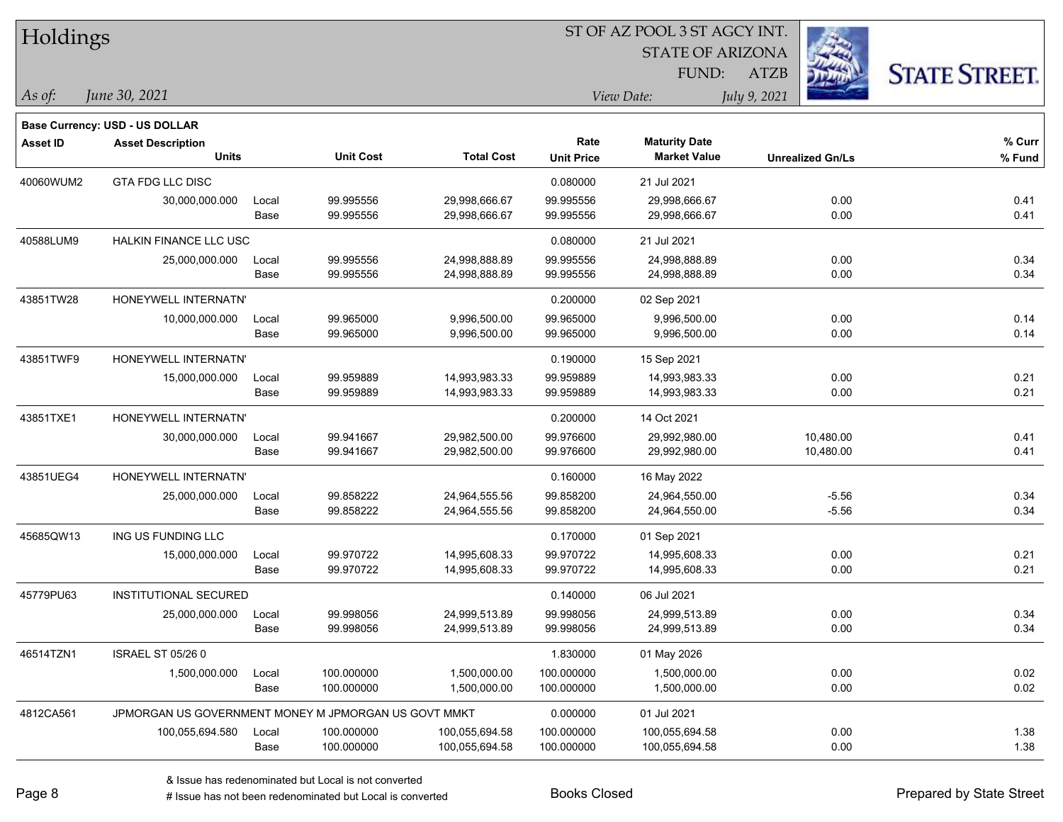| Holdings        |                                                      |       |                  | ST OF AZ POOL 3 ST AGCY INT. |                   |                         |                         |                      |  |  |
|-----------------|------------------------------------------------------|-------|------------------|------------------------------|-------------------|-------------------------|-------------------------|----------------------|--|--|
|                 |                                                      |       |                  |                              |                   | <b>STATE OF ARIZONA</b> |                         |                      |  |  |
|                 |                                                      |       |                  |                              |                   | FUND:                   | <b>ATZB</b>             | <b>STATE STREET.</b> |  |  |
| $\vert$ As of:  | June 30, 2021                                        |       |                  |                              |                   | View Date:              | July 9, 2021            |                      |  |  |
|                 | <b>Base Currency: USD - US DOLLAR</b>                |       |                  |                              |                   |                         |                         |                      |  |  |
| <b>Asset ID</b> | <b>Asset Description</b>                             |       |                  |                              | Rate              | <b>Maturity Date</b>    |                         | % Curr               |  |  |
|                 | <b>Units</b>                                         |       | <b>Unit Cost</b> | <b>Total Cost</b>            | <b>Unit Price</b> | <b>Market Value</b>     | <b>Unrealized Gn/Ls</b> | % Fund               |  |  |
| 40060WUM2       | <b>GTA FDG LLC DISC</b>                              |       |                  |                              | 0.080000          | 21 Jul 2021             |                         |                      |  |  |
|                 | 30,000,000.000                                       | Local | 99.995556        | 29,998,666.67                | 99.995556         | 29,998,666.67           | 0.00                    | 0.41                 |  |  |
|                 |                                                      | Base  | 99.995556        | 29,998,666.67                | 99.995556         | 29,998,666.67           | 0.00                    | 0.41                 |  |  |
| 40588LUM9       | HALKIN FINANCE LLC USC                               |       |                  |                              | 0.080000          | 21 Jul 2021             |                         |                      |  |  |
|                 | 25,000,000.000                                       | Local | 99.995556        | 24,998,888.89                | 99.995556         | 24,998,888.89           | 0.00                    | 0.34                 |  |  |
|                 |                                                      | Base  | 99.995556        | 24,998,888.89                | 99.995556         | 24,998,888.89           | 0.00                    | 0.34                 |  |  |
| 43851TW28       | HONEYWELL INTERNATN'                                 |       |                  |                              | 0.200000          | 02 Sep 2021             |                         |                      |  |  |
|                 | 10,000,000.000                                       | Local | 99.965000        | 9,996,500.00                 | 99.965000         | 9,996,500.00            | 0.00                    | 0.14                 |  |  |
|                 |                                                      | Base  | 99.965000        | 9,996,500.00                 | 99.965000         | 9,996,500.00            | 0.00                    | 0.14                 |  |  |
| 43851TWF9       | HONEYWELL INTERNATN'                                 |       |                  |                              | 0.190000          | 15 Sep 2021             |                         |                      |  |  |
|                 | 15,000,000.000                                       | Local | 99.959889        | 14,993,983.33                | 99.959889         | 14,993,983.33           | 0.00                    | 0.21                 |  |  |
|                 |                                                      | Base  | 99.959889        | 14,993,983.33                | 99.959889         | 14,993,983.33           | 0.00                    | 0.21                 |  |  |
| 43851TXE1       | HONEYWELL INTERNATN'                                 |       |                  |                              | 0.200000          | 14 Oct 2021             |                         |                      |  |  |
|                 | 30,000,000.000                                       | Local | 99.941667        | 29,982,500.00                | 99.976600         | 29,992,980.00           | 10,480.00               | 0.41                 |  |  |
|                 |                                                      | Base  | 99.941667        | 29,982,500.00                | 99.976600         | 29,992,980.00           | 10,480.00               | 0.41                 |  |  |
| 43851UEG4       | HONEYWELL INTERNATN'                                 |       |                  |                              | 0.160000          | 16 May 2022             |                         |                      |  |  |
|                 | 25,000,000.000                                       | Local | 99.858222        | 24,964,555.56                | 99.858200         | 24,964,550.00           | $-5.56$                 | 0.34                 |  |  |
|                 |                                                      | Base  | 99.858222        | 24,964,555.56                | 99.858200         | 24,964,550.00           | $-5.56$                 | 0.34                 |  |  |
| 45685QW13       | ING US FUNDING LLC                                   |       |                  |                              | 0.170000          | 01 Sep 2021             |                         |                      |  |  |
|                 | 15,000,000.000                                       | Local | 99.970722        | 14,995,608.33                | 99.970722         | 14,995,608.33           | 0.00                    | 0.21                 |  |  |
|                 |                                                      | Base  | 99.970722        | 14,995,608.33                | 99.970722         | 14,995,608.33           | 0.00                    | 0.21                 |  |  |
| 45779PU63       | <b>INSTITUTIONAL SECURED</b>                         |       |                  |                              | 0.140000          | 06 Jul 2021             |                         |                      |  |  |
|                 | 25,000,000.000                                       | Local | 99.998056        | 24,999,513.89                | 99.998056         | 24,999,513.89           | 0.00                    | 0.34                 |  |  |
|                 |                                                      | Base  | 99.998056        | 24,999,513.89                | 99.998056         | 24,999,513.89           | 0.00                    | 0.34                 |  |  |
| 46514TZN1       | <b>ISRAEL ST 05/26 0</b>                             |       |                  |                              | 1.830000          | 01 May 2026             |                         |                      |  |  |
|                 | 1,500,000.000                                        | Local | 100.000000       | 1,500,000.00                 | 100.000000        | 1,500,000.00            | 0.00                    | 0.02                 |  |  |
|                 |                                                      | Base  | 100.000000       | 1,500,000.00                 | 100.000000        | 1,500,000.00            | 0.00                    | 0.02                 |  |  |
| 4812CA561       | JPMORGAN US GOVERNMENT MONEY M JPMORGAN US GOVT MMKT |       |                  |                              | 0.000000          | 01 Jul 2021             |                         |                      |  |  |
|                 | 100,055,694.580                                      | Local | 100.000000       | 100,055,694.58               | 100.000000        | 100,055,694.58          | 0.00                    | 1.38                 |  |  |
|                 |                                                      | Base  | 100.000000       | 100,055,694.58               | 100.000000        | 100,055,694.58          | 0.00                    | 1.38                 |  |  |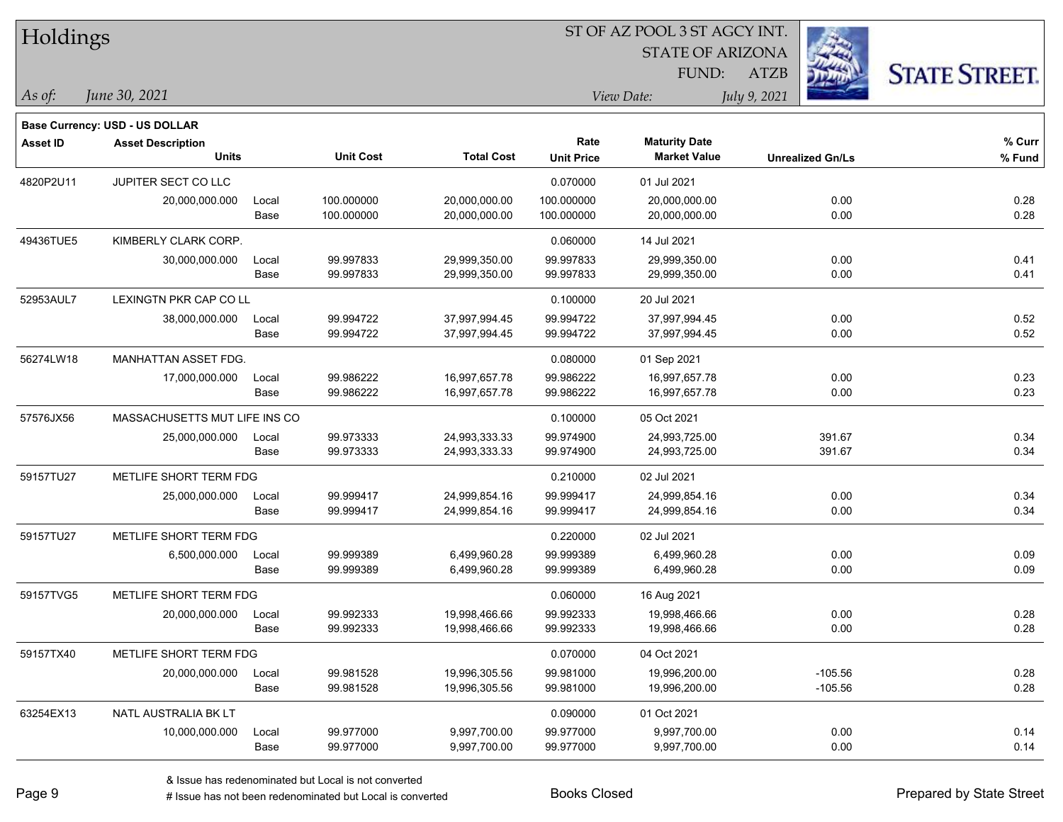| Holdings        |                                       |       |                  | ST OF AZ POOL 3 ST AGCY INT. |                   |                         |                         |                      |  |  |  |
|-----------------|---------------------------------------|-------|------------------|------------------------------|-------------------|-------------------------|-------------------------|----------------------|--|--|--|
|                 |                                       |       |                  |                              |                   | <b>STATE OF ARIZONA</b> |                         |                      |  |  |  |
|                 |                                       |       |                  |                              |                   | <b>FUND:</b>            | <b>ATZB</b>             | <b>STATE STREET.</b> |  |  |  |
| $\vert$ As of:  | June 30, 2021                         |       |                  |                              |                   | View Date:              | July 9, 2021            |                      |  |  |  |
|                 | <b>Base Currency: USD - US DOLLAR</b> |       |                  |                              |                   |                         |                         |                      |  |  |  |
| <b>Asset ID</b> | <b>Asset Description</b>              |       |                  |                              | Rate              | <b>Maturity Date</b>    |                         | % Curr               |  |  |  |
|                 | <b>Units</b>                          |       | <b>Unit Cost</b> | <b>Total Cost</b>            | <b>Unit Price</b> | <b>Market Value</b>     | <b>Unrealized Gn/Ls</b> | % Fund               |  |  |  |
| 4820P2U11       | JUPITER SECT CO LLC                   |       |                  |                              | 0.070000          | 01 Jul 2021             |                         |                      |  |  |  |
|                 | 20,000,000.000                        | Local | 100.000000       | 20,000,000.00                | 100.000000        | 20,000,000.00           | 0.00                    | 0.28                 |  |  |  |
|                 |                                       | Base  | 100.000000       | 20,000,000.00                | 100.000000        | 20,000,000.00           | 0.00                    | 0.28                 |  |  |  |
| 49436TUE5       | KIMBERLY CLARK CORP.                  |       |                  |                              | 0.060000          | 14 Jul 2021             |                         |                      |  |  |  |
|                 | 30,000,000.000                        | Local | 99.997833        | 29,999,350.00                | 99.997833         | 29,999,350.00           | 0.00                    | 0.41                 |  |  |  |
|                 |                                       | Base  | 99.997833        | 29,999,350.00                | 99.997833         | 29,999,350.00           | 0.00                    | 0.41                 |  |  |  |
| 52953AUL7       | LEXINGTN PKR CAP CO LL                |       |                  |                              | 0.100000          | 20 Jul 2021             |                         |                      |  |  |  |
|                 | 38,000,000.000                        | Local | 99.994722        | 37,997,994.45                | 99.994722         | 37,997,994.45           | 0.00                    | 0.52                 |  |  |  |
|                 |                                       | Base  | 99.994722        | 37,997,994.45                | 99.994722         | 37,997,994.45           | 0.00                    | 0.52                 |  |  |  |
| 56274LW18       | MANHATTAN ASSET FDG.                  |       |                  |                              | 0.080000          | 01 Sep 2021             |                         |                      |  |  |  |
|                 | 17,000,000.000                        | Local | 99.986222        | 16,997,657.78                | 99.986222         | 16,997,657.78           | 0.00                    | 0.23                 |  |  |  |
|                 |                                       | Base  | 99.986222        | 16,997,657.78                | 99.986222         | 16,997,657.78           | 0.00                    | 0.23                 |  |  |  |
| 57576JX56       | MASSACHUSETTS MUT LIFE INS CO         |       |                  |                              | 0.100000          | 05 Oct 2021             |                         |                      |  |  |  |
|                 | 25,000,000.000                        | Local | 99.973333        | 24,993,333.33                | 99.974900         | 24,993,725.00           | 391.67                  | 0.34                 |  |  |  |
|                 |                                       | Base  | 99.973333        | 24,993,333.33                | 99.974900         | 24,993,725.00           | 391.67                  | 0.34                 |  |  |  |
| 59157TU27       | METLIFE SHORT TERM FDG                |       |                  |                              | 0.210000          | 02 Jul 2021             |                         |                      |  |  |  |
|                 | 25,000,000.000                        | Local | 99.999417        | 24,999,854.16                | 99.999417         | 24,999,854.16           | 0.00                    | 0.34                 |  |  |  |
|                 |                                       | Base  | 99.999417        | 24,999,854.16                | 99.999417         | 24,999,854.16           | 0.00                    | 0.34                 |  |  |  |
| 59157TU27       | METLIFE SHORT TERM FDG                |       |                  |                              | 0.220000          | 02 Jul 2021             |                         |                      |  |  |  |
|                 | 6,500,000.000                         | Local | 99.999389        | 6,499,960.28                 | 99.999389         | 6,499,960.28            | 0.00                    | 0.09                 |  |  |  |
|                 |                                       | Base  | 99.999389        | 6,499,960.28                 | 99.999389         | 6,499,960.28            | 0.00                    | 0.09                 |  |  |  |
| 59157TVG5       | METLIFE SHORT TERM FDG                |       |                  |                              | 0.060000          | 16 Aug 2021             |                         |                      |  |  |  |
|                 | 20,000,000.000                        | Local | 99.992333        | 19,998,466.66                | 99.992333         | 19,998,466.66           | 0.00                    | 0.28                 |  |  |  |
|                 |                                       | Base  | 99.992333        | 19,998,466.66                | 99.992333         | 19,998,466.66           | 0.00                    | 0.28                 |  |  |  |
| 59157TX40       | METLIFE SHORT TERM FDG                |       |                  |                              | 0.070000          | 04 Oct 2021             |                         |                      |  |  |  |
|                 | 20,000,000.000                        | Local | 99.981528        | 19,996,305.56                | 99.981000         | 19,996,200.00           | $-105.56$               | 0.28                 |  |  |  |
|                 |                                       | Base  | 99.981528        | 19,996,305.56                | 99.981000         | 19,996,200.00           | $-105.56$               | 0.28                 |  |  |  |
| 63254EX13       | NATL AUSTRALIA BK LT                  |       |                  |                              | 0.090000          | 01 Oct 2021             |                         |                      |  |  |  |
|                 | 10,000,000.000                        | Local | 99.977000        | 9,997,700.00                 | 99.977000         | 9,997,700.00            | 0.00                    | 0.14                 |  |  |  |
|                 |                                       | Base  | 99.977000        | 9,997,700.00                 | 99.977000         | 9,997,700.00            | 0.00                    | 0.14                 |  |  |  |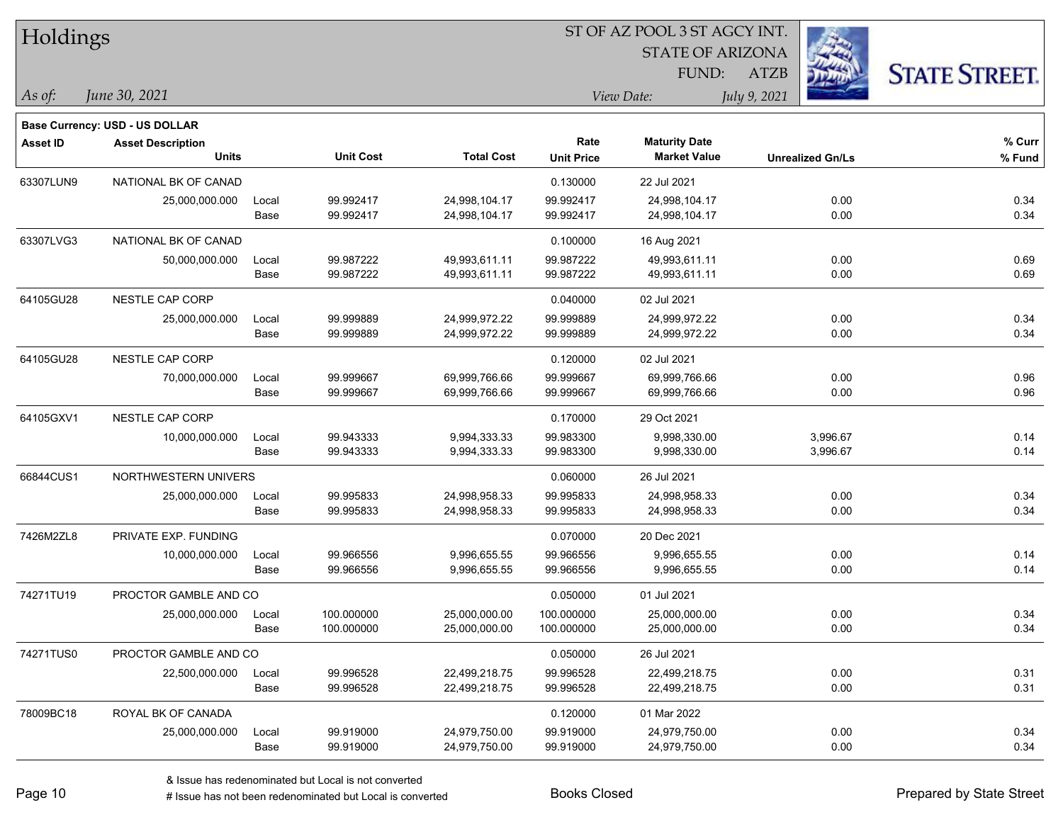| Holdings        |                                |       |                  |                   |                   |                         |                         |                      |
|-----------------|--------------------------------|-------|------------------|-------------------|-------------------|-------------------------|-------------------------|----------------------|
|                 |                                |       |                  |                   |                   | <b>STATE OF ARIZONA</b> |                         |                      |
|                 |                                |       |                  |                   |                   | FUND:                   | <b>ATZB</b>             | <b>STATE STREET.</b> |
| $\vert$ As of:  | June 30, 2021                  |       |                  |                   |                   | View Date:              | July 9, 2021            |                      |
|                 | Base Currency: USD - US DOLLAR |       |                  |                   |                   |                         |                         |                      |
| <b>Asset ID</b> | <b>Asset Description</b>       |       |                  |                   | Rate              | <b>Maturity Date</b>    |                         | % Curr               |
|                 | <b>Units</b>                   |       | <b>Unit Cost</b> | <b>Total Cost</b> | <b>Unit Price</b> | <b>Market Value</b>     | <b>Unrealized Gn/Ls</b> | % Fund               |
| 63307LUN9       | NATIONAL BK OF CANAD           |       |                  |                   | 0.130000          | 22 Jul 2021             |                         |                      |
|                 | 25,000,000.000                 | Local | 99.992417        | 24,998,104.17     | 99.992417         | 24,998,104.17           | 0.00                    | 0.34                 |
|                 |                                | Base  | 99.992417        | 24,998,104.17     | 99.992417         | 24,998,104.17           | 0.00                    | 0.34                 |
| 63307LVG3       | NATIONAL BK OF CANAD           |       |                  |                   | 0.100000          | 16 Aug 2021             |                         |                      |
|                 | 50,000,000.000                 | Local | 99.987222        | 49,993,611.11     | 99.987222         | 49,993,611.11           | 0.00                    | 0.69                 |
|                 |                                | Base  | 99.987222        | 49,993,611.11     | 99.987222         | 49,993,611.11           | 0.00                    | 0.69                 |
| 64105GU28       | <b>NESTLE CAP CORP</b>         |       |                  |                   | 0.040000          | 02 Jul 2021             |                         |                      |
|                 | 25,000,000.000                 | Local | 99.999889        | 24,999,972.22     | 99.999889         | 24,999,972.22           | 0.00                    | 0.34                 |
|                 |                                | Base  | 99.999889        | 24,999,972.22     | 99.999889         | 24,999,972.22           | 0.00                    | 0.34                 |
| 64105GU28       | NESTLE CAP CORP                |       |                  |                   | 0.120000          | 02 Jul 2021             |                         |                      |
|                 | 70,000,000.000                 | Local | 99.999667        | 69,999,766.66     | 99.999667         | 69,999,766.66           | 0.00                    | 0.96                 |
|                 |                                | Base  | 99.999667        | 69,999,766.66     | 99.999667         | 69,999,766.66           | 0.00                    | 0.96                 |
| 64105GXV1       | NESTLE CAP CORP                |       |                  |                   | 0.170000          | 29 Oct 2021             |                         |                      |
|                 | 10,000,000.000                 | Local | 99.943333        | 9,994,333.33      | 99.983300         | 9,998,330.00            | 3,996.67                | 0.14                 |
|                 |                                | Base  | 99.943333        | 9,994,333.33      | 99.983300         | 9,998,330.00            | 3,996.67                | 0.14                 |
| 66844CUS1       | NORTHWESTERN UNIVERS           |       |                  |                   | 0.060000          | 26 Jul 2021             |                         |                      |
|                 | 25,000,000.000                 | Local | 99.995833        | 24,998,958.33     | 99.995833         | 24,998,958.33           | 0.00                    | 0.34                 |
|                 |                                | Base  | 99.995833        | 24,998,958.33     | 99.995833         | 24,998,958.33           | 0.00                    | 0.34                 |
| 7426M2ZL8       | PRIVATE EXP. FUNDING           |       |                  |                   | 0.070000          | 20 Dec 2021             |                         |                      |
|                 | 10,000,000.000                 | Local | 99.966556        | 9,996,655.55      | 99.966556         | 9,996,655.55            | 0.00                    | 0.14                 |
|                 |                                | Base  | 99.966556        | 9,996,655.55      | 99.966556         | 9,996,655.55            | 0.00                    | 0.14                 |
| 74271TU19       | PROCTOR GAMBLE AND CO          |       |                  |                   | 0.050000          | 01 Jul 2021             |                         |                      |
|                 | 25,000,000.000                 | Local | 100.000000       | 25,000,000.00     | 100.000000        | 25,000,000.00           | 0.00                    | 0.34                 |
|                 |                                | Base  | 100.000000       | 25,000,000.00     | 100.000000        | 25,000,000.00           | 0.00                    | 0.34                 |
| 74271TUS0       | PROCTOR GAMBLE AND CO          |       |                  |                   | 0.050000          | 26 Jul 2021             |                         |                      |
|                 | 22,500,000.000                 | Local | 99.996528        | 22,499,218.75     | 99.996528         | 22,499,218.75           | 0.00                    | 0.31                 |
|                 |                                | Base  | 99.996528        | 22,499,218.75     | 99.996528         | 22,499,218.75           | 0.00                    | 0.31                 |
| 78009BC18       | ROYAL BK OF CANADA             |       |                  |                   | 0.120000          | 01 Mar 2022             |                         |                      |
|                 | 25,000,000.000                 | Local | 99.919000        | 24,979,750.00     | 99.919000         | 24,979,750.00           | 0.00                    | 0.34                 |
|                 |                                | Base  | 99.919000        | 24,979,750.00     | 99.919000         | 24,979,750.00           | 0.00                    | 0.34                 |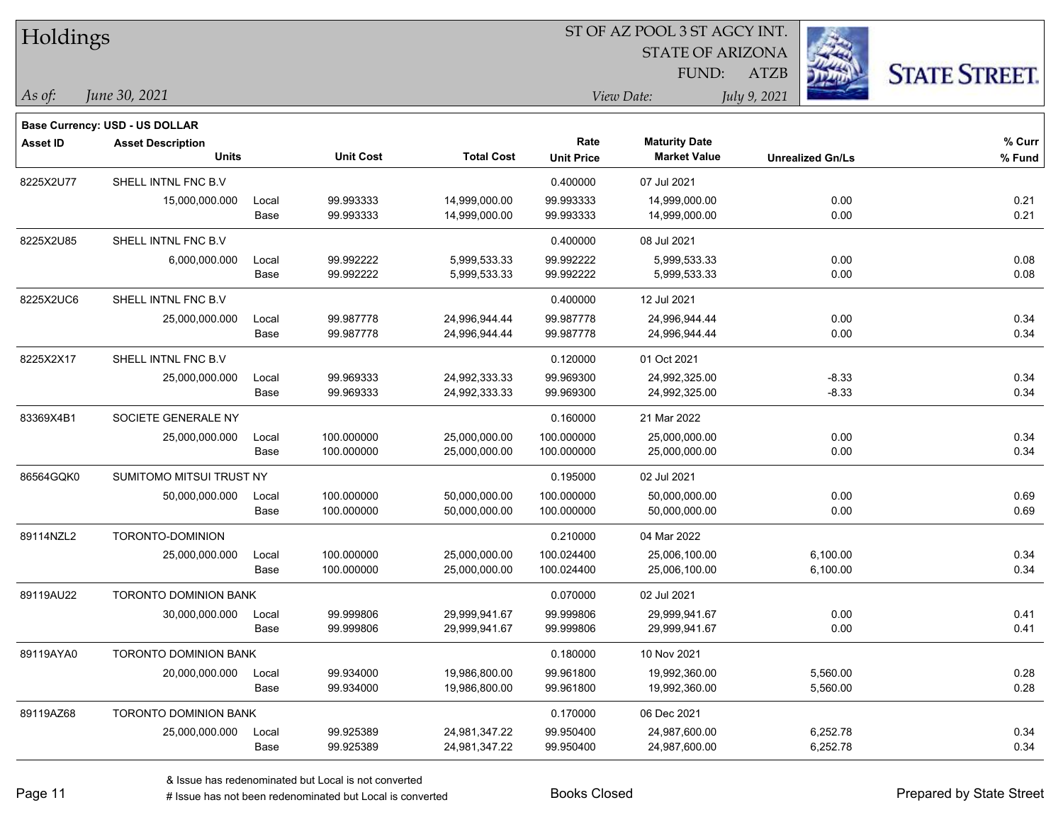| Holdings        |                                          |       |                  | 51 OF AZ POOL 3 51 AGCY INT. |                   |                                             |                         |                      |  |  |  |
|-----------------|------------------------------------------|-------|------------------|------------------------------|-------------------|---------------------------------------------|-------------------------|----------------------|--|--|--|
|                 |                                          |       |                  |                              |                   | <b>STATE OF ARIZONA</b>                     | <b>REGIS</b>            |                      |  |  |  |
|                 |                                          |       |                  |                              |                   | <b>FUND:</b>                                | <b>ATZB</b>             | <b>STATE STREET.</b> |  |  |  |
| $ $ As of:      | June 30, 2021                            |       |                  |                              |                   | View Date:                                  | July 9, 2021            |                      |  |  |  |
|                 |                                          |       |                  |                              |                   |                                             |                         |                      |  |  |  |
|                 | <b>Base Currency: USD - US DOLLAR</b>    |       |                  |                              | Rate              |                                             |                         | % Curr               |  |  |  |
| <b>Asset ID</b> | <b>Asset Description</b><br><b>Units</b> |       | <b>Unit Cost</b> | <b>Total Cost</b>            | <b>Unit Price</b> | <b>Maturity Date</b><br><b>Market Value</b> | <b>Unrealized Gn/Ls</b> | % Fund               |  |  |  |
| 8225X2U77       | SHELL INTNL FNC B.V                      |       |                  |                              | 0.400000          | 07 Jul 2021                                 |                         |                      |  |  |  |
|                 | 15,000,000.000                           | Local | 99.993333        | 14,999,000.00                | 99.993333         | 14,999,000.00                               | 0.00                    | 0.21                 |  |  |  |
|                 |                                          | Base  | 99.993333        | 14,999,000.00                | 99.993333         | 14,999,000.00                               | 0.00                    | 0.21                 |  |  |  |
| 8225X2U85       | SHELL INTNL FNC B.V                      |       |                  |                              | 0.400000          | 08 Jul 2021                                 |                         |                      |  |  |  |
|                 | 6,000,000.000                            | Local | 99.992222        | 5,999,533.33                 | 99.992222         | 5,999,533.33                                | 0.00                    | 0.08                 |  |  |  |
|                 |                                          | Base  | 99.992222        | 5,999,533.33                 | 99.992222         | 5,999,533.33                                | 0.00                    | 0.08                 |  |  |  |
| 8225X2UC6       | SHELL INTNL FNC B.V                      |       |                  |                              | 0.400000          | 12 Jul 2021                                 |                         |                      |  |  |  |
|                 | 25,000,000.000                           | Local | 99.987778        | 24,996,944.44                | 99.987778         | 24,996,944.44                               | 0.00                    | 0.34                 |  |  |  |
|                 |                                          | Base  | 99.987778        | 24,996,944.44                | 99.987778         | 24,996,944.44                               | 0.00                    | 0.34                 |  |  |  |
| 8225X2X17       | SHELL INTNL FNC B.V                      |       |                  |                              | 0.120000          | 01 Oct 2021                                 |                         |                      |  |  |  |
|                 | 25,000,000.000                           | Local | 99.969333        | 24,992,333.33                | 99.969300         | 24,992,325.00                               | $-8.33$                 | 0.34                 |  |  |  |
|                 |                                          | Base  | 99.969333        | 24,992,333.33                | 99.969300         | 24,992,325.00                               | $-8.33$                 | 0.34                 |  |  |  |
| 83369X4B1       | SOCIETE GENERALE NY                      |       |                  |                              | 0.160000          | 21 Mar 2022                                 |                         |                      |  |  |  |
|                 | 25,000,000.000                           | Local | 100.000000       | 25,000,000.00                | 100.000000        | 25,000,000.00                               | 0.00                    | 0.34                 |  |  |  |
|                 |                                          | Base  | 100.000000       | 25,000,000.00                | 100.000000        | 25,000,000.00                               | 0.00                    | 0.34                 |  |  |  |
| 86564GQK0       | SUMITOMO MITSUI TRUST NY                 |       |                  |                              | 0.195000          | 02 Jul 2021                                 |                         |                      |  |  |  |
|                 | 50,000,000.000                           | Local | 100.000000       | 50,000,000.00                | 100.000000        | 50,000,000.00                               | 0.00                    | 0.69                 |  |  |  |
|                 |                                          | Base  | 100.000000       | 50,000,000.00                | 100.000000        | 50,000,000.00                               | 0.00                    | 0.69                 |  |  |  |
| 89114NZL2       | TORONTO-DOMINION                         |       |                  |                              | 0.210000          | 04 Mar 2022                                 |                         |                      |  |  |  |
|                 | 25,000,000.000                           | Local | 100.000000       | 25,000,000.00                | 100.024400        | 25,006,100.00                               | 6,100.00                | 0.34                 |  |  |  |
|                 |                                          | Base  | 100.000000       | 25,000,000.00                | 100.024400        | 25,006,100.00                               | 6,100.00                | 0.34                 |  |  |  |
| 89119AU22       | <b>TORONTO DOMINION BANK</b>             |       |                  |                              | 0.070000          | 02 Jul 2021                                 |                         |                      |  |  |  |
|                 | 30,000,000.000                           | Local | 99.999806        | 29,999,941.67                | 99.999806         | 29,999,941.67                               | 0.00                    | 0.41                 |  |  |  |
|                 |                                          | Base  | 99.999806        | 29,999,941.67                | 99.999806         | 29,999,941.67                               | 0.00                    | 0.41                 |  |  |  |
| 89119AYA0       | TORONTO DOMINION BANK                    |       |                  |                              | 0.180000          | 10 Nov 2021                                 |                         |                      |  |  |  |
|                 | 20,000,000.000                           | Local | 99.934000        | 19,986,800.00                | 99.961800         | 19,992,360.00                               | 5,560.00                | 0.28                 |  |  |  |
|                 |                                          | Base  | 99.934000        | 19,986,800.00                | 99.961800         | 19,992,360.00                               | 5,560.00                | 0.28                 |  |  |  |
| 89119AZ68       | <b>TORONTO DOMINION BANK</b>             |       |                  |                              | 0.170000          | 06 Dec 2021                                 |                         |                      |  |  |  |
|                 | 25,000,000.000                           | Local | 99.925389        | 24,981,347.22                | 99.950400         | 24,987,600.00                               | 6,252.78                | 0.34                 |  |  |  |
|                 |                                          | Base  | 99.925389        | 24,981,347.22                | 99.950400         | 24,987,600.00                               | 6,252.78                | 0.34                 |  |  |  |

ST OF A Z POOL 2 ST ACCV INT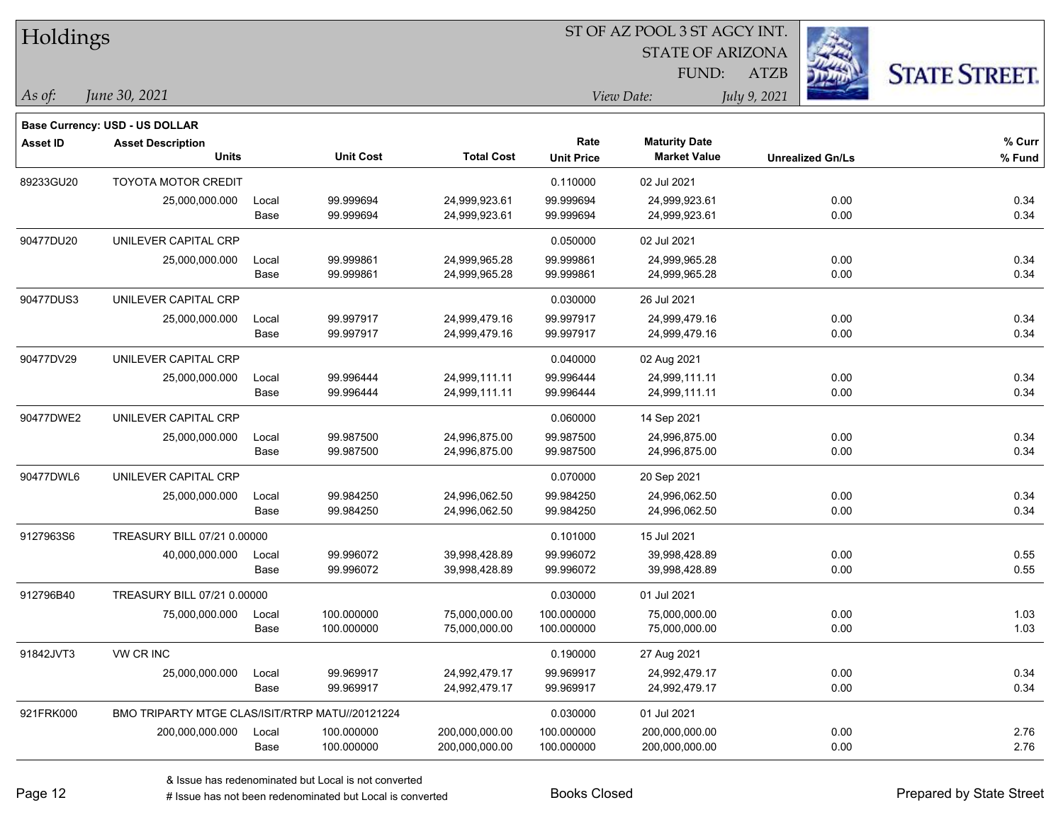| Holdings        |                                                 |       |                  |                   | 51 OF AZ POOL 3 51 AGCY INT. |                                             |                         |                      |  |  |
|-----------------|-------------------------------------------------|-------|------------------|-------------------|------------------------------|---------------------------------------------|-------------------------|----------------------|--|--|
|                 |                                                 |       |                  |                   |                              | <b>STATE OF ARIZONA</b>                     |                         |                      |  |  |
|                 |                                                 |       |                  |                   |                              | FUND:                                       | <b>ATZB</b>             | <b>STATE STREET.</b> |  |  |
| As of:          | June 30, 2021                                   |       |                  |                   |                              | View Date:                                  | July 9, 2021            |                      |  |  |
|                 | <b>Base Currency: USD - US DOLLAR</b>           |       |                  |                   |                              |                                             |                         |                      |  |  |
| <b>Asset ID</b> | <b>Asset Description</b><br><b>Units</b>        |       | <b>Unit Cost</b> | <b>Total Cost</b> | Rate                         | <b>Maturity Date</b><br><b>Market Value</b> |                         | % Curr               |  |  |
|                 |                                                 |       |                  |                   | <b>Unit Price</b>            |                                             | <b>Unrealized Gn/Ls</b> | % Fund               |  |  |
| 89233GU20       | <b>TOYOTA MOTOR CREDIT</b>                      |       |                  |                   | 0.110000                     | 02 Jul 2021                                 |                         |                      |  |  |
|                 | 25,000,000.000                                  | Local | 99.999694        | 24,999,923.61     | 99.999694                    | 24,999,923.61                               | 0.00                    | 0.34                 |  |  |
|                 |                                                 | Base  | 99.999694        | 24,999,923.61     | 99.999694                    | 24,999,923.61                               | 0.00                    | 0.34                 |  |  |
| 90477DU20       | UNILEVER CAPITAL CRP                            |       |                  |                   | 0.050000                     | 02 Jul 2021                                 |                         |                      |  |  |
|                 | 25,000,000.000                                  | Local | 99.999861        | 24,999,965.28     | 99.999861                    | 24,999,965.28                               | 0.00                    | 0.34                 |  |  |
|                 |                                                 | Base  | 99.999861        | 24,999,965.28     | 99.999861                    | 24,999,965.28                               | 0.00                    | 0.34                 |  |  |
| 90477DUS3       | UNILEVER CAPITAL CRP                            |       |                  |                   | 0.030000                     | 26 Jul 2021                                 |                         |                      |  |  |
|                 | 25,000,000.000                                  | Local | 99.997917        | 24,999,479.16     | 99.997917                    | 24,999,479.16                               | 0.00                    | 0.34                 |  |  |
|                 |                                                 | Base  | 99.997917        | 24,999,479.16     | 99.997917                    | 24,999,479.16                               | 0.00                    | 0.34                 |  |  |
| 90477DV29       | UNILEVER CAPITAL CRP                            |       |                  |                   | 0.040000                     | 02 Aug 2021                                 |                         |                      |  |  |
|                 | 25,000,000.000                                  | Local | 99.996444        | 24,999,111.11     | 99.996444                    | 24,999,111.11                               | 0.00                    | 0.34                 |  |  |
|                 |                                                 | Base  | 99.996444        | 24,999,111.11     | 99.996444                    | 24,999,111.11                               | 0.00                    | 0.34                 |  |  |
| 90477DWE2       | UNILEVER CAPITAL CRP                            |       |                  |                   | 0.060000                     | 14 Sep 2021                                 |                         |                      |  |  |
|                 | 25,000,000.000                                  | Local | 99.987500        | 24,996,875.00     | 99.987500                    | 24,996,875.00                               | 0.00                    | 0.34                 |  |  |
|                 |                                                 | Base  | 99.987500        | 24,996,875.00     | 99.987500                    | 24,996,875.00                               | 0.00                    | 0.34                 |  |  |
| 90477DWL6       | UNILEVER CAPITAL CRP                            |       |                  |                   | 0.070000                     | 20 Sep 2021                                 |                         |                      |  |  |
|                 | 25,000,000.000                                  | Local | 99.984250        | 24,996,062.50     | 99.984250                    | 24,996,062.50                               | 0.00                    | 0.34                 |  |  |
|                 |                                                 | Base  | 99.984250        | 24,996,062.50     | 99.984250                    | 24,996,062.50                               | 0.00                    | 0.34                 |  |  |
| 9127963S6       | TREASURY BILL 07/21 0.00000                     |       |                  |                   | 0.101000                     | 15 Jul 2021                                 |                         |                      |  |  |
|                 | 40,000,000.000                                  | Local | 99.996072        | 39,998,428.89     | 99.996072                    | 39,998,428.89                               | 0.00                    | 0.55                 |  |  |
|                 |                                                 | Base  | 99.996072        | 39,998,428.89     | 99.996072                    | 39,998,428.89                               | 0.00                    | 0.55                 |  |  |
| 912796B40       | TREASURY BILL 07/21 0.00000                     |       |                  |                   | 0.030000                     | 01 Jul 2021                                 |                         |                      |  |  |
|                 | 75,000,000.000                                  | Local | 100.000000       | 75,000,000.00     | 100.000000                   | 75,000,000.00                               | 0.00                    | 1.03                 |  |  |
|                 |                                                 | Base  | 100.000000       | 75,000,000.00     | 100.000000                   | 75,000,000.00                               | 0.00                    | 1.03                 |  |  |
| 91842JVT3       | VW CR INC                                       |       |                  |                   | 0.190000                     | 27 Aug 2021                                 |                         |                      |  |  |
|                 | 25,000,000.000                                  | Local | 99.969917        | 24,992,479.17     | 99.969917                    | 24,992,479.17                               | 0.00                    | 0.34                 |  |  |
|                 |                                                 | Base  | 99.969917        | 24,992,479.17     | 99.969917                    | 24,992,479.17                               | 0.00                    | 0.34                 |  |  |
| 921FRK000       | BMO TRIPARTY MTGE CLAS/ISIT/RTRP MATU//20121224 |       |                  |                   | 0.030000                     | 01 Jul 2021                                 |                         |                      |  |  |
|                 | 200,000,000.000                                 | Local | 100.000000       | 200,000,000.00    | 100.000000                   | 200,000,000.00                              | 0.00                    | 2.76                 |  |  |
|                 |                                                 | Base  | 100.000000       | 200,000,000.00    | 100.000000                   | 200,000,000.00                              | 0.00                    | 2.76                 |  |  |

ST OF A Z POOL 2 ST ACCV INT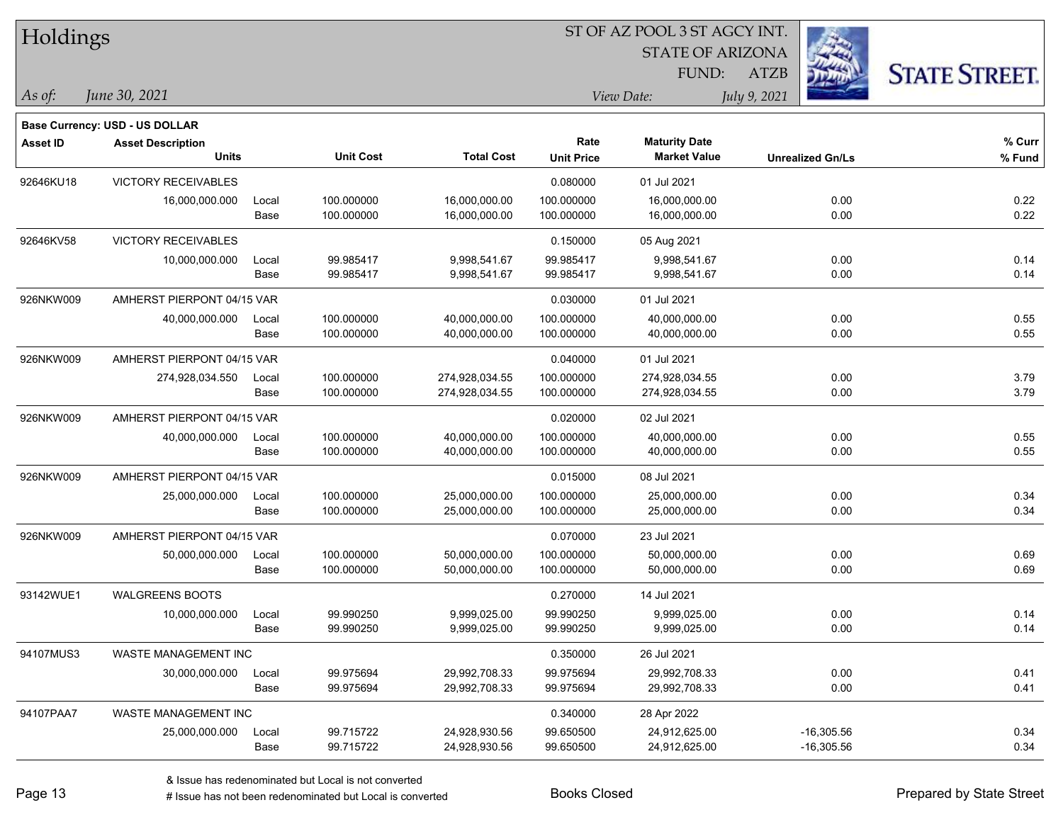| Holdings        |                                       |       |                  |                   | ST OF AZ POOL 3 ST AGCY INT. |                         |                         |                      |  |  |  |
|-----------------|---------------------------------------|-------|------------------|-------------------|------------------------------|-------------------------|-------------------------|----------------------|--|--|--|
|                 |                                       |       |                  |                   |                              | <b>STATE OF ARIZONA</b> |                         |                      |  |  |  |
|                 |                                       |       |                  |                   |                              | FUND:                   | <b>ATZB</b>             | <b>STATE STREET.</b> |  |  |  |
| As of:          | June 30, 2021                         |       |                  |                   |                              | View Date:              | July 9, 2021            |                      |  |  |  |
|                 | <b>Base Currency: USD - US DOLLAR</b> |       |                  |                   |                              |                         |                         |                      |  |  |  |
| <b>Asset ID</b> | <b>Asset Description</b>              |       |                  |                   | Rate                         | <b>Maturity Date</b>    |                         | % Curr               |  |  |  |
|                 | <b>Units</b>                          |       | <b>Unit Cost</b> | <b>Total Cost</b> | <b>Unit Price</b>            | <b>Market Value</b>     | <b>Unrealized Gn/Ls</b> | % Fund               |  |  |  |
| 92646KU18       | <b>VICTORY RECEIVABLES</b>            |       |                  |                   | 0.080000                     | 01 Jul 2021             |                         |                      |  |  |  |
|                 | 16,000,000.000                        | Local | 100.000000       | 16,000,000.00     | 100.000000                   | 16,000,000.00           | 0.00                    | 0.22                 |  |  |  |
|                 |                                       | Base  | 100.000000       | 16,000,000.00     | 100.000000                   | 16,000,000.00           | 0.00                    | 0.22                 |  |  |  |
| 92646KV58       | <b>VICTORY RECEIVABLES</b>            |       |                  |                   | 0.150000                     | 05 Aug 2021             |                         |                      |  |  |  |
|                 | 10,000,000.000                        | Local | 99.985417        | 9,998,541.67      | 99.985417                    | 9,998,541.67            | 0.00                    | 0.14                 |  |  |  |
|                 |                                       | Base  | 99.985417        | 9,998,541.67      | 99.985417                    | 9,998,541.67            | 0.00                    | 0.14                 |  |  |  |
| 926NKW009       | AMHERST PIERPONT 04/15 VAR            |       |                  |                   | 0.030000                     | 01 Jul 2021             |                         |                      |  |  |  |
|                 | 40,000,000.000                        | Local | 100.000000       | 40,000,000.00     | 100.000000                   | 40,000,000.00           | 0.00                    | 0.55                 |  |  |  |
|                 |                                       | Base  | 100.000000       | 40,000,000.00     | 100.000000                   | 40,000,000.00           | 0.00                    | 0.55                 |  |  |  |
| 926NKW009       | AMHERST PIERPONT 04/15 VAR            |       |                  |                   | 0.040000                     | 01 Jul 2021             |                         |                      |  |  |  |
|                 | 274,928,034.550                       | Local | 100.000000       | 274,928,034.55    | 100.000000                   | 274,928,034.55          | 0.00                    | 3.79                 |  |  |  |
|                 |                                       | Base  | 100.000000       | 274,928,034.55    | 100.000000                   | 274,928,034.55          | 0.00                    | 3.79                 |  |  |  |
| 926NKW009       | AMHERST PIERPONT 04/15 VAR            |       |                  |                   | 0.020000                     | 02 Jul 2021             |                         |                      |  |  |  |
|                 | 40,000,000.000                        | Local | 100.000000       | 40,000,000.00     | 100.000000                   | 40,000,000.00           | 0.00                    | 0.55                 |  |  |  |
|                 |                                       | Base  | 100.000000       | 40,000,000.00     | 100.000000                   | 40,000,000.00           | 0.00                    | 0.55                 |  |  |  |
| 926NKW009       | AMHERST PIERPONT 04/15 VAR            |       |                  |                   | 0.015000                     | 08 Jul 2021             |                         |                      |  |  |  |
|                 | 25,000,000.000                        | Local | 100.000000       | 25,000,000.00     | 100.000000                   | 25,000,000.00           | 0.00                    | 0.34                 |  |  |  |
|                 |                                       | Base  | 100.000000       | 25,000,000.00     | 100.000000                   | 25,000,000.00           | 0.00                    | 0.34                 |  |  |  |
| 926NKW009       | AMHERST PIERPONT 04/15 VAR            |       |                  |                   | 0.070000                     | 23 Jul 2021             |                         |                      |  |  |  |
|                 | 50,000,000.000                        | Local | 100.000000       | 50,000,000.00     | 100.000000                   | 50,000,000.00           | 0.00                    | 0.69                 |  |  |  |
|                 |                                       | Base  | 100.000000       | 50,000,000.00     | 100.000000                   | 50,000,000.00           | 0.00                    | 0.69                 |  |  |  |
| 93142WUE1       | <b>WALGREENS BOOTS</b>                |       |                  |                   | 0.270000                     | 14 Jul 2021             |                         |                      |  |  |  |
|                 | 10,000,000.000                        | Local | 99.990250        | 9,999,025.00      | 99.990250                    | 9,999,025.00            | 0.00                    | 0.14                 |  |  |  |
|                 |                                       | Base  | 99.990250        | 9,999,025.00      | 99.990250                    | 9,999,025.00            | 0.00                    | 0.14                 |  |  |  |
| 94107MUS3       | WASTE MANAGEMENT INC                  |       |                  |                   | 0.350000                     | 26 Jul 2021             |                         |                      |  |  |  |
|                 | 30,000,000.000                        | Local | 99.975694        | 29,992,708.33     | 99.975694                    | 29,992,708.33           | 0.00                    | 0.41                 |  |  |  |
|                 |                                       | Base  | 99.975694        | 29,992,708.33     | 99.975694                    | 29,992,708.33           | 0.00                    | 0.41                 |  |  |  |
| 94107PAA7       | WASTE MANAGEMENT INC                  |       |                  |                   | 0.340000                     | 28 Apr 2022             |                         |                      |  |  |  |
|                 | 25,000,000.000                        | Local | 99.715722        | 24,928,930.56     | 99.650500                    | 24,912,625.00           | $-16,305.56$            | 0.34                 |  |  |  |
|                 |                                       | Base  | 99.715722        | 24,928,930.56     | 99.650500                    | 24,912,625.00           | $-16,305.56$            | 0.34                 |  |  |  |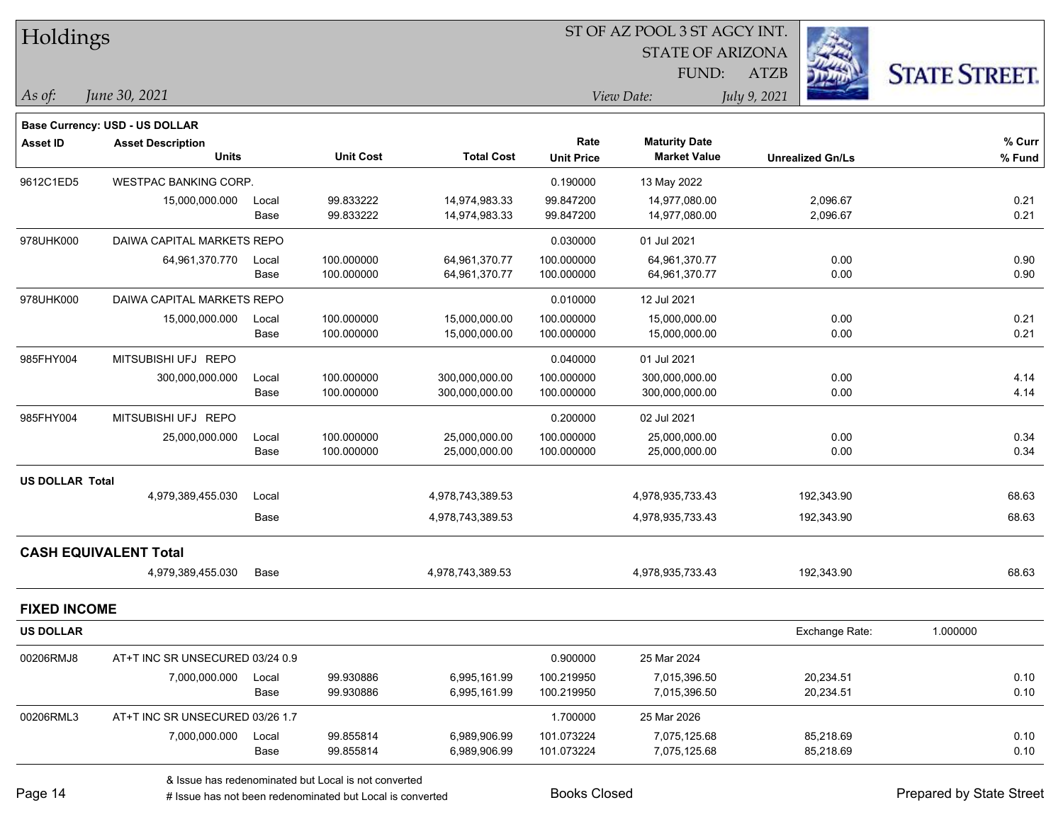| Holdings               |                                 |       |                  |                   |                   | ST OF AZ POOL 3 ST AGCY INT. |                         |                      |
|------------------------|---------------------------------|-------|------------------|-------------------|-------------------|------------------------------|-------------------------|----------------------|
|                        |                                 |       |                  |                   |                   | <b>STATE OF ARIZONA</b>      |                         |                      |
|                        |                                 |       |                  |                   |                   | FUND:                        | ATZB                    | <b>STATE STREET.</b> |
| $\vert$ As of:         | June 30, 2021                   |       |                  |                   |                   | View Date:                   | July 9, 2021            |                      |
|                        | Base Currency: USD - US DOLLAR  |       |                  |                   |                   |                              |                         |                      |
| Asset ID               | <b>Asset Description</b>        |       |                  |                   | Rate              | <b>Maturity Date</b>         |                         | % Curr               |
|                        | <b>Units</b>                    |       | <b>Unit Cost</b> | <b>Total Cost</b> | <b>Unit Price</b> | <b>Market Value</b>          | <b>Unrealized Gn/Ls</b> | % Fund               |
| 9612C1ED5              | <b>WESTPAC BANKING CORP.</b>    |       |                  |                   | 0.190000          | 13 May 2022                  |                         |                      |
|                        | 15,000,000.000                  | Local | 99.833222        | 14,974,983.33     | 99.847200         | 14,977,080.00                | 2,096.67                | 0.21                 |
|                        |                                 | Base  | 99.833222        | 14,974,983.33     | 99.847200         | 14,977,080.00                | 2,096.67                | 0.21                 |
| 978UHK000              | DAIWA CAPITAL MARKETS REPO      |       |                  |                   | 0.030000          | 01 Jul 2021                  |                         |                      |
|                        | 64,961,370.770                  | Local | 100.000000       | 64,961,370.77     | 100.000000        | 64,961,370.77                | 0.00                    | 0.90                 |
|                        |                                 | Base  | 100.000000       | 64,961,370.77     | 100.000000        | 64,961,370.77                | 0.00                    | 0.90                 |
| 978UHK000              | DAIWA CAPITAL MARKETS REPO      |       |                  |                   | 0.010000          | 12 Jul 2021                  |                         |                      |
|                        | 15,000,000.000                  | Local | 100.000000       | 15,000,000.00     | 100.000000        | 15,000,000.00                | 0.00                    | 0.21                 |
|                        |                                 | Base  | 100.000000       | 15,000,000.00     | 100.000000        | 15,000,000.00                | 0.00                    | 0.21                 |
| 985FHY004              | MITSUBISHI UFJ REPO             |       |                  |                   | 0.040000          | 01 Jul 2021                  |                         |                      |
|                        | 300,000,000.000                 | Local | 100.000000       | 300,000,000.00    | 100.000000        | 300,000,000.00               | 0.00                    | 4.14                 |
|                        |                                 | Base  | 100.000000       | 300,000,000.00    | 100.000000        | 300,000,000.00               | 0.00                    | 4.14                 |
| 985FHY004              | MITSUBISHI UFJ REPO             |       |                  |                   | 0.200000          | 02 Jul 2021                  |                         |                      |
|                        | 25,000,000.000                  | Local | 100.000000       | 25,000,000.00     | 100.000000        | 25,000,000.00                | 0.00                    | 0.34                 |
|                        |                                 | Base  | 100.000000       | 25,000,000.00     | 100.000000        | 25,000,000.00                | 0.00                    | 0.34                 |
| <b>US DOLLAR Total</b> |                                 |       |                  |                   |                   |                              |                         |                      |
|                        | 4,979,389,455.030               | Local |                  | 4,978,743,389.53  |                   | 4,978,935,733.43             | 192,343.90              | 68.63                |
|                        |                                 | Base  |                  | 4,978,743,389.53  |                   | 4,978,935,733.43             | 192,343.90              | 68.63                |
|                        | <b>CASH EQUIVALENT Total</b>    |       |                  |                   |                   |                              |                         |                      |
|                        | 4,979,389,455.030               | Base  |                  | 4,978,743,389.53  |                   | 4,978,935,733.43             | 192,343.90              | 68.63                |
| <b>FIXED INCOME</b>    |                                 |       |                  |                   |                   |                              |                         |                      |
| <b>US DOLLAR</b>       |                                 |       |                  |                   |                   |                              | Exchange Rate:          | 1.000000             |
| 00206RMJ8              | AT+T INC SR UNSECURED 03/24 0.9 |       |                  |                   | 0.900000          | 25 Mar 2024                  |                         |                      |
|                        | 7,000,000.000                   | Local | 99.930886        | 6,995,161.99      | 100.219950        | 7,015,396.50                 | 20,234.51               | 0.10                 |
|                        |                                 | Base  | 99.930886        | 6,995,161.99      | 100.219950        | 7,015,396.50                 | 20,234.51               | 0.10                 |
| 00206RML3              | AT+T INC SR UNSECURED 03/26 1.7 |       |                  |                   | 1.700000          | 25 Mar 2026                  |                         |                      |
|                        | 7,000,000.000                   | Local | 99.855814        | 6,989,906.99      | 101.073224        | 7,075,125.68                 | 85,218.69               | 0.10                 |
|                        |                                 | Base  | 99.855814        | 6,989,906.99      | 101.073224        | 7,075,125.68                 | 85,218.69               | 0.10                 |
|                        |                                 |       |                  |                   |                   |                              |                         |                      |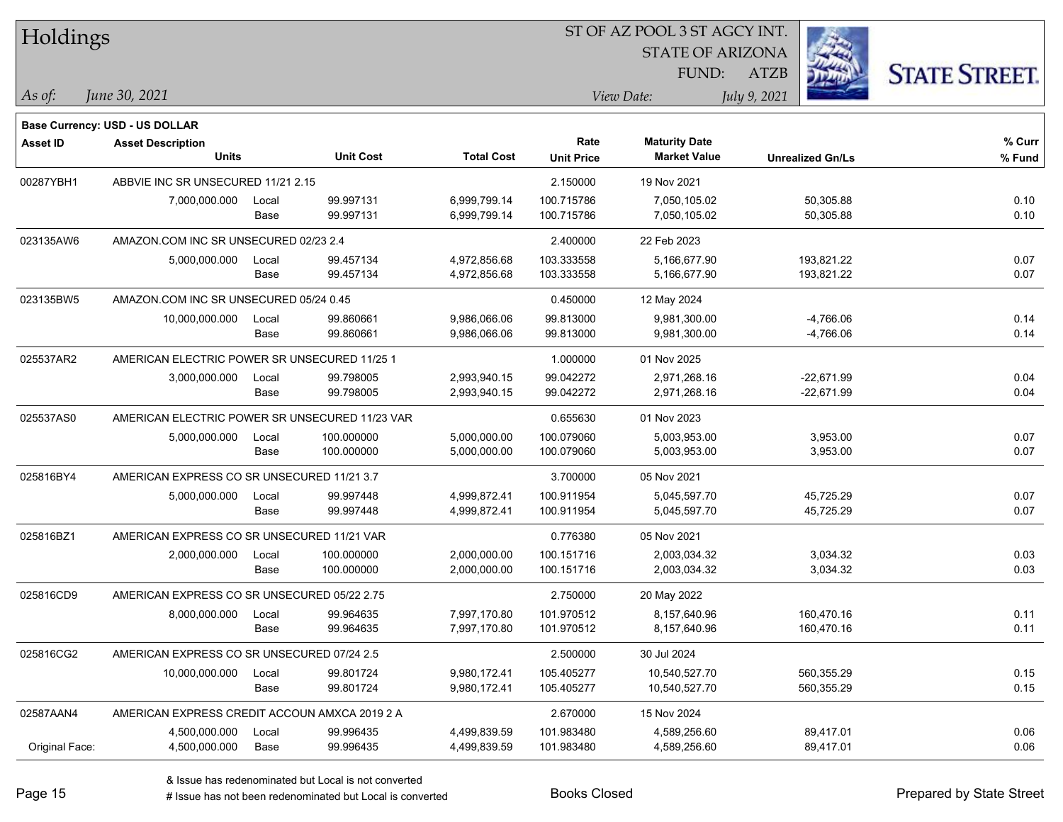| Holdings        |                                                |       |                  |                   |                   | ST OF AZ POOL 3 ST AGCY INT. |                         |                      |
|-----------------|------------------------------------------------|-------|------------------|-------------------|-------------------|------------------------------|-------------------------|----------------------|
|                 |                                                |       |                  |                   |                   | <b>STATE OF ARIZONA</b>      |                         |                      |
|                 |                                                |       |                  |                   |                   | FUND:                        | <b>ATZB</b>             | <b>STATE STREET.</b> |
| $ As\;of:$      | June 30, 2021                                  |       |                  |                   |                   | View Date:                   | July 9, 2021            |                      |
|                 |                                                |       |                  |                   |                   |                              |                         |                      |
|                 | Base Currency: USD - US DOLLAR                 |       |                  |                   | Rate              | <b>Maturity Date</b>         |                         | % Curr               |
| <b>Asset ID</b> | <b>Asset Description</b><br><b>Units</b>       |       | <b>Unit Cost</b> | <b>Total Cost</b> | <b>Unit Price</b> | <b>Market Value</b>          | <b>Unrealized Gn/Ls</b> | % Fund               |
| 00287YBH1       | ABBVIE INC SR UNSECURED 11/21 2.15             |       |                  |                   | 2.150000          | 19 Nov 2021                  |                         |                      |
|                 | 7,000,000.000                                  | Local | 99.997131        | 6,999,799.14      | 100.715786        | 7,050,105.02                 | 50,305.88               | 0.10                 |
|                 |                                                | Base  | 99.997131        | 6,999,799.14      | 100.715786        | 7,050,105.02                 | 50,305.88               | 0.10                 |
| 023135AW6       | AMAZON.COM INC SR UNSECURED 02/23 2.4          |       |                  |                   | 2.400000          | 22 Feb 2023                  |                         |                      |
|                 | 5,000,000.000                                  | Local | 99.457134        | 4,972,856.68      | 103.333558        | 5,166,677.90                 | 193,821.22              | 0.07                 |
|                 |                                                | Base  | 99.457134        | 4,972,856.68      | 103.333558        | 5,166,677.90                 | 193,821.22              | 0.07                 |
| 023135BW5       | AMAZON.COM INC SR UNSECURED 05/24 0.45         |       |                  |                   | 0.450000          | 12 May 2024                  |                         |                      |
|                 | 10,000,000.000                                 | Local | 99.860661        | 9,986,066.06      | 99.813000         | 9,981,300.00                 | $-4,766.06$             | 0.14                 |
|                 |                                                | Base  | 99.860661        | 9,986,066.06      | 99.813000         | 9,981,300.00                 | $-4,766.06$             | 0.14                 |
| 025537AR2       | AMERICAN ELECTRIC POWER SR UNSECURED 11/25 1   |       |                  |                   | 1.000000          | 01 Nov 2025                  |                         |                      |
|                 | 3,000,000.000                                  | Local | 99.798005        | 2,993,940.15      | 99.042272         | 2,971,268.16                 | $-22,671.99$            | 0.04                 |
|                 |                                                | Base  | 99.798005        | 2,993,940.15      | 99.042272         | 2,971,268.16                 | $-22,671.99$            | 0.04                 |
| 025537AS0       | AMERICAN ELECTRIC POWER SR UNSECURED 11/23 VAR |       |                  |                   | 0.655630          | 01 Nov 2023                  |                         |                      |
|                 | 5,000,000.000                                  | Local | 100.000000       | 5,000,000.00      | 100.079060        | 5,003,953.00                 | 3,953.00                | 0.07                 |
|                 |                                                | Base  | 100.000000       | 5,000,000.00      | 100.079060        | 5,003,953.00                 | 3,953.00                | 0.07                 |
| 025816BY4       | AMERICAN EXPRESS CO SR UNSECURED 11/21 3.7     |       |                  |                   | 3.700000          | 05 Nov 2021                  |                         |                      |
|                 | 5,000,000.000                                  | Local | 99.997448        | 4,999,872.41      | 100.911954        | 5,045,597.70                 | 45,725.29               | 0.07                 |
|                 |                                                | Base  | 99.997448        | 4,999,872.41      | 100.911954        | 5,045,597.70                 | 45,725.29               | 0.07                 |
| 025816BZ1       | AMERICAN EXPRESS CO SR UNSECURED 11/21 VAR     |       |                  |                   | 0.776380          | 05 Nov 2021                  |                         |                      |
|                 | 2,000,000.000                                  | Local | 100.000000       | 2,000,000.00      | 100.151716        | 2,003,034.32                 | 3,034.32                | 0.03                 |
|                 |                                                | Base  | 100.000000       | 2,000,000.00      | 100.151716        | 2,003,034.32                 | 3,034.32                | 0.03                 |
| 025816CD9       | AMERICAN EXPRESS CO SR UNSECURED 05/22 2.75    |       |                  |                   | 2.750000          | 20 May 2022                  |                         |                      |
|                 | 8,000,000.000                                  | Local | 99.964635        | 7,997,170.80      | 101.970512        | 8,157,640.96                 | 160,470.16              | 0.11                 |
|                 |                                                | Base  | 99.964635        | 7,997,170.80      | 101.970512        | 8,157,640.96                 | 160,470.16              | 0.11                 |
| 025816CG2       | AMERICAN EXPRESS CO SR UNSECURED 07/24 2.5     |       |                  |                   | 2.500000          | 30 Jul 2024                  |                         |                      |
|                 | 10,000,000.000                                 | Local | 99.801724        | 9,980,172.41      | 105.405277        | 10,540,527.70                | 560,355.29              | 0.15                 |
|                 |                                                | Base  | 99.801724        | 9,980,172.41      | 105.405277        | 10,540,527.70                | 560,355.29              | 0.15                 |
| 02587AAN4       | AMERICAN EXPRESS CREDIT ACCOUN AMXCA 2019 2 A  |       |                  |                   | 2.670000          | 15 Nov 2024                  |                         |                      |
|                 | 4,500,000.000                                  | Local | 99.996435        | 4,499,839.59      | 101.983480        | 4,589,256.60                 | 89,417.01               | 0.06                 |
| Original Face:  | 4,500,000.000                                  | Base  | 99.996435        | 4,499,839.59      | 101.983480        | 4,589,256.60                 | 89,417.01               | 0.06                 |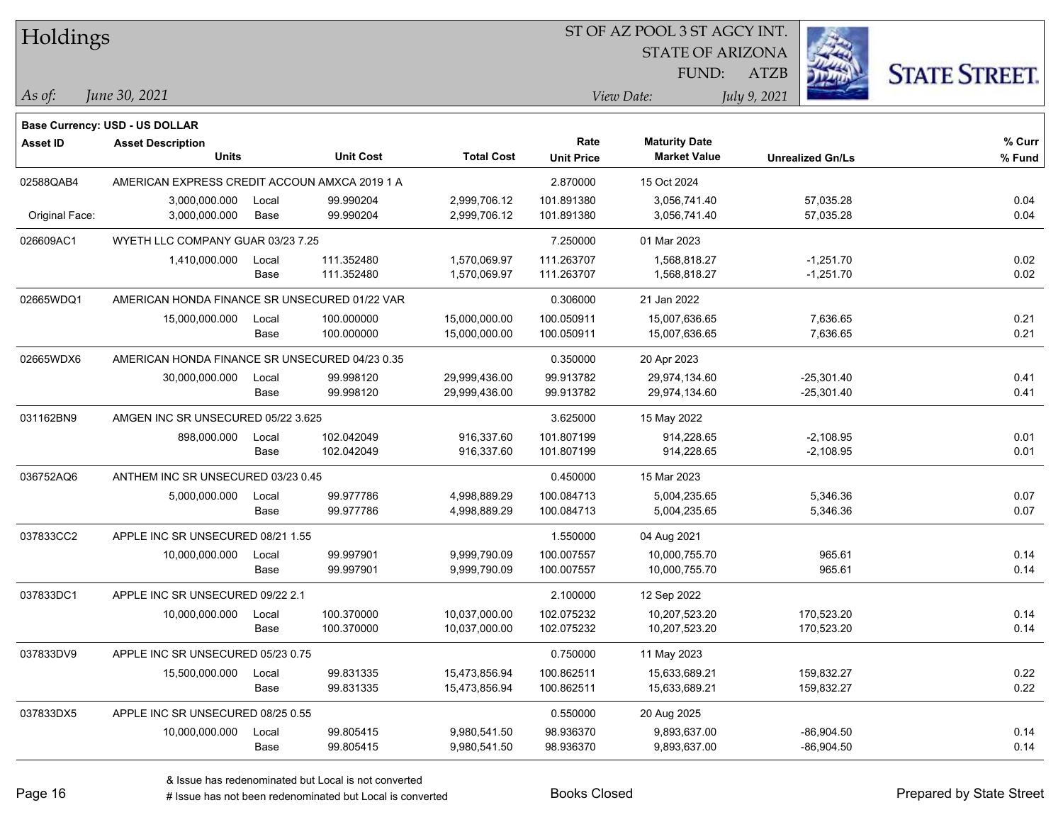| Holdings        |                                                |       |                  |                   |                   |                         |                         |                      |
|-----------------|------------------------------------------------|-------|------------------|-------------------|-------------------|-------------------------|-------------------------|----------------------|
|                 |                                                |       |                  |                   |                   | <b>STATE OF ARIZONA</b> |                         |                      |
|                 |                                                |       |                  |                   |                   | FUND:                   | <b>ATZB</b>             | <b>STATE STREET.</b> |
| $\vert$ As of:  | June 30, 2021                                  |       |                  |                   |                   | View Date:              | July 9, 2021            |                      |
|                 | <b>Base Currency: USD - US DOLLAR</b>          |       |                  |                   |                   |                         |                         |                      |
| <b>Asset ID</b> | <b>Asset Description</b>                       |       |                  |                   | Rate              | <b>Maturity Date</b>    |                         | % Curr               |
|                 | <b>Units</b>                                   |       | <b>Unit Cost</b> | <b>Total Cost</b> | <b>Unit Price</b> | <b>Market Value</b>     | <b>Unrealized Gn/Ls</b> | % Fund               |
| 02588QAB4       | AMERICAN EXPRESS CREDIT ACCOUN AMXCA 2019 1 A  |       |                  |                   | 2.870000          | 15 Oct 2024             |                         |                      |
|                 | 3,000,000.000                                  | Local | 99.990204        | 2,999,706.12      | 101.891380        | 3,056,741.40            | 57,035.28               | 0.04                 |
| Original Face:  | 3,000,000.000                                  | Base  | 99.990204        | 2,999,706.12      | 101.891380        | 3,056,741.40            | 57,035.28               | 0.04                 |
| 026609AC1       | WYETH LLC COMPANY GUAR 03/23 7.25              |       |                  |                   | 7.250000          | 01 Mar 2023             |                         |                      |
|                 | 1,410,000.000                                  | Local | 111.352480       | 1,570,069.97      | 111.263707        | 1,568,818.27            | $-1,251.70$             | 0.02                 |
|                 |                                                | Base  | 111.352480       | 1,570,069.97      | 111.263707        | 1,568,818.27            | $-1,251.70$             | 0.02                 |
| 02665WDQ1       | AMERICAN HONDA FINANCE SR UNSECURED 01/22 VAR  |       |                  |                   | 0.306000          | 21 Jan 2022             |                         |                      |
|                 | 15,000,000.000                                 | Local | 100.000000       | 15,000,000.00     | 100.050911        | 15,007,636.65           | 7,636.65                | 0.21                 |
|                 |                                                | Base  | 100.000000       | 15,000,000.00     | 100.050911        | 15,007,636.65           | 7,636.65                | 0.21                 |
| 02665WDX6       | AMERICAN HONDA FINANCE SR UNSECURED 04/23 0.35 |       |                  |                   | 0.350000          | 20 Apr 2023             |                         |                      |
|                 | 30,000,000.000                                 | Local | 99.998120        | 29,999,436.00     | 99.913782         | 29,974,134.60           | $-25,301.40$            | 0.41                 |
|                 |                                                | Base  | 99.998120        | 29,999,436.00     | 99.913782         | 29,974,134.60           | $-25,301.40$            | 0.41                 |
| 031162BN9       | AMGEN INC SR UNSECURED 05/22 3.625             |       |                  |                   | 3.625000          | 15 May 2022             |                         |                      |
|                 | 898,000.000                                    | Local | 102.042049       | 916,337.60        | 101.807199        | 914,228.65              | $-2,108.95$             | 0.01                 |
|                 |                                                | Base  | 102.042049       | 916,337.60        | 101.807199        | 914,228.65              | $-2,108.95$             | 0.01                 |
| 036752AQ6       | ANTHEM INC SR UNSECURED 03/23 0.45             |       |                  |                   | 0.450000          | 15 Mar 2023             |                         |                      |
|                 | 5,000,000.000                                  | Local | 99.977786        | 4,998,889.29      | 100.084713        | 5,004,235.65            | 5,346.36                | 0.07                 |
|                 |                                                | Base  | 99.977786        | 4,998,889.29      | 100.084713        | 5,004,235.65            | 5,346.36                | 0.07                 |
| 037833CC2       | APPLE INC SR UNSECURED 08/21 1.55              |       |                  |                   | 1.550000          | 04 Aug 2021             |                         |                      |
|                 | 10,000,000.000                                 | Local | 99.997901        | 9,999,790.09      | 100.007557        | 10,000,755.70           | 965.61                  | 0.14                 |
|                 |                                                | Base  | 99.997901        | 9,999,790.09      | 100.007557        | 10,000,755.70           | 965.61                  | 0.14                 |
| 037833DC1       | APPLE INC SR UNSECURED 09/22 2.1               |       |                  |                   | 2.100000          | 12 Sep 2022             |                         |                      |
|                 | 10,000,000.000 Local                           |       | 100.370000       | 10,037,000.00     | 102.075232        | 10,207,523.20           | 170,523.20              | 0.14                 |
|                 |                                                | Base  | 100.370000       | 10,037,000.00     | 102.075232        | 10,207,523.20           | 170,523.20              | 0.14                 |
| 037833DV9       | APPLE INC SR UNSECURED 05/23 0.75              |       |                  |                   | 0.750000          | 11 May 2023             |                         |                      |
|                 | 15,500,000.000                                 | Local | 99.831335        | 15,473,856.94     | 100.862511        | 15,633,689.21           | 159,832.27              | 0.22                 |
|                 |                                                | Base  | 99.831335        | 15,473,856.94     | 100.862511        | 15,633,689.21           | 159,832.27              | 0.22                 |
| 037833DX5       | APPLE INC SR UNSECURED 08/25 0.55              |       |                  |                   | 0.550000          | 20 Aug 2025             |                         |                      |
|                 | 10,000,000.000                                 | Local | 99.805415        | 9,980,541.50      | 98.936370         | 9,893,637.00            | $-86,904.50$            | 0.14                 |
|                 |                                                | Base  | 99.805415        | 9,980,541.50      | 98.936370         | 9,893,637.00            | $-86,904.50$            | 0.14                 |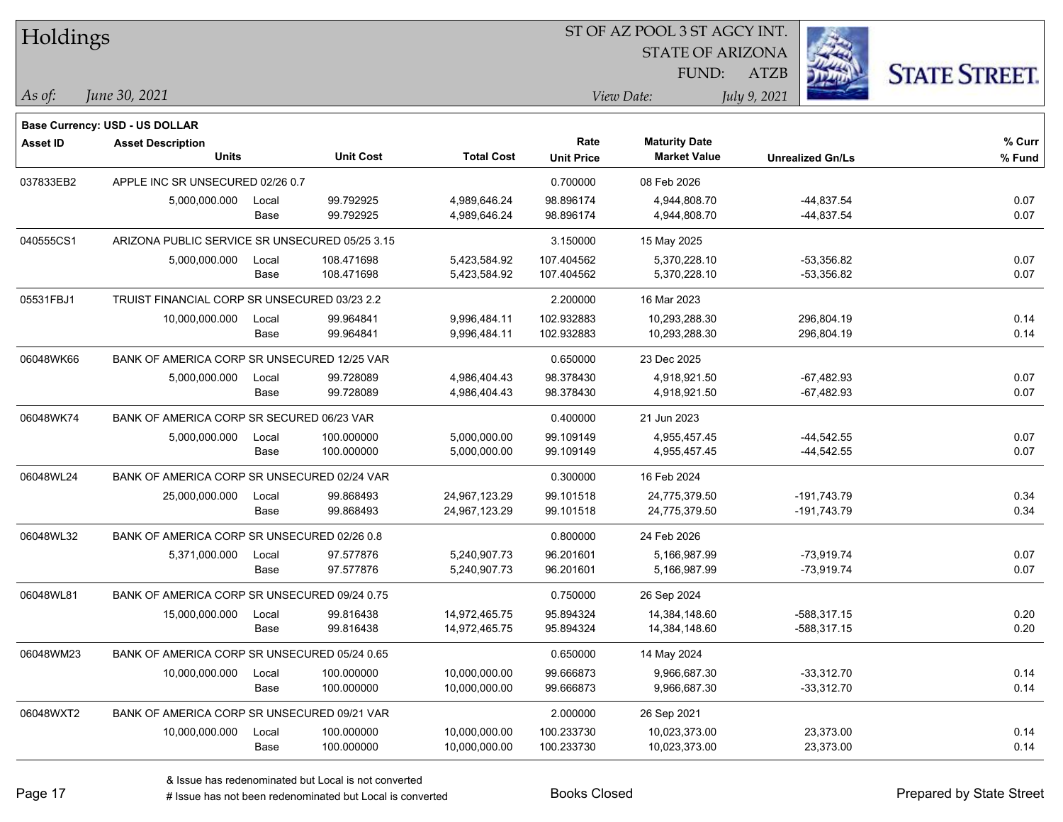| <b>Holdings</b> |                                                |       |                  |                   | 51 OF AZ POOL 3 51 AGCY INT. |                         |                         |                      |  |  |  |
|-----------------|------------------------------------------------|-------|------------------|-------------------|------------------------------|-------------------------|-------------------------|----------------------|--|--|--|
|                 |                                                |       |                  |                   |                              | <b>STATE OF ARIZONA</b> | i.                      |                      |  |  |  |
|                 |                                                |       |                  |                   |                              | FUND:                   | ATZB                    | <b>STATE STREET.</b> |  |  |  |
| As of:          | June 30, 2021                                  |       |                  |                   |                              | View Date:              | July 9, 2021            |                      |  |  |  |
|                 | <b>Base Currency: USD - US DOLLAR</b>          |       |                  |                   |                              |                         |                         |                      |  |  |  |
| <b>Asset ID</b> | <b>Asset Description</b>                       |       |                  |                   | Rate                         | <b>Maturity Date</b>    |                         | % Curr               |  |  |  |
|                 | <b>Units</b>                                   |       | <b>Unit Cost</b> | <b>Total Cost</b> | <b>Unit Price</b>            | <b>Market Value</b>     | <b>Unrealized Gn/Ls</b> | % Fund               |  |  |  |
| 037833EB2       | APPLE INC SR UNSECURED 02/26 0.7               |       |                  |                   | 0.700000                     | 08 Feb 2026             |                         |                      |  |  |  |
|                 | 5,000,000.000                                  | Local | 99.792925        | 4,989,646.24      | 98.896174                    | 4,944,808.70            | -44,837.54              | 0.07                 |  |  |  |
|                 |                                                | Base  | 99.792925        | 4,989,646.24      | 98.896174                    | 4,944,808.70            | -44,837.54              | 0.07                 |  |  |  |
| 040555CS1       | ARIZONA PUBLIC SERVICE SR UNSECURED 05/25 3.15 |       |                  |                   | 3.150000                     | 15 May 2025             |                         |                      |  |  |  |
|                 | 5,000,000.000                                  | Local | 108.471698       | 5,423,584.92      | 107.404562                   | 5,370,228.10            | $-53,356.82$            | 0.07                 |  |  |  |
|                 |                                                | Base  | 108.471698       | 5,423,584.92      | 107.404562                   | 5,370,228.10            | $-53,356.82$            | 0.07                 |  |  |  |
| 05531FBJ1       | TRUIST FINANCIAL CORP SR UNSECURED 03/23 2.2   |       |                  |                   | 2.200000                     | 16 Mar 2023             |                         |                      |  |  |  |
|                 | 10,000,000.000                                 | Local | 99.964841        | 9,996,484.11      | 102.932883                   | 10,293,288.30           | 296,804.19              | 0.14                 |  |  |  |
|                 |                                                | Base  | 99.964841        | 9,996,484.11      | 102.932883                   | 10,293,288.30           | 296,804.19              | 0.14                 |  |  |  |
| 06048WK66       | BANK OF AMERICA CORP SR UNSECURED 12/25 VAR    |       |                  |                   | 0.650000                     | 23 Dec 2025             |                         |                      |  |  |  |
|                 | 5,000,000.000                                  | Local | 99.728089        | 4,986,404.43      | 98.378430                    | 4,918,921.50            | $-67,482.93$            | 0.07                 |  |  |  |
|                 |                                                | Base  | 99.728089        | 4,986,404.43      | 98.378430                    | 4,918,921.50            | $-67,482.93$            | 0.07                 |  |  |  |
| 06048WK74       | BANK OF AMERICA CORP SR SECURED 06/23 VAR      |       |                  |                   | 0.400000                     | 21 Jun 2023             |                         |                      |  |  |  |
|                 | 5,000,000.000                                  | Local | 100.000000       | 5,000,000.00      | 99.109149                    | 4,955,457.45            | $-44,542.55$            | 0.07                 |  |  |  |
|                 |                                                | Base  | 100.000000       | 5,000,000.00      | 99.109149                    | 4,955,457.45            | $-44,542.55$            | 0.07                 |  |  |  |
| 06048WL24       | BANK OF AMERICA CORP SR UNSECURED 02/24 VAR    |       |                  |                   | 0.300000                     | 16 Feb 2024             |                         |                      |  |  |  |
|                 | 25,000,000.000                                 | Local | 99.868493        | 24,967,123.29     | 99.101518                    | 24,775,379.50           | -191,743.79             | 0.34                 |  |  |  |
|                 |                                                | Base  | 99.868493        | 24,967,123.29     | 99.101518                    | 24,775,379.50           | -191,743.79             | 0.34                 |  |  |  |
| 06048WL32       | BANK OF AMERICA CORP SR UNSECURED 02/26 0.8    |       |                  |                   | 0.800000                     | 24 Feb 2026             |                         |                      |  |  |  |
|                 | 5,371,000.000                                  | Local | 97.577876        | 5,240,907.73      | 96.201601                    | 5,166,987.99            | $-73,919.74$            | 0.07                 |  |  |  |
|                 |                                                | Base  | 97.577876        | 5,240,907.73      | 96.201601                    | 5,166,987.99            | -73,919.74              | 0.07                 |  |  |  |
| 06048WL81       | BANK OF AMERICA CORP SR UNSECURED 09/24 0.75   |       |                  |                   | 0.750000                     | 26 Sep 2024             |                         |                      |  |  |  |
|                 | 15,000,000.000                                 | Local | 99.816438        | 14,972,465.75     | 95.894324                    | 14,384,148.60           | $-588,317.15$           | 0.20                 |  |  |  |
|                 |                                                | Base  | 99.816438        | 14,972,465.75     | 95.894324                    | 14,384,148.60           | -588,317.15             | 0.20                 |  |  |  |
| 06048WM23       | BANK OF AMERICA CORP SR UNSECURED 05/24 0.65   |       |                  |                   | 0.650000                     | 14 May 2024             |                         |                      |  |  |  |
|                 | 10,000,000.000                                 | Local | 100.000000       | 10,000,000.00     | 99.666873                    | 9,966,687.30            | $-33,312.70$            | 0.14                 |  |  |  |
|                 |                                                | Base  | 100.000000       | 10,000,000.00     | 99.666873                    | 9,966,687.30            | $-33,312.70$            | 0.14                 |  |  |  |
| 06048WXT2       | BANK OF AMERICA CORP SR UNSECURED 09/21 VAR    |       |                  |                   | 2.000000                     | 26 Sep 2021             |                         |                      |  |  |  |
|                 | 10,000,000.000                                 | Local | 100.000000       | 10,000,000.00     | 100.233730                   | 10,023,373.00           | 23,373.00               | 0.14                 |  |  |  |
|                 |                                                | Base  | 100.000000       | 10,000,000.00     | 100.233730                   | 10,023,373.00           | 23,373.00               | 0.14                 |  |  |  |
|                 |                                                |       |                  |                   |                              |                         |                         |                      |  |  |  |

 $\overline{S}$ 

٦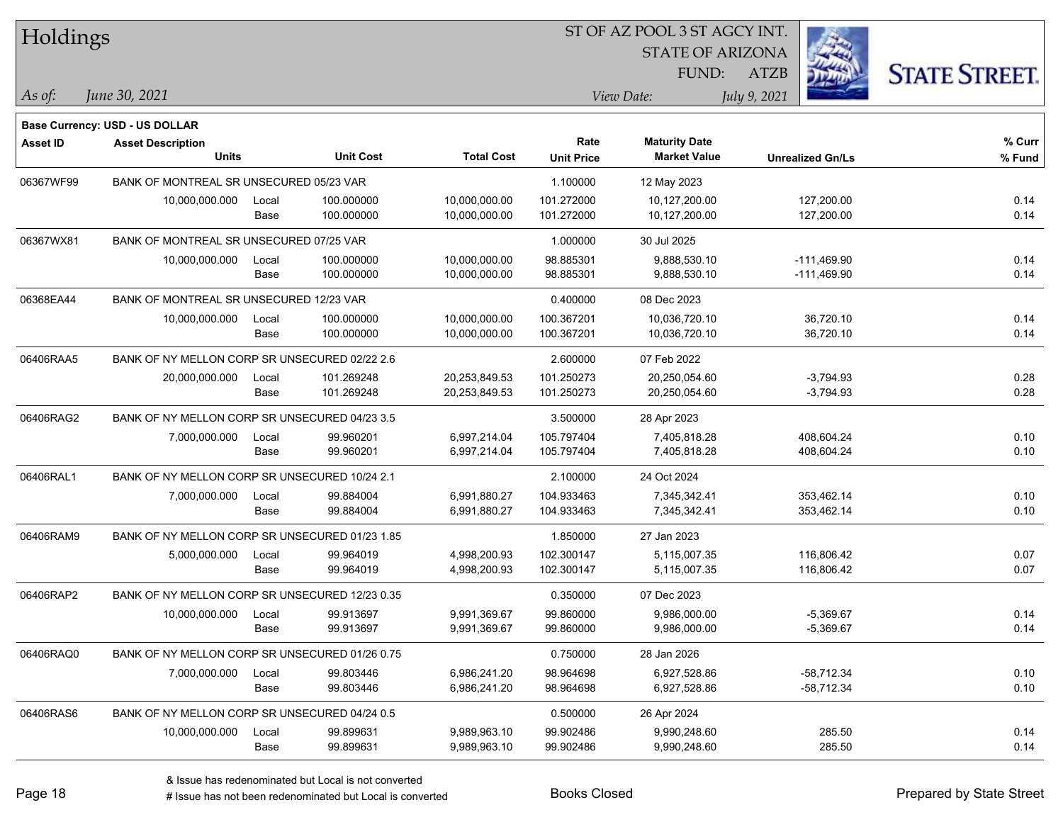| Holdings        |                                                |       |                  |                   |                   | ST OF AZ POOL 3 ST AGCY INT. |                         |                      |
|-----------------|------------------------------------------------|-------|------------------|-------------------|-------------------|------------------------------|-------------------------|----------------------|
|                 |                                                |       |                  |                   |                   | <b>STATE OF ARIZONA</b>      |                         |                      |
|                 |                                                |       |                  |                   |                   | FUND:                        | <b>ATZB</b>             | <b>STATE STREET.</b> |
| As of:          | June 30, 2021                                  |       |                  |                   |                   | View Date:                   | July 9, 2021            |                      |
|                 | Base Currency: USD - US DOLLAR                 |       |                  |                   |                   |                              |                         |                      |
| <b>Asset ID</b> | <b>Asset Description</b>                       |       |                  |                   | Rate              | <b>Maturity Date</b>         |                         | % Curr               |
|                 | <b>Units</b>                                   |       | <b>Unit Cost</b> | <b>Total Cost</b> | <b>Unit Price</b> | <b>Market Value</b>          | <b>Unrealized Gn/Ls</b> | % Fund               |
| 06367WF99       | BANK OF MONTREAL SR UNSECURED 05/23 VAR        |       |                  |                   | 1.100000          | 12 May 2023                  |                         |                      |
|                 | 10,000,000.000                                 | Local | 100.000000       | 10,000,000.00     | 101.272000        | 10,127,200.00                | 127,200.00              | 0.14                 |
|                 |                                                | Base  | 100.000000       | 10,000,000.00     | 101.272000        | 10,127,200.00                | 127,200.00              | 0.14                 |
| 06367WX81       | BANK OF MONTREAL SR UNSECURED 07/25 VAR        |       |                  |                   | 1.000000          | 30 Jul 2025                  |                         |                      |
|                 | 10,000,000.000                                 | Local | 100.000000       | 10,000,000.00     | 98.885301         | 9,888,530.10                 | $-111,469.90$           | 0.14                 |
|                 |                                                | Base  | 100.000000       | 10,000,000.00     | 98.885301         | 9,888,530.10                 | $-111,469.90$           | 0.14                 |
| 06368EA44       | BANK OF MONTREAL SR UNSECURED 12/23 VAR        |       |                  |                   | 0.400000          | 08 Dec 2023                  |                         |                      |
|                 | 10,000,000.000                                 | Local | 100.000000       | 10,000,000.00     | 100.367201        | 10,036,720.10                | 36,720.10               | 0.14                 |
|                 |                                                | Base  | 100.000000       | 10,000,000.00     | 100.367201        | 10,036,720.10                | 36,720.10               | 0.14                 |
| 06406RAA5       | BANK OF NY MELLON CORP SR UNSECURED 02/22 2.6  |       |                  |                   | 2.600000          | 07 Feb 2022                  |                         |                      |
|                 | 20,000,000.000                                 | Local | 101.269248       | 20,253,849.53     | 101.250273        | 20,250,054.60                | $-3,794.93$             | 0.28                 |
|                 |                                                | Base  | 101.269248       | 20,253,849.53     | 101.250273        | 20,250,054.60                | $-3,794.93$             | 0.28                 |
| 06406RAG2       | BANK OF NY MELLON CORP SR UNSECURED 04/23 3.5  |       |                  |                   | 3.500000          | 28 Apr 2023                  |                         |                      |
|                 | 7,000,000.000                                  | Local | 99.960201        | 6,997,214.04      | 105.797404        | 7,405,818.28                 | 408,604.24              | 0.10                 |
|                 |                                                | Base  | 99.960201        | 6,997,214.04      | 105.797404        | 7,405,818.28                 | 408,604.24              | 0.10                 |
| 06406RAL1       | BANK OF NY MELLON CORP SR UNSECURED 10/24 2.1  |       |                  |                   | 2.100000          | 24 Oct 2024                  |                         |                      |
|                 | 7,000,000.000                                  | Local | 99.884004        | 6,991,880.27      | 104.933463        | 7,345,342.41                 | 353,462.14              | 0.10                 |
|                 |                                                | Base  | 99.884004        | 6,991,880.27      | 104.933463        | 7,345,342.41                 | 353,462.14              | 0.10                 |
| 06406RAM9       | BANK OF NY MELLON CORP SR UNSECURED 01/23 1.85 |       |                  |                   | 1.850000          | 27 Jan 2023                  |                         |                      |
|                 | 5,000,000.000                                  | Local | 99.964019        | 4,998,200.93      | 102.300147        | 5,115,007.35                 | 116,806.42              | 0.07                 |
|                 |                                                | Base  | 99.964019        | 4,998,200.93      | 102.300147        | 5,115,007.35                 | 116,806.42              | 0.07                 |
| 06406RAP2       | BANK OF NY MELLON CORP SR UNSECURED 12/23 0.35 |       |                  |                   | 0.350000          | 07 Dec 2023                  |                         |                      |
|                 | 10,000,000.000                                 | Local | 99.913697        | 9,991,369.67      | 99.860000         | 9,986,000.00                 | $-5,369.67$             | 0.14                 |
|                 |                                                | Base  | 99.913697        | 9,991,369.67      | 99.860000         | 9,986,000.00                 | $-5,369.67$             | 0.14                 |
| 06406RAQ0       | BANK OF NY MELLON CORP SR UNSECURED 01/26 0.75 |       |                  |                   | 0.750000          | 28 Jan 2026                  |                         |                      |
|                 | 7,000,000.000                                  | Local | 99.803446        | 6,986,241.20      | 98.964698         | 6,927,528.86                 | $-58,712.34$            | 0.10                 |
|                 |                                                | Base  | 99.803446        | 6,986,241.20      | 98.964698         | 6,927,528.86                 | $-58,712.34$            | 0.10                 |
| 06406RAS6       | BANK OF NY MELLON CORP SR UNSECURED 04/24 0.5  |       |                  |                   | 0.500000          | 26 Apr 2024                  |                         |                      |
|                 | 10,000,000.000                                 | Local | 99.899631        | 9,989,963.10      | 99.902486         | 9,990,248.60                 | 285.50                  | 0.14                 |
|                 |                                                | Base  | 99.899631        | 9,989,963.10      | 99.902486         | 9,990,248.60                 | 285.50                  | 0.14                 |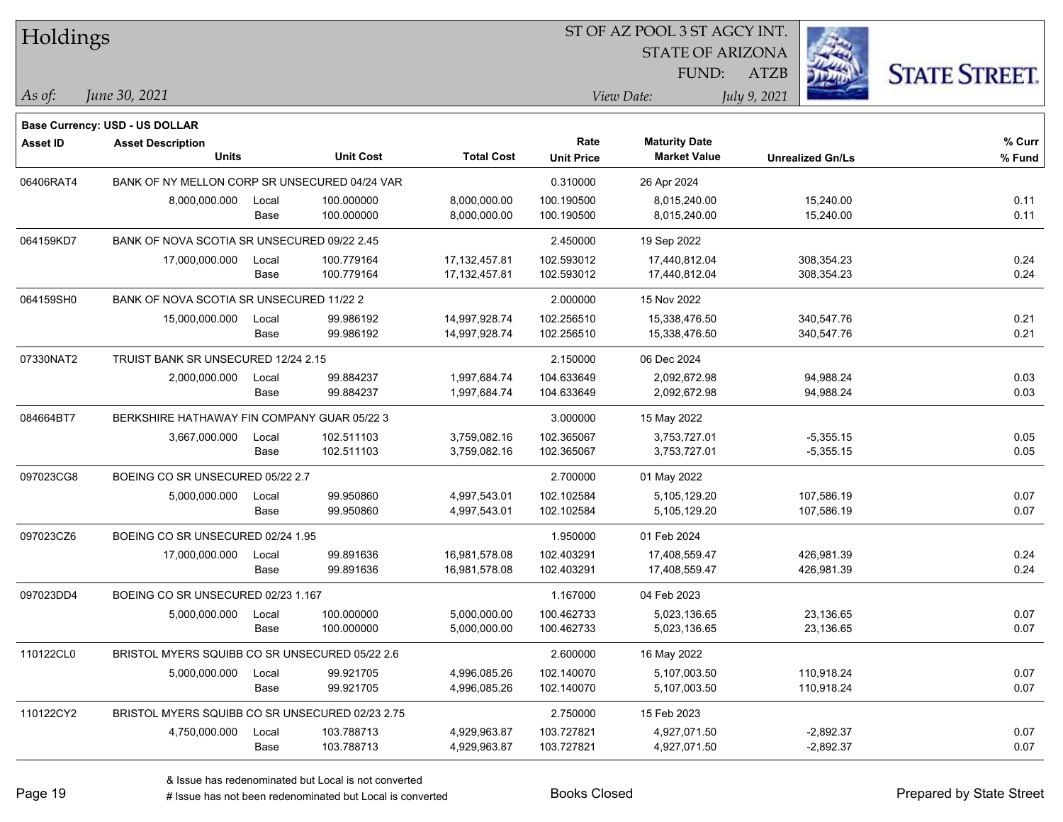| Holdings        |                                                 |       |                  |                   | ST OF AZ POOL 3 ST AGCY INT. |                         |              |                         |                      |
|-----------------|-------------------------------------------------|-------|------------------|-------------------|------------------------------|-------------------------|--------------|-------------------------|----------------------|
|                 |                                                 |       |                  |                   |                              | <b>STATE OF ARIZONA</b> |              |                         |                      |
|                 |                                                 |       |                  |                   |                              | FUND:                   | <b>ATZB</b>  |                         | <b>STATE STREET.</b> |
| As of:          | June 30, 2021                                   |       |                  |                   |                              | View Date:              | July 9, 2021 |                         |                      |
|                 | <b>Base Currency: USD - US DOLLAR</b>           |       |                  |                   |                              |                         |              |                         |                      |
| <b>Asset ID</b> | <b>Asset Description</b>                        |       |                  |                   | Rate                         | <b>Maturity Date</b>    |              |                         | % Curr               |
|                 | <b>Units</b>                                    |       | <b>Unit Cost</b> | <b>Total Cost</b> | <b>Unit Price</b>            | <b>Market Value</b>     |              | <b>Unrealized Gn/Ls</b> | % Fund               |
| 06406RAT4       | BANK OF NY MELLON CORP SR UNSECURED 04/24 VAR   |       |                  |                   | 0.310000                     | 26 Apr 2024             |              |                         |                      |
|                 | 8,000,000.000                                   | Local | 100.000000       | 8,000,000.00      | 100.190500                   | 8.015.240.00            |              | 15,240.00               | 0.11                 |
|                 |                                                 | Base  | 100.000000       | 8,000,000.00      | 100.190500                   | 8,015,240.00            |              | 15,240.00               | 0.11                 |
| 064159KD7       | BANK OF NOVA SCOTIA SR UNSECURED 09/22 2.45     |       |                  |                   | 2.450000                     | 19 Sep 2022             |              |                         |                      |
|                 | 17,000,000.000                                  | Local | 100.779164       | 17, 132, 457.81   | 102.593012                   | 17,440,812.04           |              | 308,354.23              | 0.24                 |
|                 |                                                 | Base  | 100.779164       | 17,132,457.81     | 102.593012                   | 17,440,812.04           |              | 308,354.23              | 0.24                 |
| 064159SH0       | BANK OF NOVA SCOTIA SR UNSECURED 11/22 2        |       |                  |                   | 2.000000                     | 15 Nov 2022             |              |                         |                      |
|                 | 15,000,000.000                                  | Local | 99.986192        | 14,997,928.74     | 102.256510                   | 15,338,476.50           |              | 340,547.76              | 0.21                 |
|                 |                                                 | Base  | 99.986192        | 14,997,928.74     | 102.256510                   | 15,338,476.50           |              | 340,547.76              | 0.21                 |
| 07330NAT2       | TRUIST BANK SR UNSECURED 12/24 2.15             |       |                  |                   | 2.150000                     | 06 Dec 2024             |              |                         |                      |
|                 | 2,000,000.000                                   | Local | 99.884237        | 1,997,684.74      | 104.633649                   | 2,092,672.98            |              | 94,988.24               | 0.03                 |
|                 |                                                 | Base  | 99.884237        | 1,997,684.74      | 104.633649                   | 2,092,672.98            |              | 94,988.24               | 0.03                 |
| 084664BT7       | BERKSHIRE HATHAWAY FIN COMPANY GUAR 05/22 3     |       |                  |                   | 3.000000                     | 15 May 2022             |              |                         |                      |
|                 | 3,667,000.000                                   | Local | 102.511103       | 3,759,082.16      | 102.365067                   | 3,753,727.01            |              | $-5,355.15$             | 0.05                 |
|                 |                                                 | Base  | 102.511103       | 3,759,082.16      | 102.365067                   | 3,753,727.01            |              | $-5,355.15$             | 0.05                 |
| 097023CG8       | BOEING CO SR UNSECURED 05/22 2.7                |       |                  |                   | 2.700000                     | 01 May 2022             |              |                         |                      |
|                 | 5,000,000.000                                   | Local | 99.950860        | 4,997,543.01      | 102.102584                   | 5,105,129.20            |              | 107,586.19              | 0.07                 |
|                 |                                                 | Base  | 99.950860        | 4,997,543.01      | 102.102584                   | 5,105,129.20            |              | 107,586.19              | 0.07                 |
| 097023CZ6       | BOEING CO SR UNSECURED 02/24 1.95               |       |                  |                   | 1.950000                     | 01 Feb 2024             |              |                         |                      |
|                 | 17,000,000.000                                  | Local | 99.891636        | 16,981,578.08     | 102.403291                   | 17,408,559.47           |              | 426,981.39              | 0.24                 |
|                 |                                                 | Base  | 99.891636        | 16,981,578.08     | 102.403291                   | 17,408,559.47           |              | 426,981.39              | 0.24                 |
| 097023DD4       | BOEING CO SR UNSECURED 02/23 1.167              |       |                  |                   | 1.167000                     | 04 Feb 2023             |              |                         |                      |
|                 | 5,000,000.000                                   | Local | 100.000000       | 5,000,000.00      | 100.462733                   | 5,023,136.65            |              | 23,136.65               | 0.07                 |
|                 |                                                 | Base  | 100.000000       | 5,000,000.00      | 100.462733                   | 5,023,136.65            |              | 23,136.65               | 0.07                 |
| 110122CL0       | BRISTOL MYERS SQUIBB CO SR UNSECURED 05/22 2.6  |       |                  |                   | 2.600000                     | 16 May 2022             |              |                         |                      |
|                 | 5,000,000.000                                   | Local | 99.921705        | 4,996,085.26      | 102.140070                   | 5,107,003.50            |              | 110,918.24              | 0.07                 |
|                 |                                                 | Base  | 99.921705        | 4,996,085.26      | 102.140070                   | 5,107,003.50            |              | 110,918.24              | 0.07                 |
| 110122CY2       | BRISTOL MYERS SQUIBB CO SR UNSECURED 02/23 2.75 |       |                  |                   | 2.750000                     | 15 Feb 2023             |              |                         |                      |
|                 | 4,750,000.000                                   | Local | 103.788713       | 4,929,963.87      | 103.727821                   | 4,927,071.50            |              | $-2,892.37$             | 0.07                 |
|                 |                                                 | Base  | 103.788713       | 4,929,963.87      | 103.727821                   | 4,927,071.50            |              | $-2,892.37$             | 0.07                 |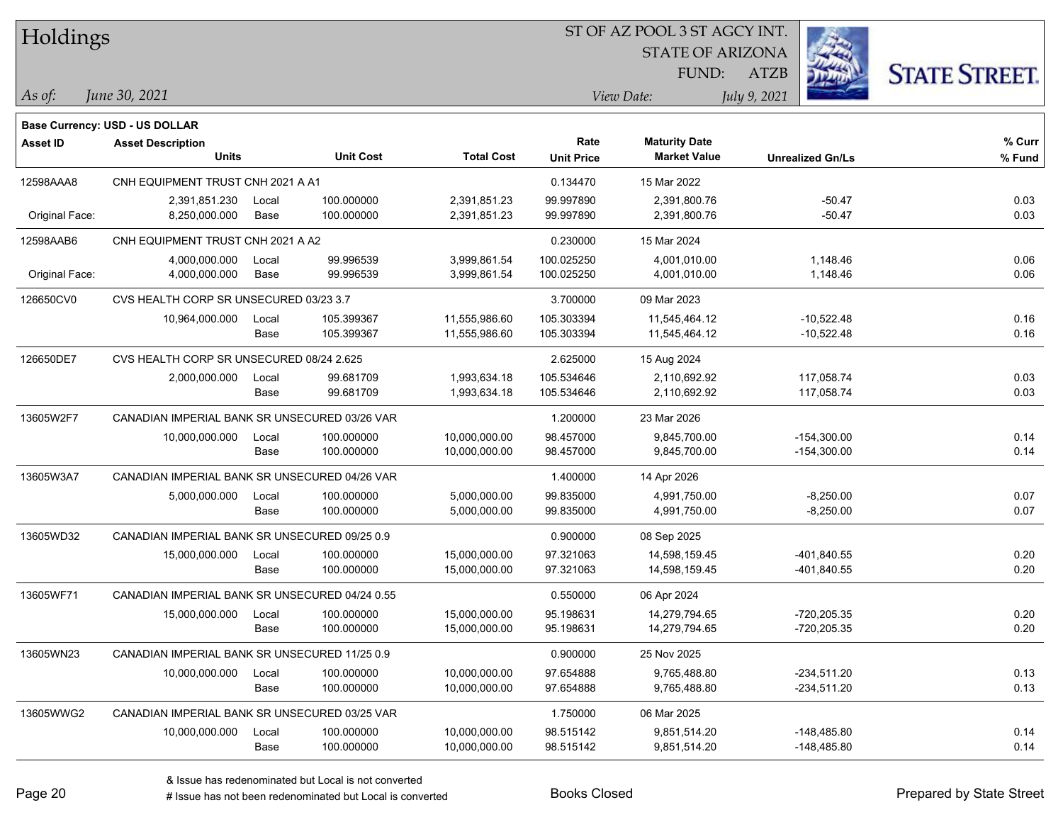| Holdings        |                                                |       |                  | ST OF AZ POOL 3 ST AGCY INT. |                   |                         |                         |                      |  |  |
|-----------------|------------------------------------------------|-------|------------------|------------------------------|-------------------|-------------------------|-------------------------|----------------------|--|--|
|                 |                                                |       |                  |                              |                   | <b>STATE OF ARIZONA</b> |                         |                      |  |  |
|                 |                                                |       |                  |                              |                   | FUND:                   | <b>ATZB</b>             | <b>STATE STREET.</b> |  |  |
| As of:          | June 30, 2021                                  |       |                  |                              |                   | View Date:              | July 9, 2021            |                      |  |  |
|                 | Base Currency: USD - US DOLLAR                 |       |                  |                              |                   |                         |                         |                      |  |  |
| <b>Asset ID</b> | <b>Asset Description</b>                       |       |                  |                              | Rate              | <b>Maturity Date</b>    |                         | % Curr               |  |  |
|                 | <b>Units</b>                                   |       | <b>Unit Cost</b> | <b>Total Cost</b>            | <b>Unit Price</b> | <b>Market Value</b>     | <b>Unrealized Gn/Ls</b> | % Fund               |  |  |
| 12598AAA8       | CNH EQUIPMENT TRUST CNH 2021 A A1              |       |                  |                              | 0.134470          | 15 Mar 2022             |                         |                      |  |  |
|                 | 2,391,851.230                                  | Local | 100.000000       | 2,391,851.23                 | 99.997890         | 2,391,800.76            | -50.47                  | 0.03                 |  |  |
| Original Face:  | 8,250,000.000                                  | Base  | 100.000000       | 2,391,851.23                 | 99.997890         | 2,391,800.76            | $-50.47$                | 0.03                 |  |  |
| 12598AAB6       | CNH EQUIPMENT TRUST CNH 2021 A A2              |       |                  |                              | 0.230000          | 15 Mar 2024             |                         |                      |  |  |
|                 | 4,000,000.000                                  | Local | 99.996539        | 3,999,861.54                 | 100.025250        | 4,001,010.00            | 1,148.46                | 0.06                 |  |  |
| Original Face:  | 4,000,000.000                                  | Base  | 99.996539        | 3,999,861.54                 | 100.025250        | 4,001,010.00            | 1,148.46                | 0.06                 |  |  |
| 126650CV0       | CVS HEALTH CORP SR UNSECURED 03/23 3.7         |       |                  |                              | 3.700000          | 09 Mar 2023             |                         |                      |  |  |
|                 | 10,964,000.000                                 | Local | 105.399367       | 11,555,986.60                | 105.303394        | 11,545,464.12           | $-10,522.48$            | 0.16                 |  |  |
|                 |                                                | Base  | 105.399367       | 11,555,986.60                | 105.303394        | 11,545,464.12           | $-10,522.48$            | 0.16                 |  |  |
| 126650DE7       | CVS HEALTH CORP SR UNSECURED 08/24 2.625       |       |                  |                              | 2.625000          | 15 Aug 2024             |                         |                      |  |  |
|                 | 2,000,000.000                                  | Local | 99.681709        | 1,993,634.18                 | 105.534646        | 2,110,692.92            | 117.058.74              | 0.03                 |  |  |
|                 |                                                | Base  | 99.681709        | 1,993,634.18                 | 105.534646        | 2,110,692.92            | 117,058.74              | 0.03                 |  |  |
| 13605W2F7       | CANADIAN IMPERIAL BANK SR UNSECURED 03/26 VAR  |       |                  |                              | 1.200000          | 23 Mar 2026             |                         |                      |  |  |
|                 | 10,000,000.000                                 | Local | 100.000000       | 10,000,000.00                | 98.457000         | 9,845,700.00            | $-154,300.00$           | 0.14                 |  |  |
|                 |                                                | Base  | 100.000000       | 10,000,000.00                | 98.457000         | 9,845,700.00            | $-154,300.00$           | 0.14                 |  |  |
| 13605W3A7       | CANADIAN IMPERIAL BANK SR UNSECURED 04/26 VAR  |       |                  |                              | 1.400000          | 14 Apr 2026             |                         |                      |  |  |
|                 | 5,000,000.000                                  | Local | 100.000000       | 5,000,000.00                 | 99.835000         | 4,991,750.00            | $-8,250.00$             | 0.07                 |  |  |
|                 |                                                | Base  | 100.000000       | 5,000,000.00                 | 99.835000         | 4,991,750.00            | $-8,250.00$             | 0.07                 |  |  |
| 13605WD32       | CANADIAN IMPERIAL BANK SR UNSECURED 09/25 0.9  |       |                  |                              | 0.900000          | 08 Sep 2025             |                         |                      |  |  |
|                 | 15,000,000.000                                 | Local | 100.000000       | 15,000,000.00                | 97.321063         | 14,598,159.45           | -401,840.55             | 0.20                 |  |  |
|                 |                                                | Base  | 100.000000       | 15,000,000.00                | 97.321063         | 14,598,159.45           | -401,840.55             | 0.20                 |  |  |
| 13605WF71       | CANADIAN IMPERIAL BANK SR UNSECURED 04/24 0.55 |       |                  |                              | 0.550000          | 06 Apr 2024             |                         |                      |  |  |
|                 | 15,000,000.000                                 | Local | 100.000000       | 15,000,000.00                | 95.198631         | 14,279,794.65           | -720,205.35             | 0.20                 |  |  |
|                 |                                                | Base  | 100.000000       | 15,000,000.00                | 95.198631         | 14,279,794.65           | $-720,205.35$           | 0.20                 |  |  |
| 13605WN23       | CANADIAN IMPERIAL BANK SR UNSECURED 11/25 0.9  |       |                  |                              | 0.900000          | 25 Nov 2025             |                         |                      |  |  |
|                 | 10,000,000.000                                 | Local | 100.000000       | 10,000,000.00                | 97.654888         | 9,765,488.80            | $-234,511.20$           | 0.13                 |  |  |
|                 |                                                | Base  | 100.000000       | 10,000,000.00                | 97.654888         | 9,765,488.80            | $-234,511.20$           | 0.13                 |  |  |
| 13605WWG2       | CANADIAN IMPERIAL BANK SR UNSECURED 03/25 VAR  |       |                  |                              | 1.750000          | 06 Mar 2025             |                         |                      |  |  |
|                 | 10,000,000.000                                 | Local | 100.000000       | 10,000,000.00                | 98.515142         | 9,851,514.20            | $-148,485.80$           | 0.14                 |  |  |
|                 |                                                | Base  | 100.000000       | 10,000,000.00                | 98.515142         | 9,851,514.20            | $-148,485.80$           | 0.14                 |  |  |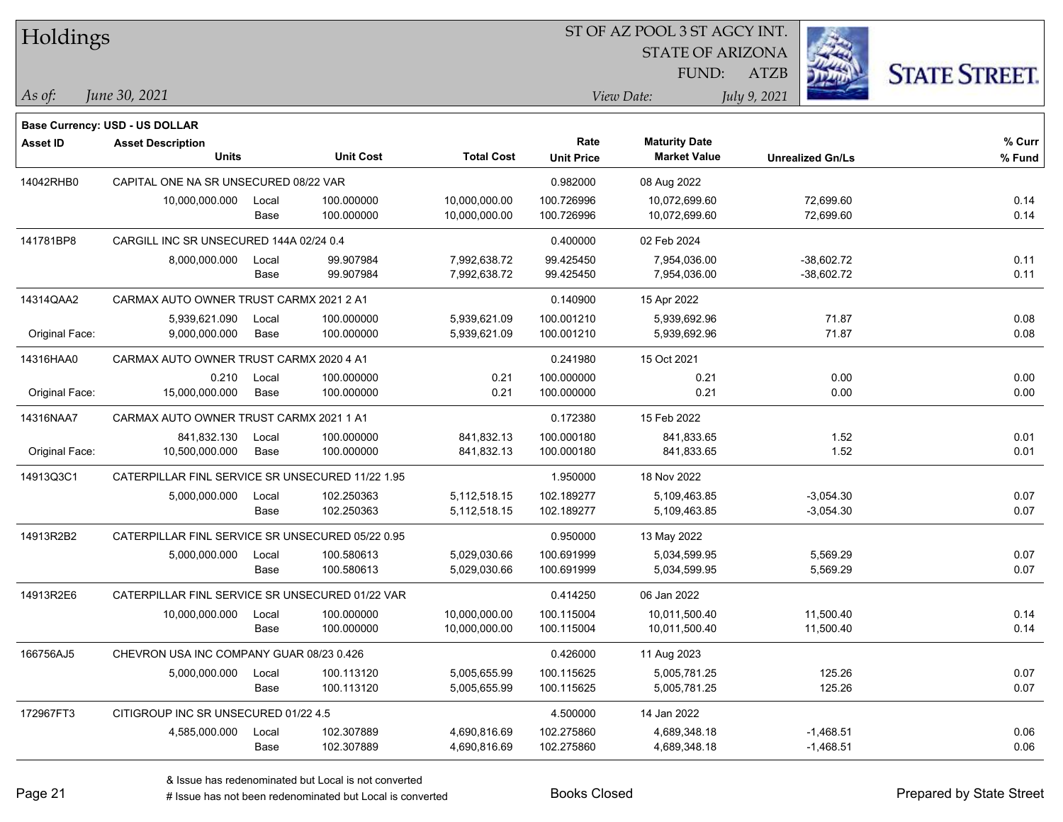| Holdings        |                                                            |       |                  |                   | ST OF AZ POOL 3 ST AGCY INT. |                         |                         |                      |  |  |
|-----------------|------------------------------------------------------------|-------|------------------|-------------------|------------------------------|-------------------------|-------------------------|----------------------|--|--|
|                 |                                                            |       |                  |                   |                              | <b>STATE OF ARIZONA</b> |                         |                      |  |  |
|                 |                                                            |       |                  |                   |                              | FUND:                   | <b>ATZB</b>             | <b>STATE STREET.</b> |  |  |
| As of:          | June 30, 2021                                              |       |                  |                   |                              | View Date:              | July 9, 2021            |                      |  |  |
|                 |                                                            |       |                  |                   |                              |                         |                         |                      |  |  |
| <b>Asset ID</b> | Base Currency: USD - US DOLLAR<br><b>Asset Description</b> |       |                  |                   | Rate                         | <b>Maturity Date</b>    |                         | % Curr               |  |  |
|                 | <b>Units</b>                                               |       | <b>Unit Cost</b> | <b>Total Cost</b> | <b>Unit Price</b>            | <b>Market Value</b>     | <b>Unrealized Gn/Ls</b> | % Fund               |  |  |
| 14042RHB0       | CAPITAL ONE NA SR UNSECURED 08/22 VAR                      |       |                  |                   | 0.982000                     | 08 Aug 2022             |                         |                      |  |  |
|                 | 10,000,000.000                                             | Local | 100.000000       | 10,000,000.00     | 100.726996                   | 10,072,699.60           | 72,699.60               | 0.14                 |  |  |
|                 |                                                            | Base  | 100.000000       | 10,000,000.00     | 100.726996                   | 10,072,699.60           | 72,699.60               | 0.14                 |  |  |
| 141781BP8       | CARGILL INC SR UNSECURED 144A 02/24 0.4                    |       |                  |                   | 0.400000                     | 02 Feb 2024             |                         |                      |  |  |
|                 | 8,000,000.000                                              | Local | 99.907984        | 7,992,638.72      | 99.425450                    | 7,954,036.00            | $-38,602.72$            | 0.11                 |  |  |
|                 |                                                            | Base  | 99.907984        | 7,992,638.72      | 99.425450                    | 7,954,036.00            | $-38,602.72$            | 0.11                 |  |  |
| 14314QAA2       | CARMAX AUTO OWNER TRUST CARMX 2021 2 A1                    |       |                  |                   | 0.140900                     | 15 Apr 2022             |                         |                      |  |  |
|                 | 5,939,621.090                                              | Local | 100.000000       | 5,939,621.09      | 100.001210                   | 5,939,692.96            | 71.87                   | 0.08                 |  |  |
| Original Face:  | 9,000,000.000                                              | Base  | 100.000000       | 5,939,621.09      | 100.001210                   | 5,939,692.96            | 71.87                   | 0.08                 |  |  |
| 14316HAA0       | CARMAX AUTO OWNER TRUST CARMX 2020 4 A1                    |       |                  |                   | 0.241980                     | 15 Oct 2021             |                         |                      |  |  |
|                 | 0.210                                                      | Local | 100.000000       | 0.21              | 100.000000                   | 0.21                    | 0.00                    | 0.00                 |  |  |
| Original Face:  | 15,000,000.000                                             | Base  | 100.000000       | 0.21              | 100.000000                   | 0.21                    | 0.00                    | 0.00                 |  |  |
| 14316NAA7       | CARMAX AUTO OWNER TRUST CARMX 2021 1 A1                    |       |                  |                   | 0.172380                     | 15 Feb 2022             |                         |                      |  |  |
|                 | 841,832.130                                                | Local | 100.000000       | 841,832.13        | 100.000180                   | 841,833.65              | 1.52                    | 0.01                 |  |  |
| Original Face:  | 10,500,000.000                                             | Base  | 100.000000       | 841,832.13        | 100.000180                   | 841,833.65              | 1.52                    | 0.01                 |  |  |
| 14913Q3C1       | CATERPILLAR FINL SERVICE SR UNSECURED 11/22 1.95           |       |                  |                   | 1.950000                     | 18 Nov 2022             |                         |                      |  |  |
|                 | 5,000,000.000                                              | Local | 102.250363       | 5,112,518.15      | 102.189277                   | 5,109,463.85            | $-3,054.30$             | 0.07                 |  |  |
|                 |                                                            | Base  | 102.250363       | 5,112,518.15      | 102.189277                   | 5,109,463.85            | $-3,054.30$             | 0.07                 |  |  |
| 14913R2B2       | CATERPILLAR FINL SERVICE SR UNSECURED 05/22 0.95           |       |                  |                   | 0.950000                     | 13 May 2022             |                         |                      |  |  |
|                 | 5,000,000.000                                              | Local | 100.580613       | 5,029,030.66      | 100.691999                   | 5,034,599.95            | 5,569.29                | 0.07                 |  |  |
|                 |                                                            | Base  | 100.580613       | 5,029,030.66      | 100.691999                   | 5,034,599.95            | 5,569.29                | 0.07                 |  |  |
| 14913R2E6       | CATERPILLAR FINL SERVICE SR UNSECURED 01/22 VAR            |       |                  |                   | 0.414250                     | 06 Jan 2022             |                         |                      |  |  |
|                 | 10,000,000.000                                             | Local | 100.000000       | 10,000,000.00     | 100.115004                   | 10,011,500.40           | 11,500.40               | 0.14                 |  |  |
|                 |                                                            | Base  | 100.000000       | 10,000,000.00     | 100.115004                   | 10,011,500.40           | 11,500.40               | 0.14                 |  |  |
| 166756AJ5       | CHEVRON USA INC COMPANY GUAR 08/23 0.426                   |       |                  |                   | 0.426000                     | 11 Aug 2023             |                         |                      |  |  |
|                 | 5,000,000.000                                              | Local | 100.113120       | 5,005,655.99      | 100.115625                   | 5,005,781.25            | 125.26                  | 0.07                 |  |  |
|                 |                                                            | Base  | 100.113120       | 5,005,655.99      | 100.115625                   | 5,005,781.25            | 125.26                  | 0.07                 |  |  |
| 172967FT3       | CITIGROUP INC SR UNSECURED 01/22 4.5                       |       |                  |                   | 4.500000                     | 14 Jan 2022             |                         |                      |  |  |
|                 | 4,585,000.000                                              | Local | 102.307889       | 4,690,816.69      | 102.275860                   | 4,689,348.18            | $-1,468.51$             | 0.06                 |  |  |
|                 |                                                            | Base  | 102.307889       | 4,690,816.69      | 102.275860                   | 4,689,348.18            | $-1,468.51$             | 0.06                 |  |  |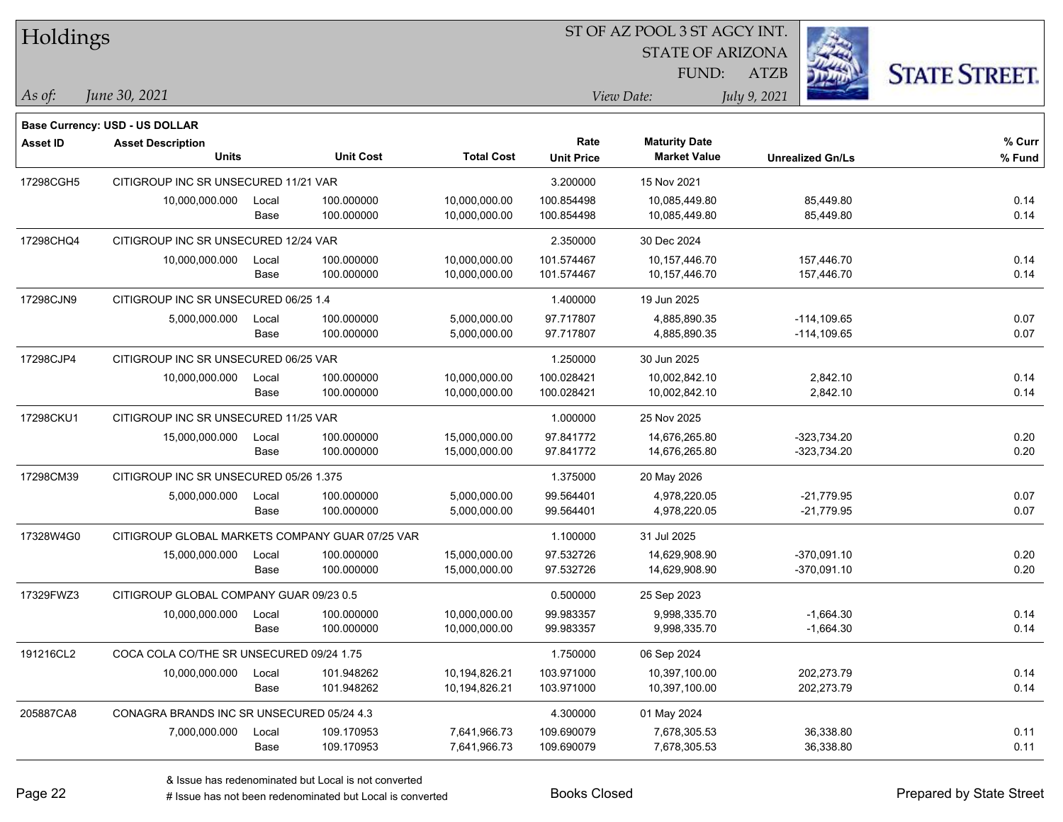| Holdings        |                                                 |       |                  |                   |                   | ST OF AZ POOL 3 ST AGCY INT. |                         |                      |
|-----------------|-------------------------------------------------|-------|------------------|-------------------|-------------------|------------------------------|-------------------------|----------------------|
|                 |                                                 |       |                  |                   |                   | <b>STATE OF ARIZONA</b>      |                         |                      |
|                 |                                                 |       |                  |                   |                   | FUND:                        | <b>ATZB</b>             | <b>STATE STREET.</b> |
| As of:          | June 30, 2021                                   |       |                  |                   |                   | View Date:                   | July 9, 2021            |                      |
|                 | <b>Base Currency: USD - US DOLLAR</b>           |       |                  |                   |                   |                              |                         |                      |
| <b>Asset ID</b> | <b>Asset Description</b>                        |       |                  |                   | Rate              | <b>Maturity Date</b>         |                         | % Curr               |
|                 | <b>Units</b>                                    |       | <b>Unit Cost</b> | <b>Total Cost</b> | <b>Unit Price</b> | <b>Market Value</b>          | <b>Unrealized Gn/Ls</b> | % Fund               |
| 17298CGH5       | CITIGROUP INC SR UNSECURED 11/21 VAR            |       |                  |                   | 3.200000          | 15 Nov 2021                  |                         |                      |
|                 | 10,000,000.000                                  | Local | 100.000000       | 10,000,000.00     | 100.854498        | 10,085,449.80                | 85,449.80               | 0.14                 |
|                 |                                                 | Base  | 100.000000       | 10,000,000.00     | 100.854498        | 10,085,449.80                | 85,449.80               | 0.14                 |
| 17298CHQ4       | CITIGROUP INC SR UNSECURED 12/24 VAR            |       |                  |                   | 2.350000          | 30 Dec 2024                  |                         |                      |
|                 | 10,000,000.000                                  | Local | 100.000000       | 10,000,000.00     | 101.574467        | 10,157,446.70                | 157,446.70              | 0.14                 |
|                 |                                                 | Base  | 100.000000       | 10,000,000.00     | 101.574467        | 10,157,446.70                | 157,446.70              | 0.14                 |
| 17298CJN9       | CITIGROUP INC SR UNSECURED 06/25 1.4            |       |                  |                   | 1.400000          | 19 Jun 2025                  |                         |                      |
|                 | 5,000,000.000                                   | Local | 100.000000       | 5,000,000.00      | 97.717807         | 4,885,890.35                 | $-114, 109.65$          | 0.07                 |
|                 |                                                 | Base  | 100.000000       | 5,000,000.00      | 97.717807         | 4,885,890.35                 | $-114, 109.65$          | 0.07                 |
| 17298CJP4       | CITIGROUP INC SR UNSECURED 06/25 VAR            |       |                  |                   | 1.250000          | 30 Jun 2025                  |                         |                      |
|                 | 10,000,000.000                                  | Local | 100.000000       | 10,000,000.00     | 100.028421        | 10,002,842.10                | 2,842.10                | 0.14                 |
|                 |                                                 | Base  | 100.000000       | 10,000,000.00     | 100.028421        | 10,002,842.10                | 2,842.10                | 0.14                 |
| 17298CKU1       | CITIGROUP INC SR UNSECURED 11/25 VAR            |       |                  |                   | 1.000000          | 25 Nov 2025                  |                         |                      |
|                 | 15,000,000.000                                  | Local | 100.000000       | 15,000,000.00     | 97.841772         | 14,676,265.80                | $-323,734.20$           | 0.20                 |
|                 |                                                 | Base  | 100.000000       | 15,000,000.00     | 97.841772         | 14,676,265.80                | $-323,734.20$           | 0.20                 |
| 17298CM39       | CITIGROUP INC SR UNSECURED 05/26 1.375          |       |                  |                   | 1.375000          | 20 May 2026                  |                         |                      |
|                 | 5,000,000.000                                   | Local | 100.000000       | 5,000,000.00      | 99.564401         | 4,978,220.05                 | $-21,779.95$            | 0.07                 |
|                 |                                                 | Base  | 100.000000       | 5,000,000.00      | 99.564401         | 4,978,220.05                 | $-21,779.95$            | 0.07                 |
| 17328W4G0       | CITIGROUP GLOBAL MARKETS COMPANY GUAR 07/25 VAR |       |                  |                   | 1.100000          | 31 Jul 2025                  |                         |                      |
|                 | 15,000,000.000                                  | Local | 100.000000       | 15,000,000.00     | 97.532726         | 14,629,908.90                | $-370,091.10$           | 0.20                 |
|                 |                                                 | Base  | 100.000000       | 15,000,000.00     | 97.532726         | 14,629,908.90                | $-370,091.10$           | 0.20                 |
| 17329FWZ3       | CITIGROUP GLOBAL COMPANY GUAR 09/23 0.5         |       |                  |                   | 0.500000          | 25 Sep 2023                  |                         |                      |
|                 | 10,000,000.000                                  | Local | 100.000000       | 10,000,000.00     | 99.983357         | 9,998,335.70                 | $-1,664.30$             | 0.14                 |
|                 |                                                 | Base  | 100.000000       | 10,000,000.00     | 99.983357         | 9,998,335.70                 | $-1,664.30$             | 0.14                 |
| 191216CL2       | COCA COLA CO/THE SR UNSECURED 09/24 1.75        |       |                  |                   | 1.750000          | 06 Sep 2024                  |                         |                      |
|                 | 10,000,000.000                                  | Local | 101.948262       | 10,194,826.21     | 103.971000        | 10,397,100.00                | 202,273.79              | 0.14                 |
|                 |                                                 | Base  | 101.948262       | 10,194,826.21     | 103.971000        | 10,397,100.00                | 202,273.79              | 0.14                 |
| 205887CA8       | CONAGRA BRANDS INC SR UNSECURED 05/24 4.3       |       |                  |                   | 4.300000          | 01 May 2024                  |                         |                      |
|                 | 7,000,000.000                                   | Local | 109.170953       | 7,641,966.73      | 109.690079        | 7,678,305.53                 | 36,338.80               | 0.11                 |
|                 |                                                 | Base  | 109.170953       | 7,641,966.73      | 109.690079        | 7,678,305.53                 | 36,338.80               | 0.11                 |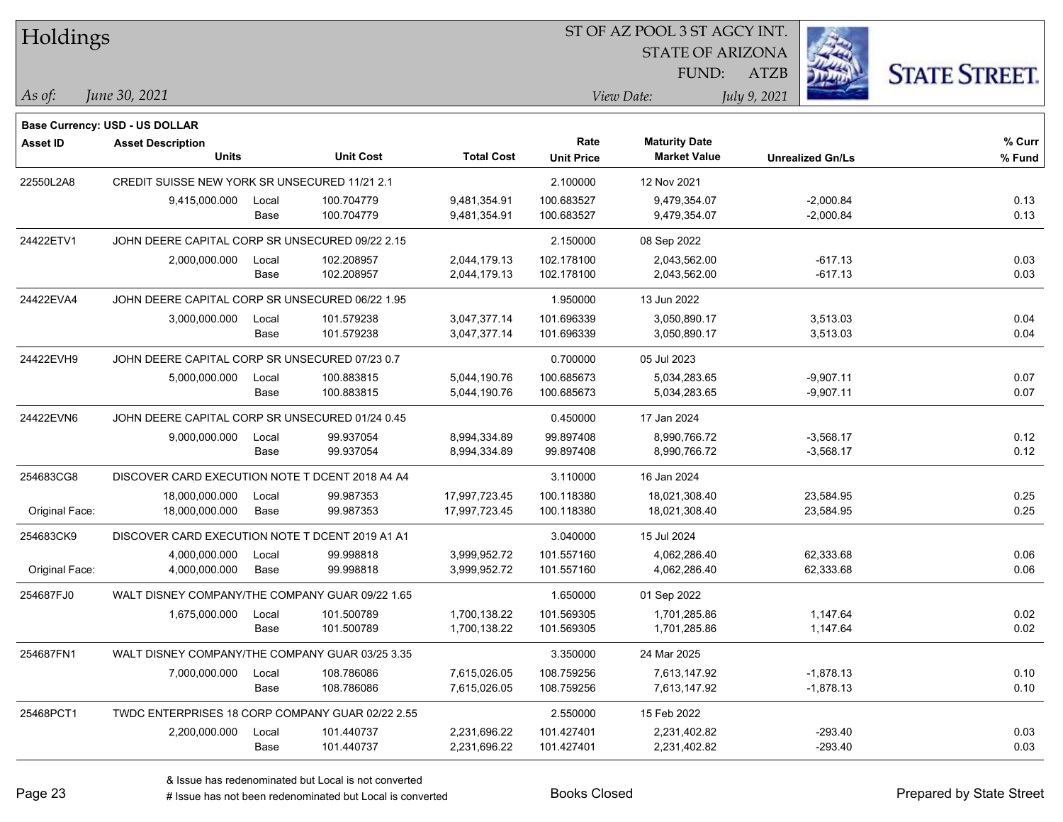| Holdings        |                                                  |       |                  |                   |                   | ST OF AZ POOL 3 ST AGCY INT. |              |                         |                      |
|-----------------|--------------------------------------------------|-------|------------------|-------------------|-------------------|------------------------------|--------------|-------------------------|----------------------|
|                 |                                                  |       |                  |                   |                   | <b>STATE OF ARIZONA</b>      |              |                         |                      |
|                 |                                                  |       |                  |                   |                   | FUND:                        | <b>ATZB</b>  |                         | <b>STATE STREET.</b> |
| As of:          | June 30, 2021                                    |       |                  |                   |                   | View Date:                   | July 9, 2021 |                         |                      |
|                 | <b>Base Currency: USD - US DOLLAR</b>            |       |                  |                   |                   |                              |              |                         |                      |
| <b>Asset ID</b> | <b>Asset Description</b>                         |       |                  |                   | Rate              | <b>Maturity Date</b>         |              |                         | % Curr               |
|                 | <b>Units</b>                                     |       | <b>Unit Cost</b> | <b>Total Cost</b> | <b>Unit Price</b> | <b>Market Value</b>          |              | <b>Unrealized Gn/Ls</b> | % Fund               |
| 22550L2A8       | CREDIT SUISSE NEW YORK SR UNSECURED 11/21 2.1    |       |                  |                   | 2.100000          | 12 Nov 2021                  |              |                         |                      |
|                 | 9,415,000.000                                    | Local | 100.704779       | 9,481,354.91      | 100.683527        | 9,479,354.07                 |              | $-2,000.84$             | 0.13                 |
|                 |                                                  | Base  | 100.704779       | 9,481,354.91      | 100.683527        | 9,479,354.07                 |              | $-2,000.84$             | 0.13                 |
| 24422ETV1       | JOHN DEERE CAPITAL CORP SR UNSECURED 09/22 2.15  |       |                  |                   | 2.150000          | 08 Sep 2022                  |              |                         |                      |
|                 | 2,000,000.000                                    | Local | 102.208957       | 2,044,179.13      | 102.178100        | 2,043,562.00                 |              | $-617.13$               | 0.03                 |
|                 |                                                  | Base  | 102.208957       | 2,044,179.13      | 102.178100        | 2,043,562.00                 |              | $-617.13$               | 0.03                 |
| 24422EVA4       | JOHN DEERE CAPITAL CORP SR UNSECURED 06/22 1.95  |       |                  |                   | 1.950000          | 13 Jun 2022                  |              |                         |                      |
|                 | 3,000,000.000                                    | Local | 101.579238       | 3,047,377.14      | 101.696339        | 3,050,890.17                 |              | 3,513.03                | 0.04                 |
|                 |                                                  | Base  | 101.579238       | 3,047,377.14      | 101.696339        | 3,050,890.17                 |              | 3,513.03                | 0.04                 |
| 24422EVH9       | JOHN DEERE CAPITAL CORP SR UNSECURED 07/23 0.7   |       |                  |                   | 0.700000          | 05 Jul 2023                  |              |                         |                      |
|                 | 5,000,000.000                                    | Local | 100.883815       | 5,044,190.76      | 100.685673        | 5,034,283.65                 |              | $-9,907.11$             | 0.07                 |
|                 |                                                  | Base  | 100.883815       | 5,044,190.76      | 100.685673        | 5,034,283.65                 |              | $-9,907.11$             | 0.07                 |
| 24422EVN6       | JOHN DEERE CAPITAL CORP SR UNSECURED 01/24 0.45  |       |                  |                   | 0.450000          | 17 Jan 2024                  |              |                         |                      |
|                 | 9,000,000.000                                    | Local | 99.937054        | 8,994,334.89      | 99.897408         | 8,990,766.72                 |              | $-3,568.17$             | 0.12                 |
|                 |                                                  | Base  | 99.937054        | 8,994,334.89      | 99.897408         | 8,990,766.72                 |              | $-3,568.17$             | 0.12                 |
| 254683CG8       | DISCOVER CARD EXECUTION NOTE T DCENT 2018 A4 A4  |       |                  |                   | 3.110000          | 16 Jan 2024                  |              |                         |                      |
|                 | 18,000,000.000                                   | Local | 99.987353        | 17,997,723.45     | 100.118380        | 18,021,308.40                |              | 23,584.95               | 0.25                 |
| Original Face:  | 18,000,000.000                                   | Base  | 99.987353        | 17,997,723.45     | 100.118380        | 18,021,308.40                |              | 23,584.95               | 0.25                 |
| 254683CK9       | DISCOVER CARD EXECUTION NOTE T DCENT 2019 A1 A1  |       |                  |                   | 3.040000          | 15 Jul 2024                  |              |                         |                      |
|                 | 4,000,000.000                                    | Local | 99.998818        | 3,999,952.72      | 101.557160        | 4,062,286.40                 |              | 62,333.68               | 0.06                 |
| Original Face:  | 4,000,000.000                                    | Base  | 99.998818        | 3,999,952.72      | 101.557160        | 4,062,286.40                 |              | 62,333.68               | 0.06                 |
| 254687FJ0       | WALT DISNEY COMPANY/THE COMPANY GUAR 09/22 1.65  |       |                  |                   | 1.650000          | 01 Sep 2022                  |              |                         |                      |
|                 | 1,675,000.000                                    | Local | 101.500789       | 1,700,138.22      | 101.569305        | 1,701,285.86                 |              | 1,147.64                | 0.02                 |
|                 |                                                  | Base  | 101.500789       | 1,700,138.22      | 101.569305        | 1,701,285.86                 |              | 1,147.64                | 0.02                 |
| 254687FN1       | WALT DISNEY COMPANY/THE COMPANY GUAR 03/25 3.35  |       |                  |                   | 3.350000          | 24 Mar 2025                  |              |                         |                      |
|                 | 7,000,000.000                                    | Local | 108.786086       | 7,615,026.05      | 108.759256        | 7,613,147.92                 |              | $-1,878.13$             | 0.10                 |
|                 |                                                  | Base  | 108.786086       | 7,615,026.05      | 108.759256        | 7,613,147.92                 |              | $-1,878.13$             | 0.10                 |
| 25468PCT1       | TWDC ENTERPRISES 18 CORP COMPANY GUAR 02/22 2.55 |       |                  |                   | 2.550000          | 15 Feb 2022                  |              |                         |                      |
|                 | 2,200,000.000                                    | Local | 101.440737       | 2,231,696.22      | 101.427401        | 2,231,402.82                 |              | -293.40                 | 0.03                 |
|                 |                                                  | Base  | 101.440737       | 2,231,696.22      | 101.427401        | 2,231,402.82                 |              | $-293.40$               | 0.03                 |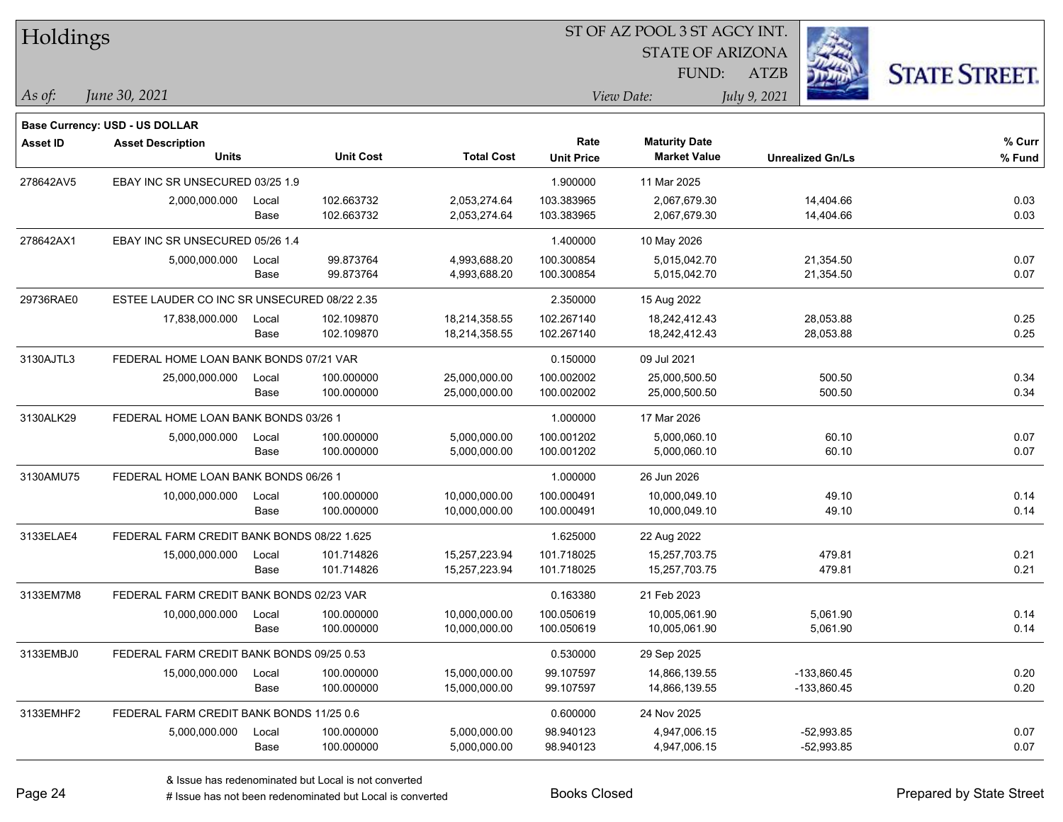| Holdings        |                                             |       |                  |                   | 51 OF AZ POOL 351 AGCY INT. |                                             |                         |                     |
|-----------------|---------------------------------------------|-------|------------------|-------------------|-----------------------------|---------------------------------------------|-------------------------|---------------------|
|                 |                                             |       |                  |                   |                             | <b>STATE OF ARIZONA</b>                     | 33                      |                     |
|                 |                                             |       |                  |                   |                             | FUND:                                       | ATZB                    | <b>STATE STREET</b> |
| $\vert$ As of:  | June 30, 2021                               |       |                  |                   |                             | View Date:                                  | July 9, 2021            |                     |
|                 |                                             |       |                  |                   |                             |                                             |                         |                     |
|                 | <b>Base Currency: USD - US DOLLAR</b>       |       |                  |                   | Rate                        |                                             |                         | % Curr              |
| <b>Asset ID</b> | <b>Asset Description</b><br><b>Units</b>    |       | <b>Unit Cost</b> | <b>Total Cost</b> | <b>Unit Price</b>           | <b>Maturity Date</b><br><b>Market Value</b> | <b>Unrealized Gn/Ls</b> | % Fund              |
| 278642AV5       | EBAY INC SR UNSECURED 03/25 1.9             |       |                  |                   | 1.900000                    | 11 Mar 2025                                 |                         |                     |
|                 | 2,000,000.000                               | Local | 102.663732       | 2,053,274.64      | 103.383965                  | 2.067.679.30                                | 14,404.66               | 0.03                |
|                 |                                             | Base  | 102.663732       | 2,053,274.64      | 103.383965                  | 2,067,679.30                                | 14,404.66               | 0.03                |
| 278642AX1       | EBAY INC SR UNSECURED 05/26 1.4             |       |                  |                   | 1.400000                    | 10 May 2026                                 |                         |                     |
|                 | 5,000,000.000                               | Local | 99.873764        | 4,993,688.20      | 100.300854                  | 5,015,042.70                                | 21,354.50               | 0.07                |
|                 |                                             | Base  | 99.873764        | 4,993,688.20      | 100.300854                  | 5,015,042.70                                | 21,354.50               | 0.07                |
| 29736RAE0       | ESTEE LAUDER CO INC SR UNSECURED 08/22 2.35 |       |                  |                   | 2.350000                    | 15 Aug 2022                                 |                         |                     |
|                 | 17,838,000.000                              | Local | 102.109870       | 18,214,358.55     | 102.267140                  | 18,242,412.43                               | 28,053.88               | 0.25                |
|                 |                                             | Base  | 102.109870       | 18,214,358.55     | 102.267140                  | 18,242,412.43                               | 28,053.88               | 0.25                |
| 3130AJTL3       | FEDERAL HOME LOAN BANK BONDS 07/21 VAR      |       |                  |                   | 0.150000                    | 09 Jul 2021                                 |                         |                     |
|                 | 25,000,000.000                              | Local | 100.000000       | 25,000,000.00     | 100.002002                  | 25,000,500.50                               | 500.50                  | 0.34                |
|                 |                                             | Base  | 100.000000       | 25,000,000.00     | 100.002002                  | 25,000,500.50                               | 500.50                  | 0.34                |
| 3130ALK29       | FEDERAL HOME LOAN BANK BONDS 03/26 1        |       |                  |                   | 1.000000                    | 17 Mar 2026                                 |                         |                     |
|                 | 5,000,000.000                               | Local | 100.000000       | 5,000,000.00      | 100.001202                  | 5,000,060.10                                | 60.10                   | 0.07                |
|                 |                                             | Base  | 100.000000       | 5,000,000.00      | 100.001202                  | 5,000,060.10                                | 60.10                   | 0.07                |
| 3130AMU75       | FEDERAL HOME LOAN BANK BONDS 06/26 1        |       |                  |                   | 1.000000                    | 26 Jun 2026                                 |                         |                     |
|                 | 10,000,000.000                              | Local | 100.000000       | 10,000,000.00     | 100.000491                  | 10,000,049.10                               | 49.10                   | 0.14                |
|                 |                                             | Base  | 100.000000       | 10,000,000.00     | 100.000491                  | 10,000,049.10                               | 49.10                   | 0.14                |
| 3133ELAE4       | FEDERAL FARM CREDIT BANK BONDS 08/22 1.625  |       |                  |                   | 1.625000                    | 22 Aug 2022                                 |                         |                     |
|                 | 15,000,000.000                              | Local | 101.714826       | 15,257,223.94     | 101.718025                  | 15,257,703.75                               | 479.81                  | 0.21                |
|                 |                                             | Base  | 101.714826       | 15,257,223.94     | 101.718025                  | 15,257,703.75                               | 479.81                  | 0.21                |
| 3133EM7M8       | FEDERAL FARM CREDIT BANK BONDS 02/23 VAR    |       |                  |                   | 0.163380                    | 21 Feb 2023                                 |                         |                     |
|                 | 10,000,000.000                              | Local | 100.000000       | 10,000,000.00     | 100.050619                  | 10,005,061.90                               | 5,061.90                | 0.14                |
|                 |                                             | Base  | 100.000000       | 10,000,000.00     | 100.050619                  | 10,005,061.90                               | 5,061.90                | 0.14                |
| 3133EMBJ0       | FEDERAL FARM CREDIT BANK BONDS 09/25 0.53   |       |                  |                   | 0.530000                    | 29 Sep 2025                                 |                         |                     |
|                 | 15,000,000.000                              | Local | 100.000000       | 15,000,000.00     | 99.107597                   | 14,866,139.55                               | $-133,860.45$           | 0.20                |
|                 |                                             | Base  | 100.000000       | 15,000,000.00     | 99.107597                   | 14,866,139.55                               | -133,860.45             | 0.20                |
| 3133EMHF2       | FEDERAL FARM CREDIT BANK BONDS 11/25 0.6    |       |                  |                   | 0.600000                    | 24 Nov 2025                                 |                         |                     |
|                 | 5,000,000.000                               | Local | 100.000000       | 5,000,000.00      | 98.940123                   | 4,947,006.15                                | $-52,993.85$            | 0.07                |
|                 |                                             | Base  | 100.000000       | 5,000,000.00      | 98.940123                   | 4,947,006.15                                | $-52,993.85$            | 0.07                |

 $STOTAT$   $17 DOOT$  3  $ST A GOCH$ 

٦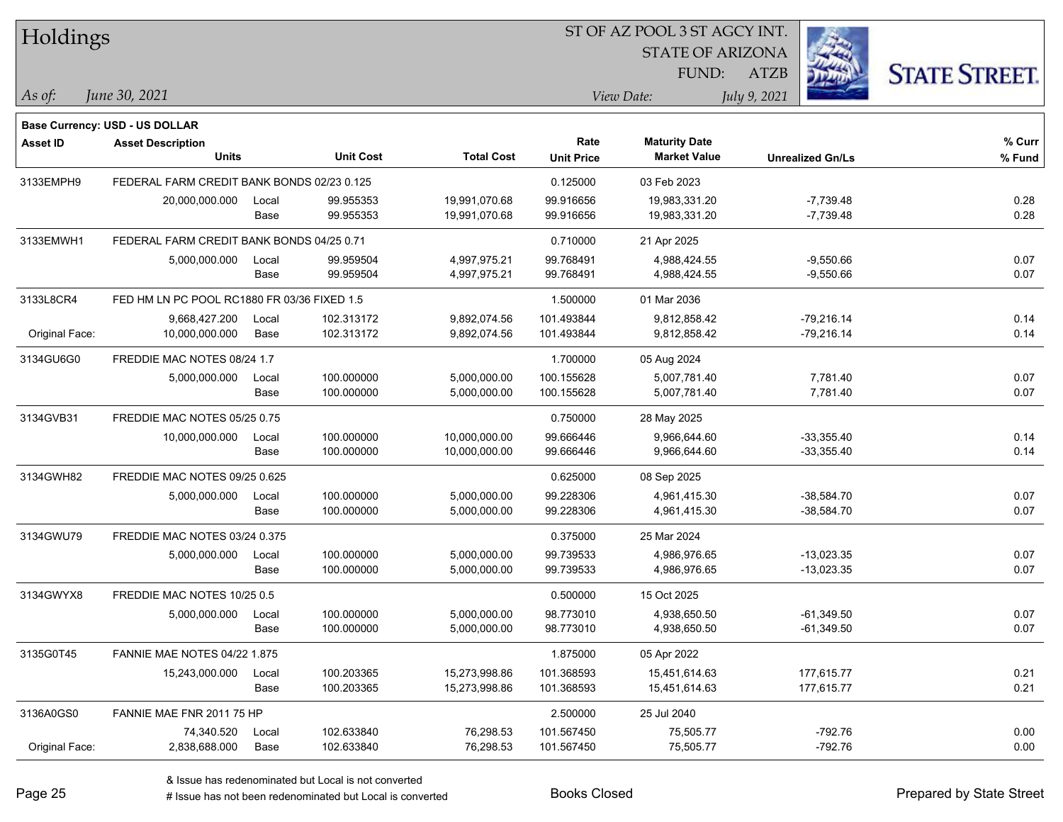| Holdings        |                                             |       |                  |                   | ST OF AZ POOL 3 ST AGCY INT. |                         |              |                         |                      |
|-----------------|---------------------------------------------|-------|------------------|-------------------|------------------------------|-------------------------|--------------|-------------------------|----------------------|
|                 |                                             |       |                  |                   |                              | <b>STATE OF ARIZONA</b> |              |                         |                      |
|                 |                                             |       |                  |                   |                              | FUND:                   | <b>ATZB</b>  |                         | <b>STATE STREET.</b> |
| As of:          | June 30, 2021                               |       |                  |                   |                              | View Date:              | July 9, 2021 |                         |                      |
|                 | <b>Base Currency: USD - US DOLLAR</b>       |       |                  |                   |                              |                         |              |                         |                      |
| <b>Asset ID</b> | <b>Asset Description</b>                    |       |                  |                   | Rate                         | <b>Maturity Date</b>    |              |                         | % Curr               |
|                 | <b>Units</b>                                |       | <b>Unit Cost</b> | <b>Total Cost</b> | <b>Unit Price</b>            | <b>Market Value</b>     |              | <b>Unrealized Gn/Ls</b> | % Fund               |
| 3133EMPH9       | FEDERAL FARM CREDIT BANK BONDS 02/23 0.125  |       |                  |                   | 0.125000                     | 03 Feb 2023             |              |                         |                      |
|                 | 20,000,000.000                              | Local | 99.955353        | 19,991,070.68     | 99.916656                    | 19,983,331.20           |              | $-7,739.48$             | 0.28                 |
|                 |                                             | Base  | 99.955353        | 19,991,070.68     | 99.916656                    | 19,983,331.20           |              | $-7,739.48$             | 0.28                 |
| 3133EMWH1       | FEDERAL FARM CREDIT BANK BONDS 04/25 0.71   |       |                  |                   | 0.710000                     | 21 Apr 2025             |              |                         |                      |
|                 | 5,000,000.000                               | Local | 99.959504        | 4,997,975.21      | 99.768491                    | 4,988,424.55            |              | $-9,550.66$             | 0.07                 |
|                 |                                             | Base  | 99.959504        | 4,997,975.21      | 99.768491                    | 4,988,424.55            |              | $-9,550.66$             | 0.07                 |
| 3133L8CR4       | FED HM LN PC POOL RC1880 FR 03/36 FIXED 1.5 |       |                  |                   | 1.500000                     | 01 Mar 2036             |              |                         |                      |
|                 | 9,668,427.200                               | Local | 102.313172       | 9,892,074.56      | 101.493844                   | 9,812,858.42            |              | $-79,216.14$            | 0.14                 |
| Original Face:  | 10,000,000.000                              | Base  | 102.313172       | 9,892,074.56      | 101.493844                   | 9,812,858.42            |              | $-79,216.14$            | 0.14                 |
| 3134GU6G0       | FREDDIE MAC NOTES 08/24 1.7                 |       |                  |                   | 1.700000                     | 05 Aug 2024             |              |                         |                      |
|                 | 5,000,000.000                               | Local | 100.000000       | 5,000,000.00      | 100.155628                   | 5,007,781.40            |              | 7,781.40                | 0.07                 |
|                 |                                             | Base  | 100.000000       | 5,000,000.00      | 100.155628                   | 5,007,781.40            |              | 7,781.40                | 0.07                 |
| 3134GVB31       | FREDDIE MAC NOTES 05/25 0.75                |       |                  |                   | 0.750000                     | 28 May 2025             |              |                         |                      |
|                 | 10,000,000.000                              | Local | 100.000000       | 10,000,000.00     | 99.666446                    | 9,966,644.60            |              | $-33,355.40$            | 0.14                 |
|                 |                                             | Base  | 100.000000       | 10,000,000.00     | 99.666446                    | 9,966,644.60            |              | $-33,355.40$            | 0.14                 |
| 3134GWH82       | FREDDIE MAC NOTES 09/25 0.625               |       |                  |                   | 0.625000                     | 08 Sep 2025             |              |                         |                      |
|                 | 5,000,000.000                               | Local | 100.000000       | 5,000,000.00      | 99.228306                    | 4,961,415.30            |              | $-38,584.70$            | 0.07                 |
|                 |                                             | Base  | 100.000000       | 5,000,000.00      | 99.228306                    | 4,961,415.30            |              | $-38,584.70$            | 0.07                 |
| 3134GWU79       | FREDDIE MAC NOTES 03/24 0.375               |       |                  |                   | 0.375000                     | 25 Mar 2024             |              |                         |                      |
|                 | 5,000,000.000                               | Local | 100.000000       | 5,000,000.00      | 99.739533                    | 4.986.976.65            |              | $-13,023.35$            | 0.07                 |
|                 |                                             | Base  | 100.000000       | 5,000,000.00      | 99.739533                    | 4,986,976.65            |              | $-13,023.35$            | 0.07                 |
| 3134GWYX8       | FREDDIE MAC NOTES 10/25 0.5                 |       |                  |                   | 0.500000                     | 15 Oct 2025             |              |                         |                      |
|                 | 5,000,000.000                               | Local | 100.000000       | 5,000,000.00      | 98.773010                    | 4,938,650.50            |              | $-61,349.50$            | 0.07                 |
|                 |                                             | Base  | 100.000000       | 5,000,000.00      | 98.773010                    | 4,938,650.50            |              | $-61,349.50$            | 0.07                 |
| 3135G0T45       | <b>FANNIE MAE NOTES 04/22 1.875</b>         |       |                  |                   | 1.875000                     | 05 Apr 2022             |              |                         |                      |
|                 | 15,243,000.000                              | Local | 100.203365       | 15,273,998.86     | 101.368593                   | 15,451,614.63           |              | 177,615.77              | 0.21                 |
|                 |                                             | Base  | 100.203365       | 15,273,998.86     | 101.368593                   | 15,451,614.63           |              | 177,615.77              | 0.21                 |
| 3136A0GS0       | FANNIE MAE FNR 2011 75 HP                   |       |                  |                   | 2.500000                     | 25 Jul 2040             |              |                         |                      |
|                 | 74,340.520                                  | Local | 102.633840       | 76,298.53         | 101.567450                   | 75,505.77               |              | $-792.76$               | 0.00                 |
| Original Face:  | 2,838,688.000                               | Base  | 102.633840       | 76,298.53         | 101.567450                   | 75,505.77               |              | $-792.76$               | 0.00                 |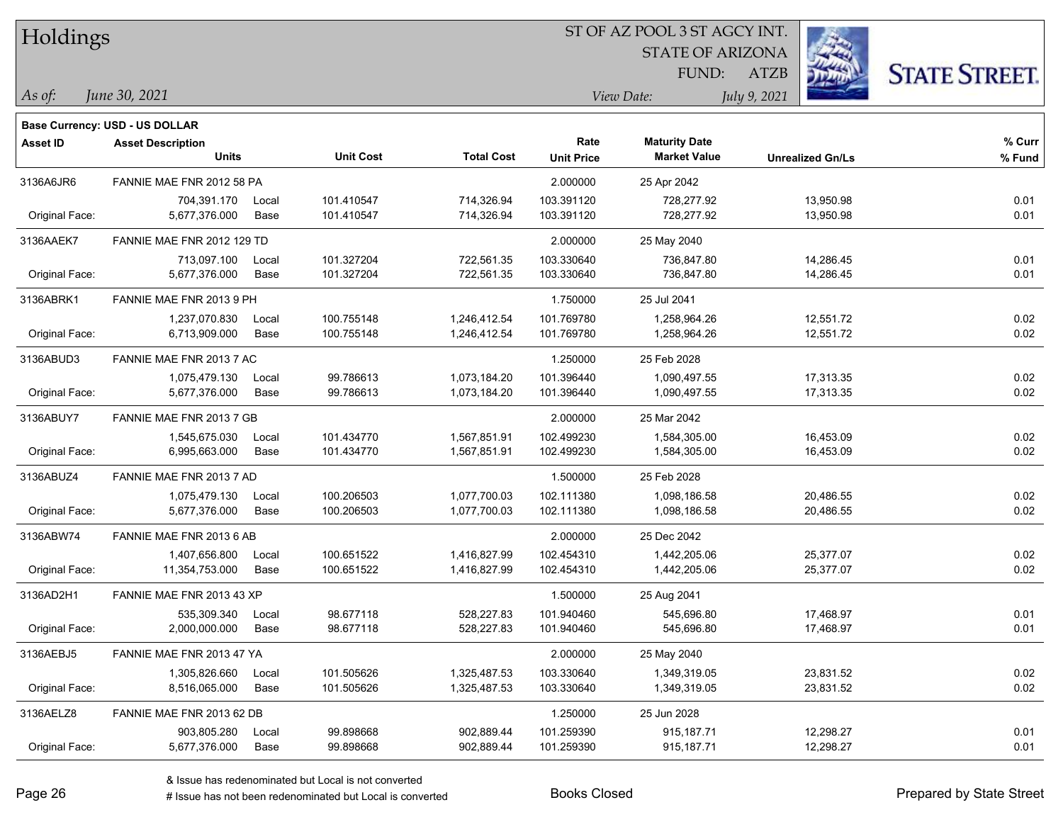| Holdings        |                                |       |                  |                   |                   | ST OF AZ POOL 3 ST AGCY INT. |                         |                      |
|-----------------|--------------------------------|-------|------------------|-------------------|-------------------|------------------------------|-------------------------|----------------------|
|                 |                                |       |                  |                   |                   | <b>STATE OF ARIZONA</b>      |                         |                      |
|                 |                                |       |                  |                   |                   | FUND:                        | <b>ATZB</b>             | <b>STATE STREET.</b> |
| As of:          | June 30, 2021                  |       |                  |                   | View Date:        |                              | July 9, 2021            |                      |
|                 | Base Currency: USD - US DOLLAR |       |                  |                   |                   |                              |                         |                      |
| <b>Asset ID</b> | <b>Asset Description</b>       |       |                  |                   | Rate              | <b>Maturity Date</b>         |                         | % Curr               |
|                 | <b>Units</b>                   |       | <b>Unit Cost</b> | <b>Total Cost</b> | <b>Unit Price</b> | <b>Market Value</b>          | <b>Unrealized Gn/Ls</b> | % Fund               |
| 3136A6JR6       | FANNIE MAE FNR 2012 58 PA      |       |                  |                   | 2.000000          | 25 Apr 2042                  |                         |                      |
|                 | 704,391.170                    | Local | 101.410547       | 714,326.94        | 103.391120        | 728,277.92                   | 13,950.98               | 0.01                 |
| Original Face:  | 5,677,376.000                  | Base  | 101.410547       | 714,326.94        | 103.391120        | 728,277.92                   | 13,950.98               | 0.01                 |
| 3136AAEK7       | FANNIE MAE FNR 2012 129 TD     |       |                  |                   | 2.000000          | 25 May 2040                  |                         |                      |
|                 | 713,097.100                    | Local | 101.327204       | 722,561.35        | 103.330640        | 736,847.80                   | 14,286.45               | 0.01                 |
| Original Face:  | 5,677,376.000                  | Base  | 101.327204       | 722,561.35        | 103.330640        | 736,847.80                   | 14,286.45               | 0.01                 |
| 3136ABRK1       | FANNIE MAE FNR 2013 9 PH       |       |                  |                   | 1.750000          | 25 Jul 2041                  |                         |                      |
|                 | 1,237,070.830                  | Local | 100.755148       | 1,246,412.54      | 101.769780        | 1,258,964.26                 | 12,551.72               | 0.02                 |
| Original Face:  | 6,713,909.000                  | Base  | 100.755148       | 1,246,412.54      | 101.769780        | 1,258,964.26                 | 12,551.72               | 0.02                 |
| 3136ABUD3       | FANNIE MAE FNR 2013 7 AC       |       |                  |                   | 1.250000          | 25 Feb 2028                  |                         |                      |
|                 | 1,075,479.130                  | Local | 99.786613        | 1,073,184.20      | 101.396440        | 1,090,497.55                 | 17,313.35               | 0.02                 |
| Original Face:  | 5,677,376.000                  | Base  | 99.786613        | 1,073,184.20      | 101.396440        | 1,090,497.55                 | 17,313.35               | 0.02                 |
| 3136ABUY7       | FANNIE MAE FNR 2013 7 GB       |       |                  |                   | 2.000000          | 25 Mar 2042                  |                         |                      |
|                 | 1,545,675.030                  | Local | 101.434770       | 1,567,851.91      | 102.499230        | 1,584,305.00                 | 16,453.09               | 0.02                 |
| Original Face:  | 6,995,663.000                  | Base  | 101.434770       | 1,567,851.91      | 102.499230        | 1,584,305.00                 | 16,453.09               | 0.02                 |
| 3136ABUZ4       | FANNIE MAE FNR 2013 7 AD       |       |                  |                   | 1.500000          | 25 Feb 2028                  |                         |                      |
|                 | 1,075,479.130                  | Local | 100.206503       | 1,077,700.03      | 102.111380        | 1,098,186.58                 | 20,486.55               | 0.02                 |
| Original Face:  | 5,677,376.000                  | Base  | 100.206503       | 1,077,700.03      | 102.111380        | 1,098,186.58                 | 20,486.55               | 0.02                 |
| 3136ABW74       | FANNIE MAE FNR 2013 6 AB       |       |                  |                   | 2.000000          | 25 Dec 2042                  |                         |                      |
|                 | 1,407,656.800                  | Local | 100.651522       | 1,416,827.99      | 102.454310        | 1,442,205.06                 | 25,377.07               | 0.02                 |
| Original Face:  | 11,354,753.000                 | Base  | 100.651522       | 1,416,827.99      | 102.454310        | 1,442,205.06                 | 25,377.07               | 0.02                 |
| 3136AD2H1       | FANNIE MAE FNR 2013 43 XP      |       |                  |                   | 1.500000          | 25 Aug 2041                  |                         |                      |
|                 | 535,309.340                    | Local | 98.677118        | 528,227.83        | 101.940460        | 545,696.80                   | 17,468.97               | 0.01                 |
| Original Face:  | 2,000,000.000                  | Base  | 98.677118        | 528,227.83        | 101.940460        | 545,696.80                   | 17,468.97               | 0.01                 |
| 3136AEBJ5       | FANNIE MAE FNR 2013 47 YA      |       |                  |                   | 2.000000          | 25 May 2040                  |                         |                      |
|                 | 1,305,826.660                  | Local | 101.505626       | 1,325,487.53      | 103.330640        | 1,349,319.05                 | 23,831.52               | 0.02                 |
| Original Face:  | 8,516,065.000                  | Base  | 101.505626       | 1,325,487.53      | 103.330640        | 1,349,319.05                 | 23,831.52               | 0.02                 |
| 3136AELZ8       | FANNIE MAE FNR 2013 62 DB      |       |                  |                   | 1.250000          | 25 Jun 2028                  |                         |                      |
|                 | 903,805.280                    | Local | 99.898668        | 902,889.44        | 101.259390        | 915,187.71                   | 12,298.27               | 0.01                 |
| Original Face:  | 5,677,376.000                  | Base  | 99.898668        | 902,889.44        | 101.259390        | 915,187.71                   | 12,298.27               | 0.01                 |

 $\overline{\phantom{a}}$ 

 $\overline{\phantom{a}}$ 

 $\overline{\phantom{a}}$ 

 $\overline{\phantom{a}}$ 

 $\overline{\phantom{0}}$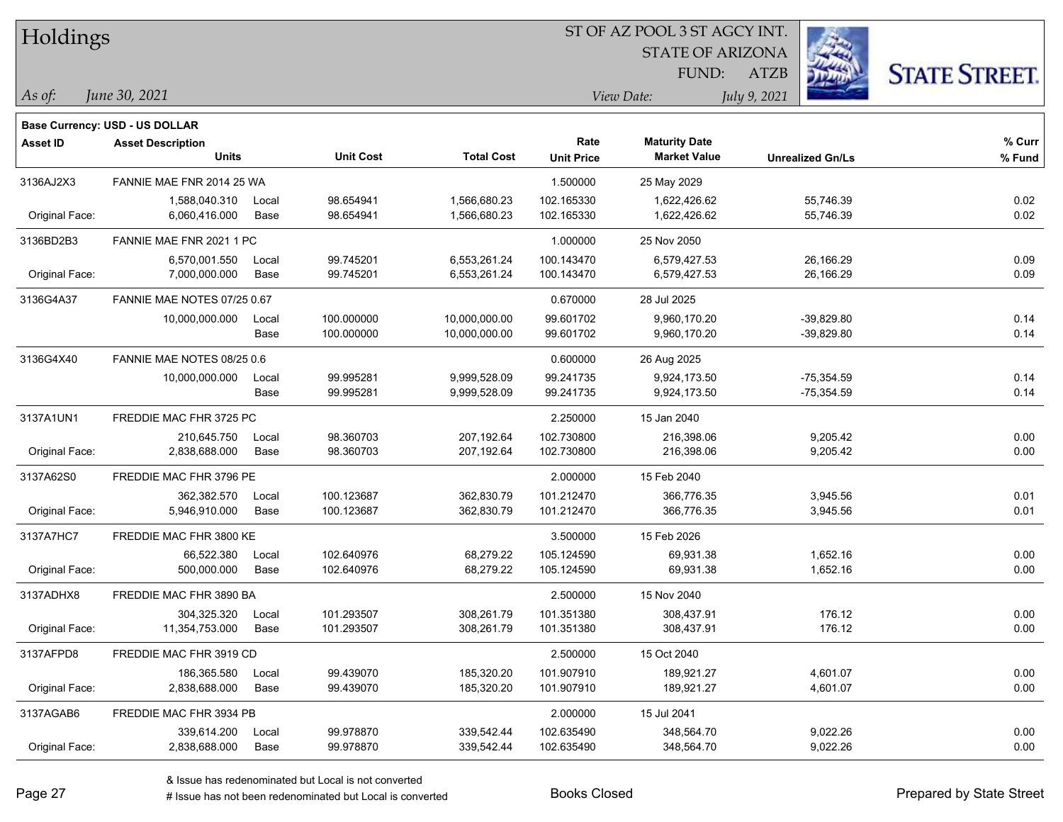| Holdings        |                                       |       |                  |                   | 51 OF AZ POOL 351 AGCY INT.             |                      |                         |                      |  |
|-----------------|---------------------------------------|-------|------------------|-------------------|-----------------------------------------|----------------------|-------------------------|----------------------|--|
|                 |                                       |       |                  |                   | $\mathbb{Z}$<br><b>STATE OF ARIZONA</b> |                      |                         |                      |  |
|                 |                                       |       |                  |                   |                                         | FUND:                | <b>ATZB</b>             | <b>STATE STREET.</b> |  |
| As of:          | June 30, 2021                         |       |                  |                   |                                         | View Date:           | July 9, 2021            |                      |  |
|                 | <b>Base Currency: USD - US DOLLAR</b> |       |                  |                   |                                         |                      |                         |                      |  |
| <b>Asset ID</b> | <b>Asset Description</b>              |       |                  |                   | Rate                                    | <b>Maturity Date</b> |                         | % Curr               |  |
|                 | <b>Units</b>                          |       | <b>Unit Cost</b> | <b>Total Cost</b> | <b>Unit Price</b>                       | <b>Market Value</b>  | <b>Unrealized Gn/Ls</b> | % Fund               |  |
| 3136AJ2X3       | FANNIE MAE FNR 2014 25 WA             |       |                  |                   | 1.500000                                | 25 May 2029          |                         |                      |  |
|                 | 1,588,040.310                         | Local | 98.654941        | 1,566,680.23      | 102.165330                              | 1,622,426.62         | 55,746.39               | 0.02                 |  |
| Original Face:  | 6,060,416.000                         | Base  | 98.654941        | 1,566,680.23      | 102.165330                              | 1,622,426.62         | 55,746.39               | 0.02                 |  |
| 3136BD2B3       | FANNIE MAE FNR 2021 1 PC              |       |                  |                   | 1.000000                                | 25 Nov 2050          |                         |                      |  |
|                 | 6,570,001.550                         | Local | 99.745201        | 6,553,261.24      | 100.143470                              | 6,579,427.53         | 26,166.29               | 0.09                 |  |
| Original Face:  | 7,000,000.000                         | Base  | 99.745201        | 6,553,261.24      | 100.143470                              | 6,579,427.53         | 26,166.29               | 0.09                 |  |
| 3136G4A37       | FANNIE MAE NOTES 07/25 0.67           |       |                  |                   | 0.670000                                | 28 Jul 2025          |                         |                      |  |
|                 | 10,000,000.000                        | Local | 100.000000       | 10,000,000.00     | 99.601702                               | 9,960,170.20         | $-39,829.80$            | 0.14                 |  |
|                 |                                       | Base  | 100.000000       | 10,000,000.00     | 99.601702                               | 9,960,170.20         | $-39,829.80$            | 0.14                 |  |
| 3136G4X40       | FANNIE MAE NOTES 08/25 0.6            |       |                  |                   | 0.600000                                | 26 Aug 2025          |                         |                      |  |
|                 | 10,000,000.000                        | Local | 99.995281        | 9,999,528.09      | 99.241735                               | 9,924,173.50         | $-75,354.59$            | 0.14                 |  |
|                 |                                       | Base  | 99.995281        | 9,999,528.09      | 99.241735                               | 9,924,173.50         | $-75,354.59$            | 0.14                 |  |
| 3137A1UN1       | FREDDIE MAC FHR 3725 PC               |       |                  |                   | 2.250000                                | 15 Jan 2040          |                         |                      |  |
|                 | 210,645.750                           | Local | 98.360703        | 207,192.64        | 102.730800                              | 216,398.06           | 9,205.42                | 0.00                 |  |
| Original Face:  | 2,838,688.000                         | Base  | 98.360703        | 207,192.64        | 102.730800                              | 216,398.06           | 9,205.42                | 0.00                 |  |
| 3137A62S0       | FREDDIE MAC FHR 3796 PE               |       |                  |                   | 2.000000                                | 15 Feb 2040          |                         |                      |  |
|                 | 362,382.570                           | Local | 100.123687       | 362,830.79        | 101.212470                              | 366,776.35           | 3,945.56                | 0.01                 |  |
| Original Face:  | 5,946,910.000                         | Base  | 100.123687       | 362,830.79        | 101.212470                              | 366,776.35           | 3,945.56                | 0.01                 |  |
| 3137A7HC7       | FREDDIE MAC FHR 3800 KE               |       |                  |                   | 3.500000                                | 15 Feb 2026          |                         |                      |  |
|                 | 66,522.380                            | Local | 102.640976       | 68,279.22         | 105.124590                              | 69,931.38            | 1,652.16                | 0.00                 |  |
| Original Face:  | 500,000.000                           | Base  | 102.640976       | 68,279.22         | 105.124590                              | 69,931.38            | 1,652.16                | 0.00                 |  |
| 3137ADHX8       | FREDDIE MAC FHR 3890 BA               |       |                  |                   | 2.500000                                | 15 Nov 2040          |                         |                      |  |
|                 | 304,325.320                           | Local | 101.293507       | 308,261.79        | 101.351380                              | 308,437.91           | 176.12                  | 0.00                 |  |
| Original Face:  | 11,354,753.000                        | Base  | 101.293507       | 308,261.79        | 101.351380                              | 308,437.91           | 176.12                  | 0.00                 |  |
| 3137AFPD8       | FREDDIE MAC FHR 3919 CD               |       |                  |                   | 2.500000                                | 15 Oct 2040          |                         |                      |  |
|                 | 186,365.580                           | Local | 99.439070        | 185,320.20        | 101.907910                              | 189,921.27           | 4,601.07                | 0.00                 |  |
| Original Face:  | 2,838,688.000                         | Base  | 99.439070        | 185,320.20        | 101.907910                              | 189,921.27           | 4,601.07                | 0.00                 |  |
| 3137AGAB6       | FREDDIE MAC FHR 3934 PB               |       |                  |                   | 2.000000                                | 15 Jul 2041          |                         |                      |  |
|                 | 339,614.200                           | Local | 99.978870        | 339,542.44        | 102.635490                              | 348,564.70           | 9,022.26                | 0.00                 |  |
| Original Face:  | 2,838,688.000                         | Base  | 99.978870        | 339,542.44        | 102.635490                              | 348,564.70           | 9,022.26                | 0.00                 |  |

 $STOTAT$   $17 DOOT$  3  $ST A GOCH$ 

٦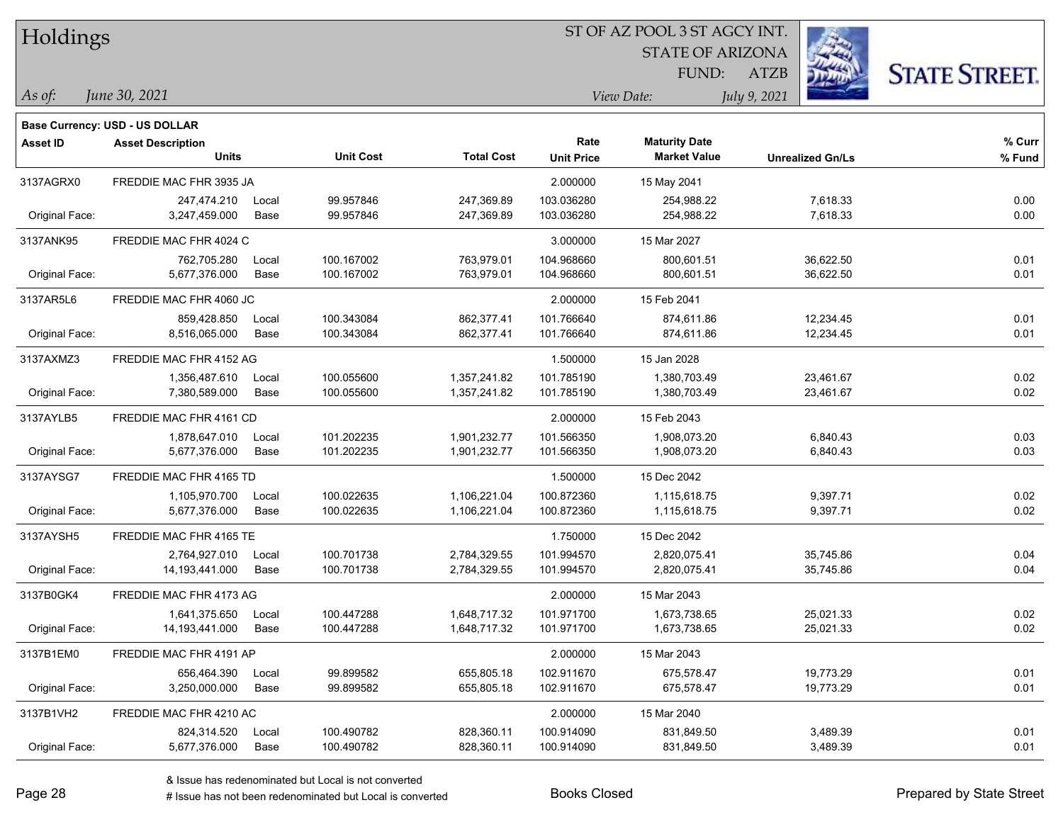| Holdings        |                                       |       |                  |                   | 51 OF AZ POOL 3 51 AGCY INT. |                         |                         |                      |  |  |
|-----------------|---------------------------------------|-------|------------------|-------------------|------------------------------|-------------------------|-------------------------|----------------------|--|--|
|                 |                                       |       |                  |                   |                              | <b>STATE OF ARIZONA</b> | Ż.                      |                      |  |  |
|                 |                                       |       |                  |                   |                              | FUND:                   | <b>ATZB</b>             | <b>STATE STREET.</b> |  |  |
| $\vert$ As of:  | June 30, 2021                         |       |                  |                   |                              | View Date:              | July 9, 2021            |                      |  |  |
|                 |                                       |       |                  |                   |                              |                         |                         |                      |  |  |
|                 | <b>Base Currency: USD - US DOLLAR</b> |       |                  |                   |                              |                         |                         |                      |  |  |
| <b>Asset ID</b> | <b>Asset Description</b>              |       |                  |                   | Rate                         | <b>Maturity Date</b>    |                         | % Curr               |  |  |
|                 | <b>Units</b>                          |       | <b>Unit Cost</b> | <b>Total Cost</b> | <b>Unit Price</b>            | <b>Market Value</b>     | <b>Unrealized Gn/Ls</b> | % Fund               |  |  |
| 3137AGRX0       | FREDDIE MAC FHR 3935 JA               |       |                  |                   | 2.000000                     | 15 May 2041             |                         |                      |  |  |
|                 | 247,474.210                           | Local | 99.957846        | 247,369.89        | 103.036280                   | 254,988.22              | 7,618.33                | 0.00                 |  |  |
| Original Face:  | 3,247,459.000                         | Base  | 99.957846        | 247,369.89        | 103.036280                   | 254,988.22              | 7,618.33                | 0.00                 |  |  |
| 3137ANK95       | FREDDIE MAC FHR 4024 C                |       |                  |                   | 3.000000                     | 15 Mar 2027             |                         |                      |  |  |
|                 | 762,705.280                           | Local | 100.167002       | 763,979.01        | 104.968660                   | 800,601.51              | 36,622.50               | 0.01                 |  |  |
| Original Face:  | 5,677,376.000                         | Base  | 100.167002       | 763,979.01        | 104.968660                   | 800,601.51              | 36,622.50               | 0.01                 |  |  |
| 3137AR5L6       | FREDDIE MAC FHR 4060 JC               |       |                  |                   | 2.000000                     | 15 Feb 2041             |                         |                      |  |  |
|                 | 859,428.850                           | Local | 100.343084       | 862,377.41        | 101.766640                   | 874,611.86              | 12,234.45               | 0.01                 |  |  |
| Original Face:  | 8,516,065.000                         | Base  | 100.343084       | 862,377.41        | 101.766640                   | 874,611.86              | 12,234.45               | 0.01                 |  |  |
| 3137AXMZ3       | FREDDIE MAC FHR 4152 AG               |       |                  |                   | 1.500000                     | 15 Jan 2028             |                         |                      |  |  |
|                 | 1,356,487.610                         | Local | 100.055600       | 1,357,241.82      | 101.785190                   | 1,380,703.49            | 23,461.67               | 0.02                 |  |  |
| Original Face:  | 7,380,589.000                         | Base  | 100.055600       | 1,357,241.82      | 101.785190                   | 1,380,703.49            | 23,461.67               | 0.02                 |  |  |
| 3137AYLB5       | FREDDIE MAC FHR 4161 CD               |       |                  |                   | 2.000000                     | 15 Feb 2043             |                         |                      |  |  |
|                 | 1,878,647.010                         | Local | 101.202235       | 1,901,232.77      | 101.566350                   | 1,908,073.20            | 6,840.43                | 0.03                 |  |  |
| Original Face:  | 5,677,376.000                         | Base  | 101.202235       | 1,901,232.77      | 101.566350                   | 1,908,073.20            | 6,840.43                | 0.03                 |  |  |
| 3137AYSG7       | FREDDIE MAC FHR 4165 TD               |       |                  |                   | 1.500000                     | 15 Dec 2042             |                         |                      |  |  |
|                 | 1,105,970.700                         | Local | 100.022635       | 1,106,221.04      | 100.872360                   | 1,115,618.75            | 9,397.71                | 0.02                 |  |  |
| Original Face:  | 5,677,376.000                         | Base  | 100.022635       | 1,106,221.04      | 100.872360                   | 1,115,618.75            | 9,397.71                | 0.02                 |  |  |
| 3137AYSH5       | FREDDIE MAC FHR 4165 TE               |       |                  |                   | 1.750000                     | 15 Dec 2042             |                         |                      |  |  |
|                 | 2,764,927.010                         | Local | 100.701738       | 2,784,329.55      | 101.994570                   | 2,820,075.41            | 35,745.86               | 0.04                 |  |  |
| Original Face:  | 14,193,441.000                        | Base  | 100.701738       | 2,784,329.55      | 101.994570                   | 2,820,075.41            | 35,745.86               | 0.04                 |  |  |
| 3137B0GK4       | FREDDIE MAC FHR 4173 AG               |       |                  |                   | 2.000000                     | 15 Mar 2043             |                         |                      |  |  |
|                 | 1,641,375.650                         | Local | 100.447288       | 1,648,717.32      | 101.971700                   | 1,673,738.65            | 25,021.33               | 0.02                 |  |  |
| Original Face:  | 14,193,441.000                        | Base  | 100.447288       | 1,648,717.32      | 101.971700                   | 1,673,738.65            | 25,021.33               | 0.02                 |  |  |
| 3137B1EM0       | FREDDIE MAC FHR 4191 AP               |       |                  |                   | 2.000000                     | 15 Mar 2043             |                         |                      |  |  |
|                 | 656,464.390                           | Local | 99.899582        | 655,805.18        | 102.911670                   | 675,578.47              | 19,773.29               | 0.01                 |  |  |
| Original Face:  | 3,250,000.000                         | Base  | 99.899582        | 655,805.18        | 102.911670                   | 675,578.47              | 19,773.29               | 0.01                 |  |  |
| 3137B1VH2       | FREDDIE MAC FHR 4210 AC               |       |                  |                   | 2.000000                     | 15 Mar 2040             |                         |                      |  |  |
|                 | 824,314.520                           | Local | 100.490782       | 828,360.11        | 100.914090                   | 831,849.50              | 3,489.39                | 0.01                 |  |  |
| Original Face:  | 5,677,376.000                         | Base  | 100.490782       | 828,360.11        | 100.914090                   | 831,849.50              | 3,489.39                | 0.01                 |  |  |

ST OF A Z POOL 2 ST ACCV INT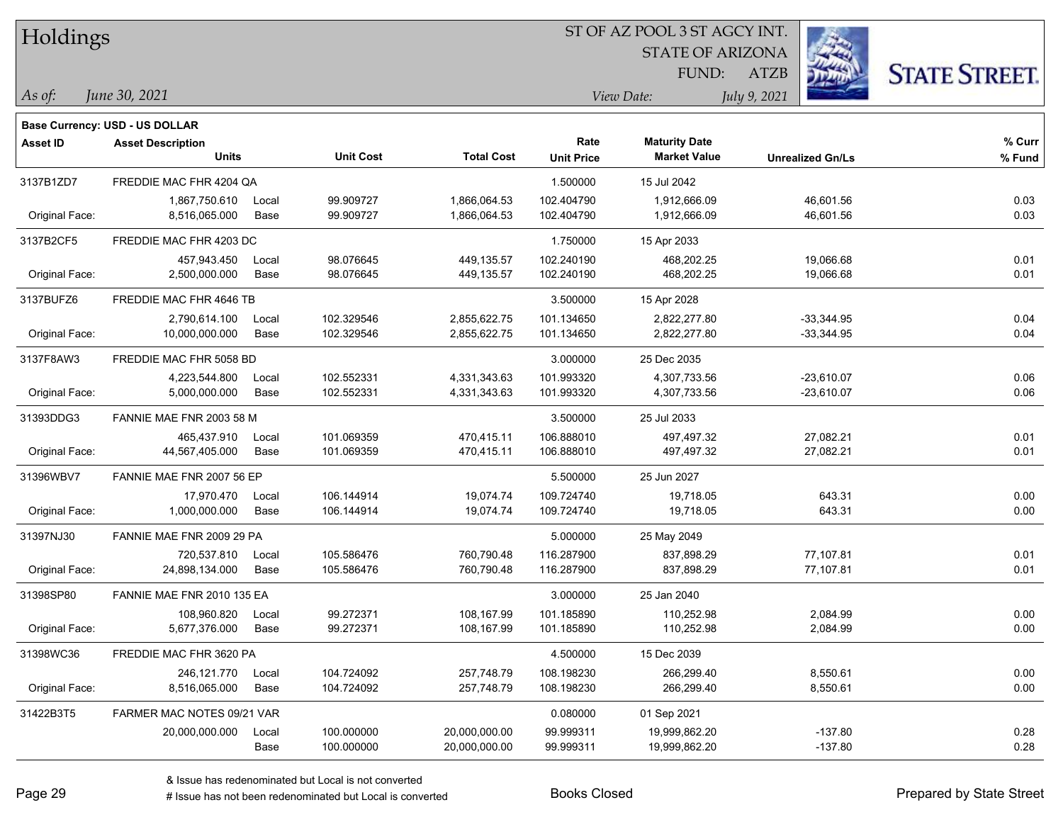| Holdings        |                                       |       |                  |                   | ST OF AZ POOL 3 ST AGCY INT. |                         |                         |                      |
|-----------------|---------------------------------------|-------|------------------|-------------------|------------------------------|-------------------------|-------------------------|----------------------|
|                 |                                       |       |                  |                   |                              | <b>STATE OF ARIZONA</b> |                         |                      |
|                 |                                       |       |                  |                   |                              | <b>FUND:</b>            | <b>ATZB</b>             | <b>STATE STREET.</b> |
| As of:          | June 30, 2021                         |       |                  |                   |                              | View Date:              | July 9, 2021            |                      |
|                 | <b>Base Currency: USD - US DOLLAR</b> |       |                  |                   |                              |                         |                         |                      |
| <b>Asset ID</b> | <b>Asset Description</b>              |       |                  |                   | Rate                         | <b>Maturity Date</b>    |                         | $%$ Curr             |
|                 | <b>Units</b>                          |       | <b>Unit Cost</b> | <b>Total Cost</b> | <b>Unit Price</b>            | <b>Market Value</b>     | <b>Unrealized Gn/Ls</b> | % Fund               |
| 3137B1ZD7       | FREDDIE MAC FHR 4204 QA               |       |                  |                   | 1.500000                     | 15 Jul 2042             |                         |                      |
|                 | 1,867,750.610                         | Local | 99.909727        | 1,866,064.53      | 102.404790                   | 1,912,666.09            | 46,601.56               | 0.03                 |
| Original Face:  | 8,516,065.000                         | Base  | 99.909727        | 1,866,064.53      | 102.404790                   | 1,912,666.09            | 46,601.56               | 0.03                 |
| 3137B2CF5       | FREDDIE MAC FHR 4203 DC               |       |                  |                   | 1.750000                     | 15 Apr 2033             |                         |                      |
|                 | 457,943.450                           | Local | 98.076645        | 449,135.57        | 102.240190                   | 468,202.25              | 19,066.68               | 0.01                 |
| Original Face:  | 2,500,000.000                         | Base  | 98.076645        | 449,135.57        | 102.240190                   | 468,202.25              | 19,066.68               | 0.01                 |
| 3137BUFZ6       | FREDDIE MAC FHR 4646 TB               |       |                  |                   | 3.500000                     | 15 Apr 2028             |                         |                      |
|                 | 2,790,614.100                         | Local | 102.329546       | 2,855,622.75      | 101.134650                   | 2,822,277.80            | $-33,344.95$            | 0.04                 |
| Original Face:  | 10,000,000.000                        | Base  | 102.329546       | 2,855,622.75      | 101.134650                   | 2,822,277.80            | $-33,344.95$            | 0.04                 |
| 3137F8AW3       | FREDDIE MAC FHR 5058 BD               |       |                  |                   | 3.000000                     | 25 Dec 2035             |                         |                      |
|                 | 4,223,544.800                         | Local | 102.552331       | 4,331,343.63      | 101.993320                   | 4,307,733.56            | $-23,610.07$            | 0.06                 |
| Original Face:  | 5,000,000.000                         | Base  | 102.552331       | 4,331,343.63      | 101.993320                   | 4,307,733.56            | $-23,610.07$            | 0.06                 |
| 31393DDG3       | FANNIE MAE FNR 2003 58 M              |       |                  |                   | 3.500000                     | 25 Jul 2033             |                         |                      |
|                 | 465,437.910                           | Local | 101.069359       | 470,415.11        | 106.888010                   | 497,497.32              | 27,082.21               | 0.01                 |
| Original Face:  | 44,567,405.000                        | Base  | 101.069359       | 470,415.11        | 106.888010                   | 497,497.32              | 27,082.21               | 0.01                 |
| 31396WBV7       | FANNIE MAE FNR 2007 56 EP             |       |                  |                   | 5.500000                     | 25 Jun 2027             |                         |                      |
|                 | 17,970.470                            | Local | 106.144914       | 19,074.74         | 109.724740                   | 19,718.05               | 643.31                  | 0.00                 |
| Original Face:  | 1,000,000.000                         | Base  | 106.144914       | 19,074.74         | 109.724740                   | 19,718.05               | 643.31                  | 0.00                 |
| 31397NJ30       | FANNIE MAE FNR 2009 29 PA             |       |                  |                   | 5.000000                     | 25 May 2049             |                         |                      |
|                 | 720,537.810                           | Local | 105.586476       | 760,790.48        | 116.287900                   | 837,898.29              | 77,107.81               | 0.01                 |
| Original Face:  | 24,898,134.000                        | Base  | 105.586476       | 760,790.48        | 116.287900                   | 837,898.29              | 77,107.81               | 0.01                 |
| 31398SP80       | FANNIE MAE FNR 2010 135 EA            |       |                  |                   | 3.000000                     | 25 Jan 2040             |                         |                      |
|                 | 108,960.820                           | Local | 99.272371        | 108,167.99        | 101.185890                   | 110,252.98              | 2,084.99                | 0.00                 |
| Original Face:  | 5,677,376.000                         | Base  | 99.272371        | 108,167.99        | 101.185890                   | 110,252.98              | 2,084.99                | 0.00                 |
| 31398WC36       | FREDDIE MAC FHR 3620 PA               |       |                  |                   | 4.500000                     | 15 Dec 2039             |                         |                      |
|                 | 246,121.770                           | Local | 104.724092       | 257,748.79        | 108.198230                   | 266,299.40              | 8,550.61                | 0.00                 |
| Original Face:  | 8,516,065.000                         | Base  | 104.724092       | 257,748.79        | 108.198230                   | 266,299.40              | 8,550.61                | 0.00                 |
| 31422B3T5       | FARMER MAC NOTES 09/21 VAR            |       |                  |                   | 0.080000                     | 01 Sep 2021             |                         |                      |
|                 | 20,000,000.000                        | Local | 100.000000       | 20,000,000.00     | 99.999311                    | 19,999,862.20           | $-137.80$               | 0.28                 |
|                 |                                       | Base  | 100.000000       | 20,000,000.00     | 99.999311                    | 19,999,862.20           | $-137.80$               | 0.28                 |

 $\overline{\phantom{a}}$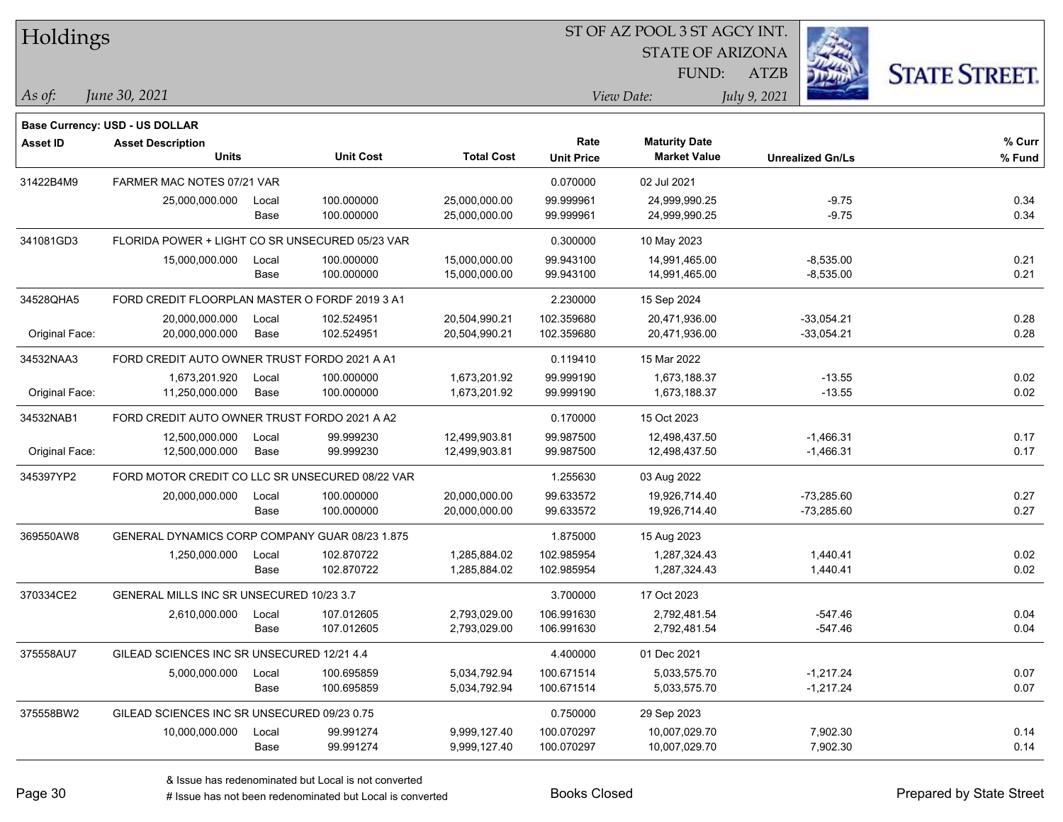| Holdings        |                                                 |       |                  |                   | ST OF AZ POOL 3 ST AGCY INT. |                      |                         |                      |  |  |
|-----------------|-------------------------------------------------|-------|------------------|-------------------|------------------------------|----------------------|-------------------------|----------------------|--|--|
|                 |                                                 |       |                  |                   | <b>STATE OF ARIZONA</b>      |                      |                         |                      |  |  |
|                 |                                                 |       |                  |                   |                              | FUND:                | ATZB                    | <b>STATE STREET.</b> |  |  |
| As of:          | June 30, 2021                                   |       |                  |                   |                              | View Date:           | July 9, 2021            |                      |  |  |
|                 |                                                 |       |                  |                   |                              |                      |                         |                      |  |  |
|                 | Base Currency: USD - US DOLLAR                  |       |                  |                   |                              |                      |                         |                      |  |  |
| <b>Asset ID</b> | <b>Asset Description</b>                        |       |                  |                   | Rate                         | <b>Maturity Date</b> |                         | % Curr               |  |  |
|                 | <b>Units</b>                                    |       | <b>Unit Cost</b> | <b>Total Cost</b> | <b>Unit Price</b>            | <b>Market Value</b>  | <b>Unrealized Gn/Ls</b> | % Fund               |  |  |
| 31422B4M9       | FARMER MAC NOTES 07/21 VAR                      |       |                  |                   | 0.070000                     | 02 Jul 2021          |                         |                      |  |  |
|                 | 25,000,000.000                                  | Local | 100.000000       | 25,000,000.00     | 99.999961                    | 24,999,990.25        | $-9.75$                 | 0.34                 |  |  |
|                 |                                                 | Base  | 100.000000       | 25,000,000.00     | 99.999961                    | 24,999,990.25        | $-9.75$                 | 0.34                 |  |  |
| 341081GD3       | FLORIDA POWER + LIGHT CO SR UNSECURED 05/23 VAR |       |                  |                   | 0.300000                     | 10 May 2023          |                         |                      |  |  |
|                 | 15,000,000.000                                  | Local | 100.000000       | 15,000,000.00     | 99.943100                    | 14,991,465.00        | $-8,535.00$             | 0.21                 |  |  |
|                 |                                                 | Base  | 100.000000       | 15,000,000.00     | 99.943100                    | 14,991,465.00        | $-8,535.00$             | 0.21                 |  |  |
| 34528QHA5       | FORD CREDIT FLOORPLAN MASTER O FORDF 2019 3 A1  |       |                  |                   | 2.230000                     | 15 Sep 2024          |                         |                      |  |  |
|                 | 20,000,000.000                                  | Local | 102.524951       | 20,504,990.21     | 102.359680                   | 20,471,936.00        | $-33,054.21$            | 0.28                 |  |  |
| Original Face:  | 20,000,000.000                                  | Base  | 102.524951       | 20,504,990.21     | 102.359680                   | 20,471,936.00        | $-33,054.21$            | 0.28                 |  |  |
| 34532NAA3       | FORD CREDIT AUTO OWNER TRUST FORDO 2021 A A1    |       |                  |                   | 0.119410                     | 15 Mar 2022          |                         |                      |  |  |
|                 | 1,673,201.920                                   | Local | 100.000000       | 1,673,201.92      | 99.999190                    | 1,673,188.37         | $-13.55$                | 0.02                 |  |  |
| Original Face:  | 11,250,000.000                                  | Base  | 100.000000       | 1,673,201.92      | 99.999190                    | 1,673,188.37         | $-13.55$                | 0.02                 |  |  |
| 34532NAB1       | FORD CREDIT AUTO OWNER TRUST FORDO 2021 A A2    |       |                  |                   | 0.170000                     | 15 Oct 2023          |                         |                      |  |  |
|                 | 12,500,000.000                                  | Local | 99.999230        | 12,499,903.81     | 99.987500                    | 12,498,437.50        | $-1,466.31$             | 0.17                 |  |  |
| Original Face:  | 12,500,000.000                                  | Base  | 99.999230        | 12,499,903.81     | 99.987500                    | 12,498,437.50        | $-1,466.31$             | 0.17                 |  |  |
| 345397YP2       | FORD MOTOR CREDIT CO LLC SR UNSECURED 08/22 VAR |       |                  |                   | 1.255630                     | 03 Aug 2022          |                         |                      |  |  |
|                 | 20,000,000.000                                  | Local | 100.000000       | 20,000,000.00     | 99.633572                    | 19,926,714.40        | $-73,285.60$            | 0.27                 |  |  |
|                 |                                                 | Base  | 100.000000       | 20,000,000.00     | 99.633572                    | 19,926,714.40        | $-73,285.60$            | 0.27                 |  |  |
| 369550AW8       | GENERAL DYNAMICS CORP COMPANY GUAR 08/23 1.875  |       |                  |                   | 1.875000                     | 15 Aug 2023          |                         |                      |  |  |
|                 | 1,250,000.000                                   | Local | 102.870722       | 1,285,884.02      | 102.985954                   | 1,287,324.43         | 1,440.41                | 0.02                 |  |  |
|                 |                                                 | Base  | 102.870722       | 1,285,884.02      | 102.985954                   | 1,287,324.43         | 1,440.41                | 0.02                 |  |  |
| 370334CE2       | GENERAL MILLS INC SR UNSECURED 10/23 3.7        |       |                  |                   | 3.700000                     | 17 Oct 2023          |                         |                      |  |  |
|                 | 2,610,000.000                                   | Local | 107.012605       | 2,793,029.00      | 106.991630                   | 2,792,481.54         | $-547.46$               | 0.04                 |  |  |
|                 |                                                 | Base  | 107.012605       | 2,793,029.00      | 106.991630                   | 2,792,481.54         | $-547.46$               | 0.04                 |  |  |
| 375558AU7       | GILEAD SCIENCES INC SR UNSECURED 12/21 4.4      |       |                  |                   | 4.400000                     | 01 Dec 2021          |                         |                      |  |  |
|                 | 5,000,000.000                                   | Local | 100.695859       | 5,034,792.94      | 100.671514                   | 5,033,575.70         | $-1,217.24$             | 0.07                 |  |  |
|                 |                                                 | Base  | 100.695859       | 5,034,792.94      | 100.671514                   | 5,033,575.70         | $-1,217.24$             | 0.07                 |  |  |
| 375558BW2       | GILEAD SCIENCES INC SR UNSECURED 09/23 0.75     |       |                  |                   | 0.750000                     | 29 Sep 2023          |                         |                      |  |  |
|                 | 10,000,000.000                                  | Local | 99.991274        | 9,999,127.40      | 100.070297                   | 10,007,029.70        | 7,902.30                | 0.14                 |  |  |
|                 |                                                 | Base  | 99.991274        | 9,999,127.40      | 100.070297                   | 10,007,029.70        | 7,902.30                | 0.14                 |  |  |

# Issue has not been redenominated but Local is converted Books Closed Prepared by State Street

٦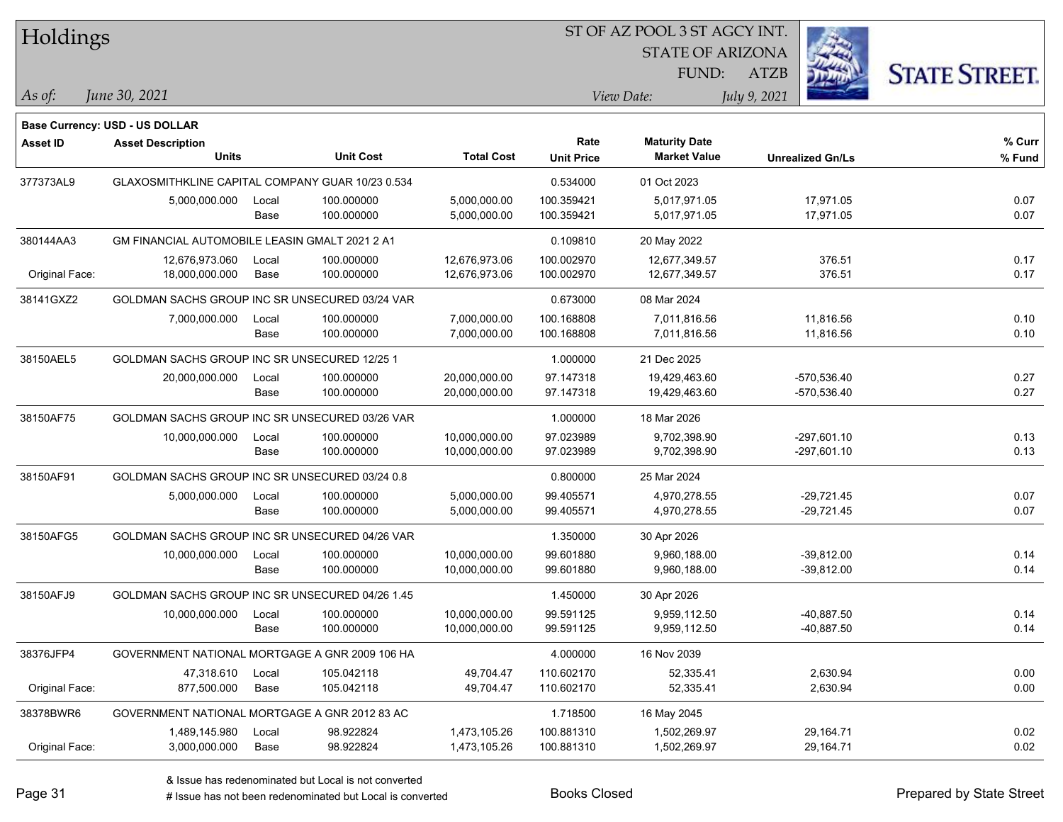| Holdings        |                                                                   |       |                  |                   |                   | ST OF AZ POOL 3 ST AGCY INT. |                         |                      |  |
|-----------------|-------------------------------------------------------------------|-------|------------------|-------------------|-------------------|------------------------------|-------------------------|----------------------|--|
|                 |                                                                   |       |                  |                   |                   | <b>STATE OF ARIZONA</b>      |                         |                      |  |
|                 |                                                                   |       |                  |                   |                   | FUND:                        | <b>ATZB</b>             | <b>STATE STREET.</b> |  |
| As of:          | June 30, 2021                                                     |       |                  |                   |                   | View Date:                   | July 9, 2021            |                      |  |
|                 |                                                                   |       |                  |                   |                   |                              |                         |                      |  |
| <b>Asset ID</b> | <b>Base Currency: USD - US DOLLAR</b><br><b>Asset Description</b> |       |                  |                   | Rate              | <b>Maturity Date</b>         |                         | % Curr               |  |
|                 | <b>Units</b>                                                      |       | <b>Unit Cost</b> | <b>Total Cost</b> | <b>Unit Price</b> | <b>Market Value</b>          | <b>Unrealized Gn/Ls</b> | % Fund               |  |
| 377373AL9       | GLAXOSMITHKLINE CAPITAL COMPANY GUAR 10/23 0.534                  |       |                  |                   | 0.534000          | 01 Oct 2023                  |                         |                      |  |
|                 | 5,000,000.000                                                     | Local | 100.000000       | 5,000,000.00      | 100.359421        | 5,017,971.05                 | 17,971.05               | 0.07                 |  |
|                 |                                                                   | Base  | 100.000000       | 5,000,000.00      | 100.359421        | 5,017,971.05                 | 17,971.05               | 0.07                 |  |
| 380144AA3       | <b>GM FINANCIAL AUTOMOBILE LEASIN GMALT 2021 2 A1</b>             |       |                  |                   | 0.109810          | 20 May 2022                  |                         |                      |  |
|                 | 12,676,973.060                                                    | Local | 100.000000       | 12,676,973.06     | 100.002970        | 12,677,349.57                | 376.51                  | 0.17                 |  |
| Original Face:  | 18,000,000.000                                                    | Base  | 100.000000       | 12,676,973.06     | 100.002970        | 12,677,349.57                | 376.51                  | 0.17                 |  |
| 38141GXZ2       | GOLDMAN SACHS GROUP INC SR UNSECURED 03/24 VAR                    |       |                  |                   | 0.673000          | 08 Mar 2024                  |                         |                      |  |
|                 | 7,000,000.000                                                     | Local | 100.000000       | 7,000,000.00      | 100.168808        | 7,011,816.56                 | 11,816.56               | 0.10                 |  |
|                 |                                                                   | Base  | 100.000000       | 7,000,000.00      | 100.168808        | 7,011,816.56                 | 11,816.56               | 0.10                 |  |
| 38150AEL5       | GOLDMAN SACHS GROUP INC SR UNSECURED 12/25 1                      |       |                  |                   | 1.000000          | 21 Dec 2025                  |                         |                      |  |
|                 | 20,000,000.000                                                    | Local | 100.000000       | 20,000,000.00     | 97.147318         | 19,429,463.60                | -570,536.40             | 0.27                 |  |
|                 |                                                                   | Base  | 100.000000       | 20,000,000.00     | 97.147318         | 19,429,463.60                | $-570,536.40$           | 0.27                 |  |
| 38150AF75       | GOLDMAN SACHS GROUP INC SR UNSECURED 03/26 VAR                    |       |                  |                   | 1.000000          | 18 Mar 2026                  |                         |                      |  |
|                 | 10,000,000.000                                                    | Local | 100.000000       | 10,000,000.00     | 97.023989         | 9,702,398.90                 | $-297,601.10$           | 0.13                 |  |
|                 |                                                                   | Base  | 100.000000       | 10,000,000.00     | 97.023989         | 9,702,398.90                 | $-297,601.10$           | 0.13                 |  |
| 38150AF91       | GOLDMAN SACHS GROUP INC SR UNSECURED 03/24 0.8                    |       |                  |                   | 0.800000          | 25 Mar 2024                  |                         |                      |  |
|                 | 5,000,000.000                                                     | Local | 100.000000       | 5,000,000.00      | 99.405571         | 4,970,278.55                 | $-29,721.45$            | 0.07                 |  |
|                 |                                                                   | Base  | 100.000000       | 5,000,000.00      | 99.405571         | 4,970,278.55                 | -29,721.45              | 0.07                 |  |
| 38150AFG5       | GOLDMAN SACHS GROUP INC SR UNSECURED 04/26 VAR                    |       |                  |                   | 1.350000          | 30 Apr 2026                  |                         |                      |  |
|                 | 10,000,000.000                                                    | Local | 100.000000       | 10,000,000.00     | 99.601880         | 9,960,188.00                 | $-39,812.00$            | 0.14                 |  |
|                 |                                                                   | Base  | 100.000000       | 10,000,000.00     | 99.601880         | 9,960,188.00                 | $-39,812.00$            | 0.14                 |  |
| 38150AFJ9       | GOLDMAN SACHS GROUP INC SR UNSECURED 04/26 1.45                   |       |                  |                   | 1.450000          | 30 Apr 2026                  |                         |                      |  |
|                 | 10,000,000.000                                                    | Local | 100.000000       | 10,000,000.00     | 99.591125         | 9,959,112.50                 | -40,887.50              | 0.14                 |  |
|                 |                                                                   | Base  | 100.000000       | 10,000,000.00     | 99.591125         | 9,959,112.50                 | -40,887.50              | 0.14                 |  |
| 38376JFP4       | GOVERNMENT NATIONAL MORTGAGE A GNR 2009 106 HA                    |       |                  |                   | 4.000000          | 16 Nov 2039                  |                         |                      |  |
|                 | 47,318.610                                                        | Local | 105.042118       | 49,704.47         | 110.602170        | 52,335.41                    | 2,630.94                | 0.00                 |  |
| Original Face:  | 877,500.000                                                       | Base  | 105.042118       | 49,704.47         | 110.602170        | 52,335.41                    | 2,630.94                | 0.00                 |  |
| 38378BWR6       | GOVERNMENT NATIONAL MORTGAGE A GNR 2012 83 AC                     |       |                  |                   | 1.718500          | 16 May 2045                  |                         |                      |  |
|                 | 1,489,145.980                                                     | Local | 98.922824        | 1,473,105.26      | 100.881310        | 1,502,269.97                 | 29,164.71               | 0.02                 |  |
| Original Face:  | 3,000,000.000                                                     | Base  | 98.922824        | 1,473,105.26      | 100.881310        | 1,502,269.97                 | 29,164.71               | 0.02                 |  |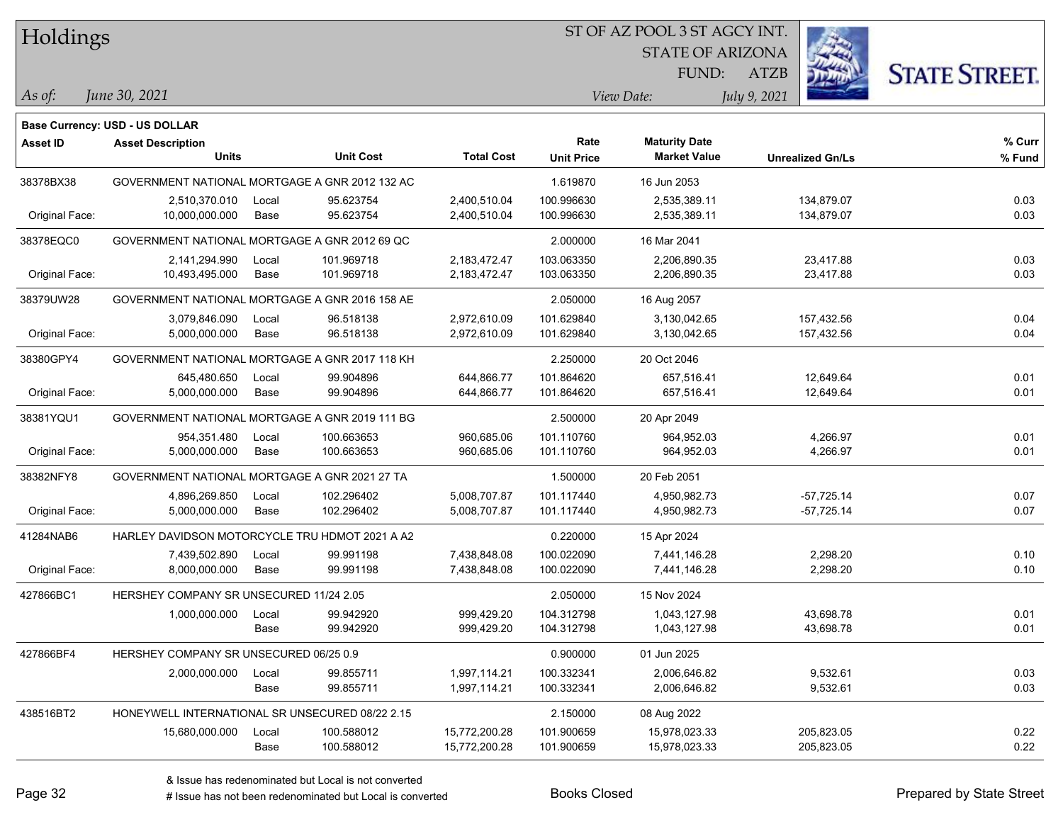Holdings

### ST OF AZ POOL 3 ST AGCY INT.

STATE OF ARIZONA FUND:



*June 30, 2021 As of: View Date: July 9, 2021*

**Base Currency: USD - US DOLLAR**

ATZB

| Asset ID       | <b>Asset Description</b>                        |       |                  |                   | Rate              | <b>Maturity Date</b> |                         | % Curr |
|----------------|-------------------------------------------------|-------|------------------|-------------------|-------------------|----------------------|-------------------------|--------|
|                | <b>Units</b>                                    |       | <b>Unit Cost</b> | <b>Total Cost</b> | <b>Unit Price</b> | <b>Market Value</b>  | <b>Unrealized Gn/Ls</b> | % Fund |
| 38378BX38      | GOVERNMENT NATIONAL MORTGAGE A GNR 2012 132 AC  |       |                  |                   | 1.619870          | 16 Jun 2053          |                         |        |
|                | 2,510,370.010                                   | Local | 95.623754        | 2,400,510.04      | 100.996630        | 2,535,389.11         | 134,879.07              | 0.03   |
| Original Face: | 10,000,000.000                                  | Base  | 95.623754        | 2,400,510.04      | 100.996630        | 2,535,389.11         | 134,879.07              | 0.03   |
| 38378EQC0      | GOVERNMENT NATIONAL MORTGAGE A GNR 2012 69 QC   |       |                  |                   | 2.000000          | 16 Mar 2041          |                         |        |
|                | 2,141,294.990                                   | Local | 101.969718       | 2,183,472.47      | 103.063350        | 2,206,890.35         | 23,417.88               | 0.03   |
| Original Face: | 10,493,495.000                                  | Base  | 101.969718       | 2,183,472.47      | 103.063350        | 2,206,890.35         | 23,417.88               | 0.03   |
| 38379UW28      | GOVERNMENT NATIONAL MORTGAGE A GNR 2016 158 AE  |       |                  |                   | 2.050000          | 16 Aug 2057          |                         |        |
|                | 3,079,846.090                                   | Local | 96.518138        | 2,972,610.09      | 101.629840        | 3,130,042.65         | 157,432.56              | 0.04   |
| Original Face: | 5,000,000.000                                   | Base  | 96.518138        | 2,972,610.09      | 101.629840        | 3,130,042.65         | 157,432.56              | 0.04   |
| 38380GPY4      | GOVERNMENT NATIONAL MORTGAGE A GNR 2017 118 KH  |       |                  |                   | 2.250000          | 20 Oct 2046          |                         |        |
|                | 645,480.650                                     | Local | 99.904896        | 644,866.77        | 101.864620        | 657,516.41           | 12,649.64               | 0.01   |
| Original Face: | 5,000,000.000                                   | Base  | 99.904896        | 644,866.77        | 101.864620        | 657,516.41           | 12,649.64               | 0.01   |
| 38381YQU1      | GOVERNMENT NATIONAL MORTGAGE A GNR 2019 111 BG  |       |                  |                   | 2.500000          | 20 Apr 2049          |                         |        |
|                | 954,351.480                                     | Local | 100.663653       | 960,685.06        | 101.110760        | 964.952.03           | 4,266.97                | 0.01   |
| Original Face: | 5,000,000.000                                   | Base  | 100.663653       | 960,685.06        | 101.110760        | 964,952.03           | 4,266.97                | 0.01   |
| 38382NFY8      | GOVERNMENT NATIONAL MORTGAGE A GNR 2021 27 TA   |       |                  |                   | 1.500000          | 20 Feb 2051          |                         |        |
|                | 4,896,269.850                                   | Local | 102.296402       | 5,008,707.87      | 101.117440        | 4,950,982.73         | $-57,725.14$            | 0.07   |
| Original Face: | 5,000,000.000                                   | Base  | 102.296402       | 5,008,707.87      | 101.117440        | 4,950,982.73         | $-57,725.14$            | 0.07   |
| 41284NAB6      | HARLEY DAVIDSON MOTORCYCLE TRU HDMOT 2021 A A2  |       |                  |                   | 0.220000          | 15 Apr 2024          |                         |        |
|                | 7,439,502.890                                   | Local | 99.991198        | 7,438,848.08      | 100.022090        | 7,441,146.28         | 2,298.20                | 0.10   |
| Original Face: | 8,000,000.000                                   | Base  | 99.991198        | 7,438,848.08      | 100.022090        | 7,441,146.28         | 2,298.20                | 0.10   |
| 427866BC1      | HERSHEY COMPANY SR UNSECURED 11/24 2.05         |       |                  |                   | 2.050000          | 15 Nov 2024          |                         |        |
|                | 1,000,000.000                                   | Local | 99.942920        | 999,429.20        | 104.312798        | 1,043,127.98         | 43,698.78               | 0.01   |
|                |                                                 | Base  | 99.942920        | 999,429.20        | 104.312798        | 1,043,127.98         | 43,698.78               | 0.01   |
| 427866BF4      | HERSHEY COMPANY SR UNSECURED 06/25 0.9          |       |                  |                   | 0.900000          | 01 Jun 2025          |                         |        |
|                | 2,000,000.000                                   | Local | 99.855711        | 1,997,114.21      | 100.332341        | 2,006,646.82         | 9,532.61                | 0.03   |
|                |                                                 | Base  | 99.855711        | 1,997,114.21      | 100.332341        | 2,006,646.82         | 9,532.61                | 0.03   |
| 438516BT2      | HONEYWELL INTERNATIONAL SR UNSECURED 08/22 2.15 |       |                  |                   | 2.150000          | 08 Aug 2022          |                         |        |
|                | 15,680,000.000                                  | Local | 100.588012       | 15,772,200.28     | 101.900659        | 15,978,023.33        | 205,823.05              | 0.22   |
|                |                                                 | Base  | 100.588012       | 15,772,200.28     | 101.900659        | 15,978,023.33        | 205,823.05              | 0.22   |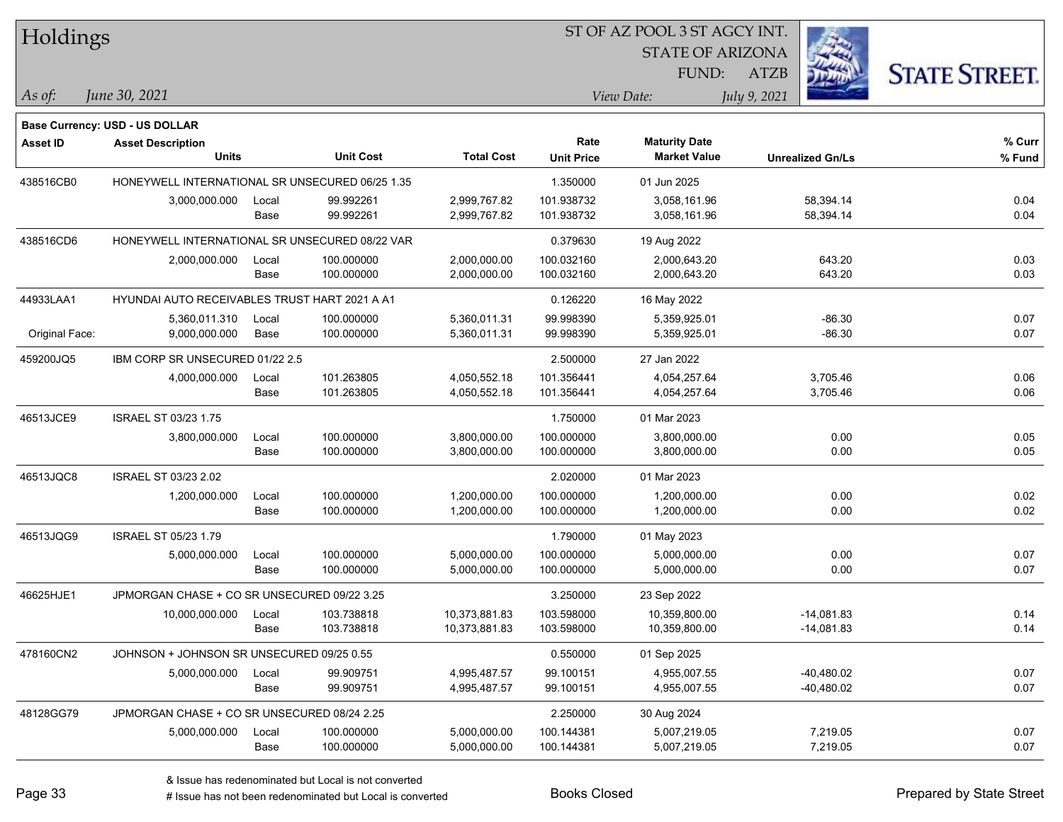| Holdings        |                                                 |       |                  |                   |                   | ST OF AZ POOL 3 ST AGCY INT. |                         |                      |  |
|-----------------|-------------------------------------------------|-------|------------------|-------------------|-------------------|------------------------------|-------------------------|----------------------|--|
|                 |                                                 |       |                  |                   |                   | <b>STATE OF ARIZONA</b>      |                         |                      |  |
|                 |                                                 |       |                  |                   |                   | FUND:                        | <b>ATZB</b>             | <b>STATE STREET.</b> |  |
| As of:          | June 30, 2021                                   |       |                  |                   |                   | View Date:                   | July 9, 2021            |                      |  |
|                 | Base Currency: USD - US DOLLAR                  |       |                  |                   |                   |                              |                         |                      |  |
| <b>Asset ID</b> | <b>Asset Description</b>                        |       |                  |                   | Rate              | <b>Maturity Date</b>         |                         | % Curr               |  |
|                 | <b>Units</b>                                    |       | <b>Unit Cost</b> | <b>Total Cost</b> | <b>Unit Price</b> | <b>Market Value</b>          | <b>Unrealized Gn/Ls</b> | % Fund               |  |
| 438516CB0       | HONEYWELL INTERNATIONAL SR UNSECURED 06/25 1.35 |       |                  |                   | 1.350000          | 01 Jun 2025                  |                         |                      |  |
|                 | 3,000,000.000                                   | Local | 99.992261        | 2,999,767.82      | 101.938732        | 3,058,161.96                 | 58,394.14               | 0.04                 |  |
|                 |                                                 | Base  | 99.992261        | 2,999,767.82      | 101.938732        | 3,058,161.96                 | 58,394.14               | 0.04                 |  |
| 438516CD6       | HONEYWELL INTERNATIONAL SR UNSECURED 08/22 VAR  |       |                  |                   | 0.379630          | 19 Aug 2022                  |                         |                      |  |
|                 | 2,000,000.000                                   | Local | 100.000000       | 2,000,000.00      | 100.032160        | 2,000,643.20                 | 643.20                  | 0.03                 |  |
|                 |                                                 | Base  | 100.000000       | 2,000,000.00      | 100.032160        | 2,000,643.20                 | 643.20                  | 0.03                 |  |
| 44933LAA1       | HYUNDAI AUTO RECEIVABLES TRUST HART 2021 A A1   |       |                  |                   | 0.126220          | 16 May 2022                  |                         |                      |  |
|                 | 5,360,011.310                                   | Local | 100.000000       | 5,360,011.31      | 99.998390         | 5,359,925.01                 | $-86.30$                | 0.07                 |  |
| Original Face:  | 9,000,000.000                                   | Base  | 100.000000       | 5,360,011.31      | 99.998390         | 5,359,925.01                 | $-86.30$                | 0.07                 |  |
| 459200JQ5       | IBM CORP SR UNSECURED 01/22 2.5                 |       |                  |                   | 2.500000          | 27 Jan 2022                  |                         |                      |  |
|                 | 4,000,000.000                                   | Local | 101.263805       | 4,050,552.18      | 101.356441        | 4,054,257.64                 | 3,705.46                | 0.06                 |  |
|                 |                                                 | Base  | 101.263805       | 4,050,552.18      | 101.356441        | 4,054,257.64                 | 3,705.46                | 0.06                 |  |
| 46513JCE9       | <b>ISRAEL ST 03/23 1.75</b>                     |       |                  |                   | 1.750000          | 01 Mar 2023                  |                         |                      |  |
|                 | 3,800,000.000                                   | Local | 100.000000       | 3,800,000.00      | 100.000000        | 3,800,000.00                 | 0.00                    | 0.05                 |  |
|                 |                                                 | Base  | 100.000000       | 3,800,000.00      | 100.000000        | 3,800,000.00                 | 0.00                    | 0.05                 |  |
| 46513JQC8       | ISRAEL ST 03/23 2.02                            |       |                  |                   | 2.020000          | 01 Mar 2023                  |                         |                      |  |
|                 | 1,200,000.000                                   | Local | 100.000000       | 1,200,000.00      | 100.000000        | 1,200,000.00                 | 0.00                    | 0.02                 |  |
|                 |                                                 | Base  | 100.000000       | 1,200,000.00      | 100.000000        | 1,200,000.00                 | 0.00                    | 0.02                 |  |
| 46513JQG9       | ISRAEL ST 05/23 1.79                            |       |                  |                   | 1.790000          | 01 May 2023                  |                         |                      |  |
|                 | 5,000,000.000                                   | Local | 100.000000       | 5,000,000.00      | 100.000000        | 5,000,000.00                 | 0.00                    | 0.07                 |  |
|                 |                                                 | Base  | 100.000000       | 5,000,000.00      | 100.000000        | 5,000,000.00                 | 0.00                    | 0.07                 |  |
| 46625HJE1       | JPMORGAN CHASE + CO SR UNSECURED 09/22 3.25     |       |                  |                   | 3.250000          | 23 Sep 2022                  |                         |                      |  |
|                 | 10,000,000.000                                  | Local | 103.738818       | 10,373,881.83     | 103.598000        | 10,359,800.00                | $-14,081.83$            | 0.14                 |  |
|                 |                                                 | Base  | 103.738818       | 10,373,881.83     | 103.598000        | 10,359,800.00                | $-14,081.83$            | 0.14                 |  |
| 478160CN2       | JOHNSON + JOHNSON SR UNSECURED 09/25 0.55       |       |                  |                   | 0.550000          | 01 Sep 2025                  |                         |                      |  |
|                 | 5,000,000.000                                   | Local | 99.909751        | 4,995,487.57      | 99.100151         | 4,955,007.55                 | $-40,480.02$            | 0.07                 |  |
|                 |                                                 | Base  | 99.909751        | 4,995,487.57      | 99.100151         | 4,955,007.55                 | $-40,480.02$            | 0.07                 |  |
| 48128GG79       | JPMORGAN CHASE + CO SR UNSECURED 08/24 2.25     |       |                  |                   | 2.250000          | 30 Aug 2024                  |                         |                      |  |
|                 | 5,000,000.000                                   | Local | 100.000000       | 5,000,000.00      | 100.144381        | 5,007,219.05                 | 7,219.05                | 0.07                 |  |
|                 |                                                 | Base  | 100.000000       | 5,000,000.00      | 100.144381        | 5,007,219.05                 | 7,219.05                | 0.07                 |  |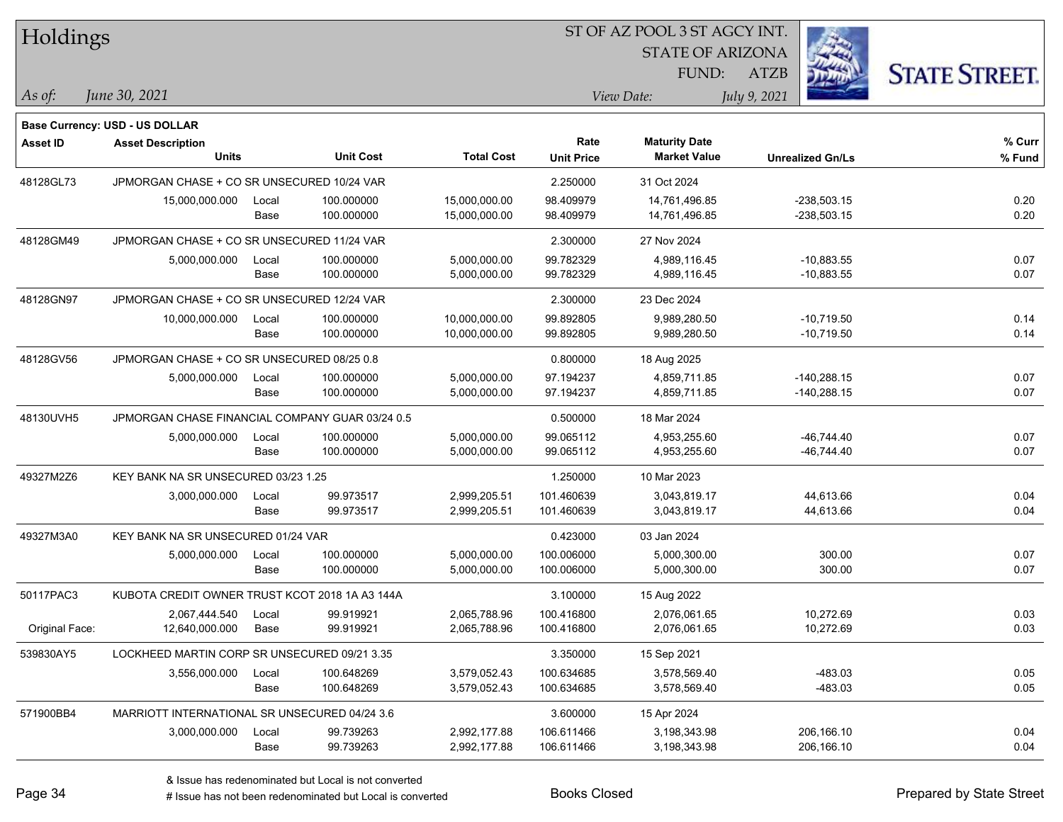| <b>STATE OF ARIZONA</b><br><b>STATE STREET.</b><br>FUND:<br><b>ATZB</b><br>June 30, 2021<br>View Date:<br>July 9, 2021<br>As of:<br><b>Base Currency: USD - US DOLLAR</b><br>Rate<br>% Curr<br><b>Maturity Date</b><br><b>Asset ID</b><br><b>Asset Description</b><br>Units<br><b>Unit Cost</b><br><b>Total Cost</b><br><b>Market Value</b><br><b>Unit Price</b><br>% Fund<br><b>Unrealized Gn/Ls</b><br>JPMORGAN CHASE + CO SR UNSECURED 10/24 VAR<br>48128GL73<br>2.250000<br>31 Oct 2024<br>0.20<br>100.000000<br>15,000,000.00<br>98.409979<br>$-238,503.15$<br>15,000,000.000<br>14,761,496.85<br>Local<br>100.000000<br>15,000,000.00<br>98.409979<br>14,761,496.85<br>$-238,503.15$<br>0.20<br>Base<br>JPMORGAN CHASE + CO SR UNSECURED 11/24 VAR<br>2.300000<br>48128GM49<br>27 Nov 2024<br>5,000,000.000<br>100.000000<br>5,000,000.00<br>99.782329<br>4,989,116.45<br>$-10,883.55$<br>0.07<br>Local<br>0.07<br>Base<br>100.000000<br>99.782329<br>4,989,116.45<br>$-10,883.55$<br>5,000,000.00<br>JPMORGAN CHASE + CO SR UNSECURED 12/24 VAR<br>48128GN97<br>2.300000<br>23 Dec 2024<br>0.14<br>10,000,000.00<br>99.892805<br>9,989,280.50<br>$-10,719.50$<br>10,000,000.000<br>100.000000<br>Local<br>0.14<br>100.000000<br>9,989,280.50<br>Base<br>10,000,000.00<br>99.892805<br>$-10,719.50$<br>JPMORGAN CHASE + CO SR UNSECURED 08/25 0.8<br>48128GV56<br>0.800000<br>18 Aug 2025<br>$-140,288.15$<br>0.07<br>5,000,000.00<br>97.194237<br>4,859,711.85<br>5,000,000.000<br>Local<br>100.000000<br>100.000000<br>5,000,000.00<br>97.194237<br>4,859,711.85<br>$-140,288.15$<br>0.07<br>Base<br>0.500000<br>48130UVH5<br>JPMORGAN CHASE FINANCIAL COMPANY GUAR 03/24 0.5<br>18 Mar 2024<br>5,000,000.000<br>100.000000<br>5,000,000.00<br>99.065112<br>4,953,255.60<br>$-46,744.40$<br>0.07<br>Local<br>0.07<br>Base<br>100.000000<br>99.065112<br>4,953,255.60<br>$-46,744.40$<br>5,000,000.00<br>KEY BANK NA SR UNSECURED 03/23 1.25<br>49327M2Z6<br>1.250000<br>10 Mar 2023<br>0.04<br>99.973517<br>2,999,205.51<br>101.460639<br>3,043,819.17<br>44,613.66<br>3,000,000.000<br>Local<br>99.973517<br>44,613.66<br>0.04<br>Base<br>2,999,205.51<br>101.460639<br>3,043,819.17<br>49327M3A0<br>KEY BANK NA SR UNSECURED 01/24 VAR<br>0.423000<br>03 Jan 2024<br>300.00<br>0.07<br>100.000000<br>5,000,000.00<br>100.006000<br>5,000,300.00<br>5,000,000.000<br>Local<br>100.000000<br>100.006000<br>5,000,300.00<br>300.00<br>0.07<br>Base<br>5,000,000.00<br>50117PAC3<br>KUBOTA CREDIT OWNER TRUST KCOT 2018 1A A3 144A<br>3.100000<br>15 Aug 2022<br>99.919921<br>2,065,788.96<br>2,076,061.65<br>10,272.69<br>0.03<br>2,067,444.540<br>100.416800<br>Local<br>0.03<br>Original Face:<br>12,640,000.000<br>Base<br>99.919921<br>2,065,788.96<br>100.416800<br>2,076,061.65<br>10,272.69<br>539830AY5<br>3.350000<br>LOCKHEED MARTIN CORP SR UNSECURED 09/21 3.35<br>15 Sep 2021<br>$-483.03$<br>0.05<br>3,556,000.000<br>100.648269<br>3,579,052.43<br>100.634685<br>3,578,569.40<br>Local<br>$-483.03$<br>0.05<br>100.648269<br>100.634685<br>3,578,569.40<br>Base<br>3,579,052.43<br>571900BB4<br>MARRIOTT INTERNATIONAL SR UNSECURED 04/24 3.6<br>3.600000<br>15 Apr 2024<br>106.611466<br>206,166.10<br>0.04<br>3,000,000.000<br>99.739263<br>2,992,177.88<br>3,198,343.98<br>Local<br>99.739263<br>206,166.10<br>0.04<br>Base<br>2,992,177.88<br>106.611466<br>3,198,343.98 | Holdings |  |  | ST OF AZ POOL 3 ST AGCY INT. |  |  |
|----------------------------------------------------------------------------------------------------------------------------------------------------------------------------------------------------------------------------------------------------------------------------------------------------------------------------------------------------------------------------------------------------------------------------------------------------------------------------------------------------------------------------------------------------------------------------------------------------------------------------------------------------------------------------------------------------------------------------------------------------------------------------------------------------------------------------------------------------------------------------------------------------------------------------------------------------------------------------------------------------------------------------------------------------------------------------------------------------------------------------------------------------------------------------------------------------------------------------------------------------------------------------------------------------------------------------------------------------------------------------------------------------------------------------------------------------------------------------------------------------------------------------------------------------------------------------------------------------------------------------------------------------------------------------------------------------------------------------------------------------------------------------------------------------------------------------------------------------------------------------------------------------------------------------------------------------------------------------------------------------------------------------------------------------------------------------------------------------------------------------------------------------------------------------------------------------------------------------------------------------------------------------------------------------------------------------------------------------------------------------------------------------------------------------------------------------------------------------------------------------------------------------------------------------------------------------------------------------------------------------------------------------------------------------------------------------------------------------------------------------------------------------------------------------------------------------------------------------------------------------------------------------------------------------------------------------------------------------------------------------------------------------------------------------------------------------------------------------------------------------------------------------------------------------------------------------------------------------------------------------------------------------------------------------------------------------------------------------------------------------------------------------|----------|--|--|------------------------------|--|--|
|                                                                                                                                                                                                                                                                                                                                                                                                                                                                                                                                                                                                                                                                                                                                                                                                                                                                                                                                                                                                                                                                                                                                                                                                                                                                                                                                                                                                                                                                                                                                                                                                                                                                                                                                                                                                                                                                                                                                                                                                                                                                                                                                                                                                                                                                                                                                                                                                                                                                                                                                                                                                                                                                                                                                                                                                                                                                                                                                                                                                                                                                                                                                                                                                                                                                                                                                                                                                    |          |  |  |                              |  |  |
|                                                                                                                                                                                                                                                                                                                                                                                                                                                                                                                                                                                                                                                                                                                                                                                                                                                                                                                                                                                                                                                                                                                                                                                                                                                                                                                                                                                                                                                                                                                                                                                                                                                                                                                                                                                                                                                                                                                                                                                                                                                                                                                                                                                                                                                                                                                                                                                                                                                                                                                                                                                                                                                                                                                                                                                                                                                                                                                                                                                                                                                                                                                                                                                                                                                                                                                                                                                                    |          |  |  |                              |  |  |
|                                                                                                                                                                                                                                                                                                                                                                                                                                                                                                                                                                                                                                                                                                                                                                                                                                                                                                                                                                                                                                                                                                                                                                                                                                                                                                                                                                                                                                                                                                                                                                                                                                                                                                                                                                                                                                                                                                                                                                                                                                                                                                                                                                                                                                                                                                                                                                                                                                                                                                                                                                                                                                                                                                                                                                                                                                                                                                                                                                                                                                                                                                                                                                                                                                                                                                                                                                                                    |          |  |  |                              |  |  |
|                                                                                                                                                                                                                                                                                                                                                                                                                                                                                                                                                                                                                                                                                                                                                                                                                                                                                                                                                                                                                                                                                                                                                                                                                                                                                                                                                                                                                                                                                                                                                                                                                                                                                                                                                                                                                                                                                                                                                                                                                                                                                                                                                                                                                                                                                                                                                                                                                                                                                                                                                                                                                                                                                                                                                                                                                                                                                                                                                                                                                                                                                                                                                                                                                                                                                                                                                                                                    |          |  |  |                              |  |  |
|                                                                                                                                                                                                                                                                                                                                                                                                                                                                                                                                                                                                                                                                                                                                                                                                                                                                                                                                                                                                                                                                                                                                                                                                                                                                                                                                                                                                                                                                                                                                                                                                                                                                                                                                                                                                                                                                                                                                                                                                                                                                                                                                                                                                                                                                                                                                                                                                                                                                                                                                                                                                                                                                                                                                                                                                                                                                                                                                                                                                                                                                                                                                                                                                                                                                                                                                                                                                    |          |  |  |                              |  |  |
|                                                                                                                                                                                                                                                                                                                                                                                                                                                                                                                                                                                                                                                                                                                                                                                                                                                                                                                                                                                                                                                                                                                                                                                                                                                                                                                                                                                                                                                                                                                                                                                                                                                                                                                                                                                                                                                                                                                                                                                                                                                                                                                                                                                                                                                                                                                                                                                                                                                                                                                                                                                                                                                                                                                                                                                                                                                                                                                                                                                                                                                                                                                                                                                                                                                                                                                                                                                                    |          |  |  |                              |  |  |
|                                                                                                                                                                                                                                                                                                                                                                                                                                                                                                                                                                                                                                                                                                                                                                                                                                                                                                                                                                                                                                                                                                                                                                                                                                                                                                                                                                                                                                                                                                                                                                                                                                                                                                                                                                                                                                                                                                                                                                                                                                                                                                                                                                                                                                                                                                                                                                                                                                                                                                                                                                                                                                                                                                                                                                                                                                                                                                                                                                                                                                                                                                                                                                                                                                                                                                                                                                                                    |          |  |  |                              |  |  |
|                                                                                                                                                                                                                                                                                                                                                                                                                                                                                                                                                                                                                                                                                                                                                                                                                                                                                                                                                                                                                                                                                                                                                                                                                                                                                                                                                                                                                                                                                                                                                                                                                                                                                                                                                                                                                                                                                                                                                                                                                                                                                                                                                                                                                                                                                                                                                                                                                                                                                                                                                                                                                                                                                                                                                                                                                                                                                                                                                                                                                                                                                                                                                                                                                                                                                                                                                                                                    |          |  |  |                              |  |  |
|                                                                                                                                                                                                                                                                                                                                                                                                                                                                                                                                                                                                                                                                                                                                                                                                                                                                                                                                                                                                                                                                                                                                                                                                                                                                                                                                                                                                                                                                                                                                                                                                                                                                                                                                                                                                                                                                                                                                                                                                                                                                                                                                                                                                                                                                                                                                                                                                                                                                                                                                                                                                                                                                                                                                                                                                                                                                                                                                                                                                                                                                                                                                                                                                                                                                                                                                                                                                    |          |  |  |                              |  |  |
|                                                                                                                                                                                                                                                                                                                                                                                                                                                                                                                                                                                                                                                                                                                                                                                                                                                                                                                                                                                                                                                                                                                                                                                                                                                                                                                                                                                                                                                                                                                                                                                                                                                                                                                                                                                                                                                                                                                                                                                                                                                                                                                                                                                                                                                                                                                                                                                                                                                                                                                                                                                                                                                                                                                                                                                                                                                                                                                                                                                                                                                                                                                                                                                                                                                                                                                                                                                                    |          |  |  |                              |  |  |
|                                                                                                                                                                                                                                                                                                                                                                                                                                                                                                                                                                                                                                                                                                                                                                                                                                                                                                                                                                                                                                                                                                                                                                                                                                                                                                                                                                                                                                                                                                                                                                                                                                                                                                                                                                                                                                                                                                                                                                                                                                                                                                                                                                                                                                                                                                                                                                                                                                                                                                                                                                                                                                                                                                                                                                                                                                                                                                                                                                                                                                                                                                                                                                                                                                                                                                                                                                                                    |          |  |  |                              |  |  |
|                                                                                                                                                                                                                                                                                                                                                                                                                                                                                                                                                                                                                                                                                                                                                                                                                                                                                                                                                                                                                                                                                                                                                                                                                                                                                                                                                                                                                                                                                                                                                                                                                                                                                                                                                                                                                                                                                                                                                                                                                                                                                                                                                                                                                                                                                                                                                                                                                                                                                                                                                                                                                                                                                                                                                                                                                                                                                                                                                                                                                                                                                                                                                                                                                                                                                                                                                                                                    |          |  |  |                              |  |  |
|                                                                                                                                                                                                                                                                                                                                                                                                                                                                                                                                                                                                                                                                                                                                                                                                                                                                                                                                                                                                                                                                                                                                                                                                                                                                                                                                                                                                                                                                                                                                                                                                                                                                                                                                                                                                                                                                                                                                                                                                                                                                                                                                                                                                                                                                                                                                                                                                                                                                                                                                                                                                                                                                                                                                                                                                                                                                                                                                                                                                                                                                                                                                                                                                                                                                                                                                                                                                    |          |  |  |                              |  |  |
|                                                                                                                                                                                                                                                                                                                                                                                                                                                                                                                                                                                                                                                                                                                                                                                                                                                                                                                                                                                                                                                                                                                                                                                                                                                                                                                                                                                                                                                                                                                                                                                                                                                                                                                                                                                                                                                                                                                                                                                                                                                                                                                                                                                                                                                                                                                                                                                                                                                                                                                                                                                                                                                                                                                                                                                                                                                                                                                                                                                                                                                                                                                                                                                                                                                                                                                                                                                                    |          |  |  |                              |  |  |
|                                                                                                                                                                                                                                                                                                                                                                                                                                                                                                                                                                                                                                                                                                                                                                                                                                                                                                                                                                                                                                                                                                                                                                                                                                                                                                                                                                                                                                                                                                                                                                                                                                                                                                                                                                                                                                                                                                                                                                                                                                                                                                                                                                                                                                                                                                                                                                                                                                                                                                                                                                                                                                                                                                                                                                                                                                                                                                                                                                                                                                                                                                                                                                                                                                                                                                                                                                                                    |          |  |  |                              |  |  |
|                                                                                                                                                                                                                                                                                                                                                                                                                                                                                                                                                                                                                                                                                                                                                                                                                                                                                                                                                                                                                                                                                                                                                                                                                                                                                                                                                                                                                                                                                                                                                                                                                                                                                                                                                                                                                                                                                                                                                                                                                                                                                                                                                                                                                                                                                                                                                                                                                                                                                                                                                                                                                                                                                                                                                                                                                                                                                                                                                                                                                                                                                                                                                                                                                                                                                                                                                                                                    |          |  |  |                              |  |  |
|                                                                                                                                                                                                                                                                                                                                                                                                                                                                                                                                                                                                                                                                                                                                                                                                                                                                                                                                                                                                                                                                                                                                                                                                                                                                                                                                                                                                                                                                                                                                                                                                                                                                                                                                                                                                                                                                                                                                                                                                                                                                                                                                                                                                                                                                                                                                                                                                                                                                                                                                                                                                                                                                                                                                                                                                                                                                                                                                                                                                                                                                                                                                                                                                                                                                                                                                                                                                    |          |  |  |                              |  |  |
|                                                                                                                                                                                                                                                                                                                                                                                                                                                                                                                                                                                                                                                                                                                                                                                                                                                                                                                                                                                                                                                                                                                                                                                                                                                                                                                                                                                                                                                                                                                                                                                                                                                                                                                                                                                                                                                                                                                                                                                                                                                                                                                                                                                                                                                                                                                                                                                                                                                                                                                                                                                                                                                                                                                                                                                                                                                                                                                                                                                                                                                                                                                                                                                                                                                                                                                                                                                                    |          |  |  |                              |  |  |
|                                                                                                                                                                                                                                                                                                                                                                                                                                                                                                                                                                                                                                                                                                                                                                                                                                                                                                                                                                                                                                                                                                                                                                                                                                                                                                                                                                                                                                                                                                                                                                                                                                                                                                                                                                                                                                                                                                                                                                                                                                                                                                                                                                                                                                                                                                                                                                                                                                                                                                                                                                                                                                                                                                                                                                                                                                                                                                                                                                                                                                                                                                                                                                                                                                                                                                                                                                                                    |          |  |  |                              |  |  |
|                                                                                                                                                                                                                                                                                                                                                                                                                                                                                                                                                                                                                                                                                                                                                                                                                                                                                                                                                                                                                                                                                                                                                                                                                                                                                                                                                                                                                                                                                                                                                                                                                                                                                                                                                                                                                                                                                                                                                                                                                                                                                                                                                                                                                                                                                                                                                                                                                                                                                                                                                                                                                                                                                                                                                                                                                                                                                                                                                                                                                                                                                                                                                                                                                                                                                                                                                                                                    |          |  |  |                              |  |  |
|                                                                                                                                                                                                                                                                                                                                                                                                                                                                                                                                                                                                                                                                                                                                                                                                                                                                                                                                                                                                                                                                                                                                                                                                                                                                                                                                                                                                                                                                                                                                                                                                                                                                                                                                                                                                                                                                                                                                                                                                                                                                                                                                                                                                                                                                                                                                                                                                                                                                                                                                                                                                                                                                                                                                                                                                                                                                                                                                                                                                                                                                                                                                                                                                                                                                                                                                                                                                    |          |  |  |                              |  |  |
|                                                                                                                                                                                                                                                                                                                                                                                                                                                                                                                                                                                                                                                                                                                                                                                                                                                                                                                                                                                                                                                                                                                                                                                                                                                                                                                                                                                                                                                                                                                                                                                                                                                                                                                                                                                                                                                                                                                                                                                                                                                                                                                                                                                                                                                                                                                                                                                                                                                                                                                                                                                                                                                                                                                                                                                                                                                                                                                                                                                                                                                                                                                                                                                                                                                                                                                                                                                                    |          |  |  |                              |  |  |
|                                                                                                                                                                                                                                                                                                                                                                                                                                                                                                                                                                                                                                                                                                                                                                                                                                                                                                                                                                                                                                                                                                                                                                                                                                                                                                                                                                                                                                                                                                                                                                                                                                                                                                                                                                                                                                                                                                                                                                                                                                                                                                                                                                                                                                                                                                                                                                                                                                                                                                                                                                                                                                                                                                                                                                                                                                                                                                                                                                                                                                                                                                                                                                                                                                                                                                                                                                                                    |          |  |  |                              |  |  |
|                                                                                                                                                                                                                                                                                                                                                                                                                                                                                                                                                                                                                                                                                                                                                                                                                                                                                                                                                                                                                                                                                                                                                                                                                                                                                                                                                                                                                                                                                                                                                                                                                                                                                                                                                                                                                                                                                                                                                                                                                                                                                                                                                                                                                                                                                                                                                                                                                                                                                                                                                                                                                                                                                                                                                                                                                                                                                                                                                                                                                                                                                                                                                                                                                                                                                                                                                                                                    |          |  |  |                              |  |  |
|                                                                                                                                                                                                                                                                                                                                                                                                                                                                                                                                                                                                                                                                                                                                                                                                                                                                                                                                                                                                                                                                                                                                                                                                                                                                                                                                                                                                                                                                                                                                                                                                                                                                                                                                                                                                                                                                                                                                                                                                                                                                                                                                                                                                                                                                                                                                                                                                                                                                                                                                                                                                                                                                                                                                                                                                                                                                                                                                                                                                                                                                                                                                                                                                                                                                                                                                                                                                    |          |  |  |                              |  |  |
|                                                                                                                                                                                                                                                                                                                                                                                                                                                                                                                                                                                                                                                                                                                                                                                                                                                                                                                                                                                                                                                                                                                                                                                                                                                                                                                                                                                                                                                                                                                                                                                                                                                                                                                                                                                                                                                                                                                                                                                                                                                                                                                                                                                                                                                                                                                                                                                                                                                                                                                                                                                                                                                                                                                                                                                                                                                                                                                                                                                                                                                                                                                                                                                                                                                                                                                                                                                                    |          |  |  |                              |  |  |
|                                                                                                                                                                                                                                                                                                                                                                                                                                                                                                                                                                                                                                                                                                                                                                                                                                                                                                                                                                                                                                                                                                                                                                                                                                                                                                                                                                                                                                                                                                                                                                                                                                                                                                                                                                                                                                                                                                                                                                                                                                                                                                                                                                                                                                                                                                                                                                                                                                                                                                                                                                                                                                                                                                                                                                                                                                                                                                                                                                                                                                                                                                                                                                                                                                                                                                                                                                                                    |          |  |  |                              |  |  |
|                                                                                                                                                                                                                                                                                                                                                                                                                                                                                                                                                                                                                                                                                                                                                                                                                                                                                                                                                                                                                                                                                                                                                                                                                                                                                                                                                                                                                                                                                                                                                                                                                                                                                                                                                                                                                                                                                                                                                                                                                                                                                                                                                                                                                                                                                                                                                                                                                                                                                                                                                                                                                                                                                                                                                                                                                                                                                                                                                                                                                                                                                                                                                                                                                                                                                                                                                                                                    |          |  |  |                              |  |  |
|                                                                                                                                                                                                                                                                                                                                                                                                                                                                                                                                                                                                                                                                                                                                                                                                                                                                                                                                                                                                                                                                                                                                                                                                                                                                                                                                                                                                                                                                                                                                                                                                                                                                                                                                                                                                                                                                                                                                                                                                                                                                                                                                                                                                                                                                                                                                                                                                                                                                                                                                                                                                                                                                                                                                                                                                                                                                                                                                                                                                                                                                                                                                                                                                                                                                                                                                                                                                    |          |  |  |                              |  |  |
|                                                                                                                                                                                                                                                                                                                                                                                                                                                                                                                                                                                                                                                                                                                                                                                                                                                                                                                                                                                                                                                                                                                                                                                                                                                                                                                                                                                                                                                                                                                                                                                                                                                                                                                                                                                                                                                                                                                                                                                                                                                                                                                                                                                                                                                                                                                                                                                                                                                                                                                                                                                                                                                                                                                                                                                                                                                                                                                                                                                                                                                                                                                                                                                                                                                                                                                                                                                                    |          |  |  |                              |  |  |
|                                                                                                                                                                                                                                                                                                                                                                                                                                                                                                                                                                                                                                                                                                                                                                                                                                                                                                                                                                                                                                                                                                                                                                                                                                                                                                                                                                                                                                                                                                                                                                                                                                                                                                                                                                                                                                                                                                                                                                                                                                                                                                                                                                                                                                                                                                                                                                                                                                                                                                                                                                                                                                                                                                                                                                                                                                                                                                                                                                                                                                                                                                                                                                                                                                                                                                                                                                                                    |          |  |  |                              |  |  |
|                                                                                                                                                                                                                                                                                                                                                                                                                                                                                                                                                                                                                                                                                                                                                                                                                                                                                                                                                                                                                                                                                                                                                                                                                                                                                                                                                                                                                                                                                                                                                                                                                                                                                                                                                                                                                                                                                                                                                                                                                                                                                                                                                                                                                                                                                                                                                                                                                                                                                                                                                                                                                                                                                                                                                                                                                                                                                                                                                                                                                                                                                                                                                                                                                                                                                                                                                                                                    |          |  |  |                              |  |  |
|                                                                                                                                                                                                                                                                                                                                                                                                                                                                                                                                                                                                                                                                                                                                                                                                                                                                                                                                                                                                                                                                                                                                                                                                                                                                                                                                                                                                                                                                                                                                                                                                                                                                                                                                                                                                                                                                                                                                                                                                                                                                                                                                                                                                                                                                                                                                                                                                                                                                                                                                                                                                                                                                                                                                                                                                                                                                                                                                                                                                                                                                                                                                                                                                                                                                                                                                                                                                    |          |  |  |                              |  |  |
|                                                                                                                                                                                                                                                                                                                                                                                                                                                                                                                                                                                                                                                                                                                                                                                                                                                                                                                                                                                                                                                                                                                                                                                                                                                                                                                                                                                                                                                                                                                                                                                                                                                                                                                                                                                                                                                                                                                                                                                                                                                                                                                                                                                                                                                                                                                                                                                                                                                                                                                                                                                                                                                                                                                                                                                                                                                                                                                                                                                                                                                                                                                                                                                                                                                                                                                                                                                                    |          |  |  |                              |  |  |
|                                                                                                                                                                                                                                                                                                                                                                                                                                                                                                                                                                                                                                                                                                                                                                                                                                                                                                                                                                                                                                                                                                                                                                                                                                                                                                                                                                                                                                                                                                                                                                                                                                                                                                                                                                                                                                                                                                                                                                                                                                                                                                                                                                                                                                                                                                                                                                                                                                                                                                                                                                                                                                                                                                                                                                                                                                                                                                                                                                                                                                                                                                                                                                                                                                                                                                                                                                                                    |          |  |  |                              |  |  |
|                                                                                                                                                                                                                                                                                                                                                                                                                                                                                                                                                                                                                                                                                                                                                                                                                                                                                                                                                                                                                                                                                                                                                                                                                                                                                                                                                                                                                                                                                                                                                                                                                                                                                                                                                                                                                                                                                                                                                                                                                                                                                                                                                                                                                                                                                                                                                                                                                                                                                                                                                                                                                                                                                                                                                                                                                                                                                                                                                                                                                                                                                                                                                                                                                                                                                                                                                                                                    |          |  |  |                              |  |  |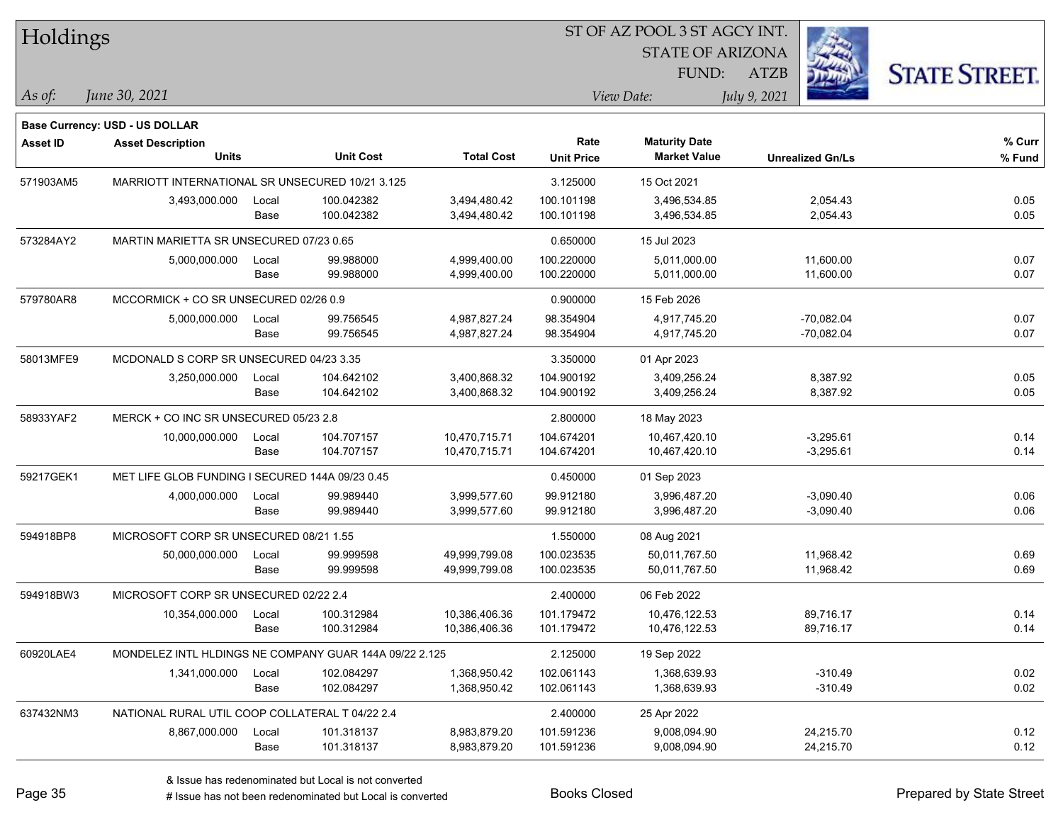| Holdings       |                                                        |       |                  |                   | ST OF AZ POOL 3 ST AGCY INT. |                                             |                         |                      |  |
|----------------|--------------------------------------------------------|-------|------------------|-------------------|------------------------------|---------------------------------------------|-------------------------|----------------------|--|
|                |                                                        |       |                  |                   |                              | <b>STATE OF ARIZONA</b>                     |                         |                      |  |
|                |                                                        |       |                  |                   |                              | FUND:                                       | <b>ATZB</b>             | <b>STATE STREET.</b> |  |
| $\vert$ As of: | June 30, 2021                                          |       |                  |                   |                              | View Date:                                  | July 9, 2021            |                      |  |
|                |                                                        |       |                  |                   |                              |                                             |                         |                      |  |
|                | Base Currency: USD - US DOLLAR                         |       |                  |                   | Rate                         |                                             |                         | % Curr               |  |
| Asset ID       | <b>Asset Description</b><br><b>Units</b>               |       | <b>Unit Cost</b> | <b>Total Cost</b> | <b>Unit Price</b>            | <b>Maturity Date</b><br><b>Market Value</b> | <b>Unrealized Gn/Ls</b> | % Fund               |  |
| 571903AM5      | MARRIOTT INTERNATIONAL SR UNSECURED 10/21 3.125        |       |                  |                   | 3.125000                     | 15 Oct 2021                                 |                         |                      |  |
|                | 3,493,000.000                                          | Local | 100.042382       | 3,494,480.42      | 100.101198                   | 3,496,534.85                                | 2,054.43                | 0.05                 |  |
|                |                                                        | Base  | 100.042382       | 3,494,480.42      | 100.101198                   | 3,496,534.85                                | 2,054.43                | 0.05                 |  |
| 573284AY2      | MARTIN MARIETTA SR UNSECURED 07/23 0.65                |       |                  |                   | 0.650000                     | 15 Jul 2023                                 |                         |                      |  |
|                | 5,000,000.000                                          | Local | 99.988000        | 4,999,400.00      | 100.220000                   | 5,011,000.00                                | 11,600.00               | 0.07                 |  |
|                |                                                        | Base  | 99.988000        | 4,999,400.00      | 100.220000                   | 5,011,000.00                                | 11,600.00               | 0.07                 |  |
| 579780AR8      | MCCORMICK + CO SR UNSECURED 02/26 0.9                  |       |                  |                   | 0.900000                     | 15 Feb 2026                                 |                         |                      |  |
|                | 5,000,000.000                                          | Local | 99.756545        | 4,987,827.24      | 98.354904                    | 4,917,745.20                                | $-70,082.04$            | 0.07                 |  |
|                |                                                        | Base  | 99.756545        | 4,987,827.24      | 98.354904                    | 4,917,745.20                                | $-70,082.04$            | 0.07                 |  |
| 58013MFE9      | MCDONALD S CORP SR UNSECURED 04/23 3.35                |       |                  |                   | 3.350000                     | 01 Apr 2023                                 |                         |                      |  |
|                | 3,250,000.000                                          | Local | 104.642102       | 3,400,868.32      | 104.900192                   | 3,409,256.24                                | 8,387.92                | 0.05                 |  |
|                |                                                        | Base  | 104.642102       | 3,400,868.32      | 104.900192                   | 3,409,256.24                                | 8,387.92                | 0.05                 |  |
| 58933YAF2      | MERCK + CO INC SR UNSECURED 05/23 2.8                  |       |                  |                   | 2.800000                     | 18 May 2023                                 |                         |                      |  |
|                | 10,000,000.000                                         | Local | 104.707157       | 10,470,715.71     | 104.674201                   | 10,467,420.10                               | $-3,295.61$             | 0.14                 |  |
|                |                                                        | Base  | 104.707157       | 10,470,715.71     | 104.674201                   | 10,467,420.10                               | $-3,295.61$             | 0.14                 |  |
| 59217GEK1      | MET LIFE GLOB FUNDING I SECURED 144A 09/23 0.45        |       |                  |                   | 0.450000                     | 01 Sep 2023                                 |                         |                      |  |
|                | 4,000,000.000                                          | Local | 99.989440        | 3,999,577.60      | 99.912180                    | 3,996,487.20                                | $-3,090.40$             | 0.06                 |  |
|                |                                                        | Base  | 99.989440        | 3,999,577.60      | 99.912180                    | 3,996,487.20                                | $-3,090.40$             | 0.06                 |  |
| 594918BP8      | MICROSOFT CORP SR UNSECURED 08/21 1.55                 |       |                  |                   | 1.550000                     | 08 Aug 2021                                 |                         |                      |  |
|                | 50,000,000.000                                         | Local | 99.999598        | 49,999,799.08     | 100.023535                   | 50,011,767.50                               | 11,968.42               | 0.69                 |  |
|                |                                                        | Base  | 99.999598        | 49,999,799.08     | 100.023535                   | 50,011,767.50                               | 11,968.42               | 0.69                 |  |
| 594918BW3      | MICROSOFT CORP SR UNSECURED 02/22 2.4                  |       |                  |                   | 2.400000                     | 06 Feb 2022                                 |                         |                      |  |
|                | 10,354,000.000                                         | Local | 100.312984       | 10,386,406.36     | 101.179472                   | 10,476,122.53                               | 89,716.17               | 0.14                 |  |
|                |                                                        | Base  | 100.312984       | 10,386,406.36     | 101.179472                   | 10,476,122.53                               | 89,716.17               | 0.14                 |  |
| 60920LAE4      | MONDELEZ INTL HLDINGS NE COMPANY GUAR 144A 09/22 2.125 |       |                  |                   | 2.125000                     | 19 Sep 2022                                 |                         |                      |  |
|                | 1,341,000.000                                          | Local | 102.084297       | 1,368,950.42      | 102.061143                   | 1,368,639.93                                | $-310.49$               | 0.02                 |  |
|                |                                                        | Base  | 102.084297       | 1,368,950.42      | 102.061143                   | 1,368,639.93                                | $-310.49$               | 0.02                 |  |
| 637432NM3      | NATIONAL RURAL UTIL COOP COLLATERAL T 04/22 2.4        |       |                  |                   | 2.400000                     | 25 Apr 2022                                 |                         |                      |  |
|                | 8,867,000.000                                          | Local | 101.318137       | 8,983,879.20      | 101.591236                   | 9,008,094.90                                | 24,215.70               | 0.12                 |  |
|                |                                                        | Base  | 101.318137       | 8,983,879.20      | 101.591236                   | 9,008,094.90                                | 24,215.70               | 0.12                 |  |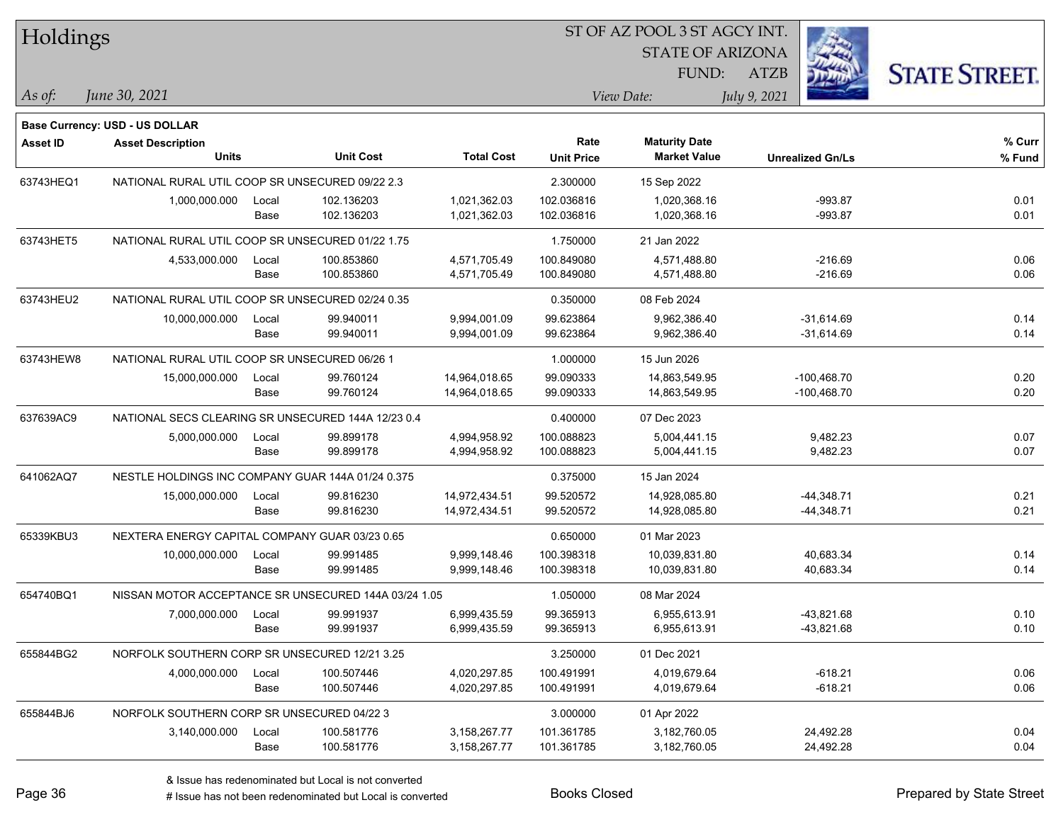| Holdings        |                                                    |       |                                                      |                   | ST OF AZ POOL 3 ST AGCY INT. |                         |              |                         |                      |  |
|-----------------|----------------------------------------------------|-------|------------------------------------------------------|-------------------|------------------------------|-------------------------|--------------|-------------------------|----------------------|--|
|                 |                                                    |       |                                                      |                   |                              | <b>STATE OF ARIZONA</b> |              |                         |                      |  |
|                 |                                                    |       |                                                      |                   |                              | FUND:                   | <b>ATZB</b>  |                         | <b>STATE STREET.</b> |  |
| As of:          | June 30, 2021                                      |       |                                                      |                   |                              | View Date:              | July 9, 2021 |                         |                      |  |
|                 | <b>Base Currency: USD - US DOLLAR</b>              |       |                                                      |                   |                              |                         |              |                         |                      |  |
| <b>Asset ID</b> | <b>Asset Description</b>                           |       |                                                      |                   | Rate                         | <b>Maturity Date</b>    |              |                         | % Curr               |  |
|                 | <b>Units</b>                                       |       | <b>Unit Cost</b>                                     | <b>Total Cost</b> | <b>Unit Price</b>            | <b>Market Value</b>     |              | <b>Unrealized Gn/Ls</b> | % Fund               |  |
| 63743HEQ1       | NATIONAL RURAL UTIL COOP SR UNSECURED 09/22 2.3    |       |                                                      |                   | 2.300000                     | 15 Sep 2022             |              |                         |                      |  |
|                 | 1,000,000.000                                      | Local | 102.136203                                           | 1,021,362.03      | 102.036816                   | 1,020,368.16            |              | $-993.87$               | 0.01                 |  |
|                 |                                                    | Base  | 102.136203                                           | 1,021,362.03      | 102.036816                   | 1,020,368.16            |              | $-993.87$               | 0.01                 |  |
| 63743HET5       | NATIONAL RURAL UTIL COOP SR UNSECURED 01/22 1.75   |       |                                                      |                   | 1.750000                     | 21 Jan 2022             |              |                         |                      |  |
|                 | 4,533,000.000                                      | Local | 100.853860                                           | 4,571,705.49      | 100.849080                   | 4,571,488.80            |              | -216.69                 | 0.06                 |  |
|                 |                                                    | Base  | 100.853860                                           | 4,571,705.49      | 100.849080                   | 4,571,488.80            |              | $-216.69$               | 0.06                 |  |
| 63743HEU2       | NATIONAL RURAL UTIL COOP SR UNSECURED 02/24 0.35   |       |                                                      |                   | 0.350000                     | 08 Feb 2024             |              |                         |                      |  |
|                 | 10,000,000.000                                     | Local | 99.940011                                            | 9,994,001.09      | 99.623864                    | 9,962,386.40            |              | $-31,614.69$            | 0.14                 |  |
|                 |                                                    | Base  | 99.940011                                            | 9,994,001.09      | 99.623864                    | 9,962,386.40            |              | $-31,614.69$            | 0.14                 |  |
| 63743HEW8       | NATIONAL RURAL UTIL COOP SR UNSECURED 06/26 1      |       |                                                      |                   | 1.000000                     | 15 Jun 2026             |              |                         |                      |  |
|                 | 15,000,000.000                                     | Local | 99.760124                                            | 14,964,018.65     | 99.090333                    | 14,863,549.95           |              | $-100,468.70$           | 0.20                 |  |
|                 |                                                    | Base  | 99.760124                                            | 14,964,018.65     | 99.090333                    | 14,863,549.95           |              | $-100,468.70$           | 0.20                 |  |
| 637639AC9       | NATIONAL SECS CLEARING SR UNSECURED 144A 12/23 0.4 |       |                                                      |                   | 0.400000                     | 07 Dec 2023             |              |                         |                      |  |
|                 | 5,000,000.000                                      | Local | 99.899178                                            | 4,994,958.92      | 100.088823                   | 5,004,441.15            |              | 9,482.23                | 0.07                 |  |
|                 |                                                    | Base  | 99.899178                                            | 4,994,958.92      | 100.088823                   | 5,004,441.15            |              | 9,482.23                | 0.07                 |  |
| 641062AQ7       | NESTLE HOLDINGS INC COMPANY GUAR 144A 01/24 0.375  |       |                                                      |                   | 0.375000                     | 15 Jan 2024             |              |                         |                      |  |
|                 | 15,000,000.000                                     | Local | 99.816230                                            | 14,972,434.51     | 99.520572                    | 14,928,085.80           |              | $-44,348.71$            | 0.21                 |  |
|                 |                                                    | Base  | 99.816230                                            | 14,972,434.51     | 99.520572                    | 14,928,085.80           |              | $-44,348.71$            | 0.21                 |  |
| 65339KBU3       | NEXTERA ENERGY CAPITAL COMPANY GUAR 03/23 0.65     |       |                                                      |                   | 0.650000                     | 01 Mar 2023             |              |                         |                      |  |
|                 | 10,000,000.000                                     | Local | 99.991485                                            | 9,999,148.46      | 100.398318                   | 10,039,831.80           |              | 40,683.34               | 0.14                 |  |
|                 |                                                    | Base  | 99.991485                                            | 9,999,148.46      | 100.398318                   | 10,039,831.80           |              | 40,683.34               | 0.14                 |  |
| 654740BQ1       |                                                    |       | NISSAN MOTOR ACCEPTANCE SR UNSECURED 144A 03/24 1.05 |                   | 1.050000                     | 08 Mar 2024             |              |                         |                      |  |
|                 | 7,000,000.000                                      | Local | 99.991937                                            | 6,999,435.59      | 99.365913                    | 6,955,613.91            |              | $-43,821.68$            | 0.10                 |  |
|                 |                                                    | Base  | 99.991937                                            | 6,999,435.59      | 99.365913                    | 6,955,613.91            |              | -43,821.68              | 0.10                 |  |
| 655844BG2       | NORFOLK SOUTHERN CORP SR UNSECURED 12/21 3.25      |       |                                                      |                   | 3.250000                     | 01 Dec 2021             |              |                         |                      |  |
|                 | 4,000,000.000                                      | Local | 100.507446                                           | 4,020,297.85      | 100.491991                   | 4,019,679.64            |              | $-618.21$               | 0.06                 |  |
|                 |                                                    | Base  | 100.507446                                           | 4,020,297.85      | 100.491991                   | 4,019,679.64            |              | $-618.21$               | 0.06                 |  |
| 655844BJ6       | NORFOLK SOUTHERN CORP SR UNSECURED 04/22 3         |       |                                                      |                   | 3.000000                     | 01 Apr 2022             |              |                         |                      |  |
|                 | 3,140,000.000                                      | Local | 100.581776                                           | 3,158,267.77      | 101.361785                   | 3,182,760.05            |              | 24,492.28               | 0.04                 |  |
|                 |                                                    | Base  | 100.581776                                           | 3,158,267.77      | 101.361785                   | 3,182,760.05            |              | 24,492.28               | 0.04                 |  |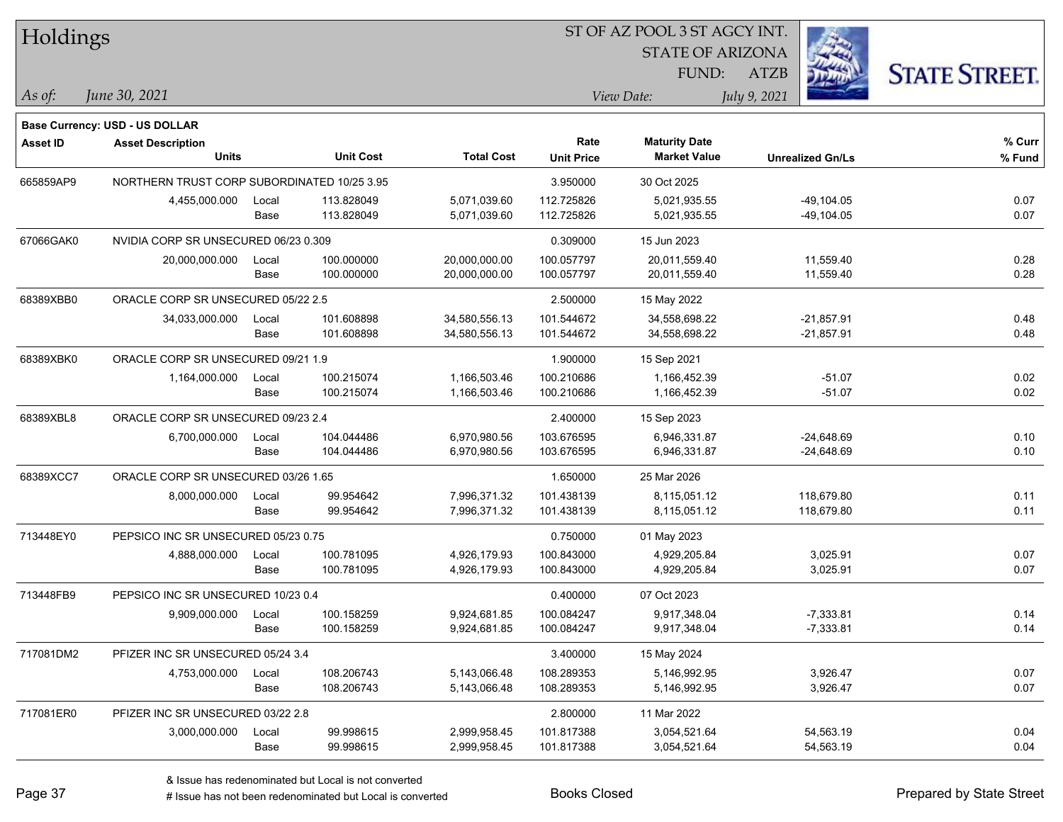| Holdings        |                                             |       |                  |                   | ST OF AZ POOL 3 ST AGCY INT. |                         |                         |               |                      |  |  |
|-----------------|---------------------------------------------|-------|------------------|-------------------|------------------------------|-------------------------|-------------------------|---------------|----------------------|--|--|
|                 |                                             |       |                  |                   |                              | <b>STATE OF ARIZONA</b> |                         |               |                      |  |  |
|                 |                                             |       |                  |                   |                              | FUND:                   | <b>ATZB</b>             |               | <b>STATE STREET.</b> |  |  |
| As of:          | June 30, 2021                               |       |                  |                   |                              | View Date:              | July 9, 2021            |               |                      |  |  |
|                 | <b>Base Currency: USD - US DOLLAR</b>       |       |                  |                   |                              |                         |                         |               |                      |  |  |
| <b>Asset ID</b> | <b>Asset Description</b>                    |       |                  |                   | Rate                         | <b>Maturity Date</b>    |                         |               | % Curr               |  |  |
|                 | <b>Units</b>                                |       | <b>Unit Cost</b> | <b>Total Cost</b> | <b>Unit Price</b>            | <b>Market Value</b>     | <b>Unrealized Gn/Ls</b> |               | % Fund               |  |  |
| 665859AP9       | NORTHERN TRUST CORP SUBORDINATED 10/25 3.95 |       |                  |                   | 3.950000                     | 30 Oct 2025             |                         |               |                      |  |  |
|                 | 4,455,000.000                               | Local | 113.828049       | 5,071,039.60      | 112.725826                   | 5,021,935.55            |                         | $-49, 104.05$ | 0.07                 |  |  |
|                 |                                             | Base  | 113.828049       | 5,071,039.60      | 112.725826                   | 5,021,935.55            |                         | $-49,104.05$  | 0.07                 |  |  |
| 67066GAK0       | NVIDIA CORP SR UNSECURED 06/23 0.309        |       |                  |                   | 0.309000                     | 15 Jun 2023             |                         |               |                      |  |  |
|                 | 20,000,000.000                              | Local | 100.000000       | 20,000,000.00     | 100.057797                   | 20,011,559.40           |                         | 11,559.40     | 0.28                 |  |  |
|                 |                                             | Base  | 100.000000       | 20,000,000.00     | 100.057797                   | 20,011,559.40           |                         | 11,559.40     | 0.28                 |  |  |
| 68389XBB0       | ORACLE CORP SR UNSECURED 05/22 2.5          |       |                  |                   | 2.500000                     | 15 May 2022             |                         |               |                      |  |  |
|                 | 34,033,000.000                              | Local | 101.608898       | 34,580,556.13     | 101.544672                   | 34,558,698.22           |                         | $-21,857.91$  | 0.48                 |  |  |
|                 |                                             | Base  | 101.608898       | 34,580,556.13     | 101.544672                   | 34,558,698.22           |                         | $-21,857.91$  | 0.48                 |  |  |
| 68389XBK0       | ORACLE CORP SR UNSECURED 09/21 1.9          |       |                  |                   | 1.900000                     | 15 Sep 2021             |                         |               |                      |  |  |
|                 | 1,164,000.000                               | Local | 100.215074       | 1,166,503.46      | 100.210686                   | 1,166,452.39            |                         | $-51.07$      | 0.02                 |  |  |
|                 |                                             | Base  | 100.215074       | 1,166,503.46      | 100.210686                   | 1,166,452.39            |                         | $-51.07$      | 0.02                 |  |  |
| 68389XBL8       | ORACLE CORP SR UNSECURED 09/23 2.4          |       |                  |                   | 2.400000                     | 15 Sep 2023             |                         |               |                      |  |  |
|                 | 6,700,000.000                               | Local | 104.044486       | 6,970,980.56      | 103.676595                   | 6,946,331.87            |                         | $-24,648.69$  | 0.10                 |  |  |
|                 |                                             | Base  | 104.044486       | 6,970,980.56      | 103.676595                   | 6,946,331.87            |                         | $-24,648.69$  | 0.10                 |  |  |
| 68389XCC7       | ORACLE CORP SR UNSECURED 03/26 1.65         |       |                  |                   | 1.650000                     | 25 Mar 2026             |                         |               |                      |  |  |
|                 | 8,000,000.000                               | Local | 99.954642        | 7,996,371.32      | 101.438139                   | 8,115,051.12            | 118,679.80              |               | 0.11                 |  |  |
|                 |                                             | Base  | 99.954642        | 7,996,371.32      | 101.438139                   | 8,115,051.12            | 118,679.80              |               | 0.11                 |  |  |
| 713448EY0       | PEPSICO INC SR UNSECURED 05/23 0.75         |       |                  |                   | 0.750000                     | 01 May 2023             |                         |               |                      |  |  |
|                 | 4,888,000.000                               | Local | 100.781095       | 4,926,179.93      | 100.843000                   | 4,929,205.84            |                         | 3,025.91      | 0.07                 |  |  |
|                 |                                             | Base  | 100.781095       | 4,926,179.93      | 100.843000                   | 4,929,205.84            |                         | 3,025.91      | 0.07                 |  |  |
| 713448FB9       | PEPSICO INC SR UNSECURED 10/23 0.4          |       |                  |                   | 0.400000                     | 07 Oct 2023             |                         |               |                      |  |  |
|                 | 9,909,000.000                               | Local | 100.158259       | 9,924,681.85      | 100.084247                   | 9,917,348.04            |                         | $-7,333.81$   | 0.14                 |  |  |
|                 |                                             | Base  | 100.158259       | 9,924,681.85      | 100.084247                   | 9,917,348.04            |                         | $-7,333.81$   | 0.14                 |  |  |
| 717081DM2       | PFIZER INC SR UNSECURED 05/24 3.4           |       |                  |                   | 3.400000                     | 15 May 2024             |                         |               |                      |  |  |
|                 | 4,753,000.000                               | Local | 108.206743       | 5,143,066.48      | 108.289353                   | 5,146,992.95            |                         | 3,926.47      | 0.07                 |  |  |
|                 |                                             | Base  | 108.206743       | 5,143,066.48      | 108.289353                   | 5,146,992.95            |                         | 3,926.47      | 0.07                 |  |  |
| 717081ER0       | PFIZER INC SR UNSECURED 03/22 2.8           |       |                  |                   | 2.800000                     | 11 Mar 2022             |                         |               |                      |  |  |
|                 | 3,000,000.000                               | Local | 99.998615        | 2,999,958.45      | 101.817388                   | 3,054,521.64            |                         | 54,563.19     | 0.04                 |  |  |
|                 |                                             | Base  | 99.998615        | 2,999,958.45      | 101.817388                   | 3,054,521.64            |                         | 54,563.19     | 0.04                 |  |  |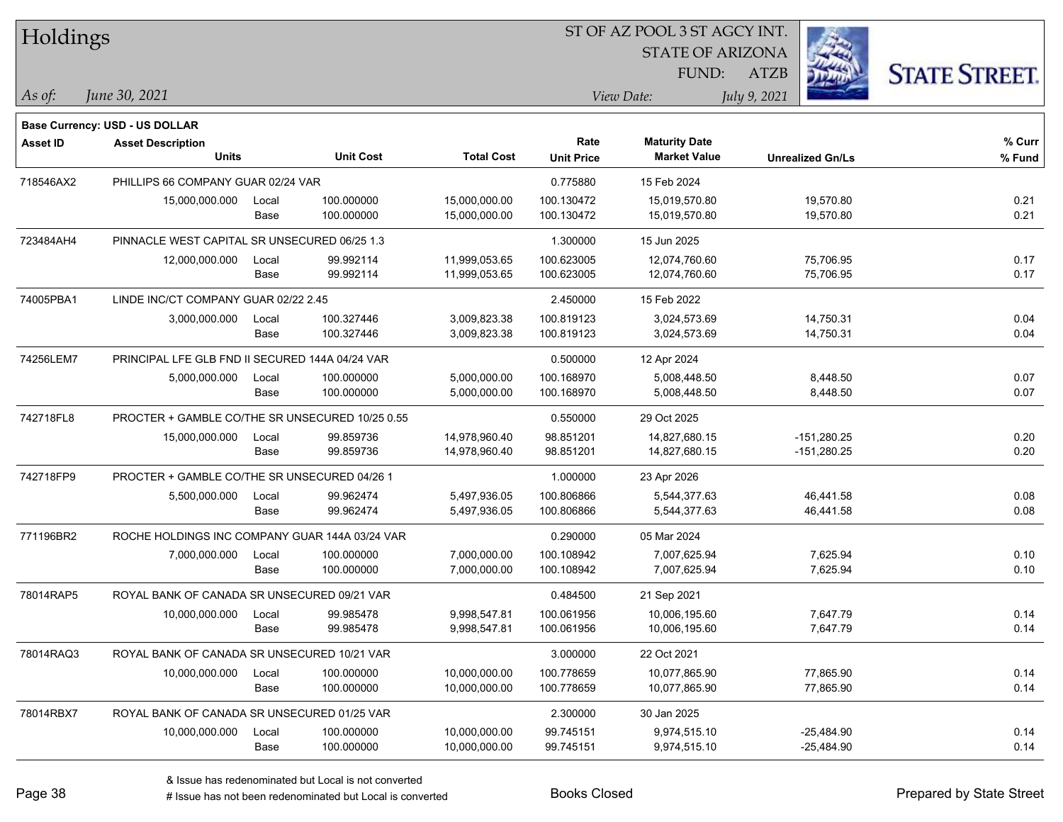| Holdings        |                                                 |       |                  |                   |                   | ST OF AZ POOL 3 ST AGCY INT. |                         |                      |
|-----------------|-------------------------------------------------|-------|------------------|-------------------|-------------------|------------------------------|-------------------------|----------------------|
|                 |                                                 |       |                  |                   |                   | <b>STATE OF ARIZONA</b>      |                         |                      |
|                 |                                                 |       |                  |                   |                   | FUND:                        | <b>ATZB</b>             | <b>STATE STREET.</b> |
| As of:          | June 30, 2021                                   |       |                  |                   |                   | View Date:                   | July 9, 2021            |                      |
|                 | <b>Base Currency: USD - US DOLLAR</b>           |       |                  |                   |                   |                              |                         |                      |
| <b>Asset ID</b> | <b>Asset Description</b>                        |       |                  |                   | Rate              | <b>Maturity Date</b>         |                         | % Curr               |
|                 | <b>Units</b>                                    |       | <b>Unit Cost</b> | <b>Total Cost</b> | <b>Unit Price</b> | <b>Market Value</b>          | <b>Unrealized Gn/Ls</b> | % Fund               |
| 718546AX2       | PHILLIPS 66 COMPANY GUAR 02/24 VAR              |       |                  |                   | 0.775880          | 15 Feb 2024                  |                         |                      |
|                 | 15,000,000.000                                  | Local | 100.000000       | 15,000,000.00     | 100.130472        | 15,019,570.80                | 19,570.80               | 0.21                 |
|                 |                                                 | Base  | 100.000000       | 15,000,000.00     | 100.130472        | 15,019,570.80                | 19,570.80               | 0.21                 |
| 723484AH4       | PINNACLE WEST CAPITAL SR UNSECURED 06/25 1.3    |       |                  |                   | 1.300000          | 15 Jun 2025                  |                         |                      |
|                 | 12,000,000.000                                  | Local | 99.992114        | 11,999,053.65     | 100.623005        | 12,074,760.60                | 75,706.95               | 0.17                 |
|                 |                                                 | Base  | 99.992114        | 11,999,053.65     | 100.623005        | 12,074,760.60                | 75,706.95               | 0.17                 |
| 74005PBA1       | LINDE INC/CT COMPANY GUAR 02/22 2.45            |       |                  |                   | 2.450000          | 15 Feb 2022                  |                         |                      |
|                 | 3,000,000.000                                   | Local | 100.327446       | 3,009,823.38      | 100.819123        | 3,024,573.69                 | 14,750.31               | 0.04                 |
|                 |                                                 | Base  | 100.327446       | 3,009,823.38      | 100.819123        | 3,024,573.69                 | 14,750.31               | 0.04                 |
| 74256LEM7       | PRINCIPAL LFE GLB FND II SECURED 144A 04/24 VAR |       |                  |                   | 0.500000          | 12 Apr 2024                  |                         |                      |
|                 | 5,000,000.000                                   | Local | 100.000000       | 5,000,000.00      | 100.168970        | 5,008,448.50                 | 8,448.50                | 0.07                 |
|                 |                                                 | Base  | 100.000000       | 5,000,000.00      | 100.168970        | 5,008,448.50                 | 8,448.50                | 0.07                 |
| 742718FL8       | PROCTER + GAMBLE CO/THE SR UNSECURED 10/25 0.55 |       |                  |                   | 0.550000          | 29 Oct 2025                  |                         |                      |
|                 | 15,000,000.000                                  | Local | 99.859736        | 14,978,960.40     | 98.851201         | 14,827,680.15                | $-151,280.25$           | 0.20                 |
|                 |                                                 | Base  | 99.859736        | 14,978,960.40     | 98.851201         | 14,827,680.15                | $-151,280.25$           | 0.20                 |
| 742718FP9       | PROCTER + GAMBLE CO/THE SR UNSECURED 04/26 1    |       |                  |                   | 1.000000          | 23 Apr 2026                  |                         |                      |
|                 | 5,500,000.000                                   | Local | 99.962474        | 5,497,936.05      | 100.806866        | 5,544,377.63                 | 46,441.58               | 0.08                 |
|                 |                                                 | Base  | 99.962474        | 5,497,936.05      | 100.806866        | 5,544,377.63                 | 46,441.58               | 0.08                 |
| 771196BR2       | ROCHE HOLDINGS INC COMPANY GUAR 144A 03/24 VAR  |       |                  |                   | 0.290000          | 05 Mar 2024                  |                         |                      |
|                 | 7,000,000.000                                   | Local | 100.000000       | 7,000,000.00      | 100.108942        | 7.007.625.94                 | 7,625.94                | 0.10                 |
|                 |                                                 | Base  | 100.000000       | 7,000,000.00      | 100.108942        | 7,007,625.94                 | 7,625.94                | 0.10                 |
| 78014RAP5       | ROYAL BANK OF CANADA SR UNSECURED 09/21 VAR     |       |                  |                   | 0.484500          | 21 Sep 2021                  |                         |                      |
|                 | 10,000,000.000                                  | Local | 99.985478        | 9,998,547.81      | 100.061956        | 10,006,195.60                | 7,647.79                | 0.14                 |
|                 |                                                 | Base  | 99.985478        | 9,998,547.81      | 100.061956        | 10,006,195.60                | 7,647.79                | 0.14                 |
| 78014RAQ3       | ROYAL BANK OF CANADA SR UNSECURED 10/21 VAR     |       |                  |                   | 3.000000          | 22 Oct 2021                  |                         |                      |
|                 | 10,000,000.000                                  | Local | 100.000000       | 10,000,000.00     | 100.778659        | 10,077,865.90                | 77,865.90               | 0.14                 |
|                 |                                                 | Base  | 100.000000       | 10,000,000.00     | 100.778659        | 10,077,865.90                | 77,865.90               | 0.14                 |
| 78014RBX7       | ROYAL BANK OF CANADA SR UNSECURED 01/25 VAR     |       |                  |                   | 2.300000          | 30 Jan 2025                  |                         |                      |
|                 | 10,000,000.000                                  | Local | 100.000000       | 10,000,000.00     | 99.745151         | 9,974,515.10                 | $-25,484.90$            | 0.14                 |
|                 |                                                 | Base  | 100.000000       | 10,000,000.00     | 99.745151         | 9,974,515.10                 | $-25,484.90$            | 0.14                 |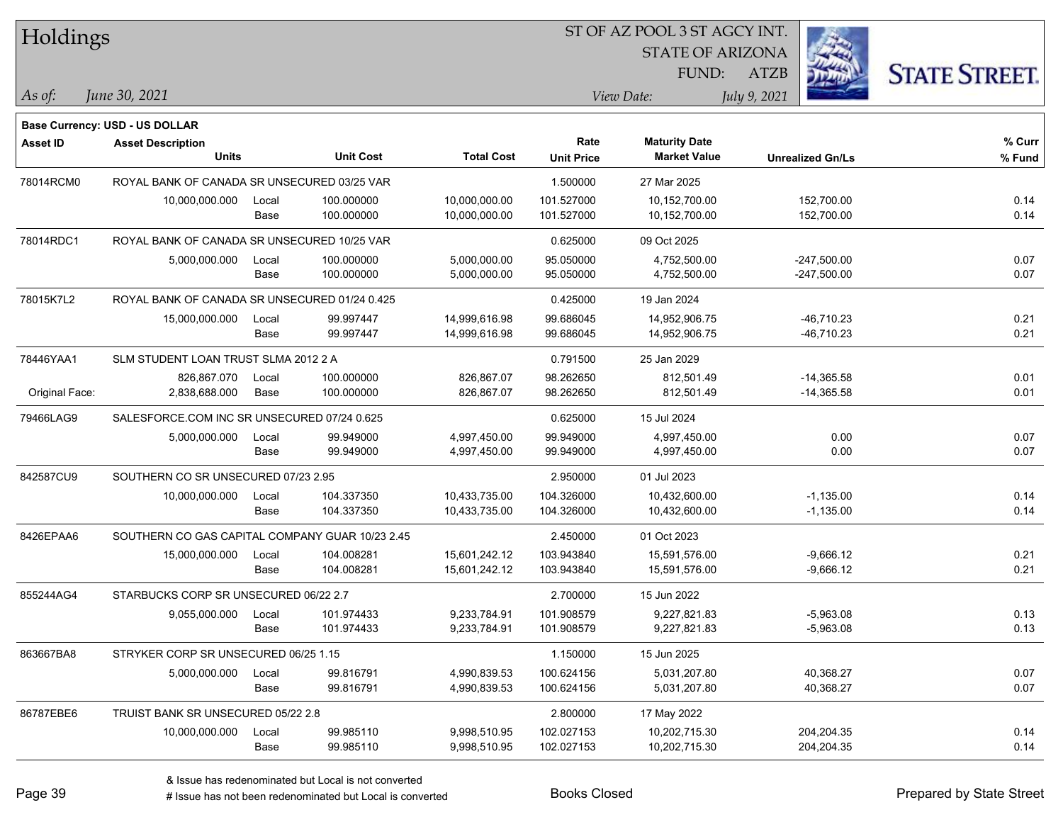| Holdings       |                                                 |       |                  |                   | 51 OF AZ POOL 351 AGCY INT. |                         |                         |                      |  |  |
|----------------|-------------------------------------------------|-------|------------------|-------------------|-----------------------------|-------------------------|-------------------------|----------------------|--|--|
|                |                                                 |       |                  |                   |                             | <b>STATE OF ARIZONA</b> |                         |                      |  |  |
|                |                                                 |       |                  |                   |                             | FUND:                   | ATZB                    | <b>STATE STREET.</b> |  |  |
| $As$ of:       | June 30, 2021                                   |       |                  |                   |                             | View Date:              | July 9, 2021            |                      |  |  |
|                |                                                 |       |                  |                   |                             |                         |                         |                      |  |  |
|                | Base Currency: USD - US DOLLAR                  |       |                  |                   |                             |                         |                         |                      |  |  |
| Asset ID       | <b>Asset Description</b>                        |       |                  |                   | Rate                        | <b>Maturity Date</b>    |                         | % Curr               |  |  |
|                | <b>Units</b>                                    |       | <b>Unit Cost</b> | <b>Total Cost</b> | <b>Unit Price</b>           | <b>Market Value</b>     | <b>Unrealized Gn/Ls</b> | % Fund               |  |  |
| 78014RCM0      | ROYAL BANK OF CANADA SR UNSECURED 03/25 VAR     |       |                  |                   | 1.500000                    | 27 Mar 2025             |                         |                      |  |  |
|                | 10,000,000.000                                  | Local | 100.000000       | 10,000,000.00     | 101.527000                  | 10,152,700.00           | 152,700.00              | 0.14                 |  |  |
|                |                                                 | Base  | 100.000000       | 10,000,000.00     | 101.527000                  | 10,152,700.00           | 152,700.00              | 0.14                 |  |  |
| 78014RDC1      | ROYAL BANK OF CANADA SR UNSECURED 10/25 VAR     |       |                  |                   | 0.625000                    | 09 Oct 2025             |                         |                      |  |  |
|                | 5,000,000.000                                   | Local | 100.000000       | 5,000,000.00      | 95.050000                   | 4,752,500.00            | $-247,500.00$           | 0.07                 |  |  |
|                |                                                 | Base  | 100.000000       | 5,000,000.00      | 95.050000                   | 4,752,500.00            | $-247,500.00$           | 0.07                 |  |  |
| 78015K7L2      | ROYAL BANK OF CANADA SR UNSECURED 01/24 0.425   |       |                  |                   | 0.425000                    | 19 Jan 2024             |                         |                      |  |  |
|                | 15,000,000.000                                  | Local | 99.997447        | 14,999,616.98     | 99.686045                   | 14,952,906.75           | $-46,710.23$            | 0.21                 |  |  |
|                |                                                 | Base  | 99.997447        | 14,999,616.98     | 99.686045                   | 14,952,906.75           | $-46,710.23$            | 0.21                 |  |  |
| 78446YAA1      | SLM STUDENT LOAN TRUST SLMA 2012 2 A            |       |                  |                   | 0.791500                    | 25 Jan 2029             |                         |                      |  |  |
|                | 826.867.070                                     | Local | 100.000000       | 826,867.07        | 98.262650                   | 812,501.49              | $-14,365.58$            | 0.01                 |  |  |
| Original Face: | 2,838,688.000                                   | Base  | 100.000000       | 826,867.07        | 98.262650                   | 812,501.49              | $-14,365.58$            | 0.01                 |  |  |
| 79466LAG9      | SALESFORCE.COM INC SR UNSECURED 07/24 0.625     |       |                  |                   | 0.625000                    | 15 Jul 2024             |                         |                      |  |  |
|                | 5,000,000.000                                   | Local | 99.949000        | 4,997,450.00      | 99.949000                   | 4,997,450.00            | 0.00                    | 0.07                 |  |  |
|                |                                                 | Base  | 99.949000        | 4,997,450.00      | 99.949000                   | 4,997,450.00            | 0.00                    | 0.07                 |  |  |
| 842587CU9      | SOUTHERN CO SR UNSECURED 07/23 2.95             |       |                  |                   | 2.950000                    | 01 Jul 2023             |                         |                      |  |  |
|                | 10,000,000.000                                  | Local | 104.337350       | 10,433,735.00     | 104.326000                  | 10,432,600.00           | $-1,135.00$             | 0.14                 |  |  |
|                |                                                 | Base  | 104.337350       | 10,433,735.00     | 104.326000                  | 10,432,600.00           | $-1,135.00$             | 0.14                 |  |  |
| 8426EPAA6      | SOUTHERN CO GAS CAPITAL COMPANY GUAR 10/23 2.45 |       |                  |                   | 2.450000                    | 01 Oct 2023             |                         |                      |  |  |
|                | 15,000,000.000                                  | Local | 104.008281       | 15,601,242.12     | 103.943840                  | 15,591,576.00           | $-9,666.12$             | 0.21                 |  |  |
|                |                                                 | Base  | 104.008281       | 15,601,242.12     | 103.943840                  | 15,591,576.00           | $-9,666.12$             | 0.21                 |  |  |
| 855244AG4      | STARBUCKS CORP SR UNSECURED 06/22 2.7           |       |                  |                   | 2.700000                    | 15 Jun 2022             |                         |                      |  |  |
|                | 9,055,000.000                                   | Local | 101.974433       | 9,233,784.91      | 101.908579                  | 9,227,821.83            | $-5,963.08$             | 0.13                 |  |  |
|                |                                                 | Base  | 101.974433       | 9,233,784.91      | 101.908579                  | 9,227,821.83            | $-5,963.08$             | 0.13                 |  |  |
| 863667BA8      | STRYKER CORP SR UNSECURED 06/25 1.15            |       |                  |                   | 1.150000                    | 15 Jun 2025             |                         |                      |  |  |
|                | 5,000,000.000                                   | Local | 99.816791        | 4,990,839.53      | 100.624156                  | 5,031,207.80            | 40,368.27               | 0.07                 |  |  |
|                |                                                 | Base  | 99.816791        | 4,990,839.53      | 100.624156                  | 5,031,207.80            | 40,368.27               | 0.07                 |  |  |
| 86787EBE6      | TRUIST BANK SR UNSECURED 05/22 2.8              |       |                  |                   | 2.800000                    | 17 May 2022             |                         |                      |  |  |
|                | 10,000,000.000                                  | Local | 99.985110        | 9,998,510.95      | 102.027153                  | 10,202,715.30           | 204,204.35              | 0.14                 |  |  |
|                |                                                 | Base  | 99.985110        | 9,998,510.95      | 102.027153                  | 10,202,715.30           | 204,204.35              | 0.14                 |  |  |

ST OF A Z POOL 2 ST ACCV INT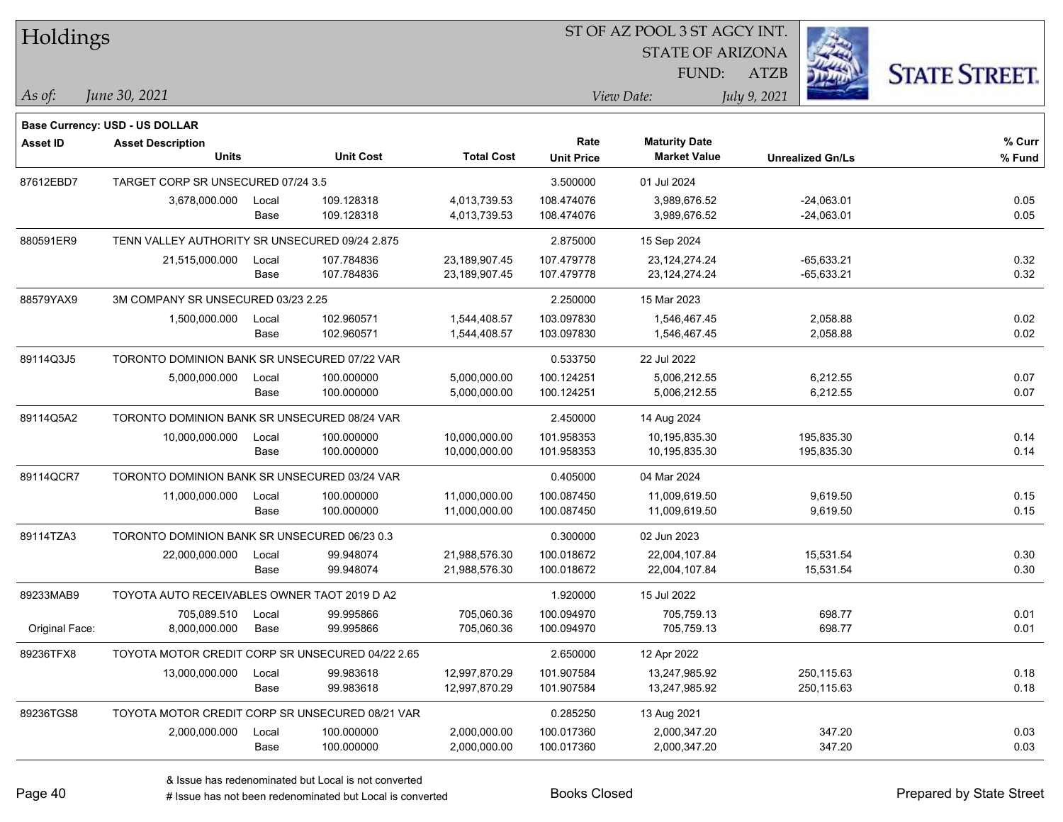| Holdings        |                                                  |       |                  |                   | ST OF AZ POOL 3 ST AGCY INT. |                                             |              |                         |                      |
|-----------------|--------------------------------------------------|-------|------------------|-------------------|------------------------------|---------------------------------------------|--------------|-------------------------|----------------------|
|                 |                                                  |       |                  |                   |                              | <b>STATE OF ARIZONA</b>                     |              |                         |                      |
|                 |                                                  |       |                  |                   |                              | FUND:                                       | ATZB         |                         | <b>STATE STREET.</b> |
| As of:          | June 30, 2021                                    |       |                  |                   |                              | View Date:                                  | July 9, 2021 |                         |                      |
|                 |                                                  |       |                  |                   |                              |                                             |              |                         |                      |
|                 | <b>Base Currency: USD - US DOLLAR</b>            |       |                  |                   |                              |                                             |              |                         |                      |
| <b>Asset ID</b> | <b>Asset Description</b><br><b>Units</b>         |       | <b>Unit Cost</b> | <b>Total Cost</b> | Rate                         | <b>Maturity Date</b><br><b>Market Value</b> |              |                         | % Curr               |
|                 |                                                  |       |                  |                   | <b>Unit Price</b>            |                                             |              | <b>Unrealized Gn/Ls</b> | % Fund               |
| 87612EBD7       | TARGET CORP SR UNSECURED 07/24 3.5               |       |                  |                   | 3.500000                     | 01 Jul 2024                                 |              |                         |                      |
|                 | 3,678,000.000                                    | Local | 109.128318       | 4,013,739.53      | 108.474076                   | 3,989,676.52                                |              | $-24,063.01$            | 0.05                 |
|                 |                                                  | Base  | 109.128318       | 4,013,739.53      | 108.474076                   | 3,989,676.52                                |              | $-24,063.01$            | 0.05                 |
| 880591ER9       | TENN VALLEY AUTHORITY SR UNSECURED 09/24 2.875   |       |                  |                   | 2.875000                     | 15 Sep 2024                                 |              |                         |                      |
|                 | 21,515,000.000                                   | Local | 107.784836       | 23,189,907.45     | 107.479778                   | 23,124,274.24                               |              | $-65,633.21$            | 0.32                 |
|                 |                                                  | Base  | 107.784836       | 23,189,907.45     | 107.479778                   | 23, 124, 274. 24                            |              | $-65,633.21$            | 0.32                 |
| 88579YAX9       | 3M COMPANY SR UNSECURED 03/23 2.25               |       |                  |                   | 2.250000                     | 15 Mar 2023                                 |              |                         |                      |
|                 | 1,500,000.000                                    | Local | 102.960571       | 1,544,408.57      | 103.097830                   | 1,546,467.45                                |              | 2,058.88                | 0.02                 |
|                 |                                                  | Base  | 102.960571       | 1,544,408.57      | 103.097830                   | 1,546,467.45                                |              | 2,058.88                | 0.02                 |
| 89114Q3J5       | TORONTO DOMINION BANK SR UNSECURED 07/22 VAR     |       |                  |                   | 0.533750                     | 22 Jul 2022                                 |              |                         |                      |
|                 | 5,000,000.000                                    | Local | 100.000000       | 5,000,000.00      | 100.124251                   | 5,006,212.55                                |              | 6,212.55                | 0.07                 |
|                 |                                                  | Base  | 100.000000       | 5,000,000.00      | 100.124251                   | 5,006,212.55                                |              | 6,212.55                | 0.07                 |
| 89114Q5A2       | TORONTO DOMINION BANK SR UNSECURED 08/24 VAR     |       |                  |                   | 2.450000                     | 14 Aug 2024                                 |              |                         |                      |
|                 | 10,000,000.000                                   | Local | 100.000000       | 10,000,000.00     | 101.958353                   | 10,195,835.30                               |              | 195,835.30              | 0.14                 |
|                 |                                                  | Base  | 100.000000       | 10,000,000.00     | 101.958353                   | 10,195,835.30                               |              | 195,835.30              | 0.14                 |
| 89114QCR7       | TORONTO DOMINION BANK SR UNSECURED 03/24 VAR     |       |                  |                   | 0.405000                     | 04 Mar 2024                                 |              |                         |                      |
|                 | 11,000,000.000                                   | Local | 100.000000       | 11,000,000.00     | 100.087450                   | 11,009,619.50                               |              | 9,619.50                | 0.15                 |
|                 |                                                  | Base  | 100.000000       | 11,000,000.00     | 100.087450                   | 11,009,619.50                               |              | 9,619.50                | 0.15                 |
| 89114TZA3       | TORONTO DOMINION BANK SR UNSECURED 06/23 0.3     |       |                  |                   | 0.300000                     | 02 Jun 2023                                 |              |                         |                      |
|                 | 22,000,000.000                                   | Local | 99.948074        | 21,988,576.30     | 100.018672                   | 22,004,107.84                               |              | 15,531.54               | 0.30                 |
|                 |                                                  | Base  | 99.948074        | 21,988,576.30     | 100.018672                   | 22,004,107.84                               |              | 15,531.54               | 0.30                 |
| 89233MAB9       | TOYOTA AUTO RECEIVABLES OWNER TAOT 2019 D A2     |       |                  |                   | 1.920000                     | 15 Jul 2022                                 |              |                         |                      |
|                 | 705,089.510 Local                                |       | 99.995866        | 705.060.36        | 100.094970                   | 705.759.13                                  |              | 698.77                  | 0.01                 |
| Original Face:  | 8,000,000.000                                    | Base  | 99.995866        | 705,060.36        | 100.094970                   | 705,759.13                                  |              | 698.77                  | 0.01                 |
| 89236TFX8       | TOYOTA MOTOR CREDIT CORP SR UNSECURED 04/22 2.65 |       |                  |                   | 2.650000                     | 12 Apr 2022                                 |              |                         |                      |
|                 | 13,000,000.000                                   | Local | 99.983618        | 12,997,870.29     | 101.907584                   | 13,247,985.92                               |              | 250,115.63              | 0.18                 |
|                 |                                                  | Base  | 99.983618        | 12,997,870.29     | 101.907584                   | 13,247,985.92                               |              | 250,115.63              | 0.18                 |
| 89236TGS8       | TOYOTA MOTOR CREDIT CORP SR UNSECURED 08/21 VAR  |       |                  |                   | 0.285250                     | 13 Aug 2021                                 |              |                         |                      |
|                 | 2,000,000.000                                    | Local | 100.000000       | 2,000,000.00      | 100.017360                   | 2,000,347.20                                |              | 347.20                  | 0.03                 |
|                 |                                                  | Base  | 100.000000       | 2,000,000.00      | 100.017360                   | 2,000,347.20                                |              | 347.20                  | 0.03                 |
|                 |                                                  |       |                  |                   |                              |                                             |              |                         |                      |

٦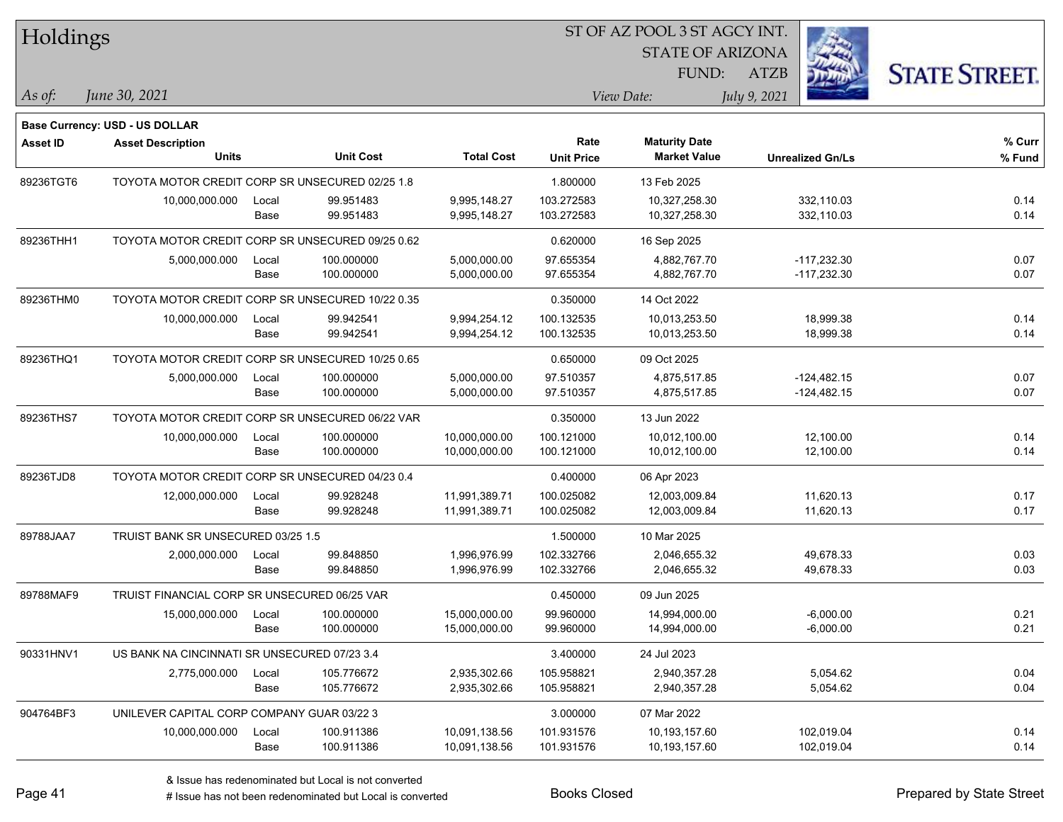| Holdings        |                                                  |       |                  |                   |                   | ST OF AZ POOL 3 ST AGCY INT. |              |                         |                      |
|-----------------|--------------------------------------------------|-------|------------------|-------------------|-------------------|------------------------------|--------------|-------------------------|----------------------|
|                 |                                                  |       |                  |                   |                   | <b>STATE OF ARIZONA</b>      |              |                         |                      |
|                 |                                                  |       |                  |                   |                   | FUND:                        | <b>ATZB</b>  |                         | <b>STATE STREET.</b> |
| As of:          | June 30, 2021                                    |       |                  |                   |                   | View Date:                   | July 9, 2021 |                         |                      |
|                 | <b>Base Currency: USD - US DOLLAR</b>            |       |                  |                   |                   |                              |              |                         |                      |
| <b>Asset ID</b> | <b>Asset Description</b>                         |       |                  |                   | Rate              | <b>Maturity Date</b>         |              |                         | % Curr               |
|                 | <b>Units</b>                                     |       | <b>Unit Cost</b> | <b>Total Cost</b> | <b>Unit Price</b> | <b>Market Value</b>          |              | <b>Unrealized Gn/Ls</b> | % Fund               |
| 89236TGT6       | TOYOTA MOTOR CREDIT CORP SR UNSECURED 02/25 1.8  |       |                  |                   | 1.800000          | 13 Feb 2025                  |              |                         |                      |
|                 | 10,000,000.000                                   | Local | 99.951483        | 9,995,148.27      | 103.272583        | 10,327,258.30                |              | 332,110.03              | 0.14                 |
|                 |                                                  | Base  | 99.951483        | 9,995,148.27      | 103.272583        | 10,327,258.30                |              | 332,110.03              | 0.14                 |
| 89236THH1       | TOYOTA MOTOR CREDIT CORP SR UNSECURED 09/25 0.62 |       |                  |                   | 0.620000          | 16 Sep 2025                  |              |                         |                      |
|                 | 5,000,000.000                                    | Local | 100.000000       | 5,000,000.00      | 97.655354         | 4,882,767.70                 |              | $-117,232.30$           | 0.07                 |
|                 |                                                  | Base  | 100.000000       | 5,000,000.00      | 97.655354         | 4,882,767.70                 |              | $-117,232.30$           | 0.07                 |
| 89236THM0       | TOYOTA MOTOR CREDIT CORP SR UNSECURED 10/22 0.35 |       |                  |                   | 0.350000          | 14 Oct 2022                  |              |                         |                      |
|                 | 10,000,000.000                                   | Local | 99.942541        | 9,994,254.12      | 100.132535        | 10,013,253.50                |              | 18,999.38               | 0.14                 |
|                 |                                                  | Base  | 99.942541        | 9,994,254.12      | 100.132535        | 10,013,253.50                |              | 18,999.38               | 0.14                 |
| 89236THQ1       | TOYOTA MOTOR CREDIT CORP SR UNSECURED 10/25 0.65 |       |                  |                   | 0.650000          | 09 Oct 2025                  |              |                         |                      |
|                 | 5,000,000.000                                    | Local | 100.000000       | 5,000,000.00      | 97.510357         | 4,875,517.85                 |              | $-124,482.15$           | 0.07                 |
|                 |                                                  | Base  | 100.000000       | 5,000,000.00      | 97.510357         | 4,875,517.85                 |              | $-124,482.15$           | 0.07                 |
| 89236THS7       | TOYOTA MOTOR CREDIT CORP SR UNSECURED 06/22 VAR  |       |                  |                   | 0.350000          | 13 Jun 2022                  |              |                         |                      |
|                 | 10,000,000.000                                   | Local | 100.000000       | 10,000,000.00     | 100.121000        | 10,012,100.00                |              | 12,100.00               | 0.14                 |
|                 |                                                  | Base  | 100.000000       | 10,000,000.00     | 100.121000        | 10,012,100.00                |              | 12,100.00               | 0.14                 |
| 89236TJD8       | TOYOTA MOTOR CREDIT CORP SR UNSECURED 04/23 0.4  |       |                  |                   | 0.400000          | 06 Apr 2023                  |              |                         |                      |
|                 | 12,000,000.000                                   | Local | 99.928248        | 11,991,389.71     | 100.025082        | 12,003,009.84                |              | 11,620.13               | 0.17                 |
|                 |                                                  | Base  | 99.928248        | 11,991,389.71     | 100.025082        | 12,003,009.84                |              | 11,620.13               | 0.17                 |
| 89788JAA7       | TRUIST BANK SR UNSECURED 03/25 1.5               |       |                  |                   | 1.500000          | 10 Mar 2025                  |              |                         |                      |
|                 | 2,000,000.000                                    | Local | 99.848850        | 1,996,976.99      | 102.332766        | 2,046,655.32                 |              | 49,678.33               | 0.03                 |
|                 |                                                  | Base  | 99.848850        | 1,996,976.99      | 102.332766        | 2,046,655.32                 |              | 49,678.33               | 0.03                 |
| 89788MAF9       | TRUIST FINANCIAL CORP SR UNSECURED 06/25 VAR     |       |                  |                   | 0.450000          | 09 Jun 2025                  |              |                         |                      |
|                 | 15,000,000.000                                   | Local | 100.000000       | 15,000,000.00     | 99.960000         | 14,994,000.00                |              | $-6,000.00$             | 0.21                 |
|                 |                                                  | Base  | 100.000000       | 15,000,000.00     | 99.960000         | 14,994,000.00                |              | $-6,000.00$             | 0.21                 |
| 90331HNV1       | US BANK NA CINCINNATI SR UNSECURED 07/23 3.4     |       |                  |                   | 3.400000          | 24 Jul 2023                  |              |                         |                      |
|                 | 2,775,000.000                                    | Local | 105.776672       | 2,935,302.66      | 105.958821        | 2,940,357.28                 |              | 5,054.62                | 0.04                 |
|                 |                                                  | Base  | 105.776672       | 2,935,302.66      | 105.958821        | 2,940,357.28                 |              | 5,054.62                | 0.04                 |
| 904764BF3       | UNILEVER CAPITAL CORP COMPANY GUAR 03/22 3       |       |                  |                   | 3.000000          | 07 Mar 2022                  |              |                         |                      |
|                 | 10,000,000.000                                   | Local | 100.911386       | 10,091,138.56     | 101.931576        | 10,193,157.60                |              | 102,019.04              | 0.14                 |
|                 |                                                  | Base  | 100.911386       | 10,091,138.56     | 101.931576        | 10,193,157.60                |              | 102,019.04              | 0.14                 |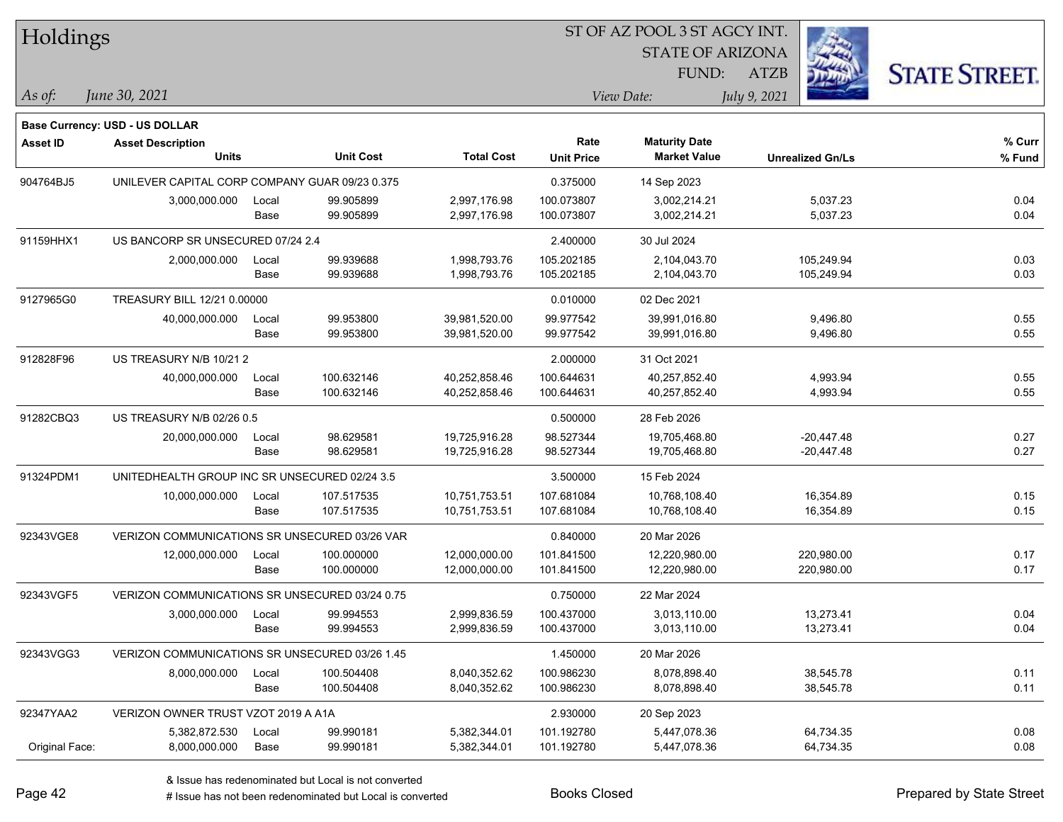| Holdings        |                                                |       |                  |                   | ST OF AZ POOL 3 ST AGCY INT. |                         |                         |                      |  |  |  |  |
|-----------------|------------------------------------------------|-------|------------------|-------------------|------------------------------|-------------------------|-------------------------|----------------------|--|--|--|--|
|                 |                                                |       |                  |                   |                              | <b>STATE OF ARIZONA</b> |                         |                      |  |  |  |  |
|                 |                                                |       |                  |                   |                              | FUND:                   | <b>ATZB</b>             | <b>STATE STREET.</b> |  |  |  |  |
| As of:          | June 30, 2021                                  |       |                  |                   |                              | View Date:              | July 9, 2021            |                      |  |  |  |  |
|                 | <b>Base Currency: USD - US DOLLAR</b>          |       |                  |                   |                              |                         |                         |                      |  |  |  |  |
| <b>Asset ID</b> | <b>Asset Description</b>                       |       |                  |                   | Rate                         | <b>Maturity Date</b>    |                         | % Curr               |  |  |  |  |
|                 | <b>Units</b>                                   |       | <b>Unit Cost</b> | <b>Total Cost</b> | <b>Unit Price</b>            | <b>Market Value</b>     | <b>Unrealized Gn/Ls</b> | % Fund               |  |  |  |  |
| 904764BJ5       | UNILEVER CAPITAL CORP COMPANY GUAR 09/23 0.375 |       |                  |                   | 0.375000                     | 14 Sep 2023             |                         |                      |  |  |  |  |
|                 | 3,000,000.000                                  | Local | 99.905899        | 2,997,176.98      | 100.073807                   | 3,002,214.21            | 5,037.23                | 0.04                 |  |  |  |  |
|                 |                                                | Base  | 99.905899        | 2,997,176.98      | 100.073807                   | 3,002,214.21            | 5,037.23                | 0.04                 |  |  |  |  |
| 91159HHX1       | US BANCORP SR UNSECURED 07/24 2.4              |       |                  |                   | 2.400000                     | 30 Jul 2024             |                         |                      |  |  |  |  |
|                 | 2,000,000.000                                  | Local | 99.939688        | 1,998,793.76      | 105.202185                   | 2,104,043.70            | 105,249.94              | 0.03                 |  |  |  |  |
|                 |                                                | Base  | 99.939688        | 1,998,793.76      | 105.202185                   | 2,104,043.70            | 105,249.94              | 0.03                 |  |  |  |  |
| 9127965G0       | TREASURY BILL 12/21 0.00000                    |       |                  |                   | 0.010000                     | 02 Dec 2021             |                         |                      |  |  |  |  |
|                 | 40,000,000.000                                 | Local | 99.953800        | 39,981,520.00     | 99.977542                    | 39,991,016.80           | 9,496.80                | 0.55                 |  |  |  |  |
|                 |                                                | Base  | 99.953800        | 39,981,520.00     | 99.977542                    | 39,991,016.80           | 9,496.80                | 0.55                 |  |  |  |  |
| 912828F96       | US TREASURY N/B 10/21 2                        |       |                  |                   | 2.000000                     | 31 Oct 2021             |                         |                      |  |  |  |  |
|                 | 40,000,000.000                                 | Local | 100.632146       | 40,252,858.46     | 100.644631                   | 40,257,852.40           | 4,993.94                | 0.55                 |  |  |  |  |
|                 |                                                | Base  | 100.632146       | 40,252,858.46     | 100.644631                   | 40,257,852.40           | 4,993.94                | 0.55                 |  |  |  |  |
| 91282CBQ3       | US TREASURY N/B 02/26 0.5                      |       |                  |                   | 0.500000                     | 28 Feb 2026             |                         |                      |  |  |  |  |
|                 | 20,000,000.000                                 | Local | 98.629581        | 19,725,916.28     | 98.527344                    | 19,705,468.80           | $-20,447.48$            | 0.27                 |  |  |  |  |
|                 |                                                | Base  | 98.629581        | 19,725,916.28     | 98.527344                    | 19,705,468.80           | -20,447.48              | 0.27                 |  |  |  |  |
| 91324PDM1       | UNITEDHEALTH GROUP INC SR UNSECURED 02/24 3.5  |       |                  |                   | 3.500000                     | 15 Feb 2024             |                         |                      |  |  |  |  |
|                 | 10,000,000.000                                 | Local | 107.517535       | 10,751,753.51     | 107.681084                   | 10,768,108.40           | 16,354.89               | 0.15                 |  |  |  |  |
|                 |                                                | Base  | 107.517535       | 10,751,753.51     | 107.681084                   | 10,768,108.40           | 16,354.89               | 0.15                 |  |  |  |  |
| 92343VGE8       | VERIZON COMMUNICATIONS SR UNSECURED 03/26 VAR  |       |                  |                   | 0.840000                     | 20 Mar 2026             |                         |                      |  |  |  |  |
|                 | 12,000,000.000                                 | Local | 100.000000       | 12,000,000.00     | 101.841500                   | 12,220,980.00           | 220,980.00              | 0.17                 |  |  |  |  |
|                 |                                                | Base  | 100.000000       | 12,000,000.00     | 101.841500                   | 12,220,980.00           | 220,980.00              | 0.17                 |  |  |  |  |
| 92343VGF5       | VERIZON COMMUNICATIONS SR UNSECURED 03/24 0.75 |       |                  |                   | 0.750000                     | 22 Mar 2024             |                         |                      |  |  |  |  |
|                 | 3,000,000.000                                  | Local | 99.994553        | 2,999,836.59      | 100.437000                   | 3,013,110.00            | 13,273.41               | 0.04                 |  |  |  |  |
|                 |                                                | Base  | 99.994553        | 2,999,836.59      | 100.437000                   | 3,013,110.00            | 13,273.41               | 0.04                 |  |  |  |  |
| 92343VGG3       | VERIZON COMMUNICATIONS SR UNSECURED 03/26 1.45 |       |                  |                   | 1.450000                     | 20 Mar 2026             |                         |                      |  |  |  |  |
|                 | 8,000,000.000                                  | Local | 100.504408       | 8,040,352.62      | 100.986230                   | 8,078,898.40            | 38,545.78               | 0.11                 |  |  |  |  |
|                 |                                                | Base  | 100.504408       | 8,040,352.62      | 100.986230                   | 8,078,898.40            | 38,545.78               | 0.11                 |  |  |  |  |
| 92347YAA2       | VERIZON OWNER TRUST VZOT 2019 A A1A            |       |                  |                   | 2.930000                     | 20 Sep 2023             |                         |                      |  |  |  |  |
|                 | 5,382,872.530                                  | Local | 99.990181        | 5,382,344.01      | 101.192780                   | 5,447,078.36            | 64,734.35               | 0.08                 |  |  |  |  |
| Original Face:  | 8,000,000.000                                  | Base  | 99.990181        | 5,382,344.01      | 101.192780                   | 5,447,078.36            | 64,734.35               | 0.08                 |  |  |  |  |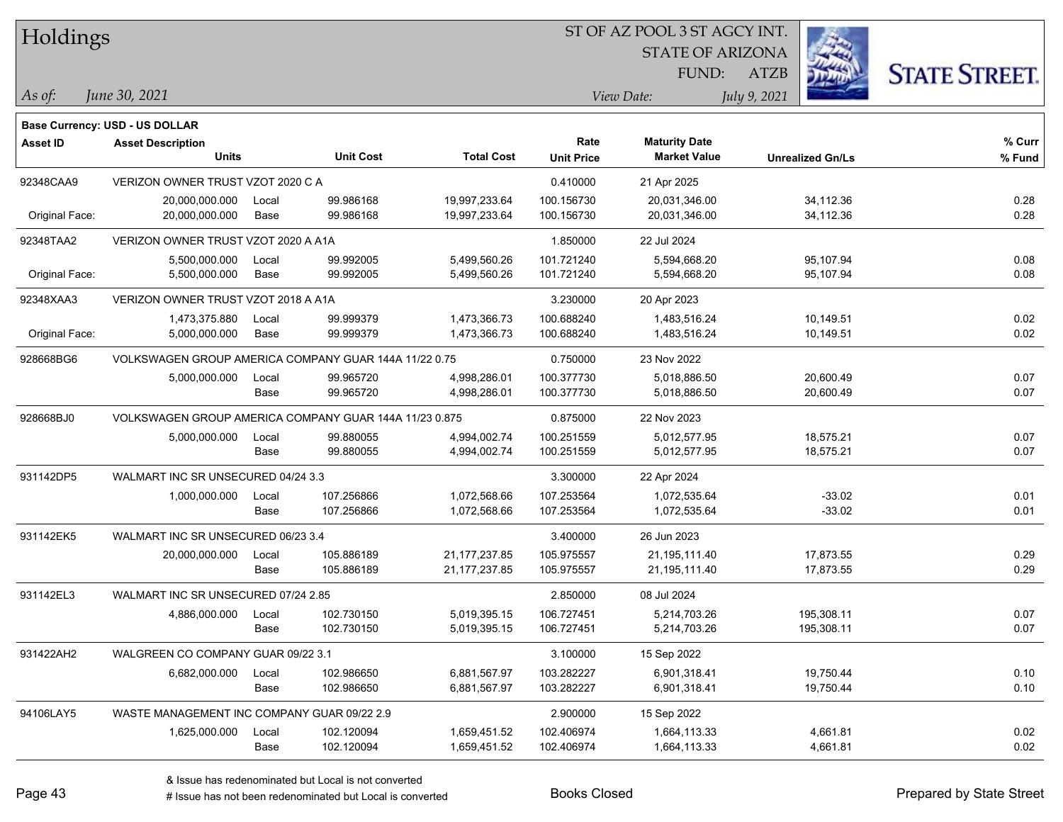| Holdings        |                                                        |       |                  |                   |                   | ST OF AZ POOL 3 ST AGCY INT. |                         |                      |  |
|-----------------|--------------------------------------------------------|-------|------------------|-------------------|-------------------|------------------------------|-------------------------|----------------------|--|
|                 |                                                        |       |                  |                   |                   | <b>STATE OF ARIZONA</b>      |                         |                      |  |
|                 |                                                        |       |                  |                   |                   | FUND:                        | <b>ATZB</b>             | <b>STATE STREET.</b> |  |
| As of:          | June 30, 2021                                          |       |                  |                   |                   | View Date:                   | July 9, 2021            |                      |  |
|                 | <b>Base Currency: USD - US DOLLAR</b>                  |       |                  |                   |                   |                              |                         |                      |  |
| <b>Asset ID</b> | <b>Asset Description</b>                               |       |                  |                   | Rate              | <b>Maturity Date</b>         |                         | % Curr               |  |
|                 | Units                                                  |       | <b>Unit Cost</b> | <b>Total Cost</b> | <b>Unit Price</b> | <b>Market Value</b>          | <b>Unrealized Gn/Ls</b> | % Fund               |  |
| 92348CAA9       | VERIZON OWNER TRUST VZOT 2020 C A                      |       |                  |                   | 0.410000          | 21 Apr 2025                  |                         |                      |  |
|                 | 20,000,000.000                                         | Local | 99.986168        | 19,997,233.64     | 100.156730        | 20,031,346.00                | 34,112.36               | 0.28                 |  |
| Original Face:  | 20,000,000.000                                         | Base  | 99.986168        | 19,997,233.64     | 100.156730        | 20,031,346.00                | 34,112.36               | 0.28                 |  |
| 92348TAA2       | VERIZON OWNER TRUST VZOT 2020 A A1A                    |       |                  |                   | 1.850000          | 22 Jul 2024                  |                         |                      |  |
|                 | 5,500,000.000                                          | Local | 99.992005        | 5,499,560.26      | 101.721240        | 5,594,668.20                 | 95,107.94               | 0.08                 |  |
| Original Face:  | 5,500,000.000                                          | Base  | 99.992005        | 5,499,560.26      | 101.721240        | 5,594,668.20                 | 95,107.94               | 0.08                 |  |
| 92348XAA3       | VERIZON OWNER TRUST VZOT 2018 A A1A                    |       |                  |                   | 3.230000          | 20 Apr 2023                  |                         |                      |  |
|                 | 1,473,375.880                                          | Local | 99.999379        | 1,473,366.73      | 100.688240        | 1,483,516.24                 | 10,149.51               | 0.02                 |  |
| Original Face:  | 5,000,000.000                                          | Base  | 99.999379        | 1,473,366.73      | 100.688240        | 1,483,516.24                 | 10,149.51               | 0.02                 |  |
| 928668BG6       | VOLKSWAGEN GROUP AMERICA COMPANY GUAR 144A 11/22 0.75  |       |                  |                   | 0.750000          | 23 Nov 2022                  |                         |                      |  |
|                 | 5,000,000.000                                          | Local | 99.965720        | 4,998,286.01      | 100.377730        | 5,018,886.50                 | 20,600.49               | 0.07                 |  |
|                 |                                                        | Base  | 99.965720        | 4,998,286.01      | 100.377730        | 5,018,886.50                 | 20,600.49               | 0.07                 |  |
| 928668BJ0       | VOLKSWAGEN GROUP AMERICA COMPANY GUAR 144A 11/23 0.875 |       |                  |                   | 0.875000          | 22 Nov 2023                  |                         |                      |  |
|                 | 5,000,000.000                                          | Local | 99.880055        | 4,994,002.74      | 100.251559        | 5,012,577.95                 | 18,575.21               | 0.07                 |  |
|                 |                                                        | Base  | 99.880055        | 4,994,002.74      | 100.251559        | 5,012,577.95                 | 18,575.21               | 0.07                 |  |
| 931142DP5       | WALMART INC SR UNSECURED 04/24 3.3                     |       |                  |                   | 3.300000          | 22 Apr 2024                  |                         |                      |  |
|                 | 1,000,000.000                                          | Local | 107.256866       | 1,072,568.66      | 107.253564        | 1,072,535.64                 | $-33.02$                | 0.01                 |  |
|                 |                                                        | Base  | 107.256866       | 1,072,568.66      | 107.253564        | 1,072,535.64                 | $-33.02$                | 0.01                 |  |
| 931142EK5       | WALMART INC SR UNSECURED 06/23 3.4                     |       |                  |                   | 3.400000          | 26 Jun 2023                  |                         |                      |  |
|                 | 20,000,000.000                                         | Local | 105.886189       | 21, 177, 237.85   | 105.975557        | 21,195,111.40                | 17,873.55               | 0.29                 |  |
|                 |                                                        | Base  | 105.886189       | 21, 177, 237.85   | 105.975557        | 21,195,111.40                | 17,873.55               | 0.29                 |  |
| 931142EL3       | WALMART INC SR UNSECURED 07/24 2.85                    |       |                  |                   | 2.850000          | 08 Jul 2024                  |                         |                      |  |
|                 | 4,886,000.000                                          | Local | 102.730150       | 5,019,395.15      | 106.727451        | 5,214,703.26                 | 195,308.11              | 0.07                 |  |
|                 |                                                        | Base  | 102.730150       | 5,019,395.15      | 106.727451        | 5,214,703.26                 | 195,308.11              | 0.07                 |  |
| 931422AH2       | WALGREEN CO COMPANY GUAR 09/22 3.1                     |       |                  |                   | 3.100000          | 15 Sep 2022                  |                         |                      |  |
|                 | 6,682,000.000                                          | Local | 102.986650       | 6,881,567.97      | 103.282227        | 6,901,318.41                 | 19,750.44               | 0.10                 |  |
|                 |                                                        | Base  | 102.986650       | 6,881,567.97      | 103.282227        | 6,901,318.41                 | 19,750.44               | 0.10                 |  |
| 94106LAY5       | WASTE MANAGEMENT INC COMPANY GUAR 09/22 2.9            |       |                  |                   | 2.900000          | 15 Sep 2022                  |                         |                      |  |
|                 | 1,625,000.000                                          | Local | 102.120094       | 1,659,451.52      | 102.406974        | 1,664,113.33                 | 4,661.81                | 0.02                 |  |
|                 |                                                        | Base  | 102.120094       | 1,659,451.52      | 102.406974        | 1,664,113.33                 | 4,661.81                | 0.02                 |  |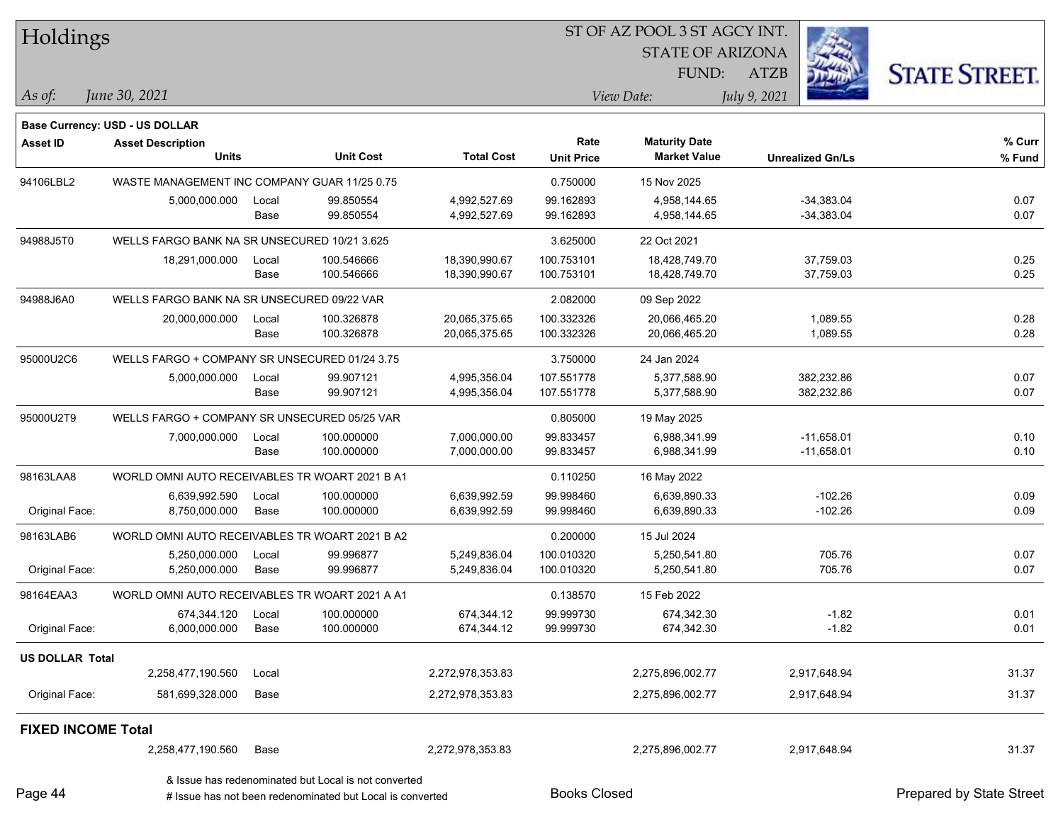| Holdings                  |                                                                 |               |                                                                                                                   |                              |                          | ST OF AZ POOL 3 ST AGCY INT.   |                              |                          |
|---------------------------|-----------------------------------------------------------------|---------------|-------------------------------------------------------------------------------------------------------------------|------------------------------|--------------------------|--------------------------------|------------------------------|--------------------------|
|                           |                                                                 |               |                                                                                                                   |                              |                          | <b>STATE OF ARIZONA</b>        |                              |                          |
|                           |                                                                 |               |                                                                                                                   |                              |                          | FUND:                          | <b>ATZB</b>                  | <b>STATE STREET.</b>     |
| $\vert$ As of:            | June 30, 2021                                                   |               |                                                                                                                   |                              |                          | View Date:                     | July 9, 2021                 |                          |
|                           | <b>Base Currency: USD - US DOLLAR</b>                           |               |                                                                                                                   |                              |                          |                                |                              |                          |
| <b>Asset ID</b>           | <b>Asset Description</b>                                        |               |                                                                                                                   |                              | Rate                     | <b>Maturity Date</b>           |                              | % Curr                   |
|                           | <b>Units</b>                                                    |               | <b>Unit Cost</b>                                                                                                  | <b>Total Cost</b>            | <b>Unit Price</b>        | <b>Market Value</b>            | <b>Unrealized Gn/Ls</b>      | % Fund                   |
| 94106LBL2                 | WASTE MANAGEMENT INC COMPANY GUAR 11/25 0.75                    |               |                                                                                                                   |                              | 0.750000                 | 15 Nov 2025                    |                              |                          |
|                           | 5,000,000.000                                                   | Local         | 99.850554                                                                                                         | 4,992,527.69                 | 99.162893                | 4,958,144.65                   | $-34,383.04$                 | 0.07                     |
|                           |                                                                 | Base          | 99.850554                                                                                                         | 4,992,527.69                 | 99.162893                | 4,958,144.65                   | $-34,383.04$                 | 0.07                     |
| 94988J5T0                 | WELLS FARGO BANK NA SR UNSECURED 10/21 3.625                    |               |                                                                                                                   |                              | 3.625000                 | 22 Oct 2021                    |                              |                          |
|                           | 18,291,000.000                                                  | Local         | 100.546666                                                                                                        | 18,390,990.67                | 100.753101               | 18,428,749.70                  | 37,759.03                    | 0.25                     |
|                           |                                                                 | Base          | 100.546666                                                                                                        | 18,390,990.67                | 100.753101               | 18,428,749.70                  | 37,759.03                    | 0.25                     |
| 94988J6A0                 | WELLS FARGO BANK NA SR UNSECURED 09/22 VAR                      |               |                                                                                                                   |                              | 2.082000                 | 09 Sep 2022                    |                              |                          |
|                           | 20,000,000.000                                                  | Local         | 100.326878<br>100.326878                                                                                          | 20,065,375.65                | 100.332326<br>100.332326 | 20,066,465.20<br>20,066,465.20 | 1,089.55                     | 0.28<br>0.28             |
|                           |                                                                 | Base          |                                                                                                                   | 20,065,375.65                |                          |                                | 1,089.55                     |                          |
| 95000U2C6                 | WELLS FARGO + COMPANY SR UNSECURED 01/24 3.75                   |               |                                                                                                                   |                              | 3.750000                 | 24 Jan 2024                    |                              |                          |
|                           | 5,000,000.000                                                   | Local<br>Base | 99.907121<br>99.907121                                                                                            | 4,995,356.04<br>4,995,356.04 | 107.551778<br>107.551778 | 5,377,588.90<br>5,377,588.90   | 382,232.86<br>382,232.86     | 0.07<br>0.07             |
|                           |                                                                 |               |                                                                                                                   |                              |                          |                                |                              |                          |
| 95000U2T9                 | WELLS FARGO + COMPANY SR UNSECURED 05/25 VAR                    |               |                                                                                                                   |                              | 0.805000                 | 19 May 2025                    |                              |                          |
|                           | 7,000,000.000                                                   | Local<br>Base | 100.000000<br>100.000000                                                                                          | 7,000,000.00<br>7,000,000.00 | 99.833457<br>99.833457   | 6,988,341.99<br>6,988,341.99   | $-11,658.01$<br>$-11,658.01$ | 0.10<br>0.10             |
|                           |                                                                 |               |                                                                                                                   |                              |                          |                                |                              |                          |
| 98163LAA8                 | WORLD OMNI AUTO RECEIVABLES TR WOART 2021 B A1<br>6,639,992.590 | Local         | 100.000000                                                                                                        | 6,639,992.59                 | 0.110250<br>99.998460    | 16 May 2022<br>6,639,890.33    | $-102.26$                    | 0.09                     |
| Original Face:            | 8,750,000.000                                                   | Base          | 100.000000                                                                                                        | 6,639,992.59                 | 99.998460                | 6,639,890.33                   | $-102.26$                    | 0.09                     |
| 98163LAB6                 | WORLD OMNI AUTO RECEIVABLES TR WOART 2021 B A2                  |               |                                                                                                                   |                              | 0.200000                 | 15 Jul 2024                    |                              |                          |
|                           | 5,250,000.000                                                   | Local         | 99.996877                                                                                                         | 5,249,836.04                 | 100.010320               | 5,250,541.80                   | 705.76                       | 0.07                     |
| Original Face:            | 5,250,000.000                                                   | Base          | 99.996877                                                                                                         | 5,249,836.04                 | 100.010320               | 5,250,541.80                   | 705.76                       | 0.07                     |
| 98164EAA3                 | WORLD OMNI AUTO RECEIVABLES TR WOART 2021 A A1                  |               |                                                                                                                   |                              | 0.138570                 | 15 Feb 2022                    |                              |                          |
|                           | 674,344.120                                                     | Local         | 100.000000                                                                                                        | 674,344.12                   | 99.999730                | 674,342.30                     | $-1.82$                      | 0.01                     |
| Original Face:            | 6,000,000.000                                                   | Base          | 100.000000                                                                                                        | 674,344.12                   | 99.999730                | 674,342.30                     | $-1.82$                      | 0.01                     |
| <b>US DOLLAR Total</b>    |                                                                 |               |                                                                                                                   |                              |                          |                                |                              |                          |
|                           | 2,258,477,190.560                                               | Local         |                                                                                                                   | 2,272,978,353.83             |                          | 2,275,896,002.77               | 2,917,648.94                 | 31.37                    |
| Original Face:            | 581,699,328.000                                                 | Base          |                                                                                                                   | 2,272,978,353.83             |                          | 2,275,896,002.77               | 2,917,648.94                 | 31.37                    |
| <b>FIXED INCOME Total</b> |                                                                 |               |                                                                                                                   |                              |                          |                                |                              |                          |
|                           | 2,258,477,190.560                                               | Base          |                                                                                                                   | 2,272,978,353.83             |                          | 2,275,896,002.77               | 2,917,648.94                 | 31.37                    |
| Page 44                   |                                                                 |               | & Issue has redenominated but Local is not converted<br># Issue has not been redenominated but Local is converted |                              | <b>Books Closed</b>      |                                |                              | Prepared by State Street |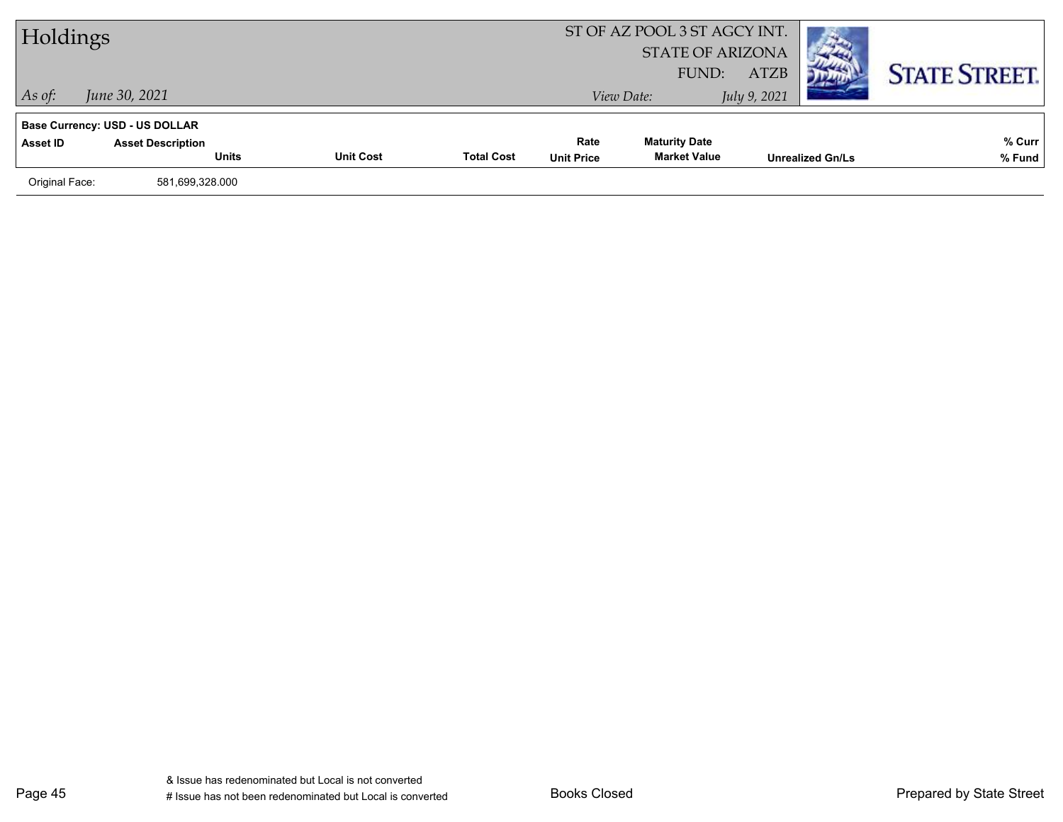| Holdings       |                                       |                  |                   |                   | ST OF AZ POOL 3 ST AGCY INT.<br><b>STATE OF ARIZONA</b><br>FUND: | <b>ATZB</b>  |                         | <b>STATE STREET.</b> |
|----------------|---------------------------------------|------------------|-------------------|-------------------|------------------------------------------------------------------|--------------|-------------------------|----------------------|
| $\vert$ As of: | June 30, 2021                         |                  |                   |                   | View Date:                                                       | July 9, 2021 |                         |                      |
|                | <b>Base Currency: USD - US DOLLAR</b> |                  |                   |                   |                                                                  |              |                         |                      |
| Asset ID       | <b>Asset Description</b>              |                  |                   | Rate              | <b>Maturity Date</b>                                             |              |                         | % Curr               |
|                | <b>Units</b>                          | <b>Unit Cost</b> | <b>Total Cost</b> | <b>Unit Price</b> | <b>Market Value</b>                                              |              | <b>Unrealized Gn/Ls</b> | % Fund               |
| Original Face: | 581,699,328.000                       |                  |                   |                   |                                                                  |              |                         |                      |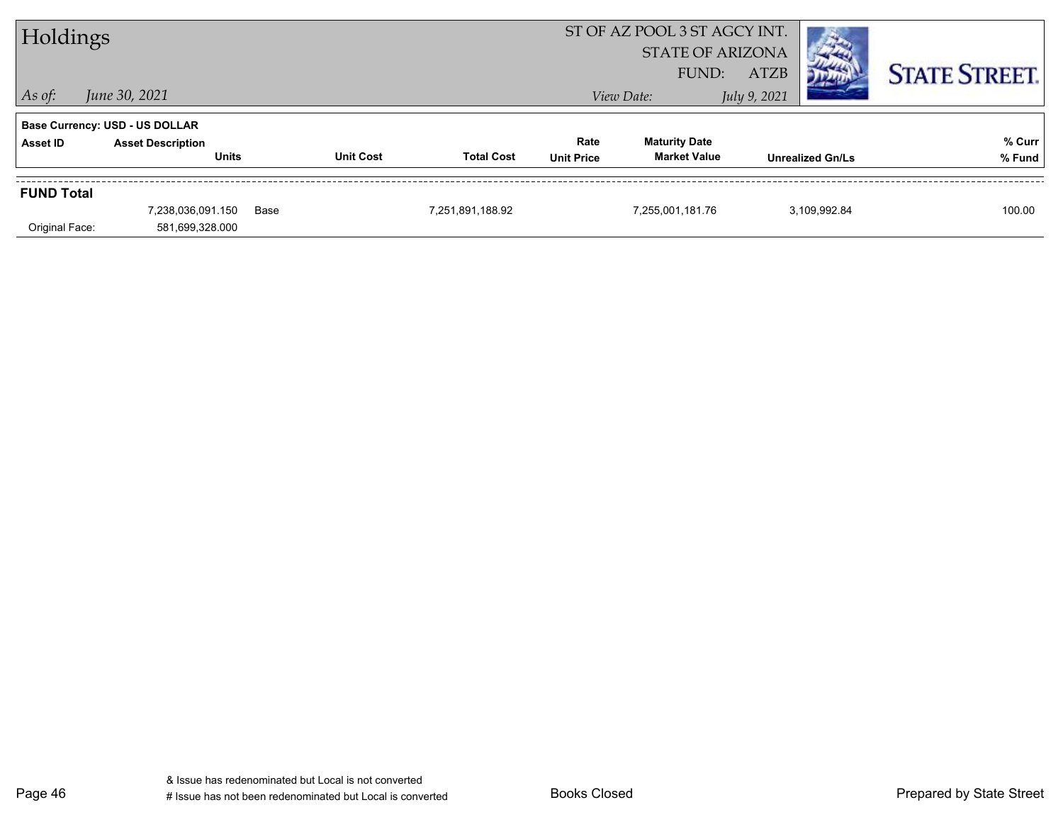| Holdings          |                                       |      |                  |                         | ST OF AZ POOL 3 ST AGCY INT. |                      |                         |  |                      |
|-------------------|---------------------------------------|------|------------------|-------------------------|------------------------------|----------------------|-------------------------|--|----------------------|
|                   |                                       |      |                  | <b>STATE OF ARIZONA</b> |                              |                      |                         |  |                      |
|                   |                                       |      |                  |                         |                              | FUND:                | <b>ATZB</b>             |  | <b>STATE STREET.</b> |
| $ $ As of:        | June 30, 2021                         |      |                  |                         |                              | View Date:           | July 9, 2021            |  |                      |
|                   | <b>Base Currency: USD - US DOLLAR</b> |      |                  |                         |                              |                      |                         |  |                      |
| Asset ID          | <b>Asset Description</b>              |      |                  |                         | Rate                         | <b>Maturity Date</b> |                         |  | % Curr               |
|                   | <b>Units</b>                          |      | <b>Unit Cost</b> | <b>Total Cost</b>       | <b>Unit Price</b>            | <b>Market Value</b>  | <b>Unrealized Gn/Ls</b> |  | % Fund               |
| <b>FUND Total</b> |                                       |      |                  |                         |                              |                      |                         |  |                      |
|                   | 7,238,036,091.150                     | Base |                  | 7,251,891,188.92        |                              | 7,255,001,181.76     | 3,109,992.84            |  | 100.00               |
| Original Face:    | 581,699,328.000                       |      |                  |                         |                              |                      |                         |  |                      |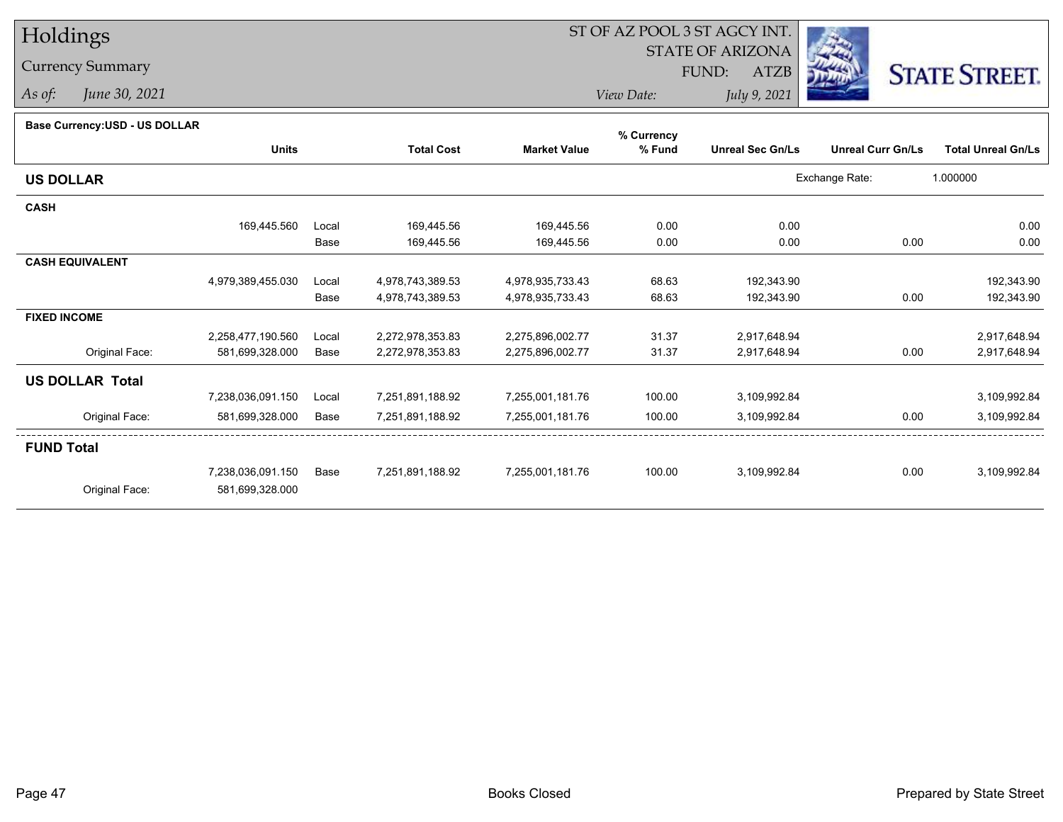# Holdings

## Currency Summary

*As of: June 30, 2021*

# ST OF AZ POOL 3 ST AGCY INT.

STATE OF ARIZONA

FUND: ATZB



*View Date:July 9, 2021*

| Dase Ourlelicy.OOD - OO DOLLAR |                   |       |                   |                     | % Currency |                         |                          |                           |
|--------------------------------|-------------------|-------|-------------------|---------------------|------------|-------------------------|--------------------------|---------------------------|
|                                | <b>Units</b>      |       | <b>Total Cost</b> | <b>Market Value</b> | % Fund     | <b>Unreal Sec Gn/Ls</b> | <b>Unreal Curr Gn/Ls</b> | <b>Total Unreal Gn/Ls</b> |
| <b>US DOLLAR</b>               |                   |       |                   |                     |            |                         | Exchange Rate:           | 1.000000                  |
| <b>CASH</b>                    |                   |       |                   |                     |            |                         |                          |                           |
|                                | 169,445.560       | Local | 169,445.56        | 169,445.56          | 0.00       | 0.00                    |                          | 0.00                      |
|                                |                   | Base  | 169,445.56        | 169,445.56          | 0.00       | 0.00                    | 0.00                     | 0.00                      |
| <b>CASH EQUIVALENT</b>         |                   |       |                   |                     |            |                         |                          |                           |
|                                | 4,979,389,455.030 | Local | 4,978,743,389.53  | 4,978,935,733.43    | 68.63      | 192,343.90              |                          | 192,343.90                |
|                                |                   | Base  | 4,978,743,389.53  | 4,978,935,733.43    | 68.63      | 192,343.90              | 0.00                     | 192,343.90                |
| <b>FIXED INCOME</b>            |                   |       |                   |                     |            |                         |                          |                           |
|                                | 2,258,477,190.560 | Local | 2,272,978,353.83  | 2,275,896,002.77    | 31.37      | 2,917,648.94            |                          | 2,917,648.94              |
| Original Face:                 | 581,699,328.000   | Base  | 2,272,978,353.83  | 2,275,896,002.77    | 31.37      | 2,917,648.94            | 0.00                     | 2,917,648.94              |
| <b>US DOLLAR Total</b>         |                   |       |                   |                     |            |                         |                          |                           |
|                                | 7,238,036,091.150 | Local | 7,251,891,188.92  | 7,255,001,181.76    | 100.00     | 3,109,992.84            |                          | 3,109,992.84              |
| Original Face:                 | 581,699,328.000   | Base  | 7,251,891,188.92  | 7,255,001,181.76    | 100.00     | 3,109,992.84            | 0.00                     | 3,109,992.84              |
| <b>FUND Total</b>              |                   |       |                   |                     |            |                         |                          |                           |
|                                | 7,238,036,091.150 | Base  | 7,251,891,188.92  | 7,255,001,181.76    | 100.00     | 3,109,992.84            | 0.00                     | 3,109,992.84              |
| Original Face:                 | 581,699,328.000   |       |                   |                     |            |                         |                          |                           |
|                                |                   |       |                   |                     |            |                         |                          |                           |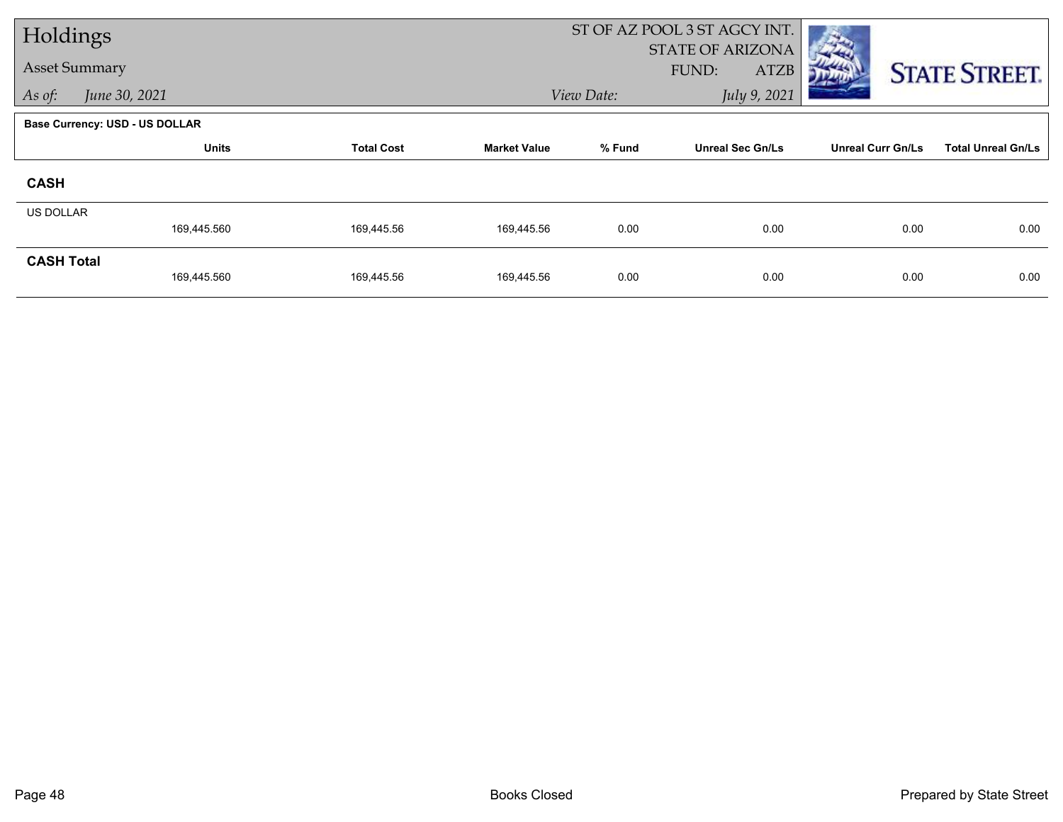| Holdings             |                                       |                   |                     |            | ST OF AZ POOL 3 ST AGCY INT.             |                          |                           |  |
|----------------------|---------------------------------------|-------------------|---------------------|------------|------------------------------------------|--------------------------|---------------------------|--|
| <b>Asset Summary</b> |                                       |                   |                     |            | <b>STATE OF ARIZONA</b><br>FUND:<br>ATZB |                          | <b>STATE STREET.</b>      |  |
| As of:               | June 30, 2021                         |                   |                     | View Date: | July 9, 2021                             |                          |                           |  |
|                      | <b>Base Currency: USD - US DOLLAR</b> |                   |                     |            |                                          |                          |                           |  |
|                      | <b>Units</b>                          | <b>Total Cost</b> | <b>Market Value</b> | % Fund     | <b>Unreal Sec Gn/Ls</b>                  | <b>Unreal Curr Gn/Ls</b> | <b>Total Unreal Gn/Ls</b> |  |
| <b>CASH</b>          |                                       |                   |                     |            |                                          |                          |                           |  |
| <b>US DOLLAR</b>     |                                       |                   |                     |            |                                          |                          |                           |  |
|                      | 169,445.560                           | 169,445.56        | 169,445.56          | 0.00       | 0.00                                     | 0.00                     | 0.00                      |  |
| <b>CASH Total</b>    | 169,445.560                           | 169,445.56        | 169,445.56          | 0.00       | 0.00                                     | 0.00                     | 0.00                      |  |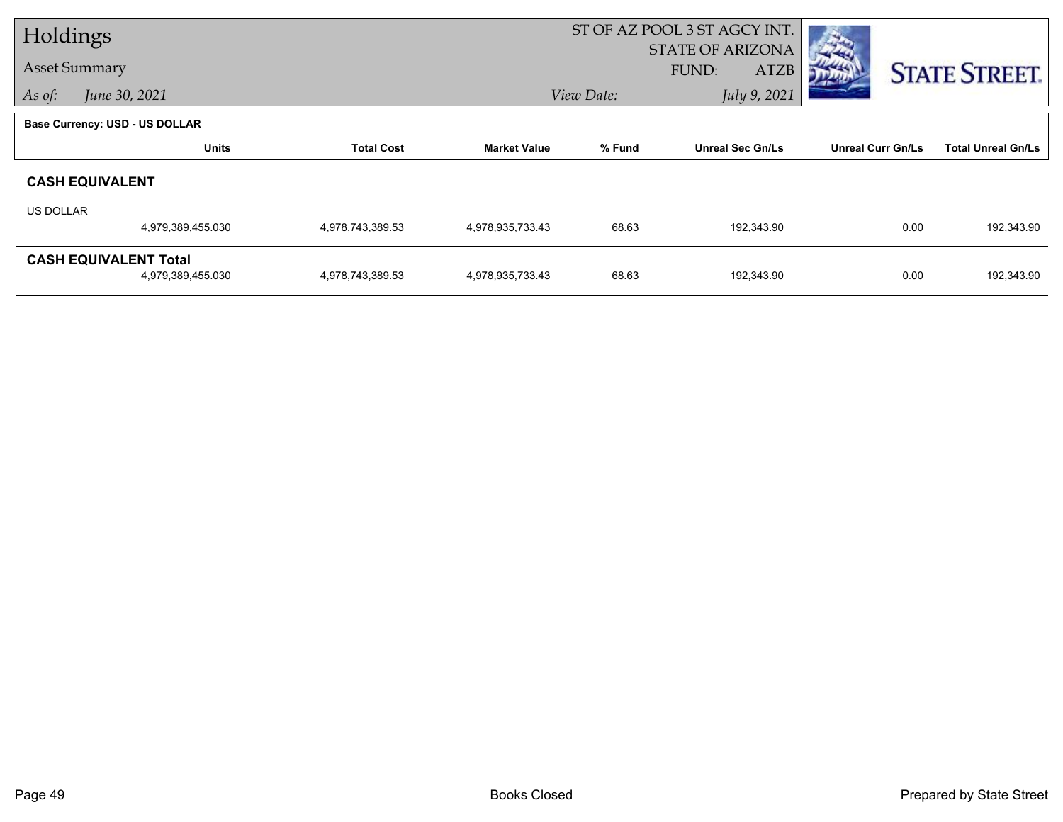| Holdings                |                                                   |                   |                     | ST OF AZ POOL 3 ST AGCY INT.      |                                                 |                          |                           |
|-------------------------|---------------------------------------------------|-------------------|---------------------|-----------------------------------|-------------------------------------------------|--------------------------|---------------------------|
| <b>Asset Summary</b>    |                                                   |                   |                     |                                   | <b>STATE OF ARIZONA</b><br>FUND:<br><b>ATZB</b> |                          | <b>STATE STREET.</b>      |
| June 30, 2021<br>As of: |                                                   |                   |                     | July 9, 2021<br>View Date:        |                                                 |                          |                           |
|                         | <b>Base Currency: USD - US DOLLAR</b>             |                   |                     |                                   |                                                 |                          |                           |
|                         | <b>Units</b>                                      | <b>Total Cost</b> | <b>Market Value</b> | % Fund<br><b>Unreal Sec Gn/Ls</b> |                                                 | <b>Unreal Curr Gn/Ls</b> | <b>Total Unreal Gn/Ls</b> |
|                         | <b>CASH EQUIVALENT</b>                            |                   |                     |                                   |                                                 |                          |                           |
| US DOLLAR               |                                                   |                   |                     |                                   |                                                 |                          |                           |
|                         | 4,979,389,455.030                                 | 4,978,743,389.53  | 4,978,935,733.43    | 68.63                             | 192,343.90                                      | 0.00                     | 192,343.90                |
|                         | <b>CASH EQUIVALENT Total</b><br>4,979,389,455.030 | 4,978,743,389.53  | 4,978,935,733.43    | 68.63                             | 192,343.90                                      | 0.00                     | 192,343.90                |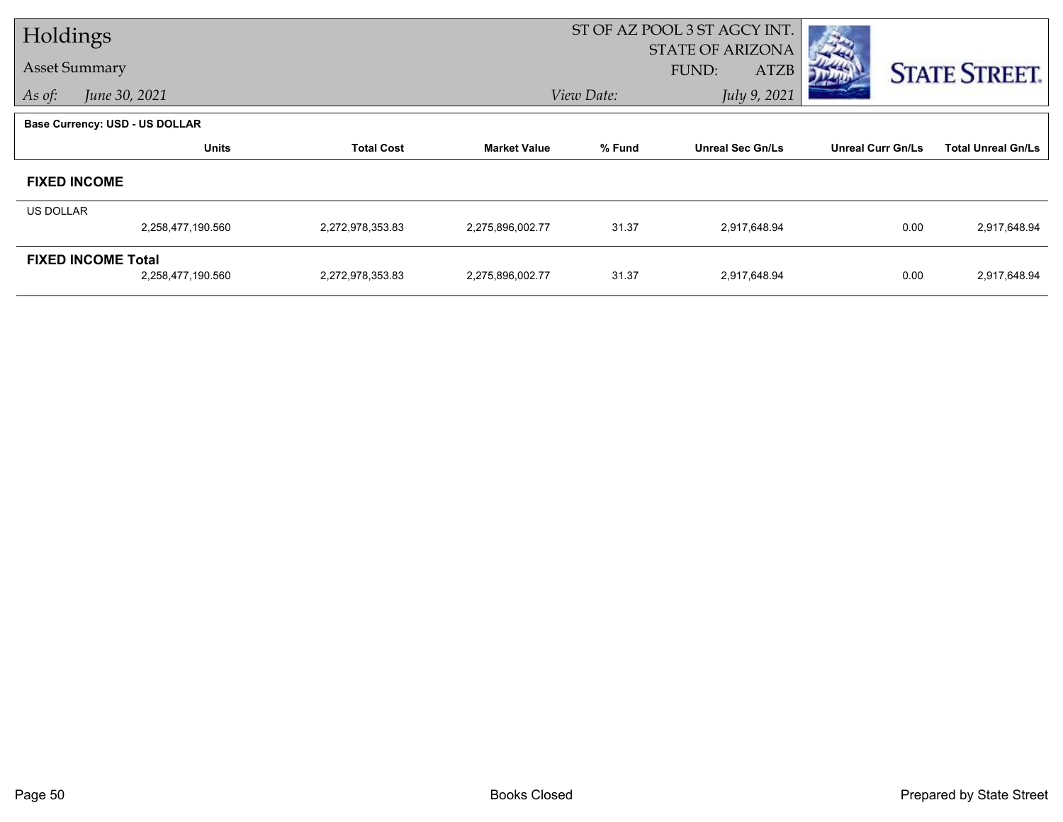| Holdings             |                                       |                   |                     | ST OF AZ POOL 3 ST AGCY INT. |                                                 |                          |                           |  |  |
|----------------------|---------------------------------------|-------------------|---------------------|------------------------------|-------------------------------------------------|--------------------------|---------------------------|--|--|
| <b>Asset Summary</b> |                                       |                   |                     |                              | <b>STATE OF ARIZONA</b><br>FUND:<br><b>ATZB</b> |                          | <b>STATE STREET.</b>      |  |  |
| As of:               | June 30, 2021                         |                   |                     | View Date:                   | July 9, 2021                                    |                          |                           |  |  |
|                      | <b>Base Currency: USD - US DOLLAR</b> |                   |                     |                              |                                                 |                          |                           |  |  |
|                      | <b>Units</b>                          | <b>Total Cost</b> | <b>Market Value</b> | % Fund                       | <b>Unreal Sec Gn/Ls</b>                         | <b>Unreal Curr Gn/Ls</b> | <b>Total Unreal Gn/Ls</b> |  |  |
|                      | <b>FIXED INCOME</b>                   |                   |                     |                              |                                                 |                          |                           |  |  |
| US DOLLAR            |                                       |                   |                     |                              |                                                 |                          |                           |  |  |
|                      | 2,258,477,190.560                     | 2,272,978,353.83  | 2,275,896,002.77    | 31.37                        | 2,917,648.94                                    | 0.00                     | 2,917,648.94              |  |  |
|                      | <b>FIXED INCOME Total</b>             |                   |                     |                              |                                                 |                          |                           |  |  |
|                      | 2,258,477,190.560                     | 2,272,978,353.83  | 2,275,896,002.77    | 31.37                        | 2,917,648.94                                    | 0.00                     | 2,917,648.94              |  |  |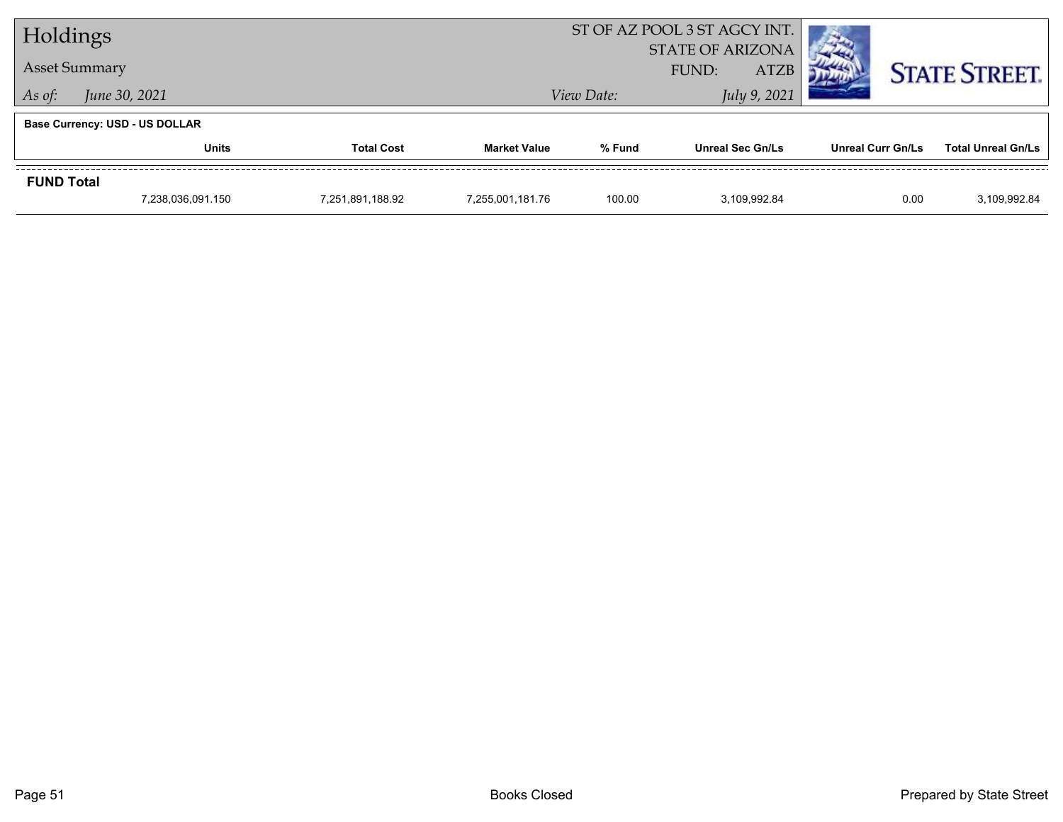| Holdings                |                                       |  | ST OF AZ POOL 3 ST AGCY INT. |                                                 |                         |                          |                           |
|-------------------------|---------------------------------------|--|------------------------------|-------------------------------------------------|-------------------------|--------------------------|---------------------------|
| <b>Asset Summary</b>    |                                       |  |                              | <b>STATE OF ARIZONA</b><br><b>ATZB</b><br>FUND: |                         |                          | <b>STATE STREET.</b>      |
| June 30, 2021<br>As of: |                                       |  |                              | View Date:                                      | July 9, 2021            |                          |                           |
|                         | <b>Base Currency: USD - US DOLLAR</b> |  |                              |                                                 |                         |                          |                           |
|                         | <b>Units</b><br><b>Total Cost</b>     |  | <b>Market Value</b>          | % Fund                                          | <b>Unreal Sec Gn/Ls</b> | <b>Unreal Curr Gn/Ls</b> | <b>Total Unreal Gn/Ls</b> |
| <b>FUND Total</b>       |                                       |  |                              |                                                 |                         |                          |                           |
|                         | 7,238,036,091.150<br>7,251,891,188.92 |  | 7,255,001,181.76             | 100.00                                          | 3.109.992.84            | 0.00                     | 3,109,992.84              |